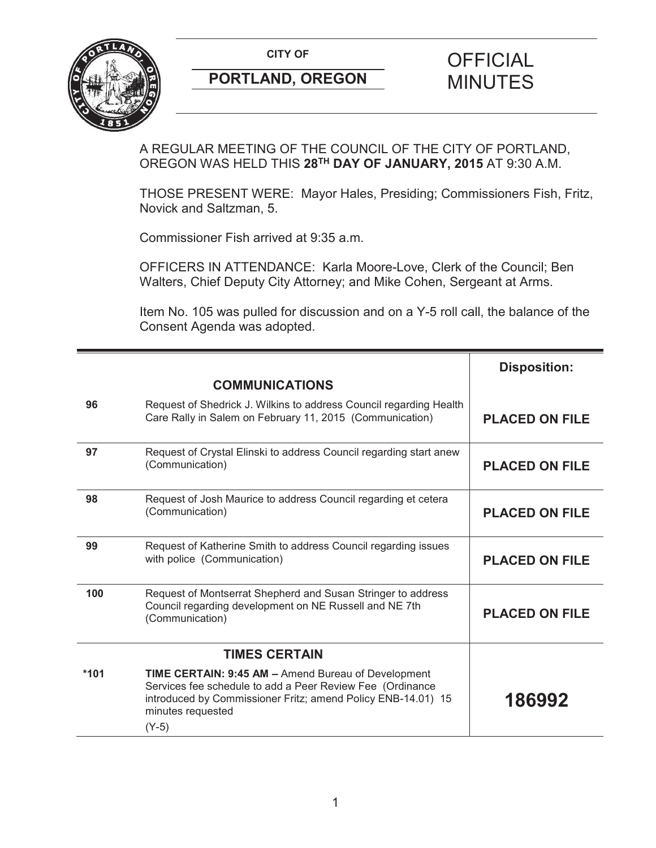**CITY OF CITY OF SAMPLE OF FICIAL** 



# **PORTLAND, OREGON MINUTES**

## A REGULAR MEETING OF THE COUNCIL OF THE CITY OF PORTLAND, OREGON WAS HELD THIS **28TH DAY OF JANUARY, 2015** AT 9:30 A.M.

THOSE PRESENT WERE: Mayor Hales, Presiding; Commissioners Fish, Fritz, Novick and Saltzman, 5.

Commissioner Fish arrived at 9:35 a.m.

OFFICERS IN ATTENDANCE: Karla Moore-Love, Clerk of the Council; Ben Walters, Chief Deputy City Attorney; and Mike Cohen, Sergeant at Arms.

Item No. 105 was pulled for discussion and on a Y-5 roll call, the balance of the Consent Agenda was adopted.

|                      |                                                                                                                                                                                                                  | <b>Disposition:</b>   |
|----------------------|------------------------------------------------------------------------------------------------------------------------------------------------------------------------------------------------------------------|-----------------------|
|                      | <b>COMMUNICATIONS</b>                                                                                                                                                                                            |                       |
| 96                   | Request of Shedrick J. Wilkins to address Council regarding Health<br>Care Rally in Salem on February 11, 2015 (Communication)                                                                                   | <b>PLACED ON FILE</b> |
| 97                   | Request of Crystal Elinski to address Council regarding start anew<br>(Communication)                                                                                                                            | <b>PLACED ON FILE</b> |
| 98                   | Request of Josh Maurice to address Council regarding et cetera<br>(Communication)                                                                                                                                | <b>PLACED ON FILE</b> |
| 99                   | Request of Katherine Smith to address Council regarding issues<br>with police (Communication)                                                                                                                    | <b>PLACED ON FILE</b> |
| 100                  | Request of Montserrat Shepherd and Susan Stringer to address<br>Council regarding development on NE Russell and NE 7th<br>(Communication)                                                                        | <b>PLACED ON FILE</b> |
| <b>TIMES CERTAIN</b> |                                                                                                                                                                                                                  |                       |
| $*101$               | TIME CERTAIN: 9:45 AM - Amend Bureau of Development<br>Services fee schedule to add a Peer Review Fee (Ordinance<br>introduced by Commissioner Fritz; amend Policy ENB-14.01) 15<br>minutes requested<br>$(Y-5)$ | 186992                |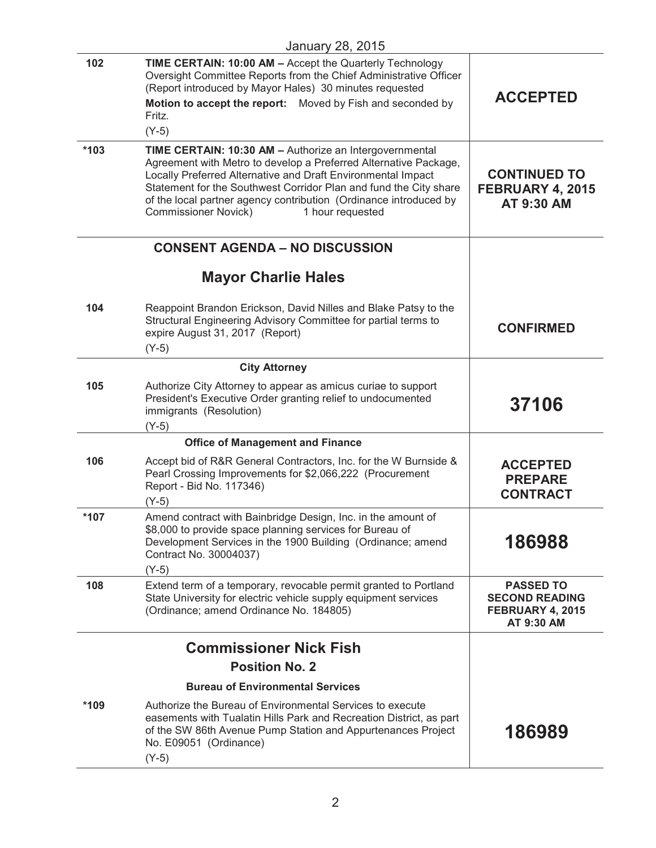|        | <b>January 28, 2015</b>                                                                                                                                                                                                                                                                                                                                                                  |                                                                             |
|--------|------------------------------------------------------------------------------------------------------------------------------------------------------------------------------------------------------------------------------------------------------------------------------------------------------------------------------------------------------------------------------------------|-----------------------------------------------------------------------------|
| 102    | TIME CERTAIN: 10:00 AM - Accept the Quarterly Technology<br>Oversight Committee Reports from the Chief Administrative Officer<br>(Report introduced by Mayor Hales) 30 minutes requested<br>Motion to accept the report: Moved by Fish and seconded by<br>Fritz.<br>$(Y-5)$                                                                                                              | <b>ACCEPTED</b>                                                             |
| $*103$ | TIME CERTAIN: 10:30 AM - Authorize an Intergovernmental<br>Agreement with Metro to develop a Preferred Alternative Package,<br>Locally Preferred Alternative and Draft Environmental Impact<br>Statement for the Southwest Corridor Plan and fund the City share<br>of the local partner agency contribution (Ordinance introduced by<br><b>Commissioner Novick)</b><br>1 hour requested | <b>CONTINUED TO</b><br>FEBRUARY 4, 2015<br>AT 9:30 AM                       |
|        | <b>CONSENT AGENDA - NO DISCUSSION</b>                                                                                                                                                                                                                                                                                                                                                    |                                                                             |
|        | <b>Mayor Charlie Hales</b>                                                                                                                                                                                                                                                                                                                                                               |                                                                             |
| 104    | Reappoint Brandon Erickson, David Nilles and Blake Patsy to the<br>Structural Engineering Advisory Committee for partial terms to<br>expire August 31, 2017 (Report)<br>$(Y-5)$                                                                                                                                                                                                          | <b>CONFIRMED</b>                                                            |
|        | <b>City Attorney</b>                                                                                                                                                                                                                                                                                                                                                                     |                                                                             |
| 105    | Authorize City Attorney to appear as amicus curiae to support<br>President's Executive Order granting relief to undocumented<br>immigrants (Resolution)<br>$(Y-5)$                                                                                                                                                                                                                       | 37106                                                                       |
|        | <b>Office of Management and Finance</b>                                                                                                                                                                                                                                                                                                                                                  |                                                                             |
| 106    | Accept bid of R&R General Contractors, Inc. for the W Burnside &<br>Pearl Crossing Improvements for \$2,066,222 (Procurement<br>Report - Bid No. 117346)<br>$(Y-5)$                                                                                                                                                                                                                      | <b>ACCEPTED</b><br><b>PREPARE</b><br><b>CONTRACT</b>                        |
| $*107$ | Amend contract with Bainbridge Design, Inc. in the amount of<br>\$8,000 to provide space planning services for Bureau of<br>Development Services in the 1900 Building (Ordinance; amend<br>Contract No. 30004037)<br>$(Y-5)$                                                                                                                                                             | 186988                                                                      |
| 108    | Extend term of a temporary, revocable permit granted to Portland<br>State University for electric vehicle supply equipment services<br>(Ordinance; amend Ordinance No. 184805)                                                                                                                                                                                                           | <b>PASSED TO</b><br><b>SECOND READING</b><br>FEBRUARY 4, 2015<br>AT 9:30 AM |
|        | <b>Commissioner Nick Fish</b>                                                                                                                                                                                                                                                                                                                                                            |                                                                             |
|        | <b>Position No. 2</b>                                                                                                                                                                                                                                                                                                                                                                    |                                                                             |
|        | <b>Bureau of Environmental Services</b>                                                                                                                                                                                                                                                                                                                                                  |                                                                             |
| *109   | Authorize the Bureau of Environmental Services to execute<br>easements with Tualatin Hills Park and Recreation District, as part<br>of the SW 86th Avenue Pump Station and Appurtenances Project<br>No. E09051 (Ordinance)<br>$(Y-5)$                                                                                                                                                    | 186989                                                                      |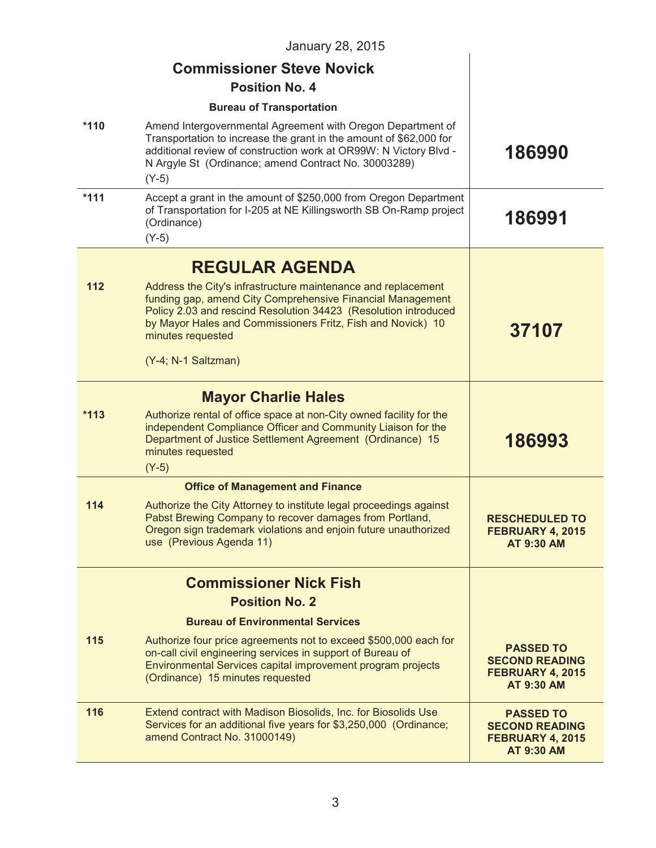|        | January 28, 2015                                                                                                                                                                                                                                                                                          |                                                                                    |
|--------|-----------------------------------------------------------------------------------------------------------------------------------------------------------------------------------------------------------------------------------------------------------------------------------------------------------|------------------------------------------------------------------------------------|
|        | <b>Commissioner Steve Novick</b>                                                                                                                                                                                                                                                                          |                                                                                    |
|        | <b>Position No. 4</b>                                                                                                                                                                                                                                                                                     |                                                                                    |
|        | <b>Bureau of Transportation</b>                                                                                                                                                                                                                                                                           |                                                                                    |
| $*110$ | Amend Intergovernmental Agreement with Oregon Department of<br>Transportation to increase the grant in the amount of \$62,000 for<br>additional review of construction work at OR99W: N Victory Blvd -<br>N Argyle St (Ordinance; amend Contract No. 30003289)<br>$(Y-5)$                                 | 186990                                                                             |
| $*111$ | Accept a grant in the amount of \$250,000 from Oregon Department<br>of Transportation for I-205 at NE Killingsworth SB On-Ramp project<br>(Ordinance)<br>$(Y-5)$                                                                                                                                          | 186991                                                                             |
|        | <b>REGULAR AGENDA</b>                                                                                                                                                                                                                                                                                     |                                                                                    |
| 112    | Address the City's infrastructure maintenance and replacement<br>funding gap, amend City Comprehensive Financial Management<br>Policy 2.03 and rescind Resolution 34423 (Resolution introduced<br>by Mayor Hales and Commissioners Fritz, Fish and Novick) 10<br>minutes requested<br>(Y-4; N-1 Saltzman) | 37107                                                                              |
|        | <b>Mayor Charlie Hales</b>                                                                                                                                                                                                                                                                                |                                                                                    |
| $*113$ | Authorize rental of office space at non-City owned facility for the<br>independent Compliance Officer and Community Liaison for the<br>Department of Justice Settlement Agreement (Ordinance) 15<br>minutes requested<br>$(Y-5)$                                                                          | 186993                                                                             |
|        | <b>Office of Management and Finance</b>                                                                                                                                                                                                                                                                   |                                                                                    |
| 114    | Authorize the City Attorney to institute legal proceedings against<br>Pabst Brewing Company to recover damages from Portland,<br>Oregon sign trademark violations and enjoin future unauthorized<br>use (Previous Agenda 11)                                                                              | <b>RESCHEDULED TO</b><br>FEBRUARY 4, 2015<br>AT 9:30 AM                            |
|        | <b>Commissioner Nick Fish</b>                                                                                                                                                                                                                                                                             |                                                                                    |
|        | <b>Position No. 2</b>                                                                                                                                                                                                                                                                                     |                                                                                    |
|        | <b>Bureau of Environmental Services</b>                                                                                                                                                                                                                                                                   |                                                                                    |
| 115    | Authorize four price agreements not to exceed \$500,000 each for<br>on-call civil engineering services in support of Bureau of<br>Environmental Services capital improvement program projects<br>(Ordinance) 15 minutes requested                                                                         | <b>PASSED TO</b><br><b>SECOND READING</b><br>FEBRUARY 4, 2015<br><b>AT 9:30 AM</b> |
| 116    | Extend contract with Madison Biosolids, Inc. for Biosolids Use<br>Services for an additional five years for \$3,250,000 (Ordinance;<br>amend Contract No. 31000149)                                                                                                                                       | <b>PASSED TO</b><br><b>SECOND READING</b><br>FEBRUARY 4, 2015<br>AT 9:30 AM        |
|        |                                                                                                                                                                                                                                                                                                           |                                                                                    |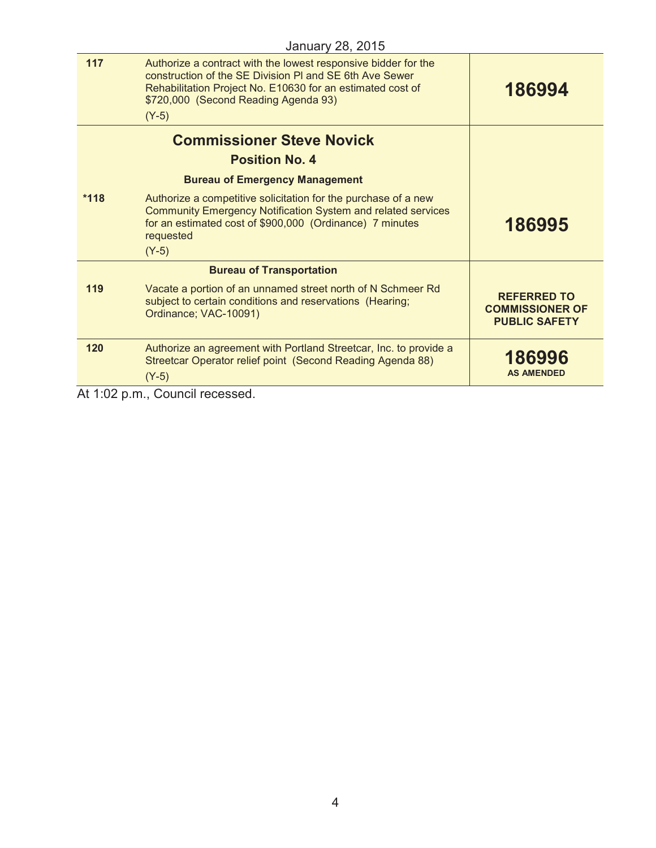| 117    | Authorize a contract with the lowest responsive bidder for the<br>construction of the SE Division PI and SE 6th Ave Sewer<br>Rehabilitation Project No. E10630 for an estimated cost of<br>\$720,000 (Second Reading Agenda 93)<br>$(Y-5)$ | 186994                                                               |
|--------|--------------------------------------------------------------------------------------------------------------------------------------------------------------------------------------------------------------------------------------------|----------------------------------------------------------------------|
|        | <b>Commissioner Steve Novick</b>                                                                                                                                                                                                           |                                                                      |
|        | <b>Position No. 4</b>                                                                                                                                                                                                                      |                                                                      |
|        | <b>Bureau of Emergency Management</b>                                                                                                                                                                                                      |                                                                      |
| $*118$ | Authorize a competitive solicitation for the purchase of a new<br><b>Community Emergency Notification System and related services</b><br>for an estimated cost of \$900,000 (Ordinance) 7 minutes<br>requested                             | 186995                                                               |
|        | $(Y-5)$                                                                                                                                                                                                                                    |                                                                      |
|        | <b>Bureau of Transportation</b>                                                                                                                                                                                                            |                                                                      |
| 119    | Vacate a portion of an unnamed street north of N Schmeer Rd<br>subject to certain conditions and reservations (Hearing;<br>Ordinance; VAC-10091)                                                                                           | <b>REFERRED TO</b><br><b>COMMISSIONER OF</b><br><b>PUBLIC SAFETY</b> |
| 120    | Authorize an agreement with Portland Streetcar, Inc. to provide a<br>Streetcar Operator relief point (Second Reading Agenda 88)<br>$(Y-5)$                                                                                                 | 186996<br><b>AS AMENDED</b>                                          |
|        |                                                                                                                                                                                                                                            |                                                                      |

At 1:02 p.m., Council recessed.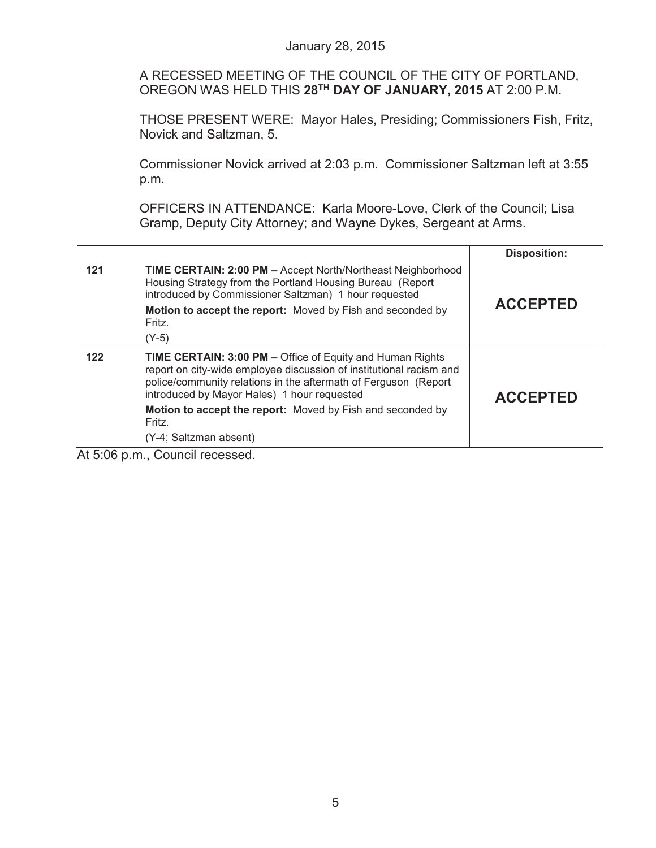|     | January 28, 2015                                                                                                                                                                                                                                                                                                                                     |                                        |
|-----|------------------------------------------------------------------------------------------------------------------------------------------------------------------------------------------------------------------------------------------------------------------------------------------------------------------------------------------------------|----------------------------------------|
|     | A RECESSED MEETING OF THE COUNCIL OF THE CITY OF PORTLAND,<br>OREGON WAS HELD THIS 28TH DAY OF JANUARY, 2015 AT 2:00 P.M.                                                                                                                                                                                                                            |                                        |
|     | THOSE PRESENT WERE: Mayor Hales, Presiding; Commissioners Fish, Fritz,<br>Novick and Saltzman, 5.                                                                                                                                                                                                                                                    |                                        |
|     | Commissioner Novick arrived at 2:03 p.m. Commissioner Saltzman left at 3:55<br>p.m.                                                                                                                                                                                                                                                                  |                                        |
|     | OFFICERS IN ATTENDANCE: Karla Moore-Love, Clerk of the Council; Lisa<br>Gramp, Deputy City Attorney; and Wayne Dykes, Sergeant at Arms.                                                                                                                                                                                                              |                                        |
| 121 | TIME CERTAIN: 2:00 PM - Accept North/Northeast Neighborhood<br>Housing Strategy from the Portland Housing Bureau (Report<br>introduced by Commissioner Saltzman) 1 hour requested<br>Motion to accept the report: Moved by Fish and seconded by<br>Fritz.<br>$(Y-5)$                                                                                 | <b>Disposition:</b><br><b>ACCEPTED</b> |
| 122 | TIME CERTAIN: 3:00 PM - Office of Equity and Human Rights<br>report on city-wide employee discussion of institutional racism and<br>police/community relations in the aftermath of Ferguson (Report<br>introduced by Mayor Hales) 1 hour requested<br>Motion to accept the report: Moved by Fish and seconded by<br>Fritz.<br>(Y-4; Saltzman absent) | <b>ACCEPTED</b>                        |

At 5:06 p.m., Council recessed.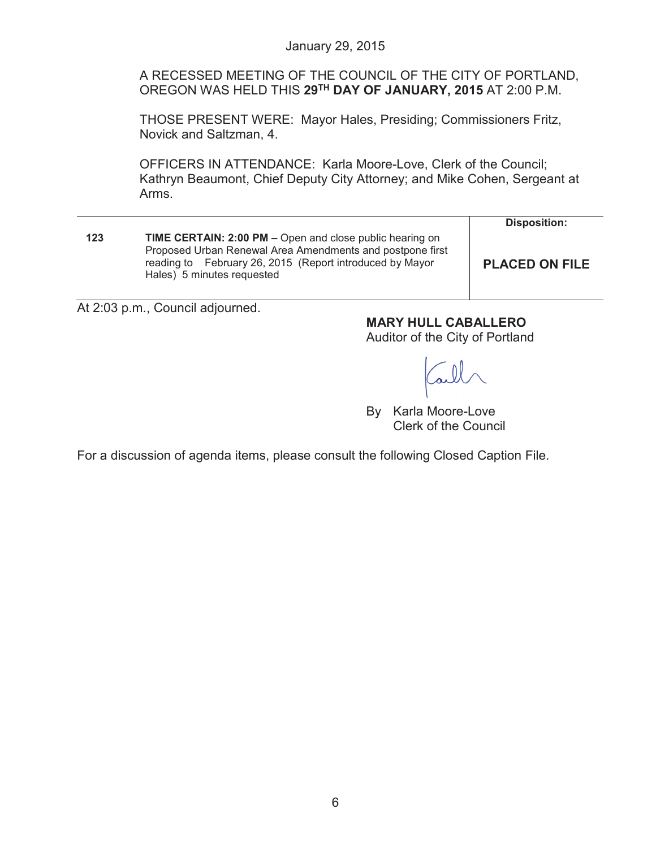A RECESSED MEETING OF THE COUNCIL OF THE CITY OF PORTLAND, OREGON WAS HELD THIS **29TH DAY OF JANUARY, 2015** AT 2:00 P.M.

THOSE PRESENT WERE: Mayor Hales, Presiding; Commissioners Fritz, Novick and Saltzman, 4.

OFFICERS IN ATTENDANCE: Karla Moore-Love, Clerk of the Council; Kathryn Beaumont, Chief Deputy City Attorney; and Mike Cohen, Sergeant at Arms.

| <b>Disposition:</b>                                                                |
|------------------------------------------------------------------------------------|
| Proposed Urban Renewal Area Amendments and postpone first<br><b>PLACED ON FILE</b> |
| TIME CERTAIN: 2:00 PM - Open and close public hearing on                           |

At 2:03 p.m., Council adjourned.

**MARY HULL CABALLERO**

Auditor of the City of Portland

By Karla Moore-Love Clerk of the Council

For a discussion of agenda items, please consult the following Closed Caption File.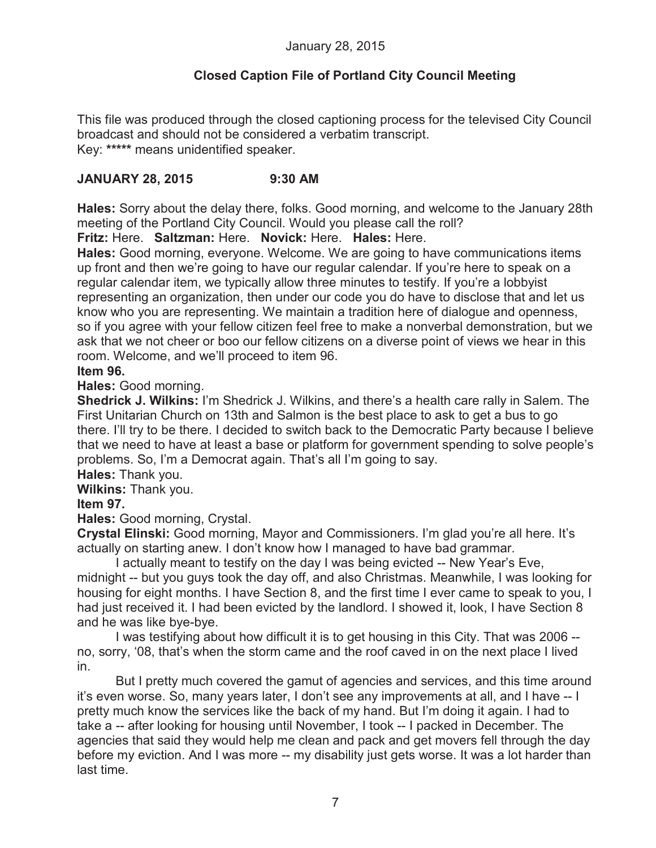## **Closed Caption File of Portland City Council Meeting**

This file was produced through the closed captioning process for the televised City Council broadcast and should not be considered a verbatim transcript. Key: **\*\*\*\*\*** means unidentified speaker.

## **JANUARY 28, 2015 9:30 AM**

**Hales:** Sorry about the delay there, folks. Good morning, and welcome to the January 28th meeting of the Portland City Council. Would you please call the roll?

**Fritz:** Here. **Saltzman:** Here. **Novick:** Here. **Hales:** Here.

**Hales:** Good morning, everyone. Welcome. We are going to have communications items up front and then we're going to have our regular calendar. If you're here to speak on a regular calendar item, we typically allow three minutes to testify. If you're a lobbyist representing an organization, then under our code you do have to disclose that and let us know who you are representing. We maintain a tradition here of dialogue and openness, so if you agree with your fellow citizen feel free to make a nonverbal demonstration, but we ask that we not cheer or boo our fellow citizens on a diverse point of views we hear in this room. Welcome, and we'll proceed to item 96.

## **Item 96.**

**Hales:** Good morning.

**Shedrick J. Wilkins:** I'm Shedrick J. Wilkins, and there's a health care rally in Salem. The First Unitarian Church on 13th and Salmon is the best place to ask to get a bus to go there. I'll try to be there. I decided to switch back to the Democratic Party because I believe that we need to have at least a base or platform for government spending to solve people's problems. So, I'm a Democrat again. That's all I'm going to say.

**Hales:** Thank you.

**Wilkins:** Thank you.

## **Item 97.**

**Hales:** Good morning, Crystal.

**Crystal Elinski:** Good morning, Mayor and Commissioners. I'm glad you're all here. It's actually on starting anew. I don't know how I managed to have bad grammar.

I actually meant to testify on the day I was being evicted -- New Year's Eve, midnight -- but you guys took the day off, and also Christmas. Meanwhile, I was looking for housing for eight months. I have Section 8, and the first time I ever came to speak to you, I had just received it. I had been evicted by the landlord. I showed it, look, I have Section 8 and he was like bye-bye.

I was testifying about how difficult it is to get housing in this City. That was 2006 - no, sorry, '08, that's when the storm came and the roof caved in on the next place I lived in.

But I pretty much covered the gamut of agencies and services, and this time around it's even worse. So, many years later, I don't see any improvements at all, and I have -- I pretty much know the services like the back of my hand. But I'm doing it again. I had to take a -- after looking for housing until November, I took -- I packed in December. The agencies that said they would help me clean and pack and get movers fell through the day before my eviction. And I was more -- my disability just gets worse. It was a lot harder than last time.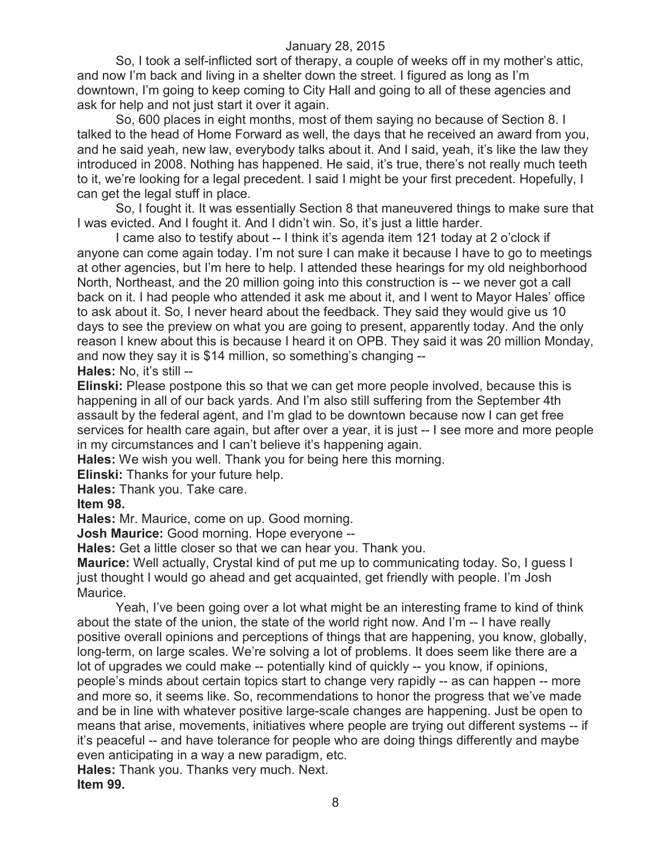So, I took a self-inflicted sort of therapy, a couple of weeks off in my mother's attic, and now I'm back and living in a shelter down the street. I figured as long as I'm downtown, I'm going to keep coming to City Hall and going to all of these agencies and ask for help and not just start it over it again.

So, 600 places in eight months, most of them saying no because of Section 8. I talked to the head of Home Forward as well, the days that he received an award from you, and he said yeah, new law, everybody talks about it. And I said, yeah, it's like the law they introduced in 2008. Nothing has happened. He said, it's true, there's not really much teeth to it, we're looking for a legal precedent. I said I might be your first precedent. Hopefully, I can get the legal stuff in place.

So, I fought it. It was essentially Section 8 that maneuvered things to make sure that I was evicted. And I fought it. And I didn't win. So, it's just a little harder.

I came also to testify about -- I think it's agenda item 121 today at 2 o'clock if anyone can come again today. I'm not sure I can make it because I have to go to meetings at other agencies, but I'm here to help. I attended these hearings for my old neighborhood North, Northeast, and the 20 million going into this construction is -- we never got a call back on it. I had people who attended it ask me about it, and I went to Mayor Hales' office to ask about it. So, I never heard about the feedback. They said they would give us 10 days to see the preview on what you are going to present, apparently today. And the only reason I knew about this is because I heard it on OPB. They said it was 20 million Monday, and now they say it is \$14 million, so something's changing -- **Hales:** No, it's still --

**Elinski:** Please postpone this so that we can get more people involved, because this is happening in all of our back yards. And I'm also still suffering from the September 4th assault by the federal agent, and I'm glad to be downtown because now I can get free services for health care again, but after over a year, it is just -- I see more and more people in my circumstances and I can't believe it's happening again.

**Hales:** We wish you well. Thank you for being here this morning.

**Elinski:** Thanks for your future help.

**Hales:** Thank you. Take care.

**Item 98.**

**Hales:** Mr. Maurice, come on up. Good morning.

**Josh Maurice:** Good morning. Hope everyone --

**Hales:** Get a little closer so that we can hear you. Thank you.

**Maurice:** Well actually, Crystal kind of put me up to communicating today. So, I guess I just thought I would go ahead and get acquainted, get friendly with people. I'm Josh Maurice.

Yeah, I've been going over a lot what might be an interesting frame to kind of think about the state of the union, the state of the world right now. And I'm -- I have really positive overall opinions and perceptions of things that are happening, you know, globally, long-term, on large scales. We're solving a lot of problems. It does seem like there are a lot of upgrades we could make -- potentially kind of quickly -- you know, if opinions, people's minds about certain topics start to change very rapidly -- as can happen -- more and more so, it seems like. So, recommendations to honor the progress that we've made and be in line with whatever positive large-scale changes are happening. Just be open to means that arise, movements, initiatives where people are trying out different systems -- if it's peaceful -- and have tolerance for people who are doing things differently and maybe even anticipating in a way a new paradigm, etc.

**Hales:** Thank you. Thanks very much. Next.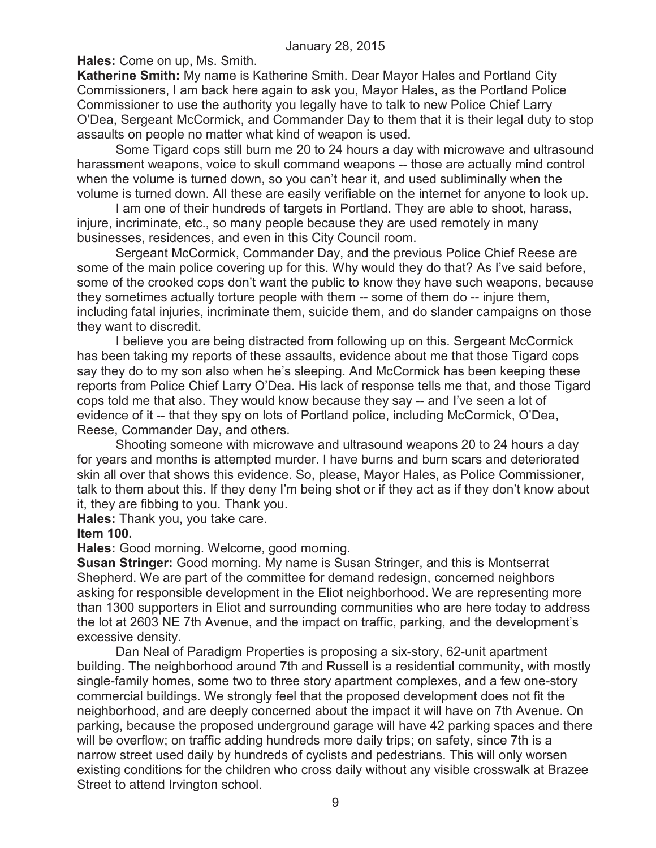**Hales:** Come on up, Ms. Smith.

**Katherine Smith:** My name is Katherine Smith. Dear Mayor Hales and Portland City Commissioners, I am back here again to ask you, Mayor Hales, as the Portland Police Commissioner to use the authority you legally have to talk to new Police Chief Larry O'Dea, Sergeant McCormick, and Commander Day to them that it is their legal duty to stop assaults on people no matter what kind of weapon is used.

Some Tigard cops still burn me 20 to 24 hours a day with microwave and ultrasound harassment weapons, voice to skull command weapons -- those are actually mind control when the volume is turned down, so you can't hear it, and used subliminally when the volume is turned down. All these are easily verifiable on the internet for anyone to look up.

I am one of their hundreds of targets in Portland. They are able to shoot, harass, injure, incriminate, etc., so many people because they are used remotely in many businesses, residences, and even in this City Council room.

Sergeant McCormick, Commander Day, and the previous Police Chief Reese are some of the main police covering up for this. Why would they do that? As I've said before, some of the crooked cops don't want the public to know they have such weapons, because they sometimes actually torture people with them -- some of them do -- injure them, including fatal injuries, incriminate them, suicide them, and do slander campaigns on those they want to discredit.

I believe you are being distracted from following up on this. Sergeant McCormick has been taking my reports of these assaults, evidence about me that those Tigard cops say they do to my son also when he's sleeping. And McCormick has been keeping these reports from Police Chief Larry O'Dea. His lack of response tells me that, and those Tigard cops told me that also. They would know because they say -- and I've seen a lot of evidence of it -- that they spy on lots of Portland police, including McCormick, O'Dea, Reese, Commander Day, and others.

Shooting someone with microwave and ultrasound weapons 20 to 24 hours a day for years and months is attempted murder. I have burns and burn scars and deteriorated skin all over that shows this evidence. So, please, Mayor Hales, as Police Commissioner, talk to them about this. If they deny I'm being shot or if they act as if they don't know about it, they are fibbing to you. Thank you.

**Hales:** Thank you, you take care.

#### **Item 100.**

**Hales:** Good morning. Welcome, good morning.

**Susan Stringer:** Good morning. My name is Susan Stringer, and this is Montserrat Shepherd. We are part of the committee for demand redesign, concerned neighbors asking for responsible development in the Eliot neighborhood. We are representing more than 1300 supporters in Eliot and surrounding communities who are here today to address the lot at 2603 NE 7th Avenue, and the impact on traffic, parking, and the development's excessive density.

Dan Neal of Paradigm Properties is proposing a six-story, 62-unit apartment building. The neighborhood around 7th and Russell is a residential community, with mostly single-family homes, some two to three story apartment complexes, and a few one-story commercial buildings. We strongly feel that the proposed development does not fit the neighborhood, and are deeply concerned about the impact it will have on 7th Avenue. On parking, because the proposed underground garage will have 42 parking spaces and there will be overflow; on traffic adding hundreds more daily trips; on safety, since 7th is a narrow street used daily by hundreds of cyclists and pedestrians. This will only worsen existing conditions for the children who cross daily without any visible crosswalk at Brazee Street to attend Irvington school.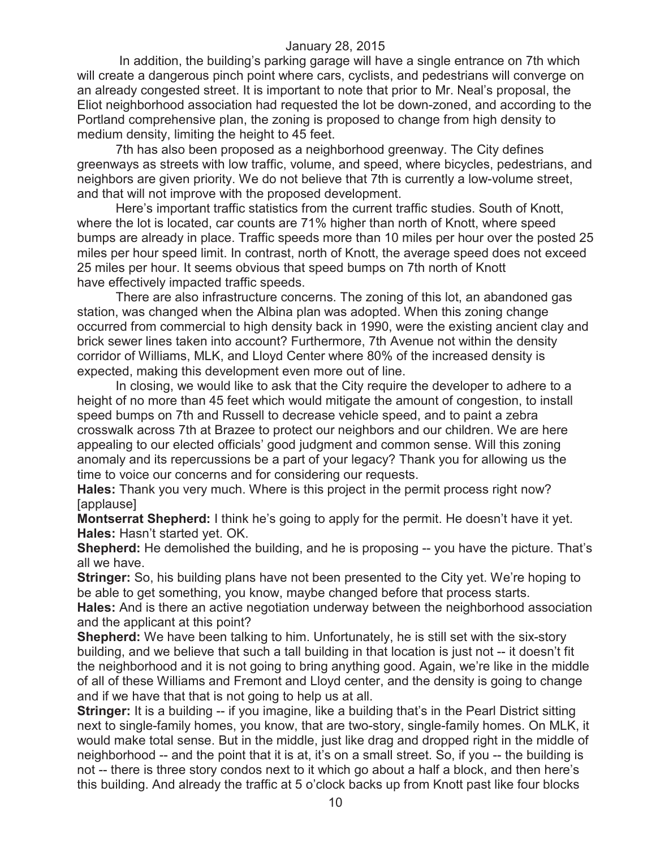In addition, the building's parking garage will have a single entrance on 7th which will create a dangerous pinch point where cars, cyclists, and pedestrians will converge on an already congested street. It is important to note that prior to Mr. Neal's proposal, the Eliot neighborhood association had requested the lot be down-zoned, and according to the Portland comprehensive plan, the zoning is proposed to change from high density to medium density, limiting the height to 45 feet.

7th has also been proposed as a neighborhood greenway. The City defines greenways as streets with low traffic, volume, and speed, where bicycles, pedestrians, and neighbors are given priority. We do not believe that 7th is currently a low-volume street, and that will not improve with the proposed development.

Here's important traffic statistics from the current traffic studies. South of Knott, where the lot is located, car counts are 71% higher than north of Knott, where speed bumps are already in place. Traffic speeds more than 10 miles per hour over the posted 25 miles per hour speed limit. In contrast, north of Knott, the average speed does not exceed 25 miles per hour. It seems obvious that speed bumps on 7th north of Knott have effectively impacted traffic speeds.

There are also infrastructure concerns. The zoning of this lot, an abandoned gas station, was changed when the Albina plan was adopted. When this zoning change occurred from commercial to high density back in 1990, were the existing ancient clay and brick sewer lines taken into account? Furthermore, 7th Avenue not within the density corridor of Williams, MLK, and Lloyd Center where 80% of the increased density is expected, making this development even more out of line.

In closing, we would like to ask that the City require the developer to adhere to a height of no more than 45 feet which would mitigate the amount of congestion, to install speed bumps on 7th and Russell to decrease vehicle speed, and to paint a zebra crosswalk across 7th at Brazee to protect our neighbors and our children. We are here appealing to our elected officials' good judgment and common sense. Will this zoning anomaly and its repercussions be a part of your legacy? Thank you for allowing us the time to voice our concerns and for considering our requests.

**Hales:** Thank you very much. Where is this project in the permit process right now? [applause]

**Montserrat Shepherd:** I think he's going to apply for the permit. He doesn't have it yet. **Hales:** Hasn't started yet. OK.

**Shepherd:** He demolished the building, and he is proposing -- you have the picture. That's all we have.

**Stringer:** So, his building plans have not been presented to the City yet. We're hoping to be able to get something, you know, maybe changed before that process starts.

**Hales:** And is there an active negotiation underway between the neighborhood association and the applicant at this point?

**Shepherd:** We have been talking to him. Unfortunately, he is still set with the six-story building, and we believe that such a tall building in that location is just not -- it doesn't fit the neighborhood and it is not going to bring anything good. Again, we're like in the middle of all of these Williams and Fremont and Lloyd center, and the density is going to change and if we have that that is not going to help us at all.

**Stringer:** It is a building -- if you imagine, like a building that's in the Pearl District sitting next to single-family homes, you know, that are two-story, single-family homes. On MLK, it would make total sense. But in the middle, just like drag and dropped right in the middle of neighborhood -- and the point that it is at, it's on a small street. So, if you -- the building is not -- there is three story condos next to it which go about a half a block, and then here's this building. And already the traffic at 5 o'clock backs up from Knott past like four blocks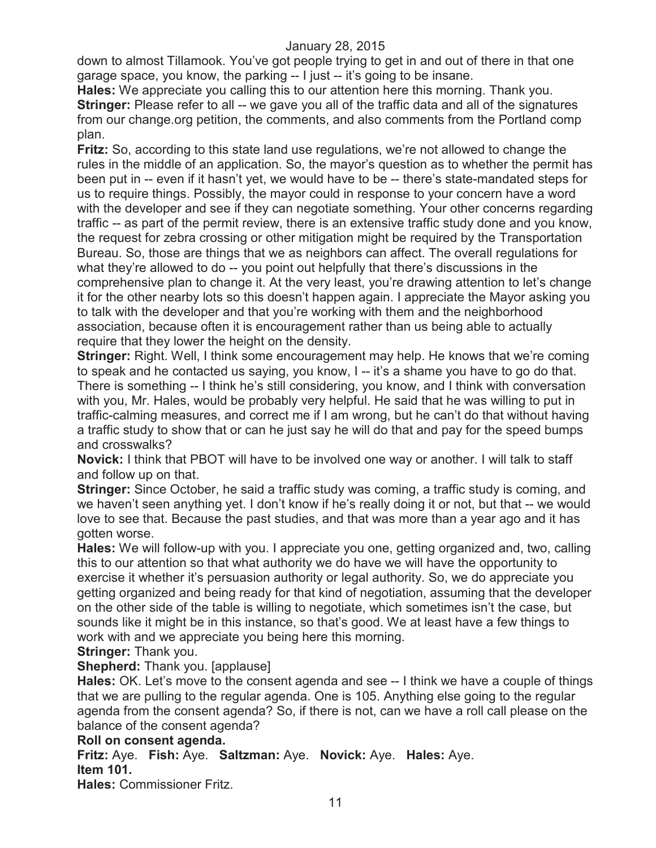down to almost Tillamook. You've got people trying to get in and out of there in that one garage space, you know, the parking -- I just -- it's going to be insane.

**Hales:** We appreciate you calling this to our attention here this morning. Thank you. **Stringer:** Please refer to all -- we gave you all of the traffic data and all of the signatures from our change.org petition, the comments, and also comments from the Portland comp plan.

**Fritz:** So, according to this state land use regulations, we're not allowed to change the rules in the middle of an application. So, the mayor's question as to whether the permit has been put in -- even if it hasn't yet, we would have to be -- there's state-mandated steps for us to require things. Possibly, the mayor could in response to your concern have a word with the developer and see if they can negotiate something. Your other concerns regarding traffic -- as part of the permit review, there is an extensive traffic study done and you know, the request for zebra crossing or other mitigation might be required by the Transportation Bureau. So, those are things that we as neighbors can affect. The overall regulations for what they're allowed to do -- you point out helpfully that there's discussions in the comprehensive plan to change it. At the very least, you're drawing attention to let's change it for the other nearby lots so this doesn't happen again. I appreciate the Mayor asking you to talk with the developer and that you're working with them and the neighborhood association, because often it is encouragement rather than us being able to actually require that they lower the height on the density.

**Stringer:** Right. Well, I think some encouragement may help. He knows that we're coming to speak and he contacted us saying, you know, I -- it's a shame you have to go do that. There is something -- I think he's still considering, you know, and I think with conversation with you, Mr. Hales, would be probably very helpful. He said that he was willing to put in traffic-calming measures, and correct me if I am wrong, but he can't do that without having a traffic study to show that or can he just say he will do that and pay for the speed bumps and crosswalks?

**Novick:** I think that PBOT will have to be involved one way or another. I will talk to staff and follow up on that.

**Stringer:** Since October, he said a traffic study was coming, a traffic study is coming, and we haven't seen anything yet. I don't know if he's really doing it or not, but that -- we would love to see that. Because the past studies, and that was more than a year ago and it has gotten worse.

**Hales:** We will follow-up with you. I appreciate you one, getting organized and, two, calling this to our attention so that what authority we do have we will have the opportunity to exercise it whether it's persuasion authority or legal authority. So, we do appreciate you getting organized and being ready for that kind of negotiation, assuming that the developer on the other side of the table is willing to negotiate, which sometimes isn't the case, but sounds like it might be in this instance, so that's good. We at least have a few things to work with and we appreciate you being here this morning.

**Stringer:** Thank you.

## **Shepherd:** Thank you. [applause]

**Hales:** OK. Let's move to the consent agenda and see -- I think we have a couple of things that we are pulling to the regular agenda. One is 105. Anything else going to the regular agenda from the consent agenda? So, if there is not, can we have a roll call please on the balance of the consent agenda?

## **Roll on consent agenda.**

**Fritz:** Aye. **Fish:** Aye. **Saltzman:** Aye. **Novick:** Aye. **Hales:** Aye. **Item 101.**

**Hales:** Commissioner Fritz.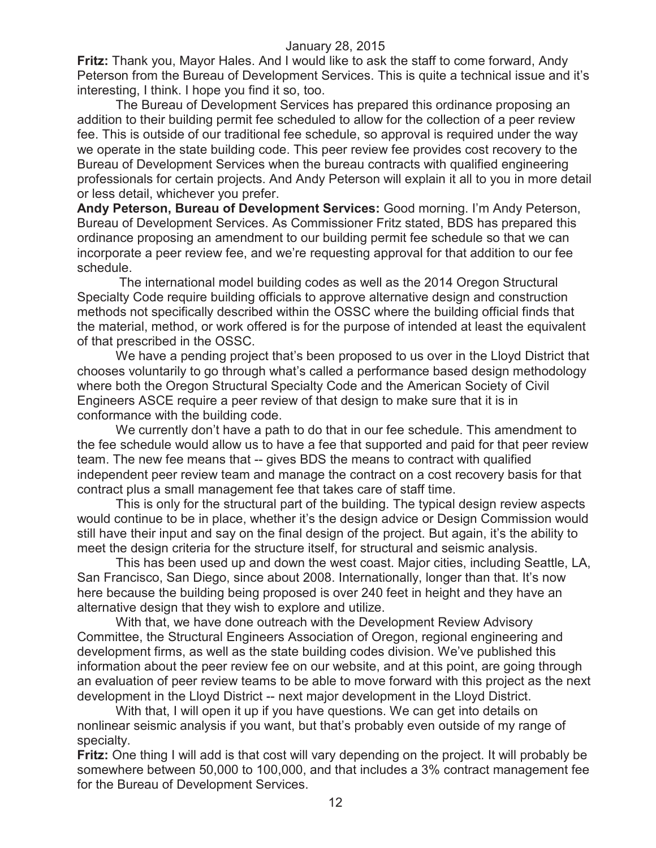**Fritz:** Thank you, Mayor Hales. And I would like to ask the staff to come forward, Andy Peterson from the Bureau of Development Services. This is quite a technical issue and it's interesting, I think. I hope you find it so, too.

The Bureau of Development Services has prepared this ordinance proposing an addition to their building permit fee scheduled to allow for the collection of a peer review fee. This is outside of our traditional fee schedule, so approval is required under the way we operate in the state building code. This peer review fee provides cost recovery to the Bureau of Development Services when the bureau contracts with qualified engineering professionals for certain projects. And Andy Peterson will explain it all to you in more detail or less detail, whichever you prefer.

**Andy Peterson, Bureau of Development Services:** Good morning. I'm Andy Peterson, Bureau of Development Services. As Commissioner Fritz stated, BDS has prepared this ordinance proposing an amendment to our building permit fee schedule so that we can incorporate a peer review fee, and we're requesting approval for that addition to our fee schedule.

The international model building codes as well as the 2014 Oregon Structural Specialty Code require building officials to approve alternative design and construction methods not specifically described within the OSSC where the building official finds that the material, method, or work offered is for the purpose of intended at least the equivalent of that prescribed in the OSSC.

We have a pending project that's been proposed to us over in the Lloyd District that chooses voluntarily to go through what's called a performance based design methodology where both the Oregon Structural Specialty Code and the American Society of Civil Engineers ASCE require a peer review of that design to make sure that it is in conformance with the building code.

We currently don't have a path to do that in our fee schedule. This amendment to the fee schedule would allow us to have a fee that supported and paid for that peer review team. The new fee means that -- gives BDS the means to contract with qualified independent peer review team and manage the contract on a cost recovery basis for that contract plus a small management fee that takes care of staff time.

This is only for the structural part of the building. The typical design review aspects would continue to be in place, whether it's the design advice or Design Commission would still have their input and say on the final design of the project. But again, it's the ability to meet the design criteria for the structure itself, for structural and seismic analysis.

This has been used up and down the west coast. Major cities, including Seattle, LA, San Francisco, San Diego, since about 2008. Internationally, longer than that. It's now here because the building being proposed is over 240 feet in height and they have an alternative design that they wish to explore and utilize.

With that, we have done outreach with the Development Review Advisory Committee, the Structural Engineers Association of Oregon, regional engineering and development firms, as well as the state building codes division. We've published this information about the peer review fee on our website, and at this point, are going through an evaluation of peer review teams to be able to move forward with this project as the next development in the Lloyd District -- next major development in the Lloyd District.

With that, I will open it up if you have questions. We can get into details on nonlinear seismic analysis if you want, but that's probably even outside of my range of specialty.

**Fritz:** One thing I will add is that cost will vary depending on the project. It will probably be somewhere between 50,000 to 100,000, and that includes a 3% contract management fee for the Bureau of Development Services.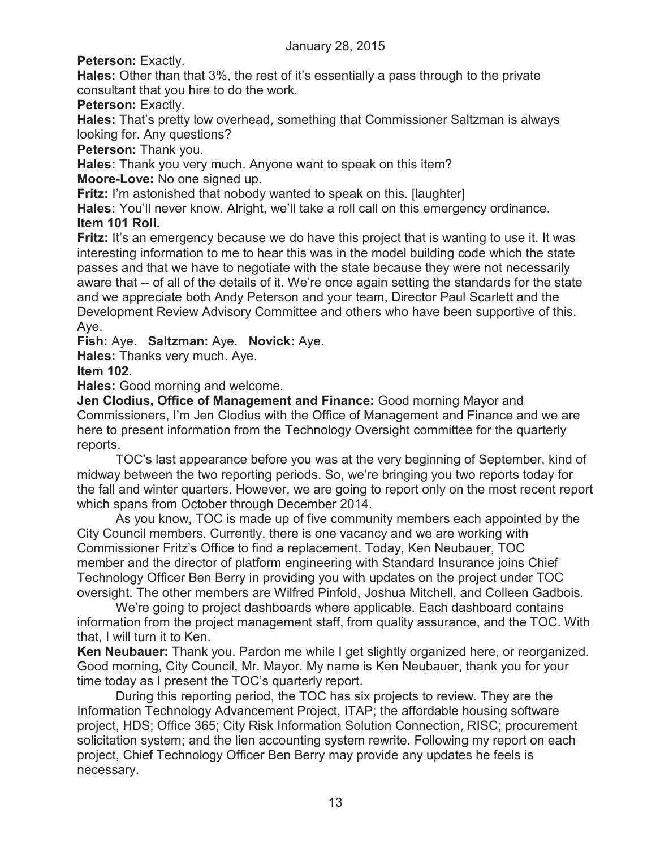Peterson: Exactly.

**Hales:** Other than that 3%, the rest of it's essentially a pass through to the private consultant that you hire to do the work.

Peterson: Exactly.

**Hales:** That's pretty low overhead, something that Commissioner Saltzman is always looking for. Any questions?

**Peterson:** Thank you.

**Hales:** Thank you very much. Anyone want to speak on this item?

**Moore-Love:** No one signed up.

**Fritz:** I'm astonished that nobody wanted to speak on this. [laughter]

**Hales:** You'll never know. Alright, we'll take a roll call on this emergency ordinance. **Item 101 Roll.**

**Fritz:** It's an emergency because we do have this project that is wanting to use it. It was interesting information to me to hear this was in the model building code which the state passes and that we have to negotiate with the state because they were not necessarily aware that -- of all of the details of it. We're once again setting the standards for the state and we appreciate both Andy Peterson and your team, Director Paul Scarlett and the Development Review Advisory Committee and others who have been supportive of this. Aye.

**Fish:** Aye. **Saltzman:** Aye. **Novick:** Aye.

**Hales:** Thanks very much. Aye.

## **Item 102.**

**Hales:** Good morning and welcome.

**Jen Clodius, Office of Management and Finance:** Good morning Mayor and Commissioners, I'm Jen Clodius with the Office of Management and Finance and we are here to present information from the Technology Oversight committee for the quarterly reports.

TOC's last appearance before you was at the very beginning of September, kind of midway between the two reporting periods. So, we're bringing you two reports today for the fall and winter quarters. However, we are going to report only on the most recent report which spans from October through December 2014.

As you know, TOC is made up of five community members each appointed by the City Council members. Currently, there is one vacancy and we are working with Commissioner Fritz's Office to find a replacement. Today, Ken Neubauer, TOC member and the director of platform engineering with Standard Insurance joins Chief Technology Officer Ben Berry in providing you with updates on the project under TOC oversight. The other members are Wilfred Pinfold, Joshua Mitchell, and Colleen Gadbois.

We're going to project dashboards where applicable. Each dashboard contains information from the project management staff, from quality assurance, and the TOC. With that, I will turn it to Ken.

**Ken Neubauer:** Thank you. Pardon me while I get slightly organized here, or reorganized. Good morning, City Council, Mr. Mayor. My name is Ken Neubauer, thank you for your time today as I present the TOC's quarterly report.

During this reporting period, the TOC has six projects to review. They are the Information Technology Advancement Project, ITAP; the affordable housing software project, HDS; Office 365; City Risk Information Solution Connection, RISC; procurement solicitation system; and the lien accounting system rewrite. Following my report on each project, Chief Technology Officer Ben Berry may provide any updates he feels is necessary.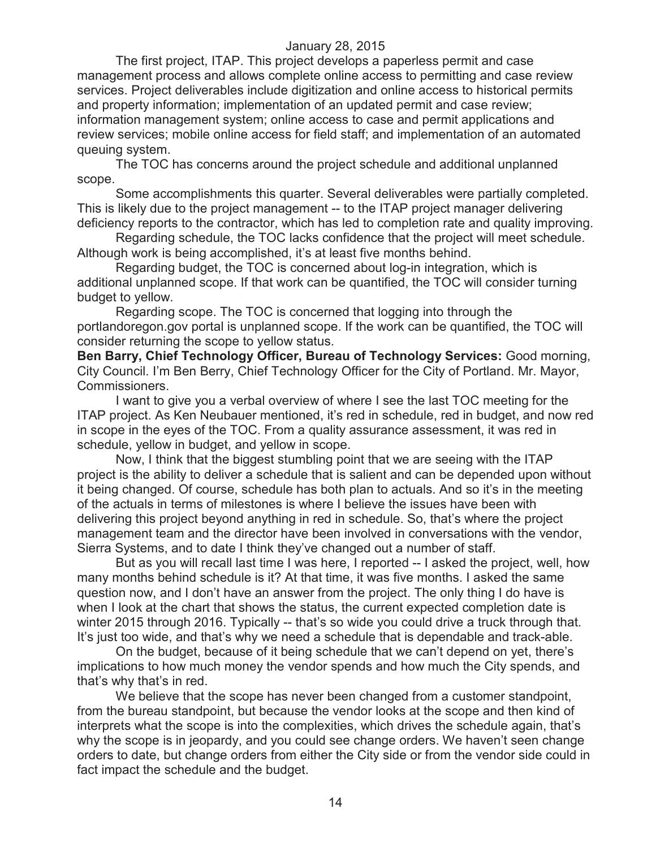The first project, ITAP. This project develops a paperless permit and case management process and allows complete online access to permitting and case review services. Project deliverables include digitization and online access to historical permits and property information; implementation of an updated permit and case review; information management system; online access to case and permit applications and review services; mobile online access for field staff; and implementation of an automated queuing system.

The TOC has concerns around the project schedule and additional unplanned scope.

Some accomplishments this quarter. Several deliverables were partially completed. This is likely due to the project management -- to the ITAP project manager delivering deficiency reports to the contractor, which has led to completion rate and quality improving.

Regarding schedule, the TOC lacks confidence that the project will meet schedule. Although work is being accomplished, it's at least five months behind.

Regarding budget, the TOC is concerned about log-in integration, which is additional unplanned scope. If that work can be quantified, the TOC will consider turning budget to yellow.

Regarding scope. The TOC is concerned that logging into through the portlandoregon.gov portal is unplanned scope. If the work can be quantified, the TOC will consider returning the scope to yellow status.

**Ben Barry, Chief Technology Officer, Bureau of Technology Services:** Good morning, City Council. I'm Ben Berry, Chief Technology Officer for the City of Portland. Mr. Mayor, Commissioners.

I want to give you a verbal overview of where I see the last TOC meeting for the ITAP project. As Ken Neubauer mentioned, it's red in schedule, red in budget, and now red in scope in the eyes of the TOC. From a quality assurance assessment, it was red in schedule, yellow in budget, and yellow in scope.

Now, I think that the biggest stumbling point that we are seeing with the ITAP project is the ability to deliver a schedule that is salient and can be depended upon without it being changed. Of course, schedule has both plan to actuals. And so it's in the meeting of the actuals in terms of milestones is where I believe the issues have been with delivering this project beyond anything in red in schedule. So, that's where the project management team and the director have been involved in conversations with the vendor, Sierra Systems, and to date I think they've changed out a number of staff.

But as you will recall last time I was here, I reported -- I asked the project, well, how many months behind schedule is it? At that time, it was five months. I asked the same question now, and I don't have an answer from the project. The only thing I do have is when I look at the chart that shows the status, the current expected completion date is winter 2015 through 2016. Typically -- that's so wide you could drive a truck through that. It's just too wide, and that's why we need a schedule that is dependable and track-able.

On the budget, because of it being schedule that we can't depend on yet, there's implications to how much money the vendor spends and how much the City spends, and that's why that's in red.

We believe that the scope has never been changed from a customer standpoint, from the bureau standpoint, but because the vendor looks at the scope and then kind of interprets what the scope is into the complexities, which drives the schedule again, that's why the scope is in jeopardy, and you could see change orders. We haven't seen change orders to date, but change orders from either the City side or from the vendor side could in fact impact the schedule and the budget.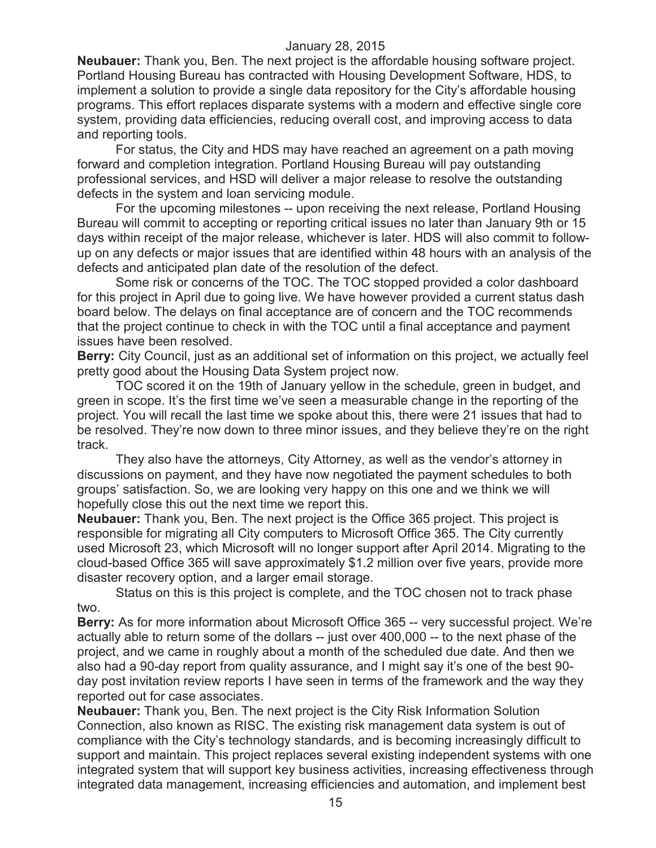**Neubauer:** Thank you, Ben. The next project is the affordable housing software project. Portland Housing Bureau has contracted with Housing Development Software, HDS, to implement a solution to provide a single data repository for the City's affordable housing programs. This effort replaces disparate systems with a modern and effective single core system, providing data efficiencies, reducing overall cost, and improving access to data and reporting tools.

For status, the City and HDS may have reached an agreement on a path moving forward and completion integration. Portland Housing Bureau will pay outstanding professional services, and HSD will deliver a major release to resolve the outstanding defects in the system and loan servicing module.

For the upcoming milestones -- upon receiving the next release, Portland Housing Bureau will commit to accepting or reporting critical issues no later than January 9th or 15 days within receipt of the major release, whichever is later. HDS will also commit to followup on any defects or major issues that are identified within 48 hours with an analysis of the defects and anticipated plan date of the resolution of the defect.

Some risk or concerns of the TOC. The TOC stopped provided a color dashboard for this project in April due to going live. We have however provided a current status dash board below. The delays on final acceptance are of concern and the TOC recommends that the project continue to check in with the TOC until a final acceptance and payment issues have been resolved.

**Berry:** City Council, just as an additional set of information on this project, we actually feel pretty good about the Housing Data System project now.

TOC scored it on the 19th of January yellow in the schedule, green in budget, and green in scope. It's the first time we've seen a measurable change in the reporting of the project. You will recall the last time we spoke about this, there were 21 issues that had to be resolved. They're now down to three minor issues, and they believe they're on the right track.

They also have the attorneys, City Attorney, as well as the vendor's attorney in discussions on payment, and they have now negotiated the payment schedules to both groups' satisfaction. So, we are looking very happy on this one and we think we will hopefully close this out the next time we report this.

**Neubauer:** Thank you, Ben. The next project is the Office 365 project. This project is responsible for migrating all City computers to Microsoft Office 365. The City currently used Microsoft 23, which Microsoft will no longer support after April 2014. Migrating to the cloud-based Office 365 will save approximately \$1.2 million over five years, provide more disaster recovery option, and a larger email storage.

Status on this is this project is complete, and the TOC chosen not to track phase two.

**Berry:** As for more information about Microsoft Office 365 -- very successful project. We're actually able to return some of the dollars -- just over 400,000 -- to the next phase of the project, and we came in roughly about a month of the scheduled due date. And then we also had a 90-day report from quality assurance, and I might say it's one of the best 90 day post invitation review reports I have seen in terms of the framework and the way they reported out for case associates.

**Neubauer:** Thank you, Ben. The next project is the City Risk Information Solution Connection, also known as RISC. The existing risk management data system is out of compliance with the City's technology standards, and is becoming increasingly difficult to support and maintain. This project replaces several existing independent systems with one integrated system that will support key business activities, increasing effectiveness through integrated data management, increasing efficiencies and automation, and implement best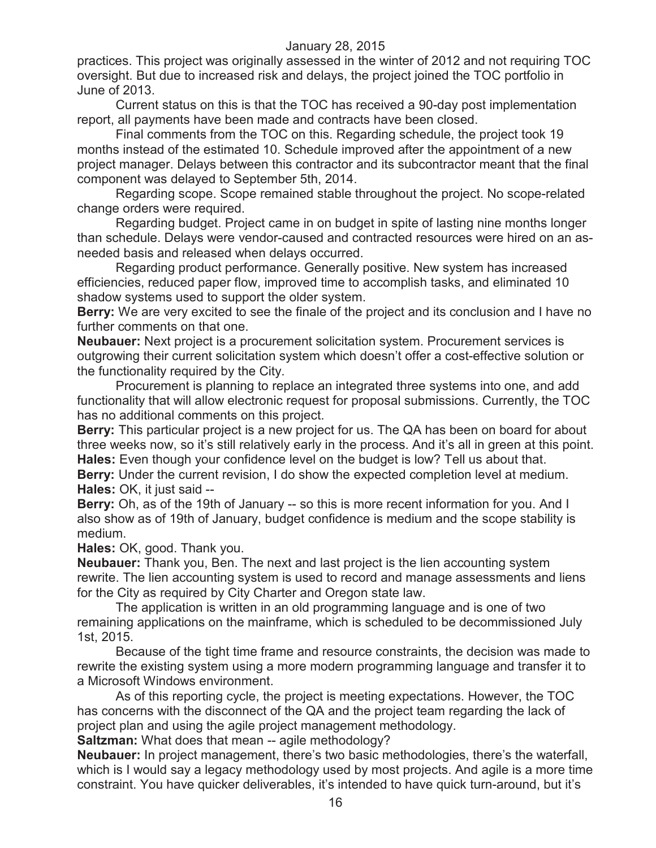practices. This project was originally assessed in the winter of 2012 and not requiring TOC oversight. But due to increased risk and delays, the project joined the TOC portfolio in June of 2013.

Current status on this is that the TOC has received a 90-day post implementation report, all payments have been made and contracts have been closed.

Final comments from the TOC on this. Regarding schedule, the project took 19 months instead of the estimated 10. Schedule improved after the appointment of a new project manager. Delays between this contractor and its subcontractor meant that the final component was delayed to September 5th, 2014.

Regarding scope. Scope remained stable throughout the project. No scope-related change orders were required.

Regarding budget. Project came in on budget in spite of lasting nine months longer than schedule. Delays were vendor-caused and contracted resources were hired on an asneeded basis and released when delays occurred.

Regarding product performance. Generally positive. New system has increased efficiencies, reduced paper flow, improved time to accomplish tasks, and eliminated 10 shadow systems used to support the older system.

**Berry:** We are very excited to see the finale of the project and its conclusion and I have no further comments on that one.

**Neubauer:** Next project is a procurement solicitation system. Procurement services is outgrowing their current solicitation system which doesn't offer a cost-effective solution or the functionality required by the City.

Procurement is planning to replace an integrated three systems into one, and add functionality that will allow electronic request for proposal submissions. Currently, the TOC has no additional comments on this project.

**Berry:** This particular project is a new project for us. The QA has been on board for about three weeks now, so it's still relatively early in the process. And it's all in green at this point. **Hales:** Even though your confidence level on the budget is low? Tell us about that.

**Berry:** Under the current revision, I do show the expected completion level at medium. **Hales:** OK, it just said --

**Berry:** Oh, as of the 19th of January -- so this is more recent information for you. And I also show as of 19th of January, budget confidence is medium and the scope stability is medium.

**Hales:** OK, good. Thank you.

**Neubauer:** Thank you, Ben. The next and last project is the lien accounting system rewrite. The lien accounting system is used to record and manage assessments and liens for the City as required by City Charter and Oregon state law.

The application is written in an old programming language and is one of two remaining applications on the mainframe, which is scheduled to be decommissioned July 1st, 2015.

Because of the tight time frame and resource constraints, the decision was made to rewrite the existing system using a more modern programming language and transfer it to a Microsoft Windows environment.

As of this reporting cycle, the project is meeting expectations. However, the TOC has concerns with the disconnect of the QA and the project team regarding the lack of project plan and using the agile project management methodology.

**Saltzman:** What does that mean -- agile methodology?

**Neubauer:** In project management, there's two basic methodologies, there's the waterfall, which is I would say a legacy methodology used by most projects. And agile is a more time constraint. You have quicker deliverables, it's intended to have quick turn-around, but it's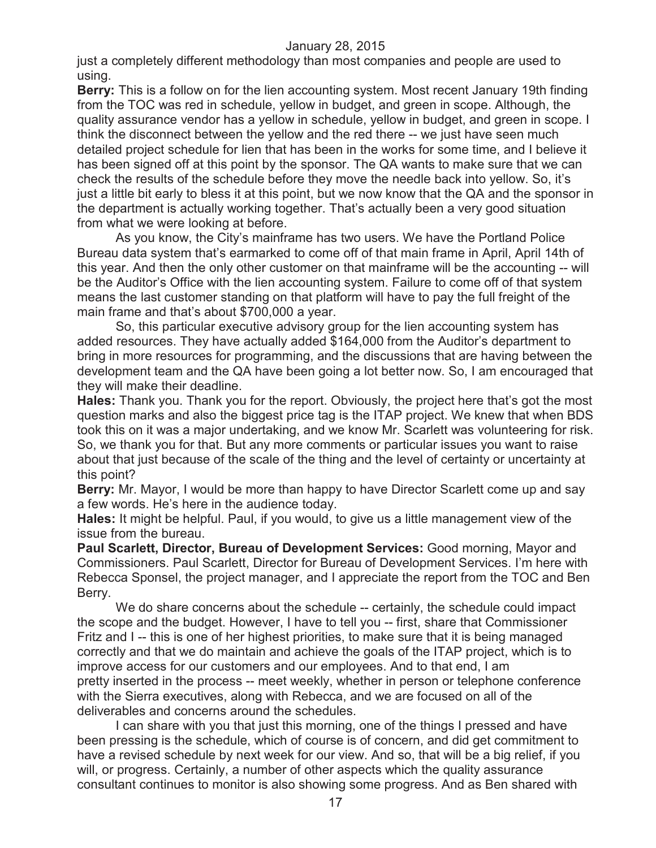just a completely different methodology than most companies and people are used to using.

**Berry:** This is a follow on for the lien accounting system. Most recent January 19th finding from the TOC was red in schedule, yellow in budget, and green in scope. Although, the quality assurance vendor has a yellow in schedule, yellow in budget, and green in scope. I think the disconnect between the yellow and the red there -- we just have seen much detailed project schedule for lien that has been in the works for some time, and I believe it has been signed off at this point by the sponsor. The QA wants to make sure that we can check the results of the schedule before they move the needle back into yellow. So, it's just a little bit early to bless it at this point, but we now know that the QA and the sponsor in the department is actually working together. That's actually been a very good situation from what we were looking at before.

As you know, the City's mainframe has two users. We have the Portland Police Bureau data system that's earmarked to come off of that main frame in April, April 14th of this year. And then the only other customer on that mainframe will be the accounting -- will be the Auditor's Office with the lien accounting system. Failure to come off of that system means the last customer standing on that platform will have to pay the full freight of the main frame and that's about \$700,000 a year.

So, this particular executive advisory group for the lien accounting system has added resources. They have actually added \$164,000 from the Auditor's department to bring in more resources for programming, and the discussions that are having between the development team and the QA have been going a lot better now. So, I am encouraged that they will make their deadline.

**Hales:** Thank you. Thank you for the report. Obviously, the project here that's got the most question marks and also the biggest price tag is the ITAP project. We knew that when BDS took this on it was a major undertaking, and we know Mr. Scarlett was volunteering for risk. So, we thank you for that. But any more comments or particular issues you want to raise about that just because of the scale of the thing and the level of certainty or uncertainty at this point?

**Berry:** Mr. Mayor, I would be more than happy to have Director Scarlett come up and say a few words. He's here in the audience today.

**Hales:** It might be helpful. Paul, if you would, to give us a little management view of the issue from the bureau.

**Paul Scarlett, Director, Bureau of Development Services:** Good morning, Mayor and Commissioners. Paul Scarlett, Director for Bureau of Development Services. I'm here with Rebecca Sponsel, the project manager, and I appreciate the report from the TOC and Ben Berry.

We do share concerns about the schedule -- certainly, the schedule could impact the scope and the budget. However, I have to tell you -- first, share that Commissioner Fritz and I -- this is one of her highest priorities, to make sure that it is being managed correctly and that we do maintain and achieve the goals of the ITAP project, which is to improve access for our customers and our employees. And to that end, I am pretty inserted in the process -- meet weekly, whether in person or telephone conference with the Sierra executives, along with Rebecca, and we are focused on all of the deliverables and concerns around the schedules.

I can share with you that just this morning, one of the things I pressed and have been pressing is the schedule, which of course is of concern, and did get commitment to have a revised schedule by next week for our view. And so, that will be a big relief, if you will, or progress. Certainly, a number of other aspects which the quality assurance consultant continues to monitor is also showing some progress. And as Ben shared with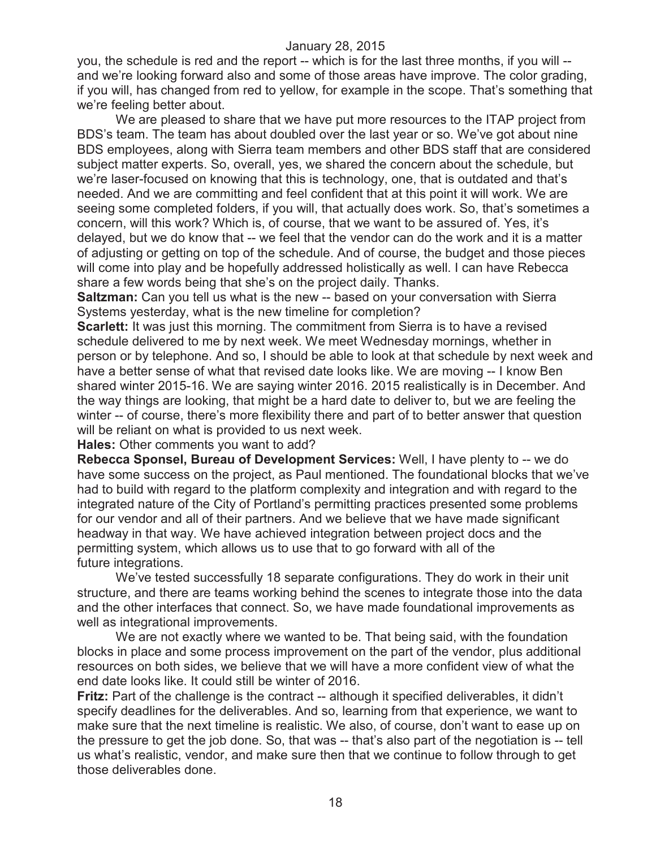you, the schedule is red and the report -- which is for the last three months, if you will - and we're looking forward also and some of those areas have improve. The color grading, if you will, has changed from red to yellow, for example in the scope. That's something that we're feeling better about.

We are pleased to share that we have put more resources to the ITAP project from BDS's team. The team has about doubled over the last year or so. We've got about nine BDS employees, along with Sierra team members and other BDS staff that are considered subject matter experts. So, overall, yes, we shared the concern about the schedule, but we're laser-focused on knowing that this is technology, one, that is outdated and that's needed. And we are committing and feel confident that at this point it will work. We are seeing some completed folders, if you will, that actually does work. So, that's sometimes a concern, will this work? Which is, of course, that we want to be assured of. Yes, it's delayed, but we do know that -- we feel that the vendor can do the work and it is a matter of adjusting or getting on top of the schedule. And of course, the budget and those pieces will come into play and be hopefully addressed holistically as well. I can have Rebecca share a few words being that she's on the project daily. Thanks.

**Saltzman:** Can you tell us what is the new -- based on your conversation with Sierra Systems yesterday, what is the new timeline for completion?

**Scarlett:** It was just this morning. The commitment from Sierra is to have a revised schedule delivered to me by next week. We meet Wednesday mornings, whether in person or by telephone. And so, I should be able to look at that schedule by next week and have a better sense of what that revised date looks like. We are moving -- I know Ben shared winter 2015-16. We are saying winter 2016. 2015 realistically is in December. And the way things are looking, that might be a hard date to deliver to, but we are feeling the winter -- of course, there's more flexibility there and part of to better answer that question will be reliant on what is provided to us next week.

**Hales:** Other comments you want to add?

**Rebecca Sponsel, Bureau of Development Services:** Well, I have plenty to -- we do have some success on the project, as Paul mentioned. The foundational blocks that we've had to build with regard to the platform complexity and integration and with regard to the integrated nature of the City of Portland's permitting practices presented some problems for our vendor and all of their partners. And we believe that we have made significant headway in that way. We have achieved integration between project docs and the permitting system, which allows us to use that to go forward with all of the future integrations.

We've tested successfully 18 separate configurations. They do work in their unit structure, and there are teams working behind the scenes to integrate those into the data and the other interfaces that connect. So, we have made foundational improvements as well as integrational improvements.

We are not exactly where we wanted to be. That being said, with the foundation blocks in place and some process improvement on the part of the vendor, plus additional resources on both sides, we believe that we will have a more confident view of what the end date looks like. It could still be winter of 2016.

**Fritz:** Part of the challenge is the contract -- although it specified deliverables, it didn't specify deadlines for the deliverables. And so, learning from that experience, we want to make sure that the next timeline is realistic. We also, of course, don't want to ease up on the pressure to get the job done. So, that was -- that's also part of the negotiation is -- tell us what's realistic, vendor, and make sure then that we continue to follow through to get those deliverables done.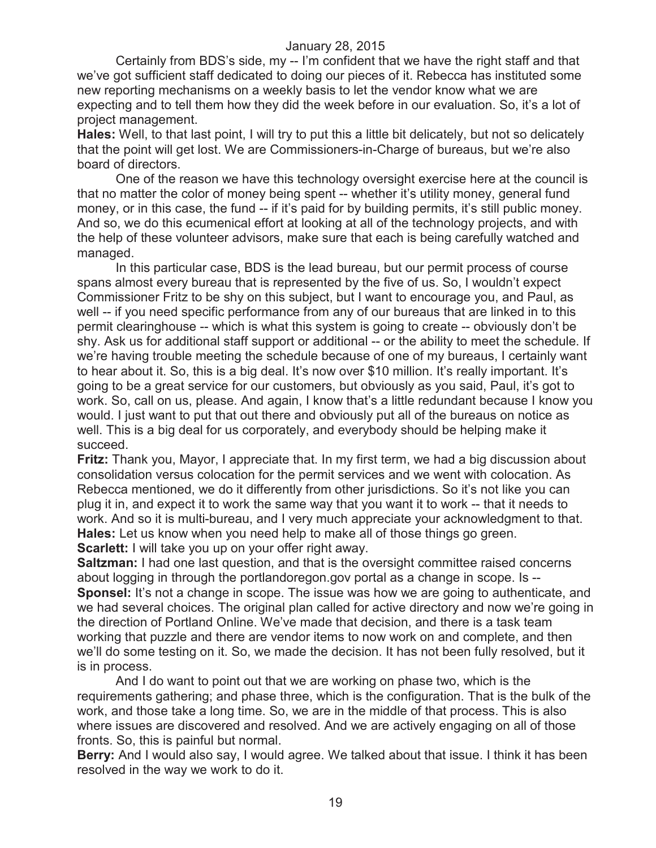Certainly from BDS's side, my -- I'm confident that we have the right staff and that we've got sufficient staff dedicated to doing our pieces of it. Rebecca has instituted some new reporting mechanisms on a weekly basis to let the vendor know what we are expecting and to tell them how they did the week before in our evaluation. So, it's a lot of project management.

**Hales:** Well, to that last point, I will try to put this a little bit delicately, but not so delicately that the point will get lost. We are Commissioners-in-Charge of bureaus, but we're also board of directors.

One of the reason we have this technology oversight exercise here at the council is that no matter the color of money being spent -- whether it's utility money, general fund money, or in this case, the fund -- if it's paid for by building permits, it's still public money. And so, we do this ecumenical effort at looking at all of the technology projects, and with the help of these volunteer advisors, make sure that each is being carefully watched and managed.

In this particular case, BDS is the lead bureau, but our permit process of course spans almost every bureau that is represented by the five of us. So, I wouldn't expect Commissioner Fritz to be shy on this subject, but I want to encourage you, and Paul, as well -- if you need specific performance from any of our bureaus that are linked in to this permit clearinghouse -- which is what this system is going to create -- obviously don't be shy. Ask us for additional staff support or additional -- or the ability to meet the schedule. If we're having trouble meeting the schedule because of one of my bureaus, I certainly want to hear about it. So, this is a big deal. It's now over \$10 million. It's really important. It's going to be a great service for our customers, but obviously as you said, Paul, it's got to work. So, call on us, please. And again, I know that's a little redundant because I know you would. I just want to put that out there and obviously put all of the bureaus on notice as well. This is a big deal for us corporately, and everybody should be helping make it succeed.

**Fritz:** Thank you, Mayor, I appreciate that. In my first term, we had a big discussion about consolidation versus colocation for the permit services and we went with colocation. As Rebecca mentioned, we do it differently from other jurisdictions. So it's not like you can plug it in, and expect it to work the same way that you want it to work -- that it needs to work. And so it is multi-bureau, and I very much appreciate your acknowledgment to that. **Hales:** Let us know when you need help to make all of those things go green. **Scarlett:** I will take you up on your offer right away.

**Saltzman:** I had one last question, and that is the oversight committee raised concerns about logging in through the portlandoregon.gov portal as a change in scope. Is -- **Sponsel:** It's not a change in scope. The issue was how we are going to authenticate, and we had several choices. The original plan called for active directory and now we're going in the direction of Portland Online. We've made that decision, and there is a task team working that puzzle and there are vendor items to now work on and complete, and then we'll do some testing on it. So, we made the decision. It has not been fully resolved, but it is in process.

And I do want to point out that we are working on phase two, which is the requirements gathering; and phase three, which is the configuration. That is the bulk of the work, and those take a long time. So, we are in the middle of that process. This is also where issues are discovered and resolved. And we are actively engaging on all of those fronts. So, this is painful but normal.

**Berry:** And I would also say, I would agree. We talked about that issue. I think it has been resolved in the way we work to do it.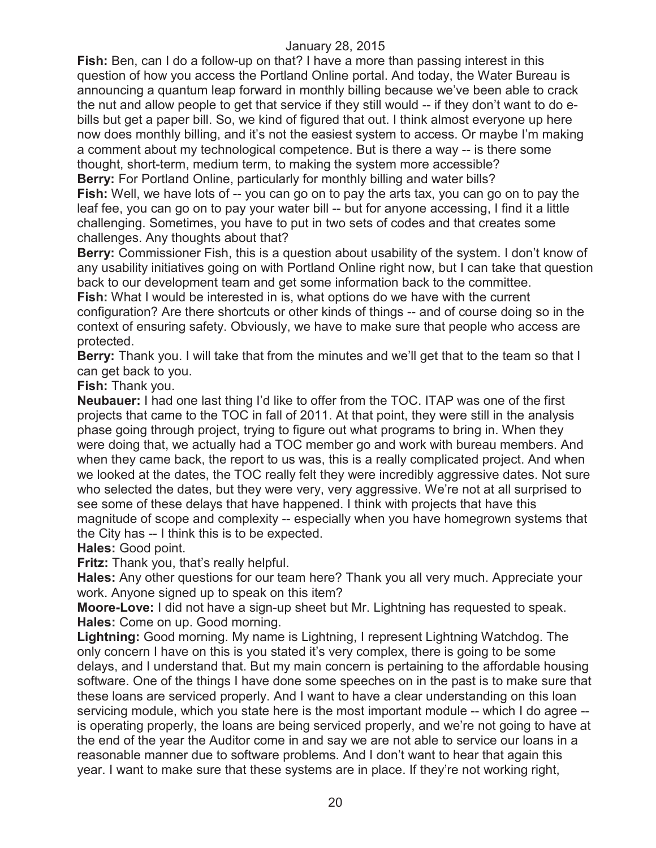**Fish:** Ben, can I do a follow-up on that? I have a more than passing interest in this question of how you access the Portland Online portal. And today, the Water Bureau is announcing a quantum leap forward in monthly billing because we've been able to crack the nut and allow people to get that service if they still would -- if they don't want to do ebills but get a paper bill. So, we kind of figured that out. I think almost everyone up here now does monthly billing, and it's not the easiest system to access. Or maybe I'm making a comment about my technological competence. But is there a way -- is there some thought, short-term, medium term, to making the system more accessible? **Berry:** For Portland Online, particularly for monthly billing and water bills?

**Fish:** Well, we have lots of -- you can go on to pay the arts tax, you can go on to pay the leaf fee, you can go on to pay your water bill -- but for anyone accessing, I find it a little challenging. Sometimes, you have to put in two sets of codes and that creates some challenges. Any thoughts about that?

**Berry:** Commissioner Fish, this is a question about usability of the system. I don't know of any usability initiatives going on with Portland Online right now, but I can take that question back to our development team and get some information back to the committee.

**Fish:** What I would be interested in is, what options do we have with the current configuration? Are there shortcuts or other kinds of things -- and of course doing so in the context of ensuring safety. Obviously, we have to make sure that people who access are protected.

**Berry:** Thank you. I will take that from the minutes and we'll get that to the team so that I can get back to you.

**Fish:** Thank you.

**Neubauer:** I had one last thing I'd like to offer from the TOC. ITAP was one of the first projects that came to the TOC in fall of 2011. At that point, they were still in the analysis phase going through project, trying to figure out what programs to bring in. When they were doing that, we actually had a TOC member go and work with bureau members. And when they came back, the report to us was, this is a really complicated project. And when we looked at the dates, the TOC really felt they were incredibly aggressive dates. Not sure who selected the dates, but they were very, very aggressive. We're not at all surprised to see some of these delays that have happened. I think with projects that have this magnitude of scope and complexity -- especially when you have homegrown systems that the City has -- I think this is to be expected.

**Hales:** Good point.

**Fritz:** Thank you, that's really helpful.

**Hales:** Any other questions for our team here? Thank you all very much. Appreciate your work. Anyone signed up to speak on this item?

**Moore-Love:** I did not have a sign-up sheet but Mr. Lightning has requested to speak. **Hales:** Come on up. Good morning.

**Lightning:** Good morning. My name is Lightning, I represent Lightning Watchdog. The only concern I have on this is you stated it's very complex, there is going to be some delays, and I understand that. But my main concern is pertaining to the affordable housing software. One of the things I have done some speeches on in the past is to make sure that these loans are serviced properly. And I want to have a clear understanding on this loan servicing module, which you state here is the most important module -- which I do agree - is operating properly, the loans are being serviced properly, and we're not going to have at the end of the year the Auditor come in and say we are not able to service our loans in a reasonable manner due to software problems. And I don't want to hear that again this year. I want to make sure that these systems are in place. If they're not working right,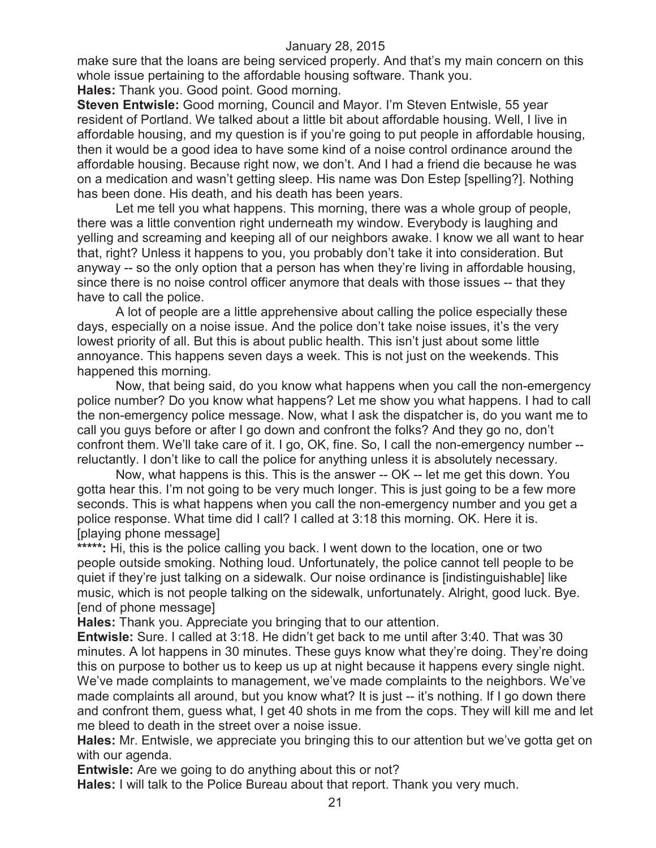make sure that the loans are being serviced properly. And that's my main concern on this whole issue pertaining to the affordable housing software. Thank you.

**Hales:** Thank you. Good point. Good morning.

**Steven Entwisle:** Good morning, Council and Mayor. I'm Steven Entwisle, 55 year resident of Portland. We talked about a little bit about affordable housing. Well, I live in affordable housing, and my question is if you're going to put people in affordable housing, then it would be a good idea to have some kind of a noise control ordinance around the affordable housing. Because right now, we don't. And I had a friend die because he was on a medication and wasn't getting sleep. His name was Don Estep [spelling?]. Nothing has been done. His death, and his death has been years.

Let me tell you what happens. This morning, there was a whole group of people, there was a little convention right underneath my window. Everybody is laughing and yelling and screaming and keeping all of our neighbors awake. I know we all want to hear that, right? Unless it happens to you, you probably don't take it into consideration. But anyway -- so the only option that a person has when they're living in affordable housing, since there is no noise control officer anymore that deals with those issues -- that they have to call the police.

A lot of people are a little apprehensive about calling the police especially these days, especially on a noise issue. And the police don't take noise issues, it's the very lowest priority of all. But this is about public health. This isn't just about some little annoyance. This happens seven days a week. This is not just on the weekends. This happened this morning.

Now, that being said, do you know what happens when you call the non-emergency police number? Do you know what happens? Let me show you what happens. I had to call the non-emergency police message. Now, what I ask the dispatcher is, do you want me to call you guys before or after I go down and confront the folks? And they go no, don't confront them. We'll take care of it. I go, OK, fine. So, I call the non-emergency number - reluctantly. I don't like to call the police for anything unless it is absolutely necessary.

Now, what happens is this. This is the answer -- OK -- let me get this down. You gotta hear this. I'm not going to be very much longer. This is just going to be a few more seconds. This is what happens when you call the non-emergency number and you get a police response. What time did I call? I called at 3:18 this morning. OK. Here it is. [playing phone message]

\*\*\*\*\*: Hi, this is the police calling you back. I went down to the location, one or two people outside smoking. Nothing loud. Unfortunately, the police cannot tell people to be quiet if they're just talking on a sidewalk. Our noise ordinance is [indistinguishable] like music, which is not people talking on the sidewalk, unfortunately. Alright, good luck. Bye. [end of phone message]

**Hales:** Thank you. Appreciate you bringing that to our attention.

**Entwisle:** Sure. I called at 3:18. He didn't get back to me until after 3:40. That was 30 minutes. A lot happens in 30 minutes. These guys know what they're doing. They're doing this on purpose to bother us to keep us up at night because it happens every single night. We've made complaints to management, we've made complaints to the neighbors. We've made complaints all around, but you know what? It is just -- it's nothing. If I go down there and confront them, guess what, I get 40 shots in me from the cops. They will kill me and let me bleed to death in the street over a noise issue.

**Hales:** Mr. Entwisle, we appreciate you bringing this to our attention but we've gotta get on with our agenda.

**Entwisle:** Are we going to do anything about this or not?

**Hales:** I will talk to the Police Bureau about that report. Thank you very much.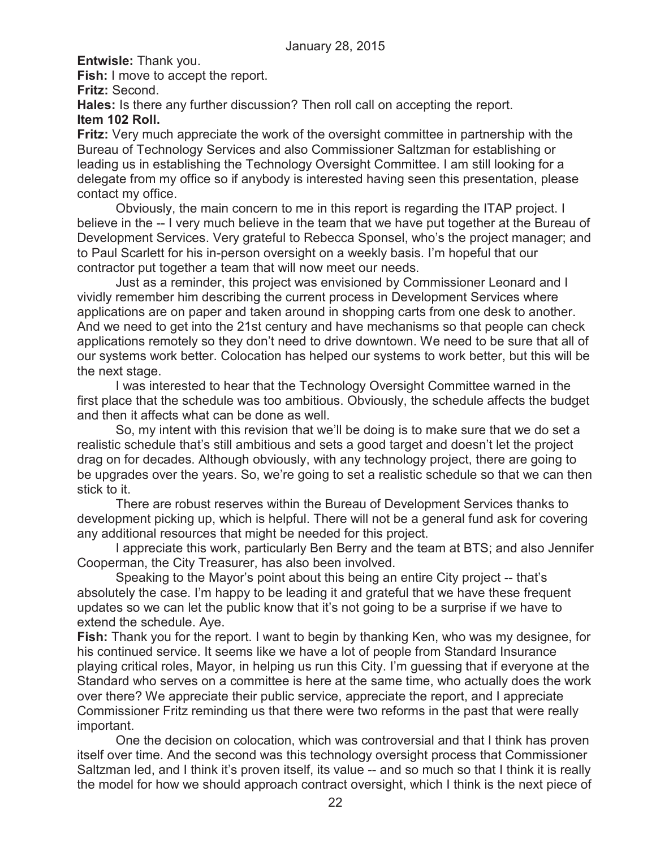**Entwisle:** Thank you.

**Fish:** I move to accept the report.

**Fritz:** Second.

**Hales:** Is there any further discussion? Then roll call on accepting the report.

## **Item 102 Roll.**

**Fritz:** Very much appreciate the work of the oversight committee in partnership with the Bureau of Technology Services and also Commissioner Saltzman for establishing or leading us in establishing the Technology Oversight Committee. I am still looking for a delegate from my office so if anybody is interested having seen this presentation, please contact my office.

Obviously, the main concern to me in this report is regarding the ITAP project. I believe in the -- I very much believe in the team that we have put together at the Bureau of Development Services. Very grateful to Rebecca Sponsel, who's the project manager; and to Paul Scarlett for his in-person oversight on a weekly basis. I'm hopeful that our contractor put together a team that will now meet our needs.

Just as a reminder, this project was envisioned by Commissioner Leonard and I vividly remember him describing the current process in Development Services where applications are on paper and taken around in shopping carts from one desk to another. And we need to get into the 21st century and have mechanisms so that people can check applications remotely so they don't need to drive downtown. We need to be sure that all of our systems work better. Colocation has helped our systems to work better, but this will be the next stage.

I was interested to hear that the Technology Oversight Committee warned in the first place that the schedule was too ambitious. Obviously, the schedule affects the budget and then it affects what can be done as well.

So, my intent with this revision that we'll be doing is to make sure that we do set a realistic schedule that's still ambitious and sets a good target and doesn't let the project drag on for decades. Although obviously, with any technology project, there are going to be upgrades over the years. So, we're going to set a realistic schedule so that we can then stick to it.

There are robust reserves within the Bureau of Development Services thanks to development picking up, which is helpful. There will not be a general fund ask for covering any additional resources that might be needed for this project.

I appreciate this work, particularly Ben Berry and the team at BTS; and also Jennifer Cooperman, the City Treasurer, has also been involved.

Speaking to the Mayor's point about this being an entire City project -- that's absolutely the case. I'm happy to be leading it and grateful that we have these frequent updates so we can let the public know that it's not going to be a surprise if we have to extend the schedule. Aye.

**Fish:** Thank you for the report. I want to begin by thanking Ken, who was my designee, for his continued service. It seems like we have a lot of people from Standard Insurance playing critical roles, Mayor, in helping us run this City. I'm guessing that if everyone at the Standard who serves on a committee is here at the same time, who actually does the work over there? We appreciate their public service, appreciate the report, and I appreciate Commissioner Fritz reminding us that there were two reforms in the past that were really important.

One the decision on colocation, which was controversial and that I think has proven itself over time. And the second was this technology oversight process that Commissioner Saltzman led, and I think it's proven itself, its value -- and so much so that I think it is really the model for how we should approach contract oversight, which I think is the next piece of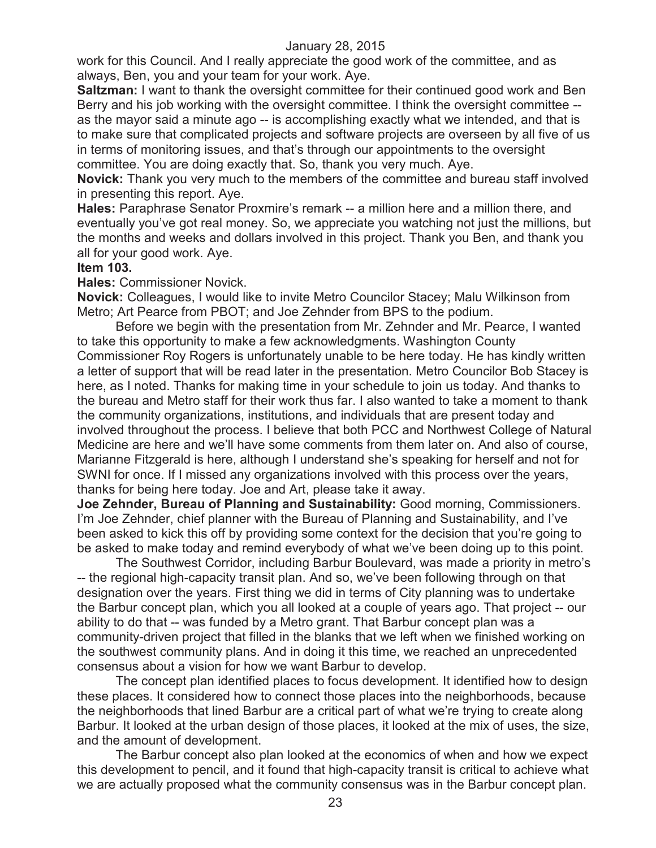work for this Council. And I really appreciate the good work of the committee, and as always, Ben, you and your team for your work. Aye.

**Saltzman:** I want to thank the oversight committee for their continued good work and Ben Berry and his job working with the oversight committee. I think the oversight committee - as the mayor said a minute ago -- is accomplishing exactly what we intended, and that is to make sure that complicated projects and software projects are overseen by all five of us in terms of monitoring issues, and that's through our appointments to the oversight committee. You are doing exactly that. So, thank you very much. Aye.

**Novick:** Thank you very much to the members of the committee and bureau staff involved in presenting this report. Aye.

**Hales:** Paraphrase Senator Proxmire's remark -- a million here and a million there, and eventually you've got real money. So, we appreciate you watching not just the millions, but the months and weeks and dollars involved in this project. Thank you Ben, and thank you all for your good work. Aye.

## **Item 103.**

**Hales:** Commissioner Novick.

**Novick:** Colleagues, I would like to invite Metro Councilor Stacey; Malu Wilkinson from Metro; Art Pearce from PBOT; and Joe Zehnder from BPS to the podium.

Before we begin with the presentation from Mr. Zehnder and Mr. Pearce, I wanted to take this opportunity to make a few acknowledgments. Washington County Commissioner Roy Rogers is unfortunately unable to be here today. He has kindly written a letter of support that will be read later in the presentation. Metro Councilor Bob Stacey is here, as I noted. Thanks for making time in your schedule to join us today. And thanks to the bureau and Metro staff for their work thus far. I also wanted to take a moment to thank the community organizations, institutions, and individuals that are present today and involved throughout the process. I believe that both PCC and Northwest College of Natural Medicine are here and we'll have some comments from them later on. And also of course, Marianne Fitzgerald is here, although I understand she's speaking for herself and not for SWNI for once. If I missed any organizations involved with this process over the years, thanks for being here today. Joe and Art, please take it away.

**Joe Zehnder, Bureau of Planning and Sustainability:** Good morning, Commissioners. I'm Joe Zehnder, chief planner with the Bureau of Planning and Sustainability, and I've been asked to kick this off by providing some context for the decision that you're going to be asked to make today and remind everybody of what we've been doing up to this point.

The Southwest Corridor, including Barbur Boulevard, was made a priority in metro's -- the regional high-capacity transit plan. And so, we've been following through on that designation over the years. First thing we did in terms of City planning was to undertake the Barbur concept plan, which you all looked at a couple of years ago. That project -- our ability to do that -- was funded by a Metro grant. That Barbur concept plan was a community-driven project that filled in the blanks that we left when we finished working on the southwest community plans. And in doing it this time, we reached an unprecedented consensus about a vision for how we want Barbur to develop.

The concept plan identified places to focus development. It identified how to design these places. It considered how to connect those places into the neighborhoods, because the neighborhoods that lined Barbur are a critical part of what we're trying to create along Barbur. It looked at the urban design of those places, it looked at the mix of uses, the size, and the amount of development.

The Barbur concept also plan looked at the economics of when and how we expect this development to pencil, and it found that high-capacity transit is critical to achieve what we are actually proposed what the community consensus was in the Barbur concept plan.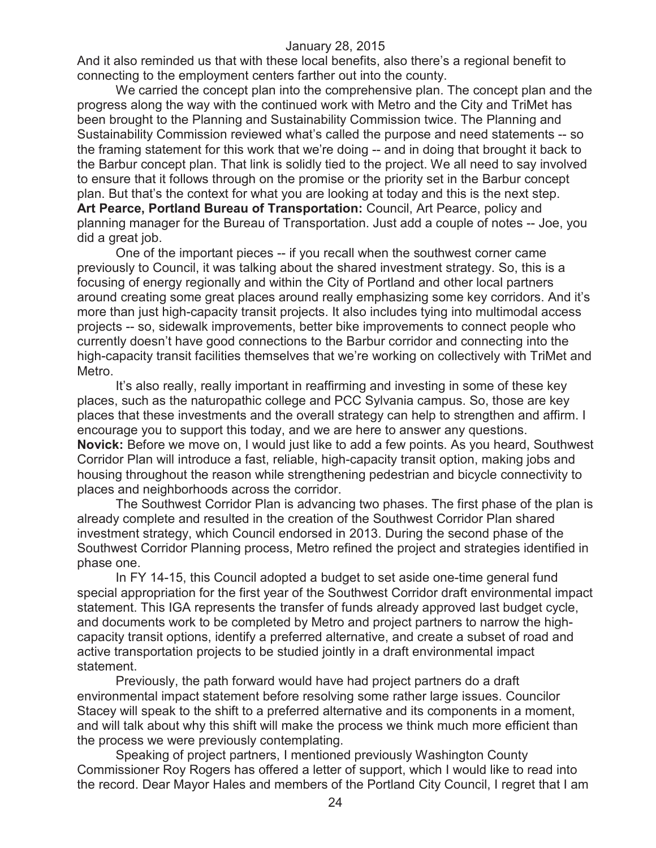And it also reminded us that with these local benefits, also there's a regional benefit to connecting to the employment centers farther out into the county.

We carried the concept plan into the comprehensive plan. The concept plan and the progress along the way with the continued work with Metro and the City and TriMet has been brought to the Planning and Sustainability Commission twice. The Planning and Sustainability Commission reviewed what's called the purpose and need statements -- so the framing statement for this work that we're doing -- and in doing that brought it back to the Barbur concept plan. That link is solidly tied to the project. We all need to say involved to ensure that it follows through on the promise or the priority set in the Barbur concept plan. But that's the context for what you are looking at today and this is the next step. **Art Pearce, Portland Bureau of Transportation:** Council, Art Pearce, policy and planning manager for the Bureau of Transportation. Just add a couple of notes -- Joe, you did a great job.

One of the important pieces -- if you recall when the southwest corner came previously to Council, it was talking about the shared investment strategy. So, this is a focusing of energy regionally and within the City of Portland and other local partners around creating some great places around really emphasizing some key corridors. And it's more than just high-capacity transit projects. It also includes tying into multimodal access projects -- so, sidewalk improvements, better bike improvements to connect people who currently doesn't have good connections to the Barbur corridor and connecting into the high-capacity transit facilities themselves that we're working on collectively with TriMet and Metro.

It's also really, really important in reaffirming and investing in some of these key places, such as the naturopathic college and PCC Sylvania campus. So, those are key places that these investments and the overall strategy can help to strengthen and affirm. I encourage you to support this today, and we are here to answer any questions. **Novick:** Before we move on, I would just like to add a few points. As you heard, Southwest Corridor Plan will introduce a fast, reliable, high-capacity transit option, making jobs and housing throughout the reason while strengthening pedestrian and bicycle connectivity to places and neighborhoods across the corridor.

The Southwest Corridor Plan is advancing two phases. The first phase of the plan is already complete and resulted in the creation of the Southwest Corridor Plan shared investment strategy, which Council endorsed in 2013. During the second phase of the Southwest Corridor Planning process, Metro refined the project and strategies identified in phase one.

In FY 14-15, this Council adopted a budget to set aside one-time general fund special appropriation for the first year of the Southwest Corridor draft environmental impact statement. This IGA represents the transfer of funds already approved last budget cycle, and documents work to be completed by Metro and project partners to narrow the highcapacity transit options, identify a preferred alternative, and create a subset of road and active transportation projects to be studied jointly in a draft environmental impact statement.

Previously, the path forward would have had project partners do a draft environmental impact statement before resolving some rather large issues. Councilor Stacey will speak to the shift to a preferred alternative and its components in a moment, and will talk about why this shift will make the process we think much more efficient than the process we were previously contemplating.

Speaking of project partners, I mentioned previously Washington County Commissioner Roy Rogers has offered a letter of support, which I would like to read into the record. Dear Mayor Hales and members of the Portland City Council, I regret that I am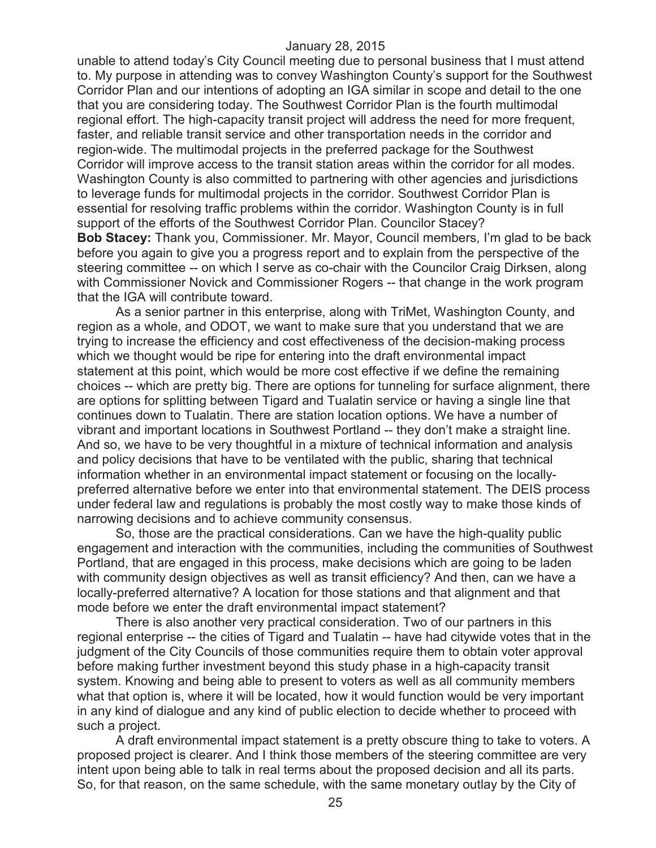unable to attend today's City Council meeting due to personal business that I must attend to. My purpose in attending was to convey Washington County's support for the Southwest Corridor Plan and our intentions of adopting an IGA similar in scope and detail to the one that you are considering today. The Southwest Corridor Plan is the fourth multimodal regional effort. The high-capacity transit project will address the need for more frequent, faster, and reliable transit service and other transportation needs in the corridor and region-wide. The multimodal projects in the preferred package for the Southwest Corridor will improve access to the transit station areas within the corridor for all modes. Washington County is also committed to partnering with other agencies and jurisdictions to leverage funds for multimodal projects in the corridor. Southwest Corridor Plan is essential for resolving traffic problems within the corridor. Washington County is in full support of the efforts of the Southwest Corridor Plan. Councilor Stacey? **Bob Stacey:** Thank you, Commissioner. Mr. Mayor, Council members, I'm glad to be back before you again to give you a progress report and to explain from the perspective of the steering committee -- on which I serve as co-chair with the Councilor Craig Dirksen, along with Commissioner Novick and Commissioner Rogers -- that change in the work program that the IGA will contribute toward.

As a senior partner in this enterprise, along with TriMet, Washington County, and region as a whole, and ODOT, we want to make sure that you understand that we are trying to increase the efficiency and cost effectiveness of the decision-making process which we thought would be ripe for entering into the draft environmental impact statement at this point, which would be more cost effective if we define the remaining choices -- which are pretty big. There are options for tunneling for surface alignment, there are options for splitting between Tigard and Tualatin service or having a single line that continues down to Tualatin. There are station location options. We have a number of vibrant and important locations in Southwest Portland -- they don't make a straight line. And so, we have to be very thoughtful in a mixture of technical information and analysis and policy decisions that have to be ventilated with the public, sharing that technical information whether in an environmental impact statement or focusing on the locallypreferred alternative before we enter into that environmental statement. The DEIS process under federal law and regulations is probably the most costly way to make those kinds of narrowing decisions and to achieve community consensus.

So, those are the practical considerations. Can we have the high-quality public engagement and interaction with the communities, including the communities of Southwest Portland, that are engaged in this process, make decisions which are going to be laden with community design objectives as well as transit efficiency? And then, can we have a locally-preferred alternative? A location for those stations and that alignment and that mode before we enter the draft environmental impact statement?

There is also another very practical consideration. Two of our partners in this regional enterprise -- the cities of Tigard and Tualatin -- have had citywide votes that in the judgment of the City Councils of those communities require them to obtain voter approval before making further investment beyond this study phase in a high-capacity transit system. Knowing and being able to present to voters as well as all community members what that option is, where it will be located, how it would function would be very important in any kind of dialogue and any kind of public election to decide whether to proceed with such a project.

A draft environmental impact statement is a pretty obscure thing to take to voters. A proposed project is clearer. And I think those members of the steering committee are very intent upon being able to talk in real terms about the proposed decision and all its parts. So, for that reason, on the same schedule, with the same monetary outlay by the City of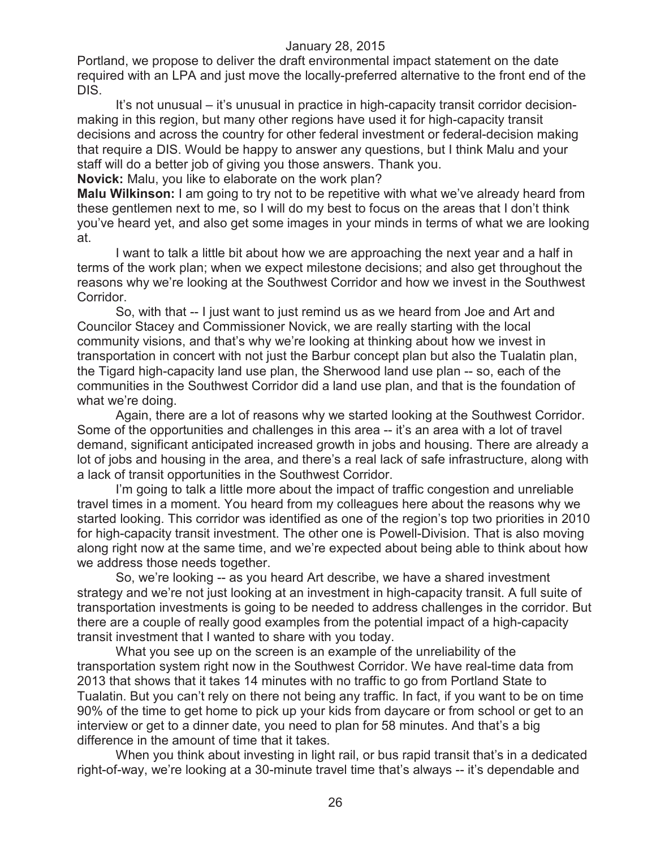Portland, we propose to deliver the draft environmental impact statement on the date required with an LPA and just move the locally-preferred alternative to the front end of the DIS.

It's not unusual – it's unusual in practice in high-capacity transit corridor decisionmaking in this region, but many other regions have used it for high-capacity transit decisions and across the country for other federal investment or federal-decision making that require a DIS. Would be happy to answer any questions, but I think Malu and your staff will do a better job of giving you those answers. Thank you.

**Novick:** Malu, you like to elaborate on the work plan?

**Malu Wilkinson:** I am going to try not to be repetitive with what we've already heard from these gentlemen next to me, so I will do my best to focus on the areas that I don't think you've heard yet, and also get some images in your minds in terms of what we are looking at.

I want to talk a little bit about how we are approaching the next year and a half in terms of the work plan; when we expect milestone decisions; and also get throughout the reasons why we're looking at the Southwest Corridor and how we invest in the Southwest Corridor.

So, with that -- I just want to just remind us as we heard from Joe and Art and Councilor Stacey and Commissioner Novick, we are really starting with the local community visions, and that's why we're looking at thinking about how we invest in transportation in concert with not just the Barbur concept plan but also the Tualatin plan, the Tigard high-capacity land use plan, the Sherwood land use plan -- so, each of the communities in the Southwest Corridor did a land use plan, and that is the foundation of what we're doing.

Again, there are a lot of reasons why we started looking at the Southwest Corridor. Some of the opportunities and challenges in this area -- it's an area with a lot of travel demand, significant anticipated increased growth in jobs and housing. There are already a lot of jobs and housing in the area, and there's a real lack of safe infrastructure, along with a lack of transit opportunities in the Southwest Corridor.

I'm going to talk a little more about the impact of traffic congestion and unreliable travel times in a moment. You heard from my colleagues here about the reasons why we started looking. This corridor was identified as one of the region's top two priorities in 2010 for high-capacity transit investment. The other one is Powell-Division. That is also moving along right now at the same time, and we're expected about being able to think about how we address those needs together.

So, we're looking -- as you heard Art describe, we have a shared investment strategy and we're not just looking at an investment in high-capacity transit. A full suite of transportation investments is going to be needed to address challenges in the corridor. But there are a couple of really good examples from the potential impact of a high-capacity transit investment that I wanted to share with you today.

What you see up on the screen is an example of the unreliability of the transportation system right now in the Southwest Corridor. We have real-time data from 2013 that shows that it takes 14 minutes with no traffic to go from Portland State to Tualatin. But you can't rely on there not being any traffic. In fact, if you want to be on time 90% of the time to get home to pick up your kids from daycare or from school or get to an interview or get to a dinner date, you need to plan for 58 minutes. And that's a big difference in the amount of time that it takes.

When you think about investing in light rail, or bus rapid transit that's in a dedicated right-of-way, we're looking at a 30-minute travel time that's always -- it's dependable and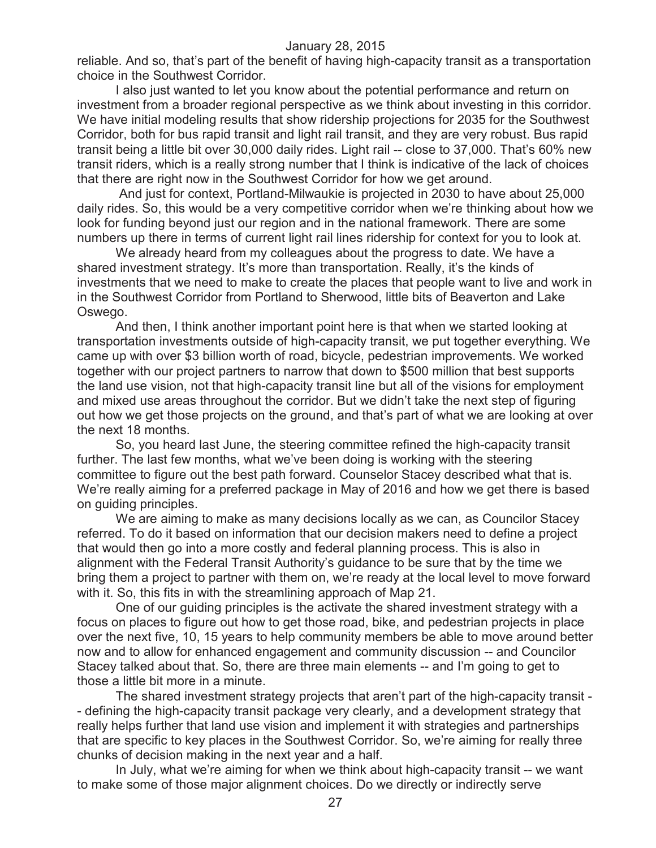reliable. And so, that's part of the benefit of having high-capacity transit as a transportation choice in the Southwest Corridor.

I also just wanted to let you know about the potential performance and return on investment from a broader regional perspective as we think about investing in this corridor. We have initial modeling results that show ridership projections for 2035 for the Southwest Corridor, both for bus rapid transit and light rail transit, and they are very robust. Bus rapid transit being a little bit over 30,000 daily rides. Light rail -- close to 37,000. That's 60% new transit riders, which is a really strong number that I think is indicative of the lack of choices that there are right now in the Southwest Corridor for how we get around.

And just for context, Portland-Milwaukie is projected in 2030 to have about 25,000 daily rides. So, this would be a very competitive corridor when we're thinking about how we look for funding beyond just our region and in the national framework. There are some numbers up there in terms of current light rail lines ridership for context for you to look at.

We already heard from my colleagues about the progress to date. We have a shared investment strategy. It's more than transportation. Really, it's the kinds of investments that we need to make to create the places that people want to live and work in in the Southwest Corridor from Portland to Sherwood, little bits of Beaverton and Lake Oswego.

And then, I think another important point here is that when we started looking at transportation investments outside of high-capacity transit, we put together everything. We came up with over \$3 billion worth of road, bicycle, pedestrian improvements. We worked together with our project partners to narrow that down to \$500 million that best supports the land use vision, not that high-capacity transit line but all of the visions for employment and mixed use areas throughout the corridor. But we didn't take the next step of figuring out how we get those projects on the ground, and that's part of what we are looking at over the next 18 months.

So, you heard last June, the steering committee refined the high-capacity transit further. The last few months, what we've been doing is working with the steering committee to figure out the best path forward. Counselor Stacey described what that is. We're really aiming for a preferred package in May of 2016 and how we get there is based on guiding principles.

We are aiming to make as many decisions locally as we can, as Councilor Stacey referred. To do it based on information that our decision makers need to define a project that would then go into a more costly and federal planning process. This is also in alignment with the Federal Transit Authority's guidance to be sure that by the time we bring them a project to partner with them on, we're ready at the local level to move forward with it. So, this fits in with the streamlining approach of Map 21.

One of our guiding principles is the activate the shared investment strategy with a focus on places to figure out how to get those road, bike, and pedestrian projects in place over the next five, 10, 15 years to help community members be able to move around better now and to allow for enhanced engagement and community discussion -- and Councilor Stacey talked about that. So, there are three main elements -- and I'm going to get to those a little bit more in a minute.

The shared investment strategy projects that aren't part of the high-capacity transit - - defining the high-capacity transit package very clearly, and a development strategy that really helps further that land use vision and implement it with strategies and partnerships that are specific to key places in the Southwest Corridor. So, we're aiming for really three chunks of decision making in the next year and a half.

In July, what we're aiming for when we think about high-capacity transit -- we want to make some of those major alignment choices. Do we directly or indirectly serve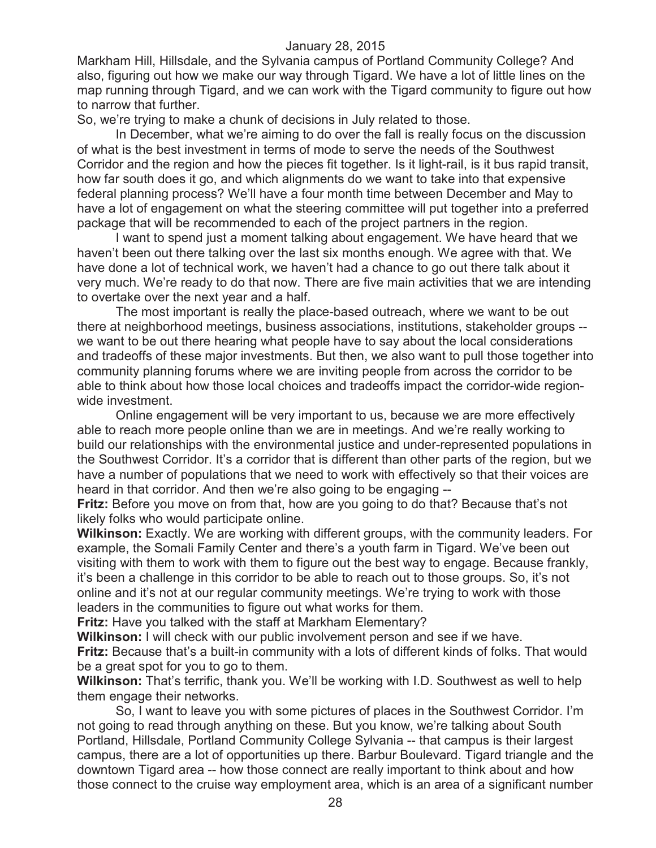Markham Hill, Hillsdale, and the Sylvania campus of Portland Community College? And also, figuring out how we make our way through Tigard. We have a lot of little lines on the map running through Tigard, and we can work with the Tigard community to figure out how to narrow that further.

So, we're trying to make a chunk of decisions in July related to those.

In December, what we're aiming to do over the fall is really focus on the discussion of what is the best investment in terms of mode to serve the needs of the Southwest Corridor and the region and how the pieces fit together. Is it light-rail, is it bus rapid transit, how far south does it go, and which alignments do we want to take into that expensive federal planning process? We'll have a four month time between December and May to have a lot of engagement on what the steering committee will put together into a preferred package that will be recommended to each of the project partners in the region.

I want to spend just a moment talking about engagement. We have heard that we haven't been out there talking over the last six months enough. We agree with that. We have done a lot of technical work, we haven't had a chance to go out there talk about it very much. We're ready to do that now. There are five main activities that we are intending to overtake over the next year and a half.

The most important is really the place-based outreach, where we want to be out there at neighborhood meetings, business associations, institutions, stakeholder groups - we want to be out there hearing what people have to say about the local considerations and tradeoffs of these major investments. But then, we also want to pull those together into community planning forums where we are inviting people from across the corridor to be able to think about how those local choices and tradeoffs impact the corridor-wide regionwide investment.

Online engagement will be very important to us, because we are more effectively able to reach more people online than we are in meetings. And we're really working to build our relationships with the environmental justice and under-represented populations in the Southwest Corridor. It's a corridor that is different than other parts of the region, but we have a number of populations that we need to work with effectively so that their voices are heard in that corridor. And then we're also going to be engaging --

**Fritz:** Before you move on from that, how are you going to do that? Because that's not likely folks who would participate online.

**Wilkinson:** Exactly. We are working with different groups, with the community leaders. For example, the Somali Family Center and there's a youth farm in Tigard. We've been out visiting with them to work with them to figure out the best way to engage. Because frankly, it's been a challenge in this corridor to be able to reach out to those groups. So, it's not online and it's not at our regular community meetings. We're trying to work with those leaders in the communities to figure out what works for them.

**Fritz:** Have you talked with the staff at Markham Elementary?

**Wilkinson:** I will check with our public involvement person and see if we have. **Fritz:** Because that's a built-in community with a lots of different kinds of folks. That would be a great spot for you to go to them.

**Wilkinson:** That's terrific, thank you. We'll be working with I.D. Southwest as well to help them engage their networks.

So, I want to leave you with some pictures of places in the Southwest Corridor. I'm not going to read through anything on these. But you know, we're talking about South Portland, Hillsdale, Portland Community College Sylvania -- that campus is their largest campus, there are a lot of opportunities up there. Barbur Boulevard. Tigard triangle and the downtown Tigard area -- how those connect are really important to think about and how those connect to the cruise way employment area, which is an area of a significant number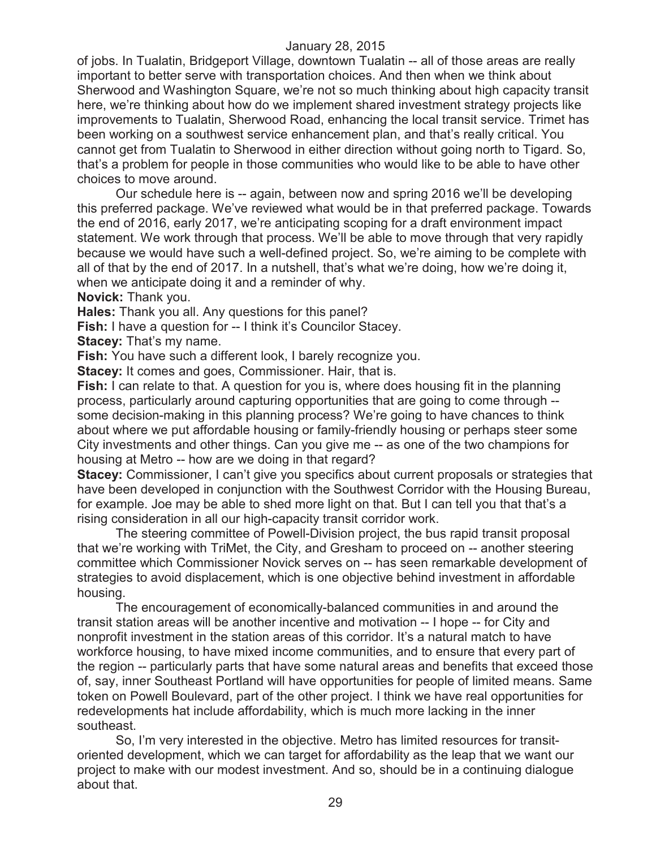of jobs. In Tualatin, Bridgeport Village, downtown Tualatin -- all of those areas are really important to better serve with transportation choices. And then when we think about Sherwood and Washington Square, we're not so much thinking about high capacity transit here, we're thinking about how do we implement shared investment strategy projects like improvements to Tualatin, Sherwood Road, enhancing the local transit service. Trimet has been working on a southwest service enhancement plan, and that's really critical. You cannot get from Tualatin to Sherwood in either direction without going north to Tigard. So, that's a problem for people in those communities who would like to be able to have other choices to move around.

Our schedule here is -- again, between now and spring 2016 we'll be developing this preferred package. We've reviewed what would be in that preferred package. Towards the end of 2016, early 2017, we're anticipating scoping for a draft environment impact statement. We work through that process. We'll be able to move through that very rapidly because we would have such a well-defined project. So, we're aiming to be complete with all of that by the end of 2017. In a nutshell, that's what we're doing, how we're doing it, when we anticipate doing it and a reminder of why.

**Novick:** Thank you.

**Hales:** Thank you all. Any questions for this panel?

**Fish:** I have a question for -- I think it's Councilor Stacey.

**Stacey: That's my name.** 

**Fish:** You have such a different look, I barely recognize you.

**Stacey:** It comes and goes, Commissioner. Hair, that is.

**Fish:** I can relate to that. A question for you is, where does housing fit in the planning process, particularly around capturing opportunities that are going to come through - some decision-making in this planning process? We're going to have chances to think about where we put affordable housing or family-friendly housing or perhaps steer some City investments and other things. Can you give me -- as one of the two champions for housing at Metro -- how are we doing in that regard?

**Stacey:** Commissioner, I can't give you specifics about current proposals or strategies that have been developed in conjunction with the Southwest Corridor with the Housing Bureau, for example. Joe may be able to shed more light on that. But I can tell you that that's a rising consideration in all our high-capacity transit corridor work.

The steering committee of Powell-Division project, the bus rapid transit proposal that we're working with TriMet, the City, and Gresham to proceed on -- another steering committee which Commissioner Novick serves on -- has seen remarkable development of strategies to avoid displacement, which is one objective behind investment in affordable housing.

The encouragement of economically-balanced communities in and around the transit station areas will be another incentive and motivation -- I hope -- for City and nonprofit investment in the station areas of this corridor. It's a natural match to have workforce housing, to have mixed income communities, and to ensure that every part of the region -- particularly parts that have some natural areas and benefits that exceed those of, say, inner Southeast Portland will have opportunities for people of limited means. Same token on Powell Boulevard, part of the other project. I think we have real opportunities for redevelopments hat include affordability, which is much more lacking in the inner southeast.

So, I'm very interested in the objective. Metro has limited resources for transitoriented development, which we can target for affordability as the leap that we want our project to make with our modest investment. And so, should be in a continuing dialogue about that.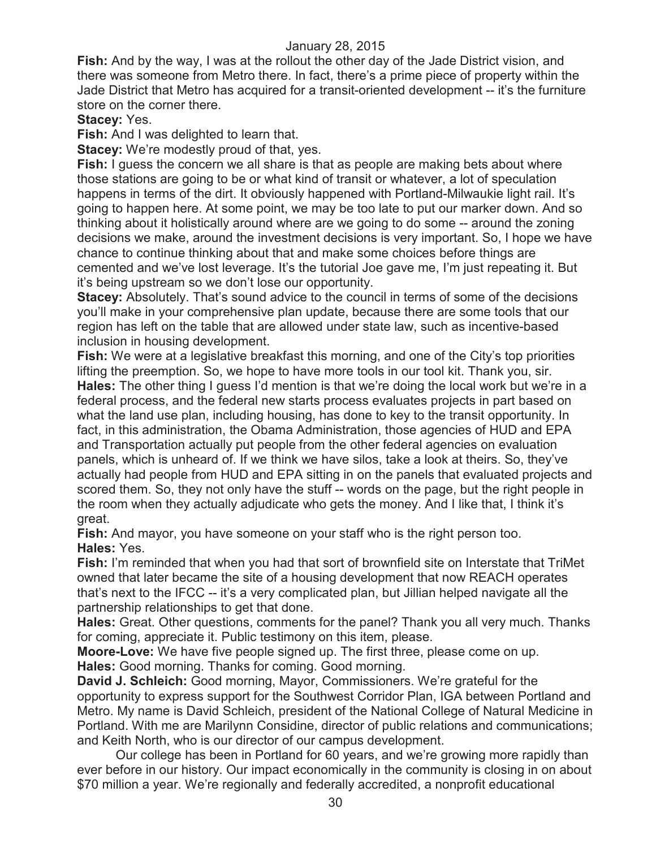**Fish:** And by the way, I was at the rollout the other day of the Jade District vision, and there was someone from Metro there. In fact, there's a prime piece of property within the Jade District that Metro has acquired for a transit-oriented development -- it's the furniture store on the corner there.

## **Stacey:** Yes.

**Fish:** And I was delighted to learn that.

**Stacey:** We're modestly proud of that, yes.

**Fish:** I guess the concern we all share is that as people are making bets about where those stations are going to be or what kind of transit or whatever, a lot of speculation happens in terms of the dirt. It obviously happened with Portland-Milwaukie light rail. It's going to happen here. At some point, we may be too late to put our marker down. And so thinking about it holistically around where are we going to do some -- around the zoning decisions we make, around the investment decisions is very important. So, I hope we have chance to continue thinking about that and make some choices before things are cemented and we've lost leverage. It's the tutorial Joe gave me, I'm just repeating it. But it's being upstream so we don't lose our opportunity.

**Stacey:** Absolutely. That's sound advice to the council in terms of some of the decisions you'll make in your comprehensive plan update, because there are some tools that our region has left on the table that are allowed under state law, such as incentive-based inclusion in housing development.

**Fish:** We were at a legislative breakfast this morning, and one of the City's top priorities lifting the preemption. So, we hope to have more tools in our tool kit. Thank you, sir. **Hales:** The other thing I guess I'd mention is that we're doing the local work but we're in a federal process, and the federal new starts process evaluates projects in part based on what the land use plan, including housing, has done to key to the transit opportunity. In fact, in this administration, the Obama Administration, those agencies of HUD and EPA and Transportation actually put people from the other federal agencies on evaluation panels, which is unheard of. If we think we have silos, take a look at theirs. So, they've actually had people from HUD and EPA sitting in on the panels that evaluated projects and scored them. So, they not only have the stuff -- words on the page, but the right people in the room when they actually adjudicate who gets the money. And I like that, I think it's great.

**Fish:** And mayor, you have someone on your staff who is the right person too. **Hales:** Yes.

**Fish:** I'm reminded that when you had that sort of brownfield site on Interstate that TriMet owned that later became the site of a housing development that now REACH operates that's next to the IFCC -- it's a very complicated plan, but Jillian helped navigate all the partnership relationships to get that done.

**Hales:** Great. Other questions, comments for the panel? Thank you all very much. Thanks for coming, appreciate it. Public testimony on this item, please.

**Moore-Love:** We have five people signed up. The first three, please come on up. **Hales:** Good morning. Thanks for coming. Good morning.

**David J. Schleich:** Good morning, Mayor, Commissioners. We're grateful for the opportunity to express support for the Southwest Corridor Plan, IGA between Portland and Metro. My name is David Schleich, president of the National College of Natural Medicine in Portland. With me are Marilynn Considine, director of public relations and communications; and Keith North, who is our director of our campus development.

Our college has been in Portland for 60 years, and we're growing more rapidly than ever before in our history. Our impact economically in the community is closing in on about \$70 million a year. We're regionally and federally accredited, a nonprofit educational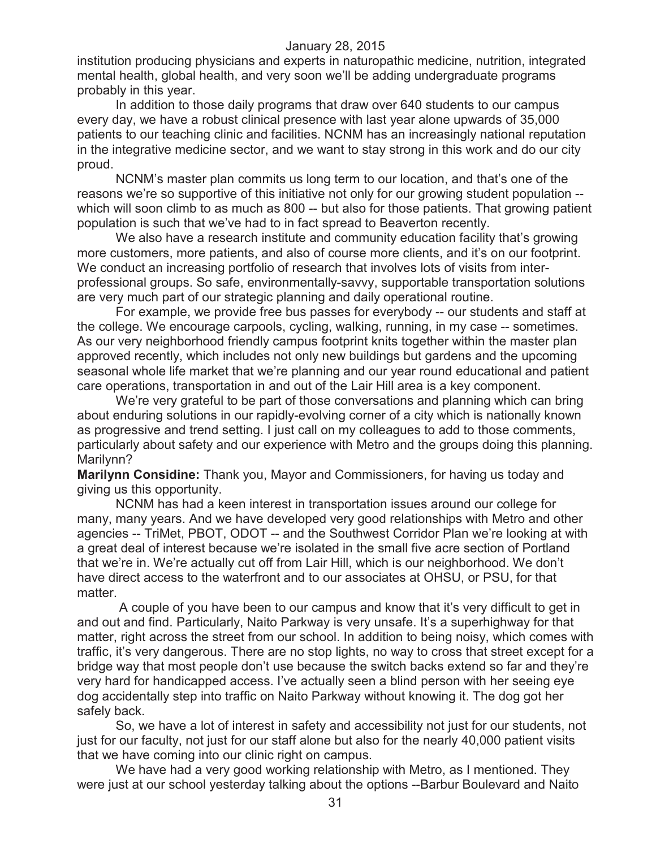institution producing physicians and experts in naturopathic medicine, nutrition, integrated mental health, global health, and very soon we'll be adding undergraduate programs probably in this year.

In addition to those daily programs that draw over 640 students to our campus every day, we have a robust clinical presence with last year alone upwards of 35,000 patients to our teaching clinic and facilities. NCNM has an increasingly national reputation in the integrative medicine sector, and we want to stay strong in this work and do our city proud.

NCNM's master plan commits us long term to our location, and that's one of the reasons we're so supportive of this initiative not only for our growing student population - which will soon climb to as much as 800 -- but also for those patients. That growing patient population is such that we've had to in fact spread to Beaverton recently.

We also have a research institute and community education facility that's growing more customers, more patients, and also of course more clients, and it's on our footprint. We conduct an increasing portfolio of research that involves lots of visits from interprofessional groups. So safe, environmentally-savvy, supportable transportation solutions are very much part of our strategic planning and daily operational routine.

For example, we provide free bus passes for everybody -- our students and staff at the college. We encourage carpools, cycling, walking, running, in my case -- sometimes. As our very neighborhood friendly campus footprint knits together within the master plan approved recently, which includes not only new buildings but gardens and the upcoming seasonal whole life market that we're planning and our year round educational and patient care operations, transportation in and out of the Lair Hill area is a key component.

We're very grateful to be part of those conversations and planning which can bring about enduring solutions in our rapidly-evolving corner of a city which is nationally known as progressive and trend setting. I just call on my colleagues to add to those comments, particularly about safety and our experience with Metro and the groups doing this planning. Marilynn?

**Marilynn Considine:** Thank you, Mayor and Commissioners, for having us today and giving us this opportunity.

NCNM has had a keen interest in transportation issues around our college for many, many years. And we have developed very good relationships with Metro and other agencies -- TriMet, PBOT, ODOT -- and the Southwest Corridor Plan we're looking at with a great deal of interest because we're isolated in the small five acre section of Portland that we're in. We're actually cut off from Lair Hill, which is our neighborhood. We don't have direct access to the waterfront and to our associates at OHSU, or PSU, for that matter.

A couple of you have been to our campus and know that it's very difficult to get in and out and find. Particularly, Naito Parkway is very unsafe. It's a superhighway for that matter, right across the street from our school. In addition to being noisy, which comes with traffic, it's very dangerous. There are no stop lights, no way to cross that street except for a bridge way that most people don't use because the switch backs extend so far and they're very hard for handicapped access. I've actually seen a blind person with her seeing eye dog accidentally step into traffic on Naito Parkway without knowing it. The dog got her safely back.

So, we have a lot of interest in safety and accessibility not just for our students, not just for our faculty, not just for our staff alone but also for the nearly 40,000 patient visits that we have coming into our clinic right on campus.

We have had a very good working relationship with Metro, as I mentioned. They were just at our school yesterday talking about the options --Barbur Boulevard and Naito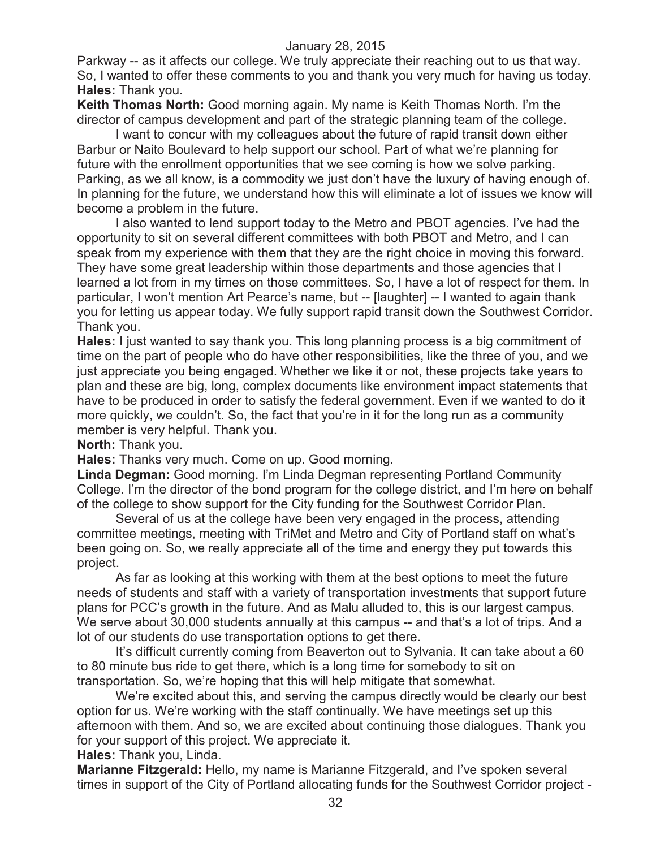Parkway -- as it affects our college. We truly appreciate their reaching out to us that way. So, I wanted to offer these comments to you and thank you very much for having us today. **Hales:** Thank you.

**Keith Thomas North:** Good morning again. My name is Keith Thomas North. I'm the director of campus development and part of the strategic planning team of the college.

I want to concur with my colleagues about the future of rapid transit down either Barbur or Naito Boulevard to help support our school. Part of what we're planning for future with the enrollment opportunities that we see coming is how we solve parking. Parking, as we all know, is a commodity we just don't have the luxury of having enough of. In planning for the future, we understand how this will eliminate a lot of issues we know will become a problem in the future.

I also wanted to lend support today to the Metro and PBOT agencies. I've had the opportunity to sit on several different committees with both PBOT and Metro, and I can speak from my experience with them that they are the right choice in moving this forward. They have some great leadership within those departments and those agencies that I learned a lot from in my times on those committees. So, I have a lot of respect for them. In particular, I won't mention Art Pearce's name, but -- [laughter] -- I wanted to again thank you for letting us appear today. We fully support rapid transit down the Southwest Corridor. Thank you.

**Hales:** I just wanted to say thank you. This long planning process is a big commitment of time on the part of people who do have other responsibilities, like the three of you, and we just appreciate you being engaged. Whether we like it or not, these projects take years to plan and these are big, long, complex documents like environment impact statements that have to be produced in order to satisfy the federal government. Even if we wanted to do it more quickly, we couldn't. So, the fact that you're in it for the long run as a community member is very helpful. Thank you.

**North:** Thank you.

**Hales:** Thanks very much. Come on up. Good morning.

**Linda Degman:** Good morning. I'm Linda Degman representing Portland Community College. I'm the director of the bond program for the college district, and I'm here on behalf of the college to show support for the City funding for the Southwest Corridor Plan.

Several of us at the college have been very engaged in the process, attending committee meetings, meeting with TriMet and Metro and City of Portland staff on what's been going on. So, we really appreciate all of the time and energy they put towards this project.

As far as looking at this working with them at the best options to meet the future needs of students and staff with a variety of transportation investments that support future plans for PCC's growth in the future. And as Malu alluded to, this is our largest campus. We serve about 30,000 students annually at this campus -- and that's a lot of trips. And a lot of our students do use transportation options to get there.

It's difficult currently coming from Beaverton out to Sylvania. It can take about a 60 to 80 minute bus ride to get there, which is a long time for somebody to sit on transportation. So, we're hoping that this will help mitigate that somewhat.

We're excited about this, and serving the campus directly would be clearly our best option for us. We're working with the staff continually. We have meetings set up this afternoon with them. And so, we are excited about continuing those dialogues. Thank you for your support of this project. We appreciate it.

**Hales:** Thank you, Linda.

**Marianne Fitzgerald:** Hello, my name is Marianne Fitzgerald, and I've spoken several times in support of the City of Portland allocating funds for the Southwest Corridor project -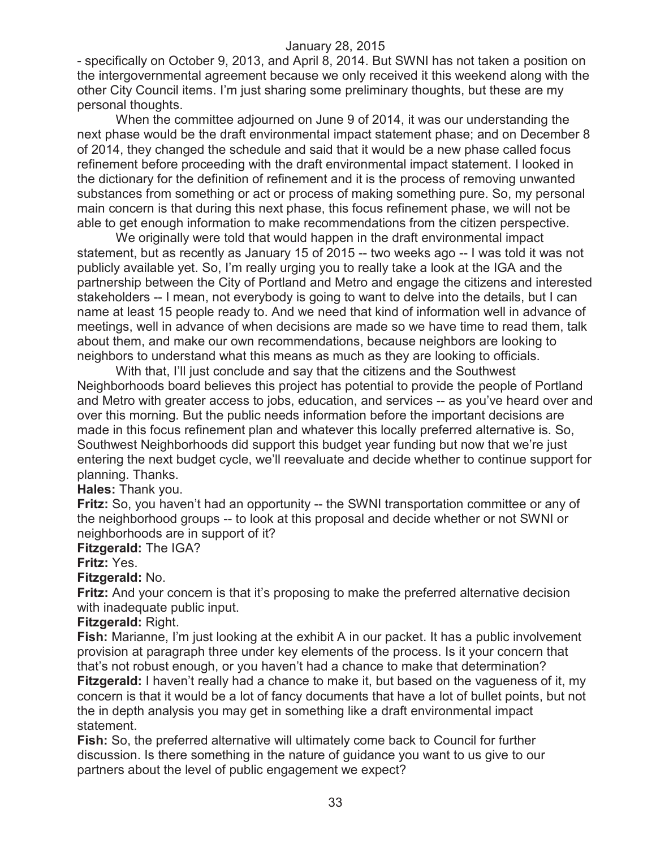- specifically on October 9, 2013, and April 8, 2014. But SWNI has not taken a position on the intergovernmental agreement because we only received it this weekend along with the other City Council items. I'm just sharing some preliminary thoughts, but these are my personal thoughts.

When the committee adjourned on June 9 of 2014, it was our understanding the next phase would be the draft environmental impact statement phase; and on December 8 of 2014, they changed the schedule and said that it would be a new phase called focus refinement before proceeding with the draft environmental impact statement. I looked in the dictionary for the definition of refinement and it is the process of removing unwanted substances from something or act or process of making something pure. So, my personal main concern is that during this next phase, this focus refinement phase, we will not be able to get enough information to make recommendations from the citizen perspective.

We originally were told that would happen in the draft environmental impact statement, but as recently as January 15 of 2015 -- two weeks ago -- I was told it was not publicly available yet. So, I'm really urging you to really take a look at the IGA and the partnership between the City of Portland and Metro and engage the citizens and interested stakeholders -- I mean, not everybody is going to want to delve into the details, but I can name at least 15 people ready to. And we need that kind of information well in advance of meetings, well in advance of when decisions are made so we have time to read them, talk about them, and make our own recommendations, because neighbors are looking to neighbors to understand what this means as much as they are looking to officials.

With that, I'll just conclude and say that the citizens and the Southwest Neighborhoods board believes this project has potential to provide the people of Portland and Metro with greater access to jobs, education, and services -- as you've heard over and over this morning. But the public needs information before the important decisions are made in this focus refinement plan and whatever this locally preferred alternative is. So, Southwest Neighborhoods did support this budget year funding but now that we're just entering the next budget cycle, we'll reevaluate and decide whether to continue support for planning. Thanks.

## **Hales:** Thank you.

**Fritz:** So, you haven't had an opportunity -- the SWNI transportation committee or any of the neighborhood groups -- to look at this proposal and decide whether or not SWNI or neighborhoods are in support of it?

#### **Fitzgerald:** The IGA?

#### **Fritz:** Yes.

## **Fitzgerald:** No.

**Fritz:** And your concern is that it's proposing to make the preferred alternative decision with inadequate public input.

#### **Fitzgerald:** Right.

**Fish:** Marianne, I'm just looking at the exhibit A in our packet. It has a public involvement provision at paragraph three under key elements of the process. Is it your concern that that's not robust enough, or you haven't had a chance to make that determination? **Fitzgerald:** I haven't really had a chance to make it, but based on the vagueness of it, my concern is that it would be a lot of fancy documents that have a lot of bullet points, but not the in depth analysis you may get in something like a draft environmental impact statement.

**Fish:** So, the preferred alternative will ultimately come back to Council for further discussion. Is there something in the nature of guidance you want to us give to our partners about the level of public engagement we expect?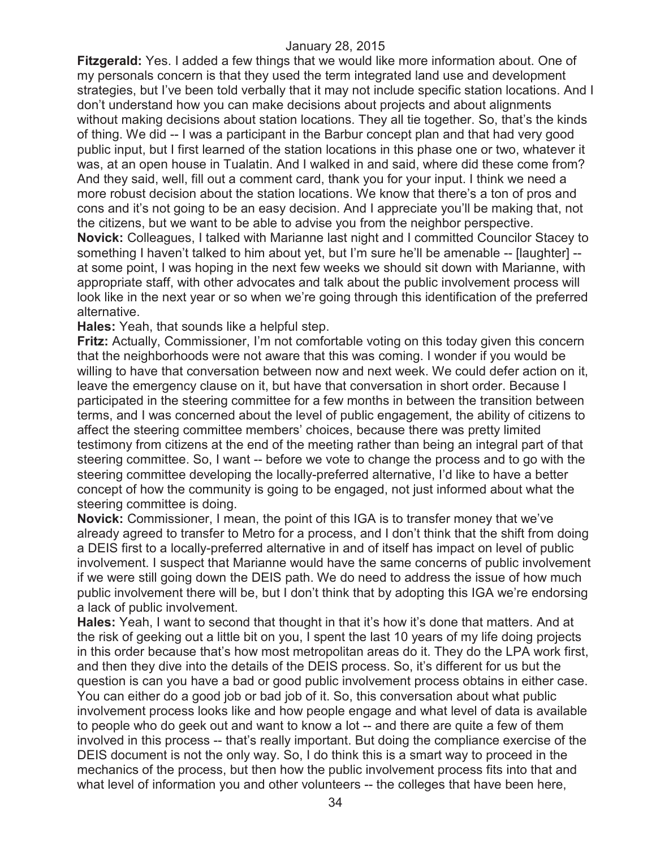**Fitzgerald:** Yes. I added a few things that we would like more information about. One of my personals concern is that they used the term integrated land use and development strategies, but I've been told verbally that it may not include specific station locations. And I don't understand how you can make decisions about projects and about alignments without making decisions about station locations. They all tie together. So, that's the kinds of thing. We did -- I was a participant in the Barbur concept plan and that had very good public input, but I first learned of the station locations in this phase one or two, whatever it was, at an open house in Tualatin. And I walked in and said, where did these come from? And they said, well, fill out a comment card, thank you for your input. I think we need a more robust decision about the station locations. We know that there's a ton of pros and cons and it's not going to be an easy decision. And I appreciate you'll be making that, not the citizens, but we want to be able to advise you from the neighbor perspective. **Novick:** Colleagues, I talked with Marianne last night and I committed Councilor Stacey to something I haven't talked to him about yet, but I'm sure he'll be amenable -- [laughter] - at some point, I was hoping in the next few weeks we should sit down with Marianne, with appropriate staff, with other advocates and talk about the public involvement process will look like in the next year or so when we're going through this identification of the preferred alternative.

**Hales:** Yeah, that sounds like a helpful step.

**Fritz:** Actually, Commissioner, I'm not comfortable voting on this today given this concern that the neighborhoods were not aware that this was coming. I wonder if you would be willing to have that conversation between now and next week. We could defer action on it, leave the emergency clause on it, but have that conversation in short order. Because I participated in the steering committee for a few months in between the transition between terms, and I was concerned about the level of public engagement, the ability of citizens to affect the steering committee members' choices, because there was pretty limited testimony from citizens at the end of the meeting rather than being an integral part of that steering committee. So, I want -- before we vote to change the process and to go with the steering committee developing the locally-preferred alternative, I'd like to have a better concept of how the community is going to be engaged, not just informed about what the steering committee is doing.

**Novick:** Commissioner, I mean, the point of this IGA is to transfer money that we've already agreed to transfer to Metro for a process, and I don't think that the shift from doing a DEIS first to a locally-preferred alternative in and of itself has impact on level of public involvement. I suspect that Marianne would have the same concerns of public involvement if we were still going down the DEIS path. We do need to address the issue of how much public involvement there will be, but I don't think that by adopting this IGA we're endorsing a lack of public involvement.

**Hales:** Yeah, I want to second that thought in that it's how it's done that matters. And at the risk of geeking out a little bit on you, I spent the last 10 years of my life doing projects in this order because that's how most metropolitan areas do it. They do the LPA work first, and then they dive into the details of the DEIS process. So, it's different for us but the question is can you have a bad or good public involvement process obtains in either case. You can either do a good job or bad job of it. So, this conversation about what public involvement process looks like and how people engage and what level of data is available to people who do geek out and want to know a lot -- and there are quite a few of them involved in this process -- that's really important. But doing the compliance exercise of the DEIS document is not the only way. So, I do think this is a smart way to proceed in the mechanics of the process, but then how the public involvement process fits into that and what level of information you and other volunteers -- the colleges that have been here,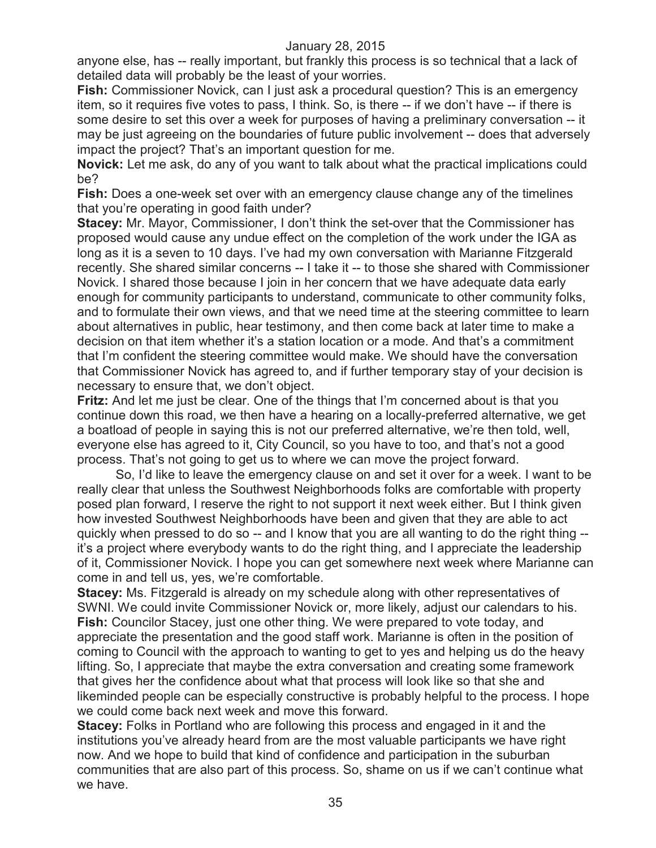anyone else, has -- really important, but frankly this process is so technical that a lack of detailed data will probably be the least of your worries.

**Fish:** Commissioner Novick, can I just ask a procedural question? This is an emergency item, so it requires five votes to pass, I think. So, is there -- if we don't have -- if there is some desire to set this over a week for purposes of having a preliminary conversation -- it may be just agreeing on the boundaries of future public involvement -- does that adversely impact the project? That's an important question for me.

**Novick:** Let me ask, do any of you want to talk about what the practical implications could be?

**Fish:** Does a one-week set over with an emergency clause change any of the timelines that you're operating in good faith under?

**Stacey:** Mr. Mayor, Commissioner, I don't think the set-over that the Commissioner has proposed would cause any undue effect on the completion of the work under the IGA as long as it is a seven to 10 days. I've had my own conversation with Marianne Fitzgerald recently. She shared similar concerns -- I take it -- to those she shared with Commissioner Novick. I shared those because I join in her concern that we have adequate data early enough for community participants to understand, communicate to other community folks, and to formulate their own views, and that we need time at the steering committee to learn about alternatives in public, hear testimony, and then come back at later time to make a decision on that item whether it's a station location or a mode. And that's a commitment that I'm confident the steering committee would make. We should have the conversation that Commissioner Novick has agreed to, and if further temporary stay of your decision is necessary to ensure that, we don't object.

**Fritz:** And let me just be clear. One of the things that I'm concerned about is that you continue down this road, we then have a hearing on a locally-preferred alternative, we get a boatload of people in saying this is not our preferred alternative, we're then told, well, everyone else has agreed to it, City Council, so you have to too, and that's not a good process. That's not going to get us to where we can move the project forward.

So, I'd like to leave the emergency clause on and set it over for a week. I want to be really clear that unless the Southwest Neighborhoods folks are comfortable with property posed plan forward, I reserve the right to not support it next week either. But I think given how invested Southwest Neighborhoods have been and given that they are able to act quickly when pressed to do so -- and I know that you are all wanting to do the right thing - it's a project where everybody wants to do the right thing, and I appreciate the leadership of it, Commissioner Novick. I hope you can get somewhere next week where Marianne can come in and tell us, yes, we're comfortable.

**Stacey:** Ms. Fitzgerald is already on my schedule along with other representatives of SWNI. We could invite Commissioner Novick or, more likely, adjust our calendars to his. **Fish:** Councilor Stacey, just one other thing. We were prepared to vote today, and appreciate the presentation and the good staff work. Marianne is often in the position of coming to Council with the approach to wanting to get to yes and helping us do the heavy lifting. So, I appreciate that maybe the extra conversation and creating some framework that gives her the confidence about what that process will look like so that she and likeminded people can be especially constructive is probably helpful to the process. I hope we could come back next week and move this forward.

**Stacey:** Folks in Portland who are following this process and engaged in it and the institutions you've already heard from are the most valuable participants we have right now. And we hope to build that kind of confidence and participation in the suburban communities that are also part of this process. So, shame on us if we can't continue what we have.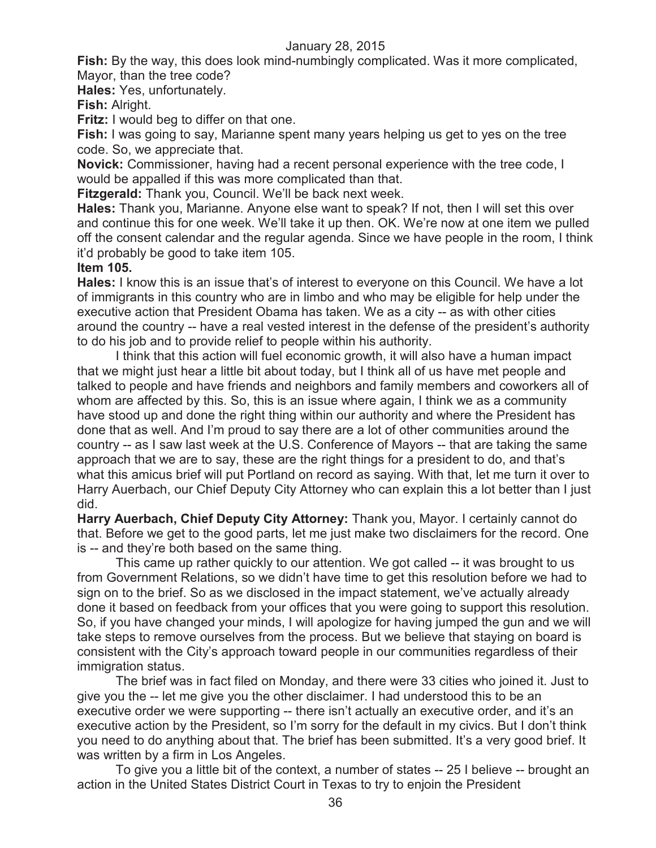**Fish:** By the way, this does look mind-numbingly complicated. Was it more complicated, Mayor, than the tree code?

**Hales:** Yes, unfortunately.

**Fish:** Alright.

**Fritz:** I would beg to differ on that one.

**Fish:** I was going to say, Marianne spent many years helping us get to yes on the tree code. So, we appreciate that.

**Novick:** Commissioner, having had a recent personal experience with the tree code, I would be appalled if this was more complicated than that.

**Fitzgerald:** Thank you, Council. We'll be back next week.

**Hales:** Thank you, Marianne. Anyone else want to speak? If not, then I will set this over and continue this for one week. We'll take it up then. OK. We're now at one item we pulled off the consent calendar and the regular agenda. Since we have people in the room, I think it'd probably be good to take item 105.

#### **Item 105.**

**Hales:** I know this is an issue that's of interest to everyone on this Council. We have a lot of immigrants in this country who are in limbo and who may be eligible for help under the executive action that President Obama has taken. We as a city -- as with other cities around the country -- have a real vested interest in the defense of the president's authority to do his job and to provide relief to people within his authority.

I think that this action will fuel economic growth, it will also have a human impact that we might just hear a little bit about today, but I think all of us have met people and talked to people and have friends and neighbors and family members and coworkers all of whom are affected by this. So, this is an issue where again, I think we as a community have stood up and done the right thing within our authority and where the President has done that as well. And I'm proud to say there are a lot of other communities around the country -- as I saw last week at the U.S. Conference of Mayors -- that are taking the same approach that we are to say, these are the right things for a president to do, and that's what this amicus brief will put Portland on record as saying. With that, let me turn it over to Harry Auerbach, our Chief Deputy City Attorney who can explain this a lot better than I just did.

**Harry Auerbach, Chief Deputy City Attorney:** Thank you, Mayor. I certainly cannot do that. Before we get to the good parts, let me just make two disclaimers for the record. One is -- and they're both based on the same thing.

This came up rather quickly to our attention. We got called -- it was brought to us from Government Relations, so we didn't have time to get this resolution before we had to sign on to the brief. So as we disclosed in the impact statement, we've actually already done it based on feedback from your offices that you were going to support this resolution. So, if you have changed your minds, I will apologize for having jumped the gun and we will take steps to remove ourselves from the process. But we believe that staying on board is consistent with the City's approach toward people in our communities regardless of their immigration status.

The brief was in fact filed on Monday, and there were 33 cities who joined it. Just to give you the -- let me give you the other disclaimer. I had understood this to be an executive order we were supporting -- there isn't actually an executive order, and it's an executive action by the President, so I'm sorry for the default in my civics. But I don't think you need to do anything about that. The brief has been submitted. It's a very good brief. It was written by a firm in Los Angeles.

To give you a little bit of the context, a number of states -- 25 I believe -- brought an action in the United States District Court in Texas to try to enjoin the President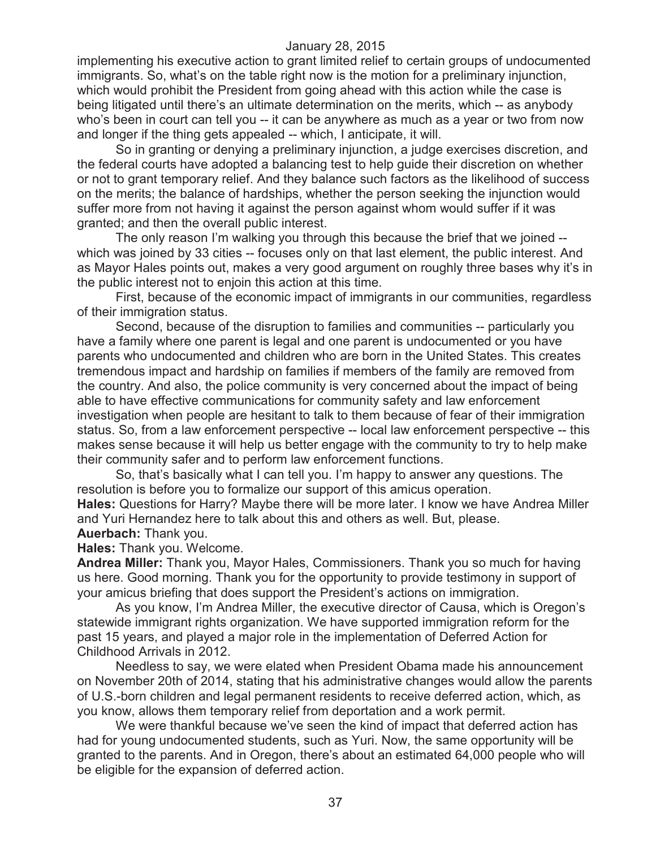implementing his executive action to grant limited relief to certain groups of undocumented immigrants. So, what's on the table right now is the motion for a preliminary injunction, which would prohibit the President from going ahead with this action while the case is being litigated until there's an ultimate determination on the merits, which -- as anybody who's been in court can tell you -- it can be anywhere as much as a year or two from now and longer if the thing gets appealed -- which, I anticipate, it will.

So in granting or denying a preliminary injunction, a judge exercises discretion, and the federal courts have adopted a balancing test to help guide their discretion on whether or not to grant temporary relief. And they balance such factors as the likelihood of success on the merits; the balance of hardships, whether the person seeking the injunction would suffer more from not having it against the person against whom would suffer if it was granted; and then the overall public interest.

The only reason I'm walking you through this because the brief that we joined - which was joined by 33 cities -- focuses only on that last element, the public interest. And as Mayor Hales points out, makes a very good argument on roughly three bases why it's in the public interest not to enjoin this action at this time.

First, because of the economic impact of immigrants in our communities, regardless of their immigration status.

Second, because of the disruption to families and communities -- particularly you have a family where one parent is legal and one parent is undocumented or you have parents who undocumented and children who are born in the United States. This creates tremendous impact and hardship on families if members of the family are removed from the country. And also, the police community is very concerned about the impact of being able to have effective communications for community safety and law enforcement investigation when people are hesitant to talk to them because of fear of their immigration status. So, from a law enforcement perspective -- local law enforcement perspective -- this makes sense because it will help us better engage with the community to try to help make their community safer and to perform law enforcement functions.

So, that's basically what I can tell you. I'm happy to answer any questions. The resolution is before you to formalize our support of this amicus operation.

**Hales:** Questions for Harry? Maybe there will be more later. I know we have Andrea Miller and Yuri Hernandez here to talk about this and others as well. But, please. **Auerbach:** Thank you.

**Hales:** Thank you. Welcome.

**Andrea Miller:** Thank you, Mayor Hales, Commissioners. Thank you so much for having us here. Good morning. Thank you for the opportunity to provide testimony in support of your amicus briefing that does support the President's actions on immigration.

As you know, I'm Andrea Miller, the executive director of Causa, which is Oregon's statewide immigrant rights organization. We have supported immigration reform for the past 15 years, and played a major role in the implementation of Deferred Action for Childhood Arrivals in 2012.

Needless to say, we were elated when President Obama made his announcement on November 20th of 2014, stating that his administrative changes would allow the parents of U.S.-born children and legal permanent residents to receive deferred action, which, as you know, allows them temporary relief from deportation and a work permit.

We were thankful because we've seen the kind of impact that deferred action has had for young undocumented students, such as Yuri. Now, the same opportunity will be granted to the parents. And in Oregon, there's about an estimated 64,000 people who will be eligible for the expansion of deferred action.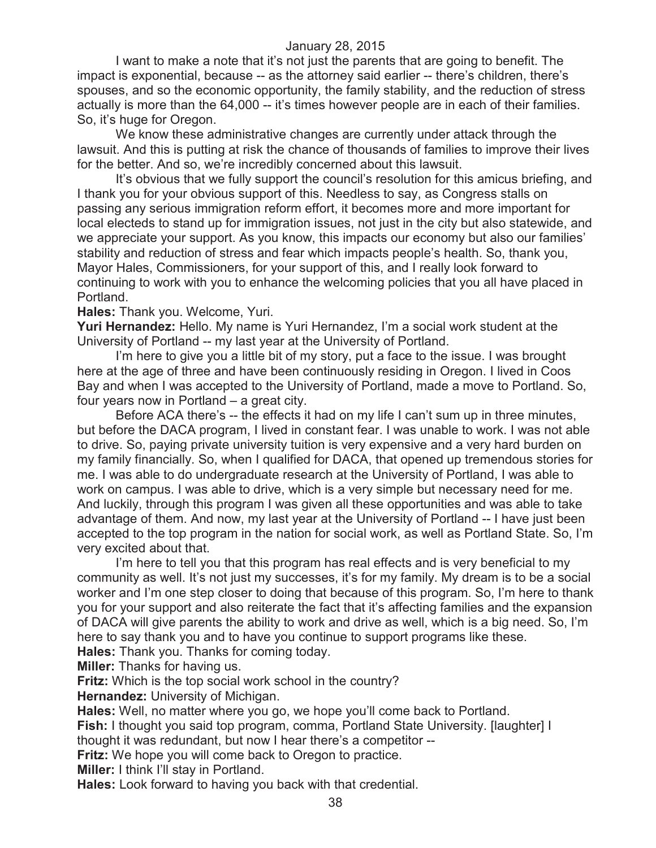I want to make a note that it's not just the parents that are going to benefit. The impact is exponential, because -- as the attorney said earlier -- there's children, there's spouses, and so the economic opportunity, the family stability, and the reduction of stress actually is more than the 64,000 -- it's times however people are in each of their families. So, it's huge for Oregon.

We know these administrative changes are currently under attack through the lawsuit. And this is putting at risk the chance of thousands of families to improve their lives for the better. And so, we're incredibly concerned about this lawsuit.

It's obvious that we fully support the council's resolution for this amicus briefing, and I thank you for your obvious support of this. Needless to say, as Congress stalls on passing any serious immigration reform effort, it becomes more and more important for local electeds to stand up for immigration issues, not just in the city but also statewide, and we appreciate your support. As you know, this impacts our economy but also our families' stability and reduction of stress and fear which impacts people's health. So, thank you, Mayor Hales, Commissioners, for your support of this, and I really look forward to continuing to work with you to enhance the welcoming policies that you all have placed in Portland.

**Hales:** Thank you. Welcome, Yuri.

**Yuri Hernandez:** Hello. My name is Yuri Hernandez, I'm a social work student at the University of Portland -- my last year at the University of Portland.

I'm here to give you a little bit of my story, put a face to the issue. I was brought here at the age of three and have been continuously residing in Oregon. I lived in Coos Bay and when I was accepted to the University of Portland, made a move to Portland. So, four years now in Portland – a great city.

Before ACA there's -- the effects it had on my life I can't sum up in three minutes, but before the DACA program, I lived in constant fear. I was unable to work. I was not able to drive. So, paying private university tuition is very expensive and a very hard burden on my family financially. So, when I qualified for DACA, that opened up tremendous stories for me. I was able to do undergraduate research at the University of Portland, I was able to work on campus. I was able to drive, which is a very simple but necessary need for me. And luckily, through this program I was given all these opportunities and was able to take advantage of them. And now, my last year at the University of Portland -- I have just been accepted to the top program in the nation for social work, as well as Portland State. So, I'm very excited about that.

I'm here to tell you that this program has real effects and is very beneficial to my community as well. It's not just my successes, it's for my family. My dream is to be a social worker and I'm one step closer to doing that because of this program. So, I'm here to thank you for your support and also reiterate the fact that it's affecting families and the expansion of DACA will give parents the ability to work and drive as well, which is a big need. So, I'm here to say thank you and to have you continue to support programs like these. **Hales:** Thank you. Thanks for coming today.

**Miller:** Thanks for having us.

**Fritz:** Which is the top social work school in the country?

**Hernandez:** University of Michigan.

**Hales:** Well, no matter where you go, we hope you'll come back to Portland.

**Fish:** I thought you said top program, comma, Portland State University. [laughter] I

thought it was redundant, but now I hear there's a competitor --

**Fritz:** We hope you will come back to Oregon to practice.

**Miller:** I think I'll stay in Portland.

**Hales:** Look forward to having you back with that credential.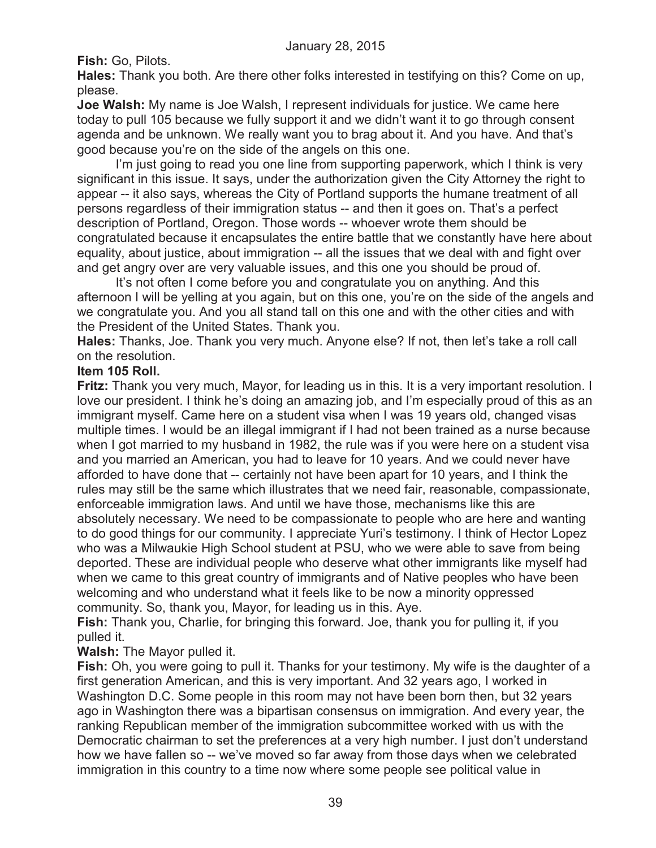**Fish:** Go, Pilots.

**Hales:** Thank you both. Are there other folks interested in testifying on this? Come on up, please.

**Joe Walsh:** My name is Joe Walsh, I represent individuals for justice. We came here today to pull 105 because we fully support it and we didn't want it to go through consent agenda and be unknown. We really want you to brag about it. And you have. And that's good because you're on the side of the angels on this one.

I'm just going to read you one line from supporting paperwork, which I think is very significant in this issue. It says, under the authorization given the City Attorney the right to appear -- it also says, whereas the City of Portland supports the humane treatment of all persons regardless of their immigration status -- and then it goes on. That's a perfect description of Portland, Oregon. Those words -- whoever wrote them should be congratulated because it encapsulates the entire battle that we constantly have here about equality, about justice, about immigration -- all the issues that we deal with and fight over and get angry over are very valuable issues, and this one you should be proud of.

It's not often I come before you and congratulate you on anything. And this afternoon I will be yelling at you again, but on this one, you're on the side of the angels and we congratulate you. And you all stand tall on this one and with the other cities and with the President of the United States. Thank you.

**Hales:** Thanks, Joe. Thank you very much. Anyone else? If not, then let's take a roll call on the resolution.

## **Item 105 Roll.**

**Fritz:** Thank you very much, Mayor, for leading us in this. It is a very important resolution. I love our president. I think he's doing an amazing job, and I'm especially proud of this as an immigrant myself. Came here on a student visa when I was 19 years old, changed visas multiple times. I would be an illegal immigrant if I had not been trained as a nurse because when I got married to my husband in 1982, the rule was if you were here on a student visa and you married an American, you had to leave for 10 years. And we could never have afforded to have done that -- certainly not have been apart for 10 years, and I think the rules may still be the same which illustrates that we need fair, reasonable, compassionate, enforceable immigration laws. And until we have those, mechanisms like this are absolutely necessary. We need to be compassionate to people who are here and wanting to do good things for our community. I appreciate Yuri's testimony. I think of Hector Lopez who was a Milwaukie High School student at PSU, who we were able to save from being deported. These are individual people who deserve what other immigrants like myself had when we came to this great country of immigrants and of Native peoples who have been welcoming and who understand what it feels like to be now a minority oppressed community. So, thank you, Mayor, for leading us in this. Aye.

**Fish:** Thank you, Charlie, for bringing this forward. Joe, thank you for pulling it, if you pulled it.

# **Walsh:** The Mayor pulled it.

**Fish:** Oh, you were going to pull it. Thanks for your testimony. My wife is the daughter of a first generation American, and this is very important. And 32 years ago, I worked in Washington D.C. Some people in this room may not have been born then, but 32 years ago in Washington there was a bipartisan consensus on immigration. And every year, the ranking Republican member of the immigration subcommittee worked with us with the Democratic chairman to set the preferences at a very high number. I just don't understand how we have fallen so -- we've moved so far away from those days when we celebrated immigration in this country to a time now where some people see political value in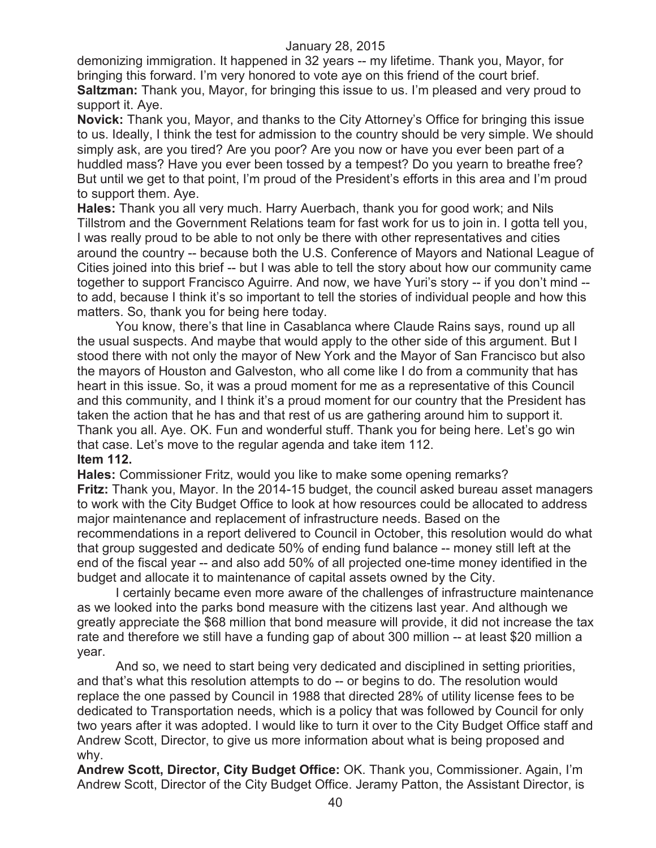demonizing immigration. It happened in 32 years -- my lifetime. Thank you, Mayor, for bringing this forward. I'm very honored to vote aye on this friend of the court brief. **Saltzman:** Thank you, Mayor, for bringing this issue to us. I'm pleased and very proud to support it. Aye.

**Novick:** Thank you, Mayor, and thanks to the City Attorney's Office for bringing this issue to us. Ideally, I think the test for admission to the country should be very simple. We should simply ask, are you tired? Are you poor? Are you now or have you ever been part of a huddled mass? Have you ever been tossed by a tempest? Do you yearn to breathe free? But until we get to that point, I'm proud of the President's efforts in this area and I'm proud to support them. Aye.

**Hales:** Thank you all very much. Harry Auerbach, thank you for good work; and Nils Tillstrom and the Government Relations team for fast work for us to join in. I gotta tell you, I was really proud to be able to not only be there with other representatives and cities around the country -- because both the U.S. Conference of Mayors and National League of Cities joined into this brief -- but I was able to tell the story about how our community came together to support Francisco Aguirre. And now, we have Yuri's story -- if you don't mind - to add, because I think it's so important to tell the stories of individual people and how this matters. So, thank you for being here today.

You know, there's that line in Casablanca where Claude Rains says, round up all the usual suspects. And maybe that would apply to the other side of this argument. But I stood there with not only the mayor of New York and the Mayor of San Francisco but also the mayors of Houston and Galveston, who all come like I do from a community that has heart in this issue. So, it was a proud moment for me as a representative of this Council and this community, and I think it's a proud moment for our country that the President has taken the action that he has and that rest of us are gathering around him to support it. Thank you all. Aye. OK. Fun and wonderful stuff. Thank you for being here. Let's go win that case. Let's move to the regular agenda and take item 112. **Item 112.**

**Hales:** Commissioner Fritz, would you like to make some opening remarks? **Fritz:** Thank you, Mayor. In the 2014-15 budget, the council asked bureau asset managers to work with the City Budget Office to look at how resources could be allocated to address major maintenance and replacement of infrastructure needs. Based on the recommendations in a report delivered to Council in October, this resolution would do what that group suggested and dedicate 50% of ending fund balance -- money still left at the end of the fiscal year -- and also add 50% of all projected one-time money identified in the budget and allocate it to maintenance of capital assets owned by the City.

I certainly became even more aware of the challenges of infrastructure maintenance as we looked into the parks bond measure with the citizens last year. And although we greatly appreciate the \$68 million that bond measure will provide, it did not increase the tax rate and therefore we still have a funding gap of about 300 million -- at least \$20 million a year.

And so, we need to start being very dedicated and disciplined in setting priorities, and that's what this resolution attempts to do -- or begins to do. The resolution would replace the one passed by Council in 1988 that directed 28% of utility license fees to be dedicated to Transportation needs, which is a policy that was followed by Council for only two years after it was adopted. I would like to turn it over to the City Budget Office staff and Andrew Scott, Director, to give us more information about what is being proposed and why.

**Andrew Scott, Director, City Budget Office:** OK. Thank you, Commissioner. Again, I'm Andrew Scott, Director of the City Budget Office. Jeramy Patton, the Assistant Director, is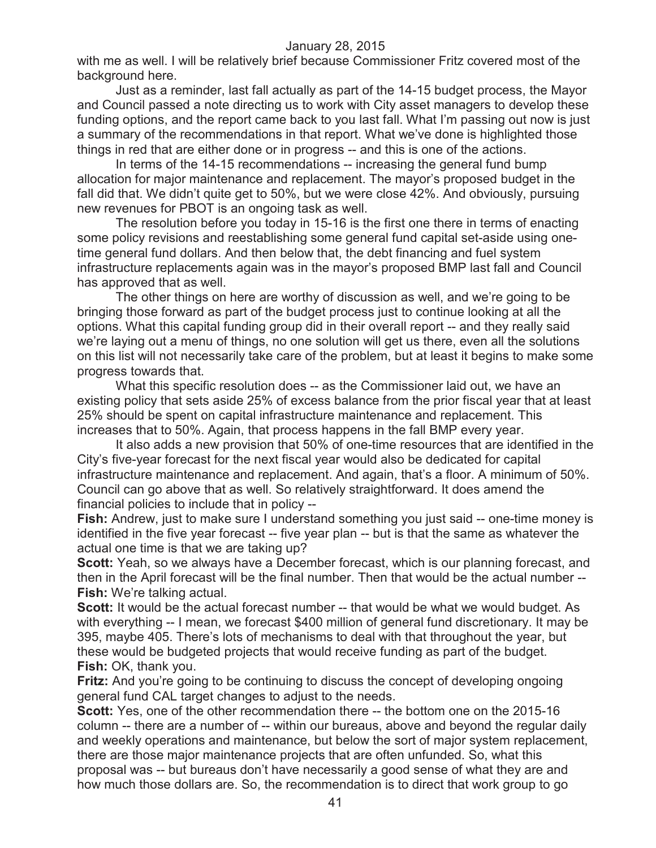with me as well. I will be relatively brief because Commissioner Fritz covered most of the background here.

Just as a reminder, last fall actually as part of the 14-15 budget process, the Mayor and Council passed a note directing us to work with City asset managers to develop these funding options, and the report came back to you last fall. What I'm passing out now is just a summary of the recommendations in that report. What we've done is highlighted those things in red that are either done or in progress -- and this is one of the actions.

In terms of the 14-15 recommendations -- increasing the general fund bump allocation for major maintenance and replacement. The mayor's proposed budget in the fall did that. We didn't quite get to 50%, but we were close 42%. And obviously, pursuing new revenues for PBOT is an ongoing task as well.

The resolution before you today in 15-16 is the first one there in terms of enacting some policy revisions and reestablishing some general fund capital set-aside using onetime general fund dollars. And then below that, the debt financing and fuel system infrastructure replacements again was in the mayor's proposed BMP last fall and Council has approved that as well.

The other things on here are worthy of discussion as well, and we're going to be bringing those forward as part of the budget process just to continue looking at all the options. What this capital funding group did in their overall report -- and they really said we're laying out a menu of things, no one solution will get us there, even all the solutions on this list will not necessarily take care of the problem, but at least it begins to make some progress towards that.

What this specific resolution does -- as the Commissioner laid out, we have an existing policy that sets aside 25% of excess balance from the prior fiscal year that at least 25% should be spent on capital infrastructure maintenance and replacement. This increases that to 50%. Again, that process happens in the fall BMP every year.

It also adds a new provision that 50% of one-time resources that are identified in the City's five-year forecast for the next fiscal year would also be dedicated for capital infrastructure maintenance and replacement. And again, that's a floor. A minimum of 50%. Council can go above that as well. So relatively straightforward. It does amend the financial policies to include that in policy --

**Fish:** Andrew, just to make sure I understand something you just said -- one-time money is identified in the five year forecast -- five year plan -- but is that the same as whatever the actual one time is that we are taking up?

**Scott:** Yeah, so we always have a December forecast, which is our planning forecast, and then in the April forecast will be the final number. Then that would be the actual number -- **Fish:** We're talking actual.

**Scott:** It would be the actual forecast number -- that would be what we would budget. As with everything -- I mean, we forecast \$400 million of general fund discretionary. It may be 395, maybe 405. There's lots of mechanisms to deal with that throughout the year, but these would be budgeted projects that would receive funding as part of the budget. **Fish:** OK, thank you.

**Fritz:** And you're going to be continuing to discuss the concept of developing ongoing general fund CAL target changes to adjust to the needs.

**Scott:** Yes, one of the other recommendation there -- the bottom one on the 2015-16 column -- there are a number of -- within our bureaus, above and beyond the regular daily and weekly operations and maintenance, but below the sort of major system replacement, there are those major maintenance projects that are often unfunded. So, what this proposal was -- but bureaus don't have necessarily a good sense of what they are and how much those dollars are. So, the recommendation is to direct that work group to go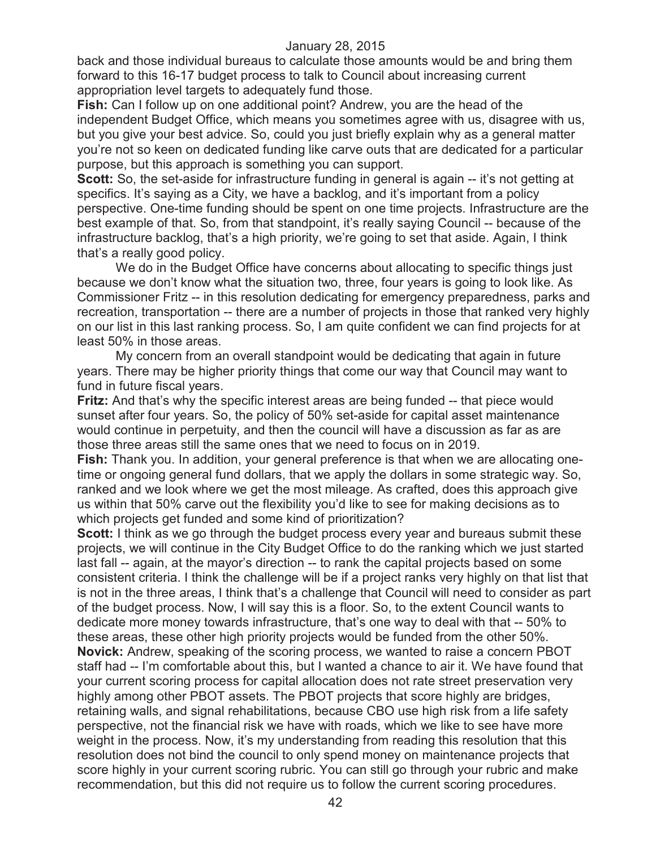back and those individual bureaus to calculate those amounts would be and bring them forward to this 16-17 budget process to talk to Council about increasing current appropriation level targets to adequately fund those.

**Fish:** Can I follow up on one additional point? Andrew, you are the head of the independent Budget Office, which means you sometimes agree with us, disagree with us, but you give your best advice. So, could you just briefly explain why as a general matter you're not so keen on dedicated funding like carve outs that are dedicated for a particular purpose, but this approach is something you can support.

**Scott:** So, the set-aside for infrastructure funding in general is again -- it's not getting at specifics. It's saying as a City, we have a backlog, and it's important from a policy perspective. One-time funding should be spent on one time projects. Infrastructure are the best example of that. So, from that standpoint, it's really saying Council -- because of the infrastructure backlog, that's a high priority, we're going to set that aside. Again, I think that's a really good policy.

We do in the Budget Office have concerns about allocating to specific things just because we don't know what the situation two, three, four years is going to look like. As Commissioner Fritz -- in this resolution dedicating for emergency preparedness, parks and recreation, transportation -- there are a number of projects in those that ranked very highly on our list in this last ranking process. So, I am quite confident we can find projects for at least 50% in those areas.

My concern from an overall standpoint would be dedicating that again in future years. There may be higher priority things that come our way that Council may want to fund in future fiscal years.

**Fritz:** And that's why the specific interest areas are being funded -- that piece would sunset after four years. So, the policy of 50% set-aside for capital asset maintenance would continue in perpetuity, and then the council will have a discussion as far as are those three areas still the same ones that we need to focus on in 2019.

**Fish:** Thank you. In addition, your general preference is that when we are allocating onetime or ongoing general fund dollars, that we apply the dollars in some strategic way. So, ranked and we look where we get the most mileage. As crafted, does this approach give us within that 50% carve out the flexibility you'd like to see for making decisions as to which projects get funded and some kind of prioritization?

**Scott:** I think as we go through the budget process every year and bureaus submit these projects, we will continue in the City Budget Office to do the ranking which we just started last fall -- again, at the mayor's direction -- to rank the capital projects based on some consistent criteria. I think the challenge will be if a project ranks very highly on that list that is not in the three areas, I think that's a challenge that Council will need to consider as part of the budget process. Now, I will say this is a floor. So, to the extent Council wants to dedicate more money towards infrastructure, that's one way to deal with that -- 50% to these areas, these other high priority projects would be funded from the other 50%. **Novick:** Andrew, speaking of the scoring process, we wanted to raise a concern PBOT staff had -- I'm comfortable about this, but I wanted a chance to air it. We have found that your current scoring process for capital allocation does not rate street preservation very highly among other PBOT assets. The PBOT projects that score highly are bridges, retaining walls, and signal rehabilitations, because CBO use high risk from a life safety perspective, not the financial risk we have with roads, which we like to see have more weight in the process. Now, it's my understanding from reading this resolution that this resolution does not bind the council to only spend money on maintenance projects that score highly in your current scoring rubric. You can still go through your rubric and make recommendation, but this did not require us to follow the current scoring procedures.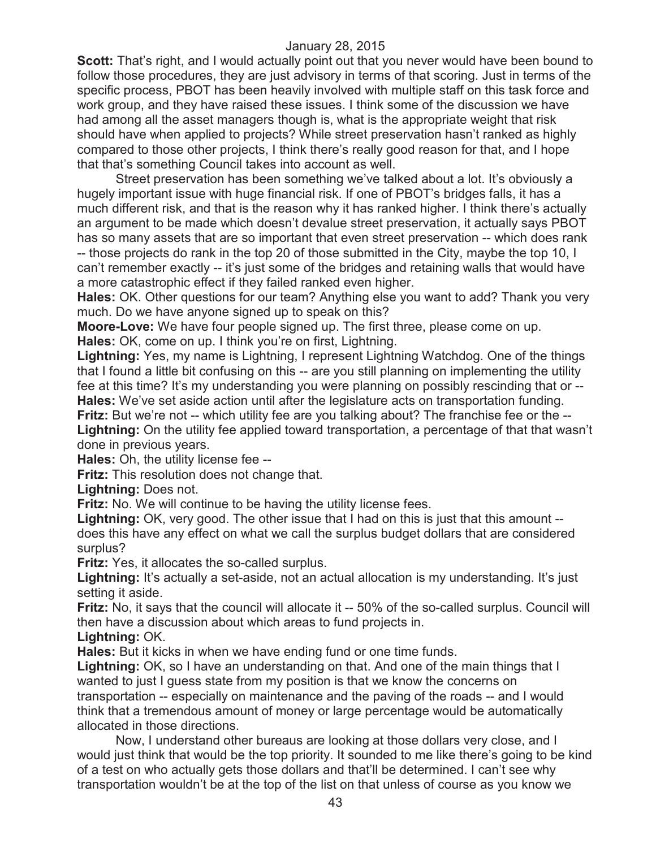**Scott:** That's right, and I would actually point out that you never would have been bound to follow those procedures, they are just advisory in terms of that scoring. Just in terms of the specific process, PBOT has been heavily involved with multiple staff on this task force and work group, and they have raised these issues. I think some of the discussion we have had among all the asset managers though is, what is the appropriate weight that risk should have when applied to projects? While street preservation hasn't ranked as highly compared to those other projects, I think there's really good reason for that, and I hope that that's something Council takes into account as well.

Street preservation has been something we've talked about a lot. It's obviously a hugely important issue with huge financial risk. If one of PBOT's bridges falls, it has a much different risk, and that is the reason why it has ranked higher. I think there's actually an argument to be made which doesn't devalue street preservation, it actually says PBOT has so many assets that are so important that even street preservation -- which does rank -- those projects do rank in the top 20 of those submitted in the City, maybe the top 10, I can't remember exactly -- it's just some of the bridges and retaining walls that would have a more catastrophic effect if they failed ranked even higher.

**Hales:** OK. Other questions for our team? Anything else you want to add? Thank you very much. Do we have anyone signed up to speak on this?

**Moore-Love:** We have four people signed up. The first three, please come on up. **Hales:** OK, come on up. I think you're on first, Lightning.

**Lightning:** Yes, my name is Lightning, I represent Lightning Watchdog. One of the things that I found a little bit confusing on this -- are you still planning on implementing the utility fee at this time? It's my understanding you were planning on possibly rescinding that or -- **Hales:** We've set aside action until after the legislature acts on transportation funding.

**Fritz:** But we're not -- which utility fee are you talking about? The franchise fee or the -- **Lightning:** On the utility fee applied toward transportation, a percentage of that that wasn't done in previous years.

**Hales:** Oh, the utility license fee --

**Fritz:** This resolution does not change that.

**Lightning:** Does not.

**Fritz:** No. We will continue to be having the utility license fees.

**Lightning:** OK, very good. The other issue that I had on this is just that this amount - does this have any effect on what we call the surplus budget dollars that are considered surplus?

**Fritz:** Yes, it allocates the so-called surplus.

Lightning: It's actually a set-aside, not an actual allocation is my understanding. It's just setting it aside.

**Fritz:** No, it says that the council will allocate it -- 50% of the so-called surplus. Council will then have a discussion about which areas to fund projects in.

**Lightning:** OK.

**Hales:** But it kicks in when we have ending fund or one time funds.

**Lightning:** OK, so I have an understanding on that. And one of the main things that I wanted to just I guess state from my position is that we know the concerns on transportation -- especially on maintenance and the paving of the roads -- and I would think that a tremendous amount of money or large percentage would be automatically allocated in those directions.

Now, I understand other bureaus are looking at those dollars very close, and I would just think that would be the top priority. It sounded to me like there's going to be kind of a test on who actually gets those dollars and that'll be determined. I can't see why transportation wouldn't be at the top of the list on that unless of course as you know we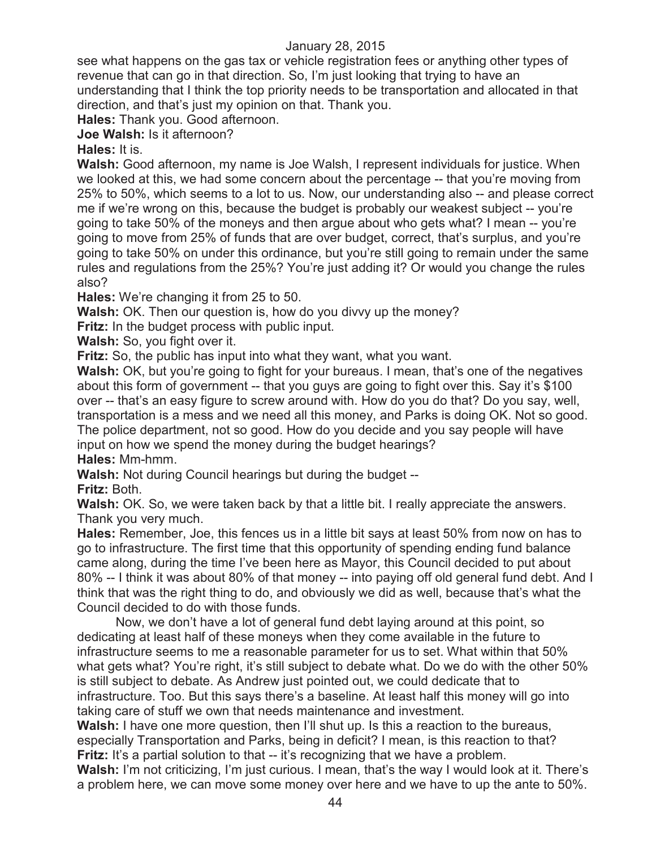see what happens on the gas tax or vehicle registration fees or anything other types of revenue that can go in that direction. So, I'm just looking that trying to have an understanding that I think the top priority needs to be transportation and allocated in that direction, and that's just my opinion on that. Thank you.

**Hales:** Thank you. Good afternoon.

**Joe Walsh:** Is it afternoon?

**Hales:** It is.

**Walsh:** Good afternoon, my name is Joe Walsh, I represent individuals for justice. When we looked at this, we had some concern about the percentage -- that you're moving from 25% to 50%, which seems to a lot to us. Now, our understanding also -- and please correct me if we're wrong on this, because the budget is probably our weakest subject -- you're going to take 50% of the moneys and then argue about who gets what? I mean -- you're going to move from 25% of funds that are over budget, correct, that's surplus, and you're going to take 50% on under this ordinance, but you're still going to remain under the same rules and regulations from the 25%? You're just adding it? Or would you change the rules also?

**Hales:** We're changing it from 25 to 50.

**Walsh:** OK. Then our question is, how do you divvy up the money?

**Fritz:** In the budget process with public input.

**Walsh:** So, you fight over it.

**Fritz:** So, the public has input into what they want, what you want.

Walsh: OK, but you're going to fight for your bureaus. I mean, that's one of the negatives about this form of government -- that you guys are going to fight over this. Say it's \$100 over -- that's an easy figure to screw around with. How do you do that? Do you say, well, transportation is a mess and we need all this money, and Parks is doing OK. Not so good. The police department, not so good. How do you decide and you say people will have input on how we spend the money during the budget hearings? **Hales:** Mm-hmm.

**Walsh:** Not during Council hearings but during the budget --

**Fritz:** Both.

**Walsh:** OK. So, we were taken back by that a little bit. I really appreciate the answers. Thank you very much.

**Hales:** Remember, Joe, this fences us in a little bit says at least 50% from now on has to go to infrastructure. The first time that this opportunity of spending ending fund balance came along, during the time I've been here as Mayor, this Council decided to put about 80% -- I think it was about 80% of that money -- into paying off old general fund debt. And I think that was the right thing to do, and obviously we did as well, because that's what the Council decided to do with those funds.

Now, we don't have a lot of general fund debt laying around at this point, so dedicating at least half of these moneys when they come available in the future to infrastructure seems to me a reasonable parameter for us to set. What within that 50% what gets what? You're right, it's still subject to debate what. Do we do with the other 50% is still subject to debate. As Andrew just pointed out, we could dedicate that to infrastructure. Too. But this says there's a baseline. At least half this money will go into taking care of stuff we own that needs maintenance and investment.

**Walsh:** I have one more question, then I'll shut up. Is this a reaction to the bureaus, especially Transportation and Parks, being in deficit? I mean, is this reaction to that? **Fritz:** It's a partial solution to that -- it's recognizing that we have a problem.

Walsh: I'm not criticizing, I'm just curious. I mean, that's the way I would look at it. There's a problem here, we can move some money over here and we have to up the ante to 50%.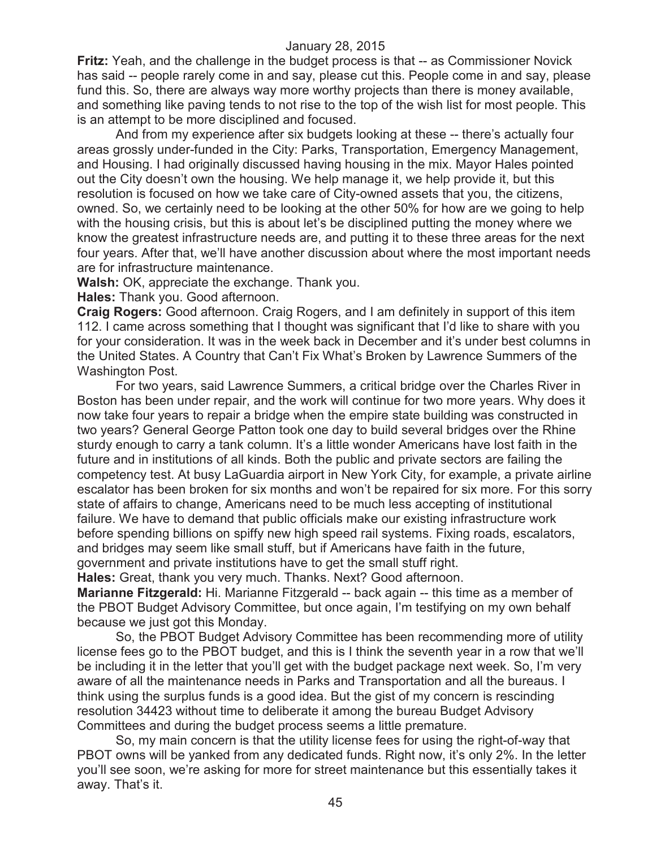**Fritz:** Yeah, and the challenge in the budget process is that -- as Commissioner Novick has said -- people rarely come in and say, please cut this. People come in and say, please fund this. So, there are always way more worthy projects than there is money available, and something like paving tends to not rise to the top of the wish list for most people. This is an attempt to be more disciplined and focused.

And from my experience after six budgets looking at these -- there's actually four areas grossly under-funded in the City: Parks, Transportation, Emergency Management, and Housing. I had originally discussed having housing in the mix. Mayor Hales pointed out the City doesn't own the housing. We help manage it, we help provide it, but this resolution is focused on how we take care of City-owned assets that you, the citizens, owned. So, we certainly need to be looking at the other 50% for how are we going to help with the housing crisis, but this is about let's be disciplined putting the money where we know the greatest infrastructure needs are, and putting it to these three areas for the next four years. After that, we'll have another discussion about where the most important needs are for infrastructure maintenance.

**Walsh:** OK, appreciate the exchange. Thank you.

**Hales:** Thank you. Good afternoon.

**Craig Rogers:** Good afternoon. Craig Rogers, and I am definitely in support of this item 112. I came across something that I thought was significant that I'd like to share with you for your consideration. It was in the week back in December and it's under best columns in the United States. A Country that Can't Fix What's Broken by Lawrence Summers of the Washington Post.

For two years, said Lawrence Summers, a critical bridge over the Charles River in Boston has been under repair, and the work will continue for two more years. Why does it now take four years to repair a bridge when the empire state building was constructed in two years? General George Patton took one day to build several bridges over the Rhine sturdy enough to carry a tank column. It's a little wonder Americans have lost faith in the future and in institutions of all kinds. Both the public and private sectors are failing the competency test. At busy LaGuardia airport in New York City, for example, a private airline escalator has been broken for six months and won't be repaired for six more. For this sorry state of affairs to change, Americans need to be much less accepting of institutional failure. We have to demand that public officials make our existing infrastructure work before spending billions on spiffy new high speed rail systems. Fixing roads, escalators, and bridges may seem like small stuff, but if Americans have faith in the future, government and private institutions have to get the small stuff right.

**Hales:** Great, thank you very much. Thanks. Next? Good afternoon.

**Marianne Fitzgerald:** Hi. Marianne Fitzgerald -- back again -- this time as a member of the PBOT Budget Advisory Committee, but once again, I'm testifying on my own behalf because we just got this Monday.

So, the PBOT Budget Advisory Committee has been recommending more of utility license fees go to the PBOT budget, and this is I think the seventh year in a row that we'll be including it in the letter that you'll get with the budget package next week. So, I'm very aware of all the maintenance needs in Parks and Transportation and all the bureaus. I think using the surplus funds is a good idea. But the gist of my concern is rescinding resolution 34423 without time to deliberate it among the bureau Budget Advisory Committees and during the budget process seems a little premature.

So, my main concern is that the utility license fees for using the right-of-way that PBOT owns will be yanked from any dedicated funds. Right now, it's only 2%. In the letter you'll see soon, we're asking for more for street maintenance but this essentially takes it away. That's it.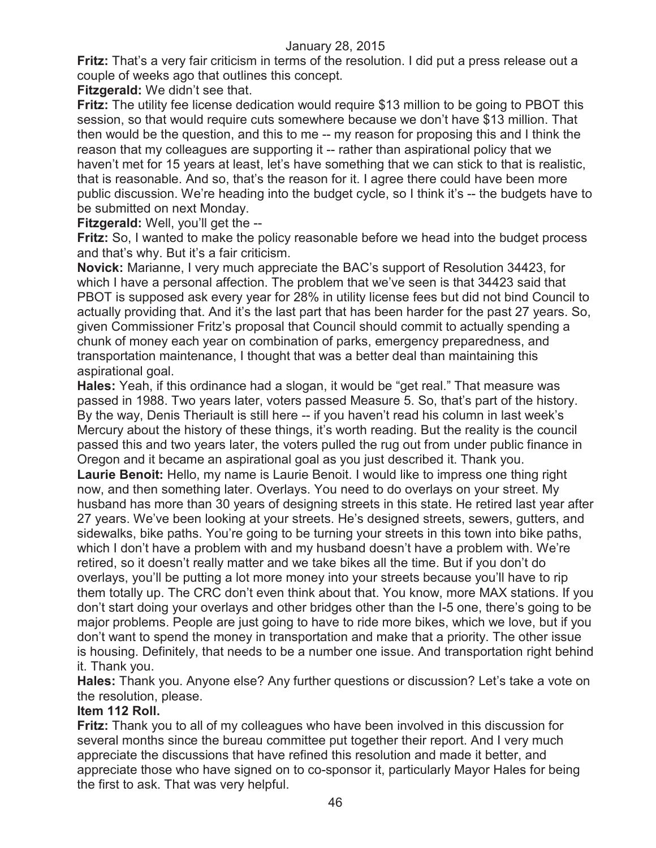**Fritz:** That's a very fair criticism in terms of the resolution. I did put a press release out a couple of weeks ago that outlines this concept.

**Fitzgerald:** We didn't see that.

**Fritz:** The utility fee license dedication would require \$13 million to be going to PBOT this session, so that would require cuts somewhere because we don't have \$13 million. That then would be the question, and this to me -- my reason for proposing this and I think the reason that my colleagues are supporting it -- rather than aspirational policy that we haven't met for 15 years at least, let's have something that we can stick to that is realistic, that is reasonable. And so, that's the reason for it. I agree there could have been more public discussion. We're heading into the budget cycle, so I think it's -- the budgets have to be submitted on next Monday.

**Fitzgerald:** Well, you'll get the --

**Fritz:** So, I wanted to make the policy reasonable before we head into the budget process and that's why. But it's a fair criticism.

**Novick:** Marianne, I very much appreciate the BAC's support of Resolution 34423, for which I have a personal affection. The problem that we've seen is that 34423 said that PBOT is supposed ask every year for 28% in utility license fees but did not bind Council to actually providing that. And it's the last part that has been harder for the past 27 years. So, given Commissioner Fritz's proposal that Council should commit to actually spending a chunk of money each year on combination of parks, emergency preparedness, and transportation maintenance, I thought that was a better deal than maintaining this aspirational goal.

**Hales:** Yeah, if this ordinance had a slogan, it would be "get real." That measure was passed in 1988. Two years later, voters passed Measure 5. So, that's part of the history. By the way, Denis Theriault is still here -- if you haven't read his column in last week's Mercury about the history of these things, it's worth reading. But the reality is the council passed this and two years later, the voters pulled the rug out from under public finance in Oregon and it became an aspirational goal as you just described it. Thank you.

**Laurie Benoit:** Hello, my name is Laurie Benoit. I would like to impress one thing right now, and then something later. Overlays. You need to do overlays on your street. My husband has more than 30 years of designing streets in this state. He retired last year after 27 years. We've been looking at your streets. He's designed streets, sewers, gutters, and sidewalks, bike paths. You're going to be turning your streets in this town into bike paths, which I don't have a problem with and my husband doesn't have a problem with. We're retired, so it doesn't really matter and we take bikes all the time. But if you don't do overlays, you'll be putting a lot more money into your streets because you'll have to rip them totally up. The CRC don't even think about that. You know, more MAX stations. If you don't start doing your overlays and other bridges other than the I-5 one, there's going to be major problems. People are just going to have to ride more bikes, which we love, but if you don't want to spend the money in transportation and make that a priority. The other issue is housing. Definitely, that needs to be a number one issue. And transportation right behind it. Thank you.

**Hales:** Thank you. Anyone else? Any further questions or discussion? Let's take a vote on the resolution, please.

## **Item 112 Roll.**

**Fritz:** Thank you to all of my colleagues who have been involved in this discussion for several months since the bureau committee put together their report. And I very much appreciate the discussions that have refined this resolution and made it better, and appreciate those who have signed on to co-sponsor it, particularly Mayor Hales for being the first to ask. That was very helpful.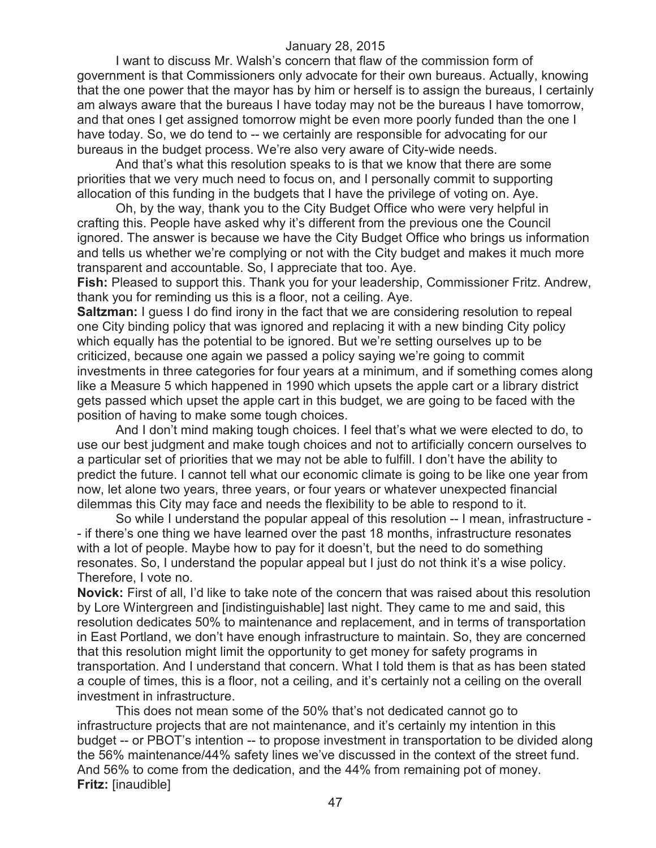I want to discuss Mr. Walsh's concern that flaw of the commission form of government is that Commissioners only advocate for their own bureaus. Actually, knowing that the one power that the mayor has by him or herself is to assign the bureaus, I certainly am always aware that the bureaus I have today may not be the bureaus I have tomorrow, and that ones I get assigned tomorrow might be even more poorly funded than the one I have today. So, we do tend to -- we certainly are responsible for advocating for our bureaus in the budget process. We're also very aware of City-wide needs.

And that's what this resolution speaks to is that we know that there are some priorities that we very much need to focus on, and I personally commit to supporting allocation of this funding in the budgets that I have the privilege of voting on. Aye.

Oh, by the way, thank you to the City Budget Office who were very helpful in crafting this. People have asked why it's different from the previous one the Council ignored. The answer is because we have the City Budget Office who brings us information and tells us whether we're complying or not with the City budget and makes it much more transparent and accountable. So, I appreciate that too. Aye.

**Fish:** Pleased to support this. Thank you for your leadership, Commissioner Fritz. Andrew, thank you for reminding us this is a floor, not a ceiling. Aye.

**Saltzman:** I guess I do find irony in the fact that we are considering resolution to repeal one City binding policy that was ignored and replacing it with a new binding City policy which equally has the potential to be ignored. But we're setting ourselves up to be criticized, because one again we passed a policy saying we're going to commit investments in three categories for four years at a minimum, and if something comes along like a Measure 5 which happened in 1990 which upsets the apple cart or a library district gets passed which upset the apple cart in this budget, we are going to be faced with the position of having to make some tough choices.

And I don't mind making tough choices. I feel that's what we were elected to do, to use our best judgment and make tough choices and not to artificially concern ourselves to a particular set of priorities that we may not be able to fulfill. I don't have the ability to predict the future. I cannot tell what our economic climate is going to be like one year from now, let alone two years, three years, or four years or whatever unexpected financial dilemmas this City may face and needs the flexibility to be able to respond to it.

So while I understand the popular appeal of this resolution -- I mean, infrastructure - - if there's one thing we have learned over the past 18 months, infrastructure resonates with a lot of people. Maybe how to pay for it doesn't, but the need to do something resonates. So, I understand the popular appeal but I just do not think it's a wise policy. Therefore, I vote no.

**Novick:** First of all, I'd like to take note of the concern that was raised about this resolution by Lore Wintergreen and [indistinguishable] last night. They came to me and said, this resolution dedicates 50% to maintenance and replacement, and in terms of transportation in East Portland, we don't have enough infrastructure to maintain. So, they are concerned that this resolution might limit the opportunity to get money for safety programs in transportation. And I understand that concern. What I told them is that as has been stated a couple of times, this is a floor, not a ceiling, and it's certainly not a ceiling on the overall investment in infrastructure.

This does not mean some of the 50% that's not dedicated cannot go to infrastructure projects that are not maintenance, and it's certainly my intention in this budget -- or PBOT's intention -- to propose investment in transportation to be divided along the 56% maintenance/44% safety lines we've discussed in the context of the street fund. And 56% to come from the dedication, and the 44% from remaining pot of money. **Fritz:** [inaudible]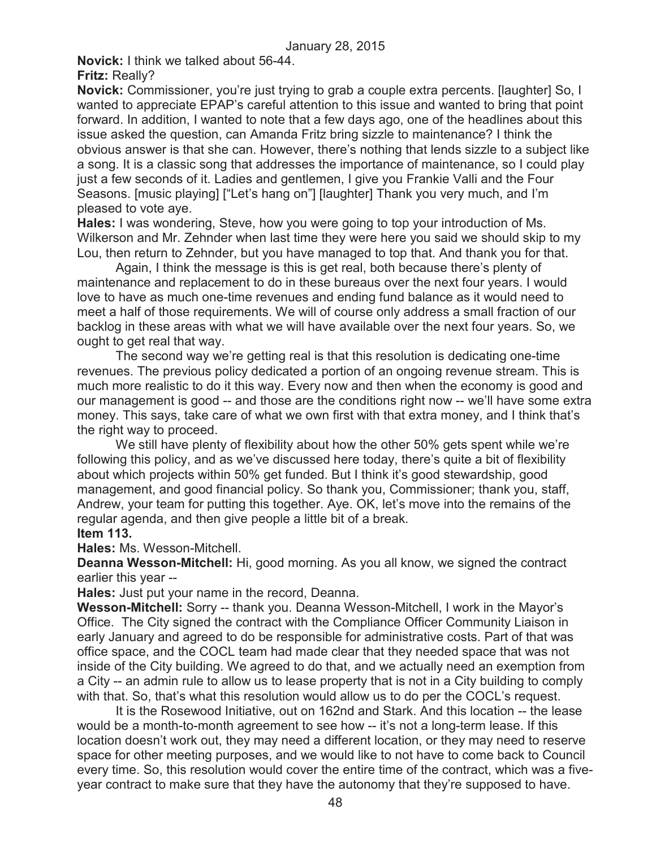**Novick:** I think we talked about 56-44.

#### **Fritz:** Really?

**Novick:** Commissioner, you're just trying to grab a couple extra percents. [laughter] So, I wanted to appreciate EPAP's careful attention to this issue and wanted to bring that point forward. In addition, I wanted to note that a few days ago, one of the headlines about this issue asked the question, can Amanda Fritz bring sizzle to maintenance? I think the obvious answer is that she can. However, there's nothing that lends sizzle to a subject like a song. It is a classic song that addresses the importance of maintenance, so I could play just a few seconds of it. Ladies and gentlemen, I give you Frankie Valli and the Four Seasons. [music playing] ["Let's hang on"] [laughter] Thank you very much, and I'm pleased to vote aye.

**Hales:** I was wondering, Steve, how you were going to top your introduction of Ms. Wilkerson and Mr. Zehnder when last time they were here you said we should skip to my Lou, then return to Zehnder, but you have managed to top that. And thank you for that.

Again, I think the message is this is get real, both because there's plenty of maintenance and replacement to do in these bureaus over the next four years. I would love to have as much one-time revenues and ending fund balance as it would need to meet a half of those requirements. We will of course only address a small fraction of our backlog in these areas with what we will have available over the next four years. So, we ought to get real that way.

The second way we're getting real is that this resolution is dedicating one-time revenues. The previous policy dedicated a portion of an ongoing revenue stream. This is much more realistic to do it this way. Every now and then when the economy is good and our management is good -- and those are the conditions right now -- we'll have some extra money. This says, take care of what we own first with that extra money, and I think that's the right way to proceed.

We still have plenty of flexibility about how the other 50% gets spent while we're following this policy, and as we've discussed here today, there's quite a bit of flexibility about which projects within 50% get funded. But I think it's good stewardship, good management, and good financial policy. So thank you, Commissioner; thank you, staff, Andrew, your team for putting this together. Aye. OK, let's move into the remains of the regular agenda, and then give people a little bit of a break. **Item 113.**

**Hales:** Ms. Wesson-Mitchell.

**Deanna Wesson-Mitchell:** Hi, good morning. As you all know, we signed the contract earlier this year --

**Hales:** Just put your name in the record, Deanna.

**Wesson-Mitchell:** Sorry -- thank you. Deanna Wesson-Mitchell, I work in the Mayor's Office. The City signed the contract with the Compliance Officer Community Liaison in early January and agreed to do be responsible for administrative costs. Part of that was office space, and the COCL team had made clear that they needed space that was not inside of the City building. We agreed to do that, and we actually need an exemption from a City -- an admin rule to allow us to lease property that is not in a City building to comply with that. So, that's what this resolution would allow us to do per the COCL's request.

It is the Rosewood Initiative, out on 162nd and Stark. And this location -- the lease would be a month-to-month agreement to see how -- it's not a long-term lease. If this location doesn't work out, they may need a different location, or they may need to reserve space for other meeting purposes, and we would like to not have to come back to Council every time. So, this resolution would cover the entire time of the contract, which was a fiveyear contract to make sure that they have the autonomy that they're supposed to have.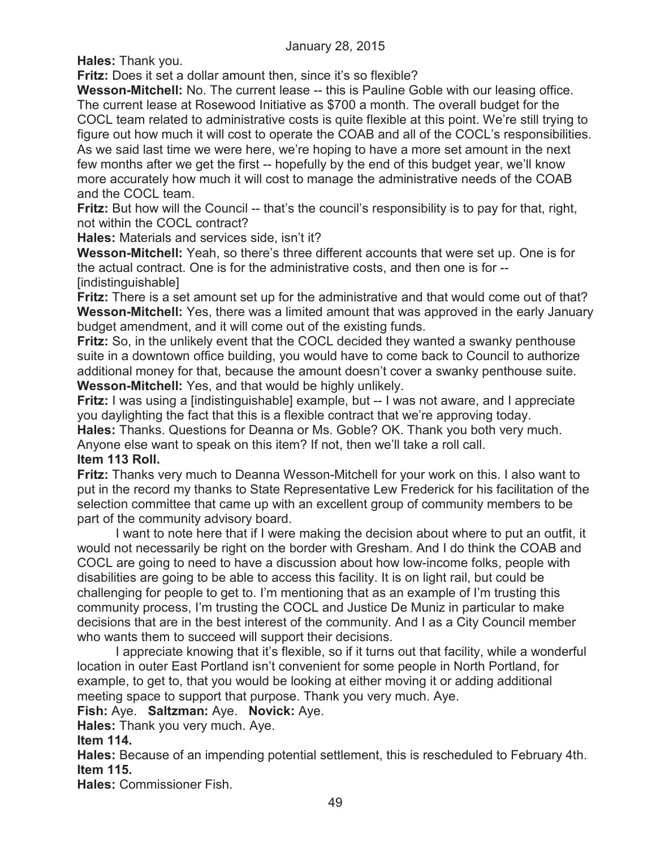**Hales:** Thank you.

**Fritz:** Does it set a dollar amount then, since it's so flexible?

**Wesson-Mitchell:** No. The current lease -- this is Pauline Goble with our leasing office. The current lease at Rosewood Initiative as \$700 a month. The overall budget for the COCL team related to administrative costs is quite flexible at this point. We're still trying to figure out how much it will cost to operate the COAB and all of the COCL's responsibilities. As we said last time we were here, we're hoping to have a more set amount in the next few months after we get the first -- hopefully by the end of this budget year, we'll know more accurately how much it will cost to manage the administrative needs of the COAB and the COCL team.

**Fritz:** But how will the Council -- that's the council's responsibility is to pay for that, right, not within the COCL contract?

**Hales:** Materials and services side, isn't it?

**Wesson-Mitchell:** Yeah, so there's three different accounts that were set up. One is for the actual contract. One is for the administrative costs, and then one is for -- [indistinguishable]

**Fritz:** There is a set amount set up for the administrative and that would come out of that? **Wesson-Mitchell:** Yes, there was a limited amount that was approved in the early January budget amendment, and it will come out of the existing funds.

**Fritz:** So, in the unlikely event that the COCL decided they wanted a swanky penthouse suite in a downtown office building, you would have to come back to Council to authorize additional money for that, because the amount doesn't cover a swanky penthouse suite. **Wesson-Mitchell:** Yes, and that would be highly unlikely.

**Fritz:** I was using a [indistinguishable] example, but -- I was not aware, and I appreciate you daylighting the fact that this is a flexible contract that we're approving today.

**Hales:** Thanks. Questions for Deanna or Ms. Goble? OK. Thank you both very much. Anyone else want to speak on this item? If not, then we'll take a roll call.

# **Item 113 Roll.**

**Fritz:** Thanks very much to Deanna Wesson-Mitchell for your work on this. I also want to put in the record my thanks to State Representative Lew Frederick for his facilitation of the selection committee that came up with an excellent group of community members to be part of the community advisory board.

I want to note here that if I were making the decision about where to put an outfit, it would not necessarily be right on the border with Gresham. And I do think the COAB and COCL are going to need to have a discussion about how low-income folks, people with disabilities are going to be able to access this facility. It is on light rail, but could be challenging for people to get to. I'm mentioning that as an example of I'm trusting this community process, I'm trusting the COCL and Justice De Muniz in particular to make decisions that are in the best interest of the community. And I as a City Council member who wants them to succeed will support their decisions.

I appreciate knowing that it's flexible, so if it turns out that facility, while a wonderful location in outer East Portland isn't convenient for some people in North Portland, for example, to get to, that you would be looking at either moving it or adding additional meeting space to support that purpose. Thank you very much. Aye.

**Fish:** Aye. **Saltzman:** Aye. **Novick:** Aye.

**Hales:** Thank you very much. Aye.

# **Item 114.**

**Hales:** Because of an impending potential settlement, this is rescheduled to February 4th. **Item 115.**

**Hales:** Commissioner Fish.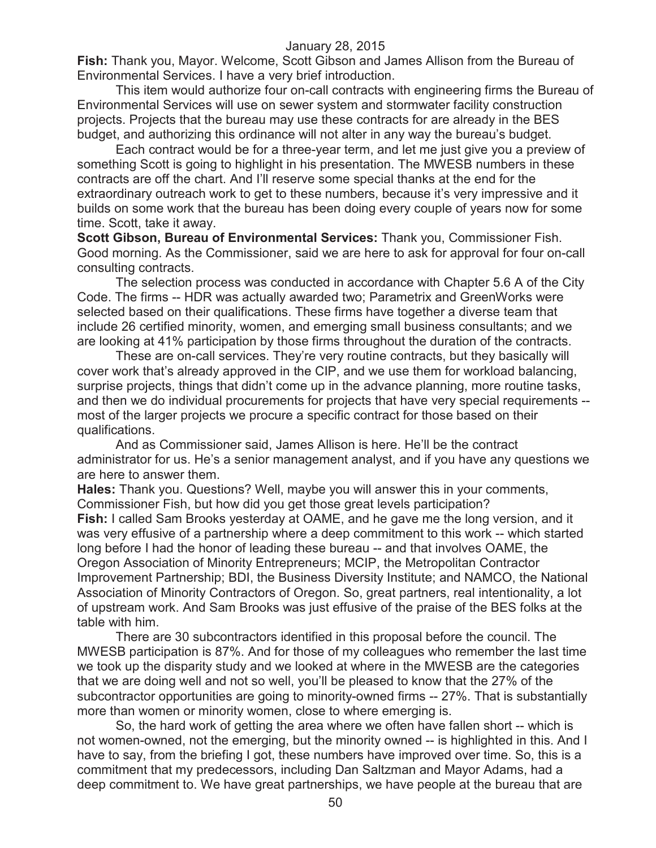**Fish:** Thank you, Mayor. Welcome, Scott Gibson and James Allison from the Bureau of Environmental Services. I have a very brief introduction.

This item would authorize four on-call contracts with engineering firms the Bureau of Environmental Services will use on sewer system and stormwater facility construction projects. Projects that the bureau may use these contracts for are already in the BES budget, and authorizing this ordinance will not alter in any way the bureau's budget.

Each contract would be for a three-year term, and let me just give you a preview of something Scott is going to highlight in his presentation. The MWESB numbers in these contracts are off the chart. And I'll reserve some special thanks at the end for the extraordinary outreach work to get to these numbers, because it's very impressive and it builds on some work that the bureau has been doing every couple of years now for some time. Scott, take it away.

**Scott Gibson, Bureau of Environmental Services:** Thank you, Commissioner Fish. Good morning. As the Commissioner, said we are here to ask for approval for four on-call consulting contracts.

The selection process was conducted in accordance with Chapter 5.6 A of the City Code. The firms -- HDR was actually awarded two; Parametrix and GreenWorks were selected based on their qualifications. These firms have together a diverse team that include 26 certified minority, women, and emerging small business consultants; and we are looking at 41% participation by those firms throughout the duration of the contracts.

These are on-call services. They're very routine contracts, but they basically will cover work that's already approved in the CIP, and we use them for workload balancing, surprise projects, things that didn't come up in the advance planning, more routine tasks, and then we do individual procurements for projects that have very special requirements - most of the larger projects we procure a specific contract for those based on their qualifications.

And as Commissioner said, James Allison is here. He'll be the contract administrator for us. He's a senior management analyst, and if you have any questions we are here to answer them.

**Hales:** Thank you. Questions? Well, maybe you will answer this in your comments, Commissioner Fish, but how did you get those great levels participation? **Fish:** I called Sam Brooks yesterday at OAME, and he gave me the long version, and it was very effusive of a partnership where a deep commitment to this work -- which started long before I had the honor of leading these bureau -- and that involves OAME, the Oregon Association of Minority Entrepreneurs; MCIP, the Metropolitan Contractor Improvement Partnership; BDI, the Business Diversity Institute; and NAMCO, the National Association of Minority Contractors of Oregon. So, great partners, real intentionality, a lot of upstream work. And Sam Brooks was just effusive of the praise of the BES folks at the table with him.

There are 30 subcontractors identified in this proposal before the council. The MWESB participation is 87%. And for those of my colleagues who remember the last time we took up the disparity study and we looked at where in the MWESB are the categories that we are doing well and not so well, you'll be pleased to know that the 27% of the subcontractor opportunities are going to minority-owned firms -- 27%. That is substantially more than women or minority women, close to where emerging is.

So, the hard work of getting the area where we often have fallen short -- which is not women-owned, not the emerging, but the minority owned -- is highlighted in this. And I have to say, from the briefing I got, these numbers have improved over time. So, this is a commitment that my predecessors, including Dan Saltzman and Mayor Adams, had a deep commitment to. We have great partnerships, we have people at the bureau that are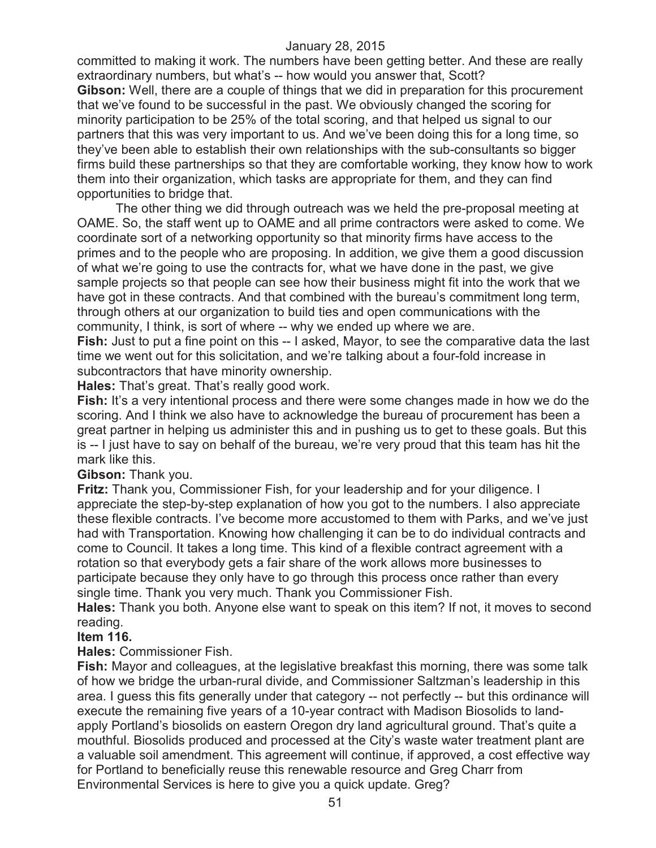committed to making it work. The numbers have been getting better. And these are really extraordinary numbers, but what's -- how would you answer that, Scott? **Gibson:** Well, there are a couple of things that we did in preparation for this procurement that we've found to be successful in the past. We obviously changed the scoring for minority participation to be 25% of the total scoring, and that helped us signal to our partners that this was very important to us. And we've been doing this for a long time, so they've been able to establish their own relationships with the sub-consultants so bigger firms build these partnerships so that they are comfortable working, they know how to work them into their organization, which tasks are appropriate for them, and they can find opportunities to bridge that.

The other thing we did through outreach was we held the pre-proposal meeting at OAME. So, the staff went up to OAME and all prime contractors were asked to come. We coordinate sort of a networking opportunity so that minority firms have access to the primes and to the people who are proposing. In addition, we give them a good discussion of what we're going to use the contracts for, what we have done in the past, we give sample projects so that people can see how their business might fit into the work that we have got in these contracts. And that combined with the bureau's commitment long term, through others at our organization to build ties and open communications with the community, I think, is sort of where -- why we ended up where we are.

**Fish:** Just to put a fine point on this -- I asked, Mayor, to see the comparative data the last time we went out for this solicitation, and we're talking about a four-fold increase in subcontractors that have minority ownership.

**Hales:** That's great. That's really good work.

**Fish:** It's a very intentional process and there were some changes made in how we do the scoring. And I think we also have to acknowledge the bureau of procurement has been a great partner in helping us administer this and in pushing us to get to these goals. But this is -- I just have to say on behalf of the bureau, we're very proud that this team has hit the mark like this.

## **Gibson:** Thank you.

**Fritz:** Thank you, Commissioner Fish, for your leadership and for your diligence. I appreciate the step-by-step explanation of how you got to the numbers. I also appreciate these flexible contracts. I've become more accustomed to them with Parks, and we've just had with Transportation. Knowing how challenging it can be to do individual contracts and come to Council. It takes a long time. This kind of a flexible contract agreement with a rotation so that everybody gets a fair share of the work allows more businesses to participate because they only have to go through this process once rather than every single time. Thank you very much. Thank you Commissioner Fish.

**Hales:** Thank you both. Anyone else want to speak on this item? If not, it moves to second reading.

## **Item 116.**

**Hales:** Commissioner Fish.

**Fish:** Mayor and colleagues, at the legislative breakfast this morning, there was some talk of how we bridge the urban-rural divide, and Commissioner Saltzman's leadership in this area. I guess this fits generally under that category -- not perfectly -- but this ordinance will execute the remaining five years of a 10-year contract with Madison Biosolids to landapply Portland's biosolids on eastern Oregon dry land agricultural ground. That's quite a mouthful. Biosolids produced and processed at the City's waste water treatment plant are a valuable soil amendment. This agreement will continue, if approved, a cost effective way for Portland to beneficially reuse this renewable resource and Greg Charr from Environmental Services is here to give you a quick update. Greg?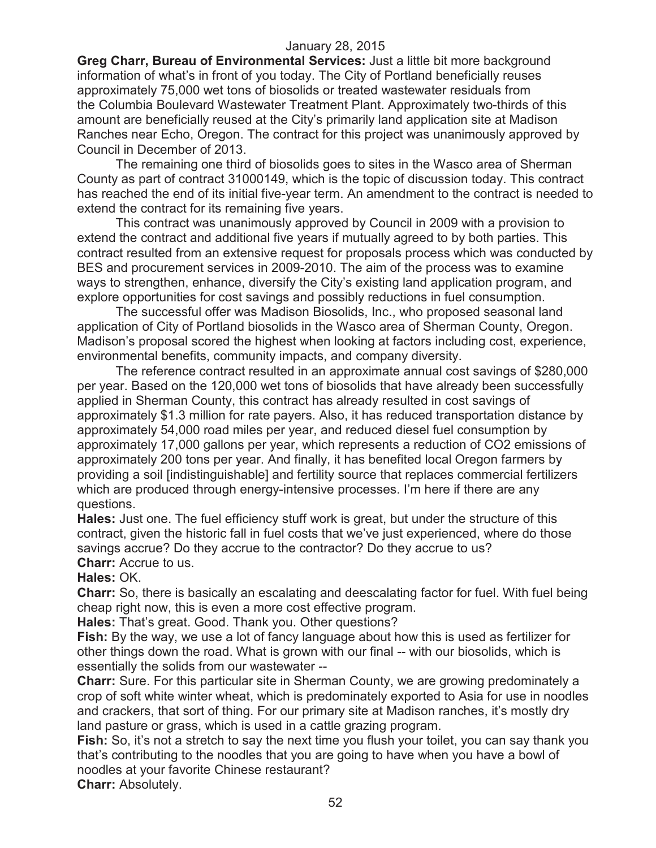**Greg Charr, Bureau of Environmental Services:** Just a little bit more background information of what's in front of you today. The City of Portland beneficially reuses approximately 75,000 wet tons of biosolids or treated wastewater residuals from the Columbia Boulevard Wastewater Treatment Plant. Approximately two-thirds of this amount are beneficially reused at the City's primarily land application site at Madison Ranches near Echo, Oregon. The contract for this project was unanimously approved by Council in December of 2013.

The remaining one third of biosolids goes to sites in the Wasco area of Sherman County as part of contract 31000149, which is the topic of discussion today. This contract has reached the end of its initial five-year term. An amendment to the contract is needed to extend the contract for its remaining five years.

This contract was unanimously approved by Council in 2009 with a provision to extend the contract and additional five years if mutually agreed to by both parties. This contract resulted from an extensive request for proposals process which was conducted by BES and procurement services in 2009-2010. The aim of the process was to examine ways to strengthen, enhance, diversify the City's existing land application program, and explore opportunities for cost savings and possibly reductions in fuel consumption.

The successful offer was Madison Biosolids, Inc., who proposed seasonal land application of City of Portland biosolids in the Wasco area of Sherman County, Oregon. Madison's proposal scored the highest when looking at factors including cost, experience, environmental benefits, community impacts, and company diversity.

The reference contract resulted in an approximate annual cost savings of \$280,000 per year. Based on the 120,000 wet tons of biosolids that have already been successfully applied in Sherman County, this contract has already resulted in cost savings of approximately \$1.3 million for rate payers. Also, it has reduced transportation distance by approximately 54,000 road miles per year, and reduced diesel fuel consumption by approximately 17,000 gallons per year, which represents a reduction of CO2 emissions of approximately 200 tons per year. And finally, it has benefited local Oregon farmers by providing a soil [indistinguishable] and fertility source that replaces commercial fertilizers which are produced through energy-intensive processes. I'm here if there are any questions.

**Hales:** Just one. The fuel efficiency stuff work is great, but under the structure of this contract, given the historic fall in fuel costs that we've just experienced, where do those savings accrue? Do they accrue to the contractor? Do they accrue to us?

## **Charr:** Accrue to us.

## **Hales:** OK.

**Charr:** So, there is basically an escalating and deescalating factor for fuel. With fuel being cheap right now, this is even a more cost effective program.

**Hales:** That's great. Good. Thank you. Other questions?

**Fish:** By the way, we use a lot of fancy language about how this is used as fertilizer for other things down the road. What is grown with our final -- with our biosolids, which is essentially the solids from our wastewater --

**Charr:** Sure. For this particular site in Sherman County, we are growing predominately a crop of soft white winter wheat, which is predominately exported to Asia for use in noodles and crackers, that sort of thing. For our primary site at Madison ranches, it's mostly dry land pasture or grass, which is used in a cattle grazing program.

**Fish:** So, it's not a stretch to say the next time you flush your toilet, you can say thank you that's contributing to the noodles that you are going to have when you have a bowl of noodles at your favorite Chinese restaurant?

**Charr:** Absolutely.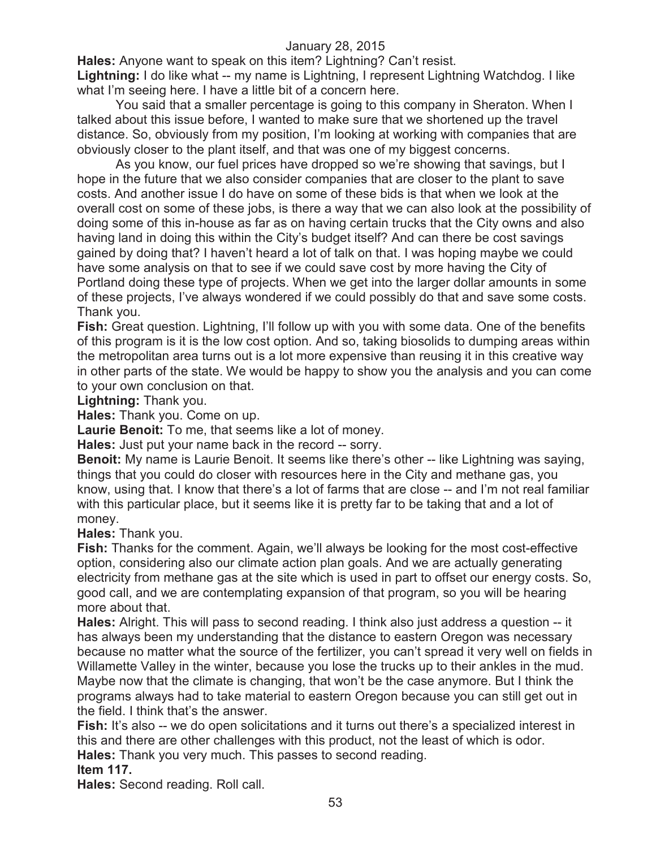**Hales:** Anyone want to speak on this item? Lightning? Can't resist.

**Lightning:** I do like what -- my name is Lightning, I represent Lightning Watchdog. I like what I'm seeing here. I have a little bit of a concern here.

You said that a smaller percentage is going to this company in Sheraton. When I talked about this issue before, I wanted to make sure that we shortened up the travel distance. So, obviously from my position, I'm looking at working with companies that are obviously closer to the plant itself, and that was one of my biggest concerns.

As you know, our fuel prices have dropped so we're showing that savings, but I hope in the future that we also consider companies that are closer to the plant to save costs. And another issue I do have on some of these bids is that when we look at the overall cost on some of these jobs, is there a way that we can also look at the possibility of doing some of this in-house as far as on having certain trucks that the City owns and also having land in doing this within the City's budget itself? And can there be cost savings gained by doing that? I haven't heard a lot of talk on that. I was hoping maybe we could have some analysis on that to see if we could save cost by more having the City of Portland doing these type of projects. When we get into the larger dollar amounts in some of these projects, I've always wondered if we could possibly do that and save some costs. Thank you.

**Fish:** Great question. Lightning, I'll follow up with you with some data. One of the benefits of this program is it is the low cost option. And so, taking biosolids to dumping areas within the metropolitan area turns out is a lot more expensive than reusing it in this creative way in other parts of the state. We would be happy to show you the analysis and you can come to your own conclusion on that.

**Lightning:** Thank you.

**Hales:** Thank you. Come on up.

**Laurie Benoit:** To me, that seems like a lot of money.

**Hales:** Just put your name back in the record -- sorry.

**Benoit:** My name is Laurie Benoit. It seems like there's other -- like Lightning was saying, things that you could do closer with resources here in the City and methane gas, you know, using that. I know that there's a lot of farms that are close -- and I'm not real familiar with this particular place, but it seems like it is pretty far to be taking that and a lot of money.

**Hales:** Thank you.

**Fish:** Thanks for the comment. Again, we'll always be looking for the most cost-effective option, considering also our climate action plan goals. And we are actually generating electricity from methane gas at the site which is used in part to offset our energy costs. So, good call, and we are contemplating expansion of that program, so you will be hearing more about that.

**Hales:** Alright. This will pass to second reading. I think also just address a question -- it has always been my understanding that the distance to eastern Oregon was necessary because no matter what the source of the fertilizer, you can't spread it very well on fields in Willamette Valley in the winter, because you lose the trucks up to their ankles in the mud. Maybe now that the climate is changing, that won't be the case anymore. But I think the programs always had to take material to eastern Oregon because you can still get out in the field. I think that's the answer.

**Fish:** It's also -- we do open solicitations and it turns out there's a specialized interest in this and there are other challenges with this product, not the least of which is odor. **Hales:** Thank you very much. This passes to second reading.

# **Item 117.**

**Hales:** Second reading. Roll call.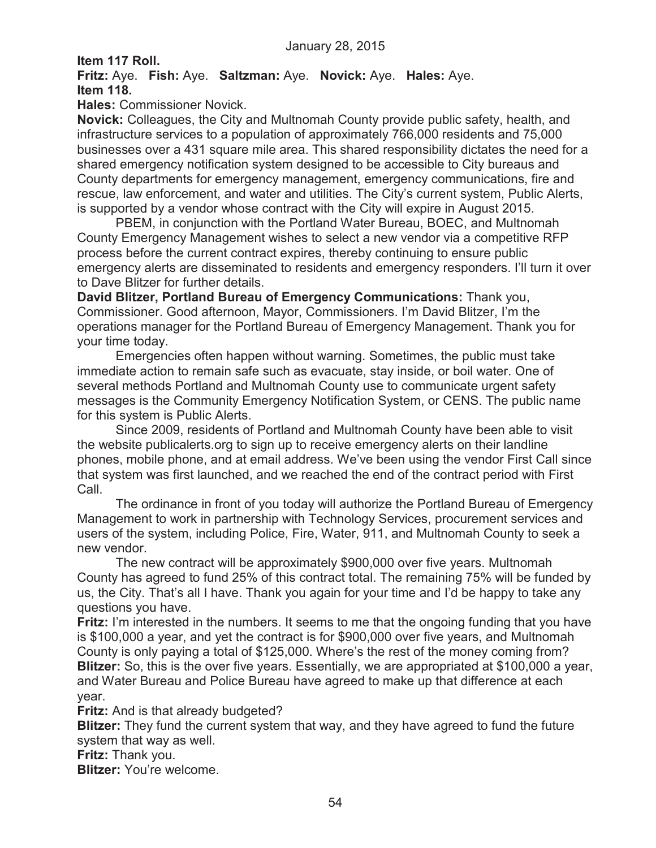**Item 117 Roll.**

**Fritz:** Aye. **Fish:** Aye. **Saltzman:** Aye. **Novick:** Aye. **Hales:** Aye. **Item 118.**

**Hales:** Commissioner Novick.

**Novick:** Colleagues, the City and Multnomah County provide public safety, health, and infrastructure services to a population of approximately 766,000 residents and 75,000 businesses over a 431 square mile area. This shared responsibility dictates the need for a shared emergency notification system designed to be accessible to City bureaus and County departments for emergency management, emergency communications, fire and rescue, law enforcement, and water and utilities. The City's current system, Public Alerts, is supported by a vendor whose contract with the City will expire in August 2015.

PBEM, in conjunction with the Portland Water Bureau, BOEC, and Multnomah County Emergency Management wishes to select a new vendor via a competitive RFP process before the current contract expires, thereby continuing to ensure public emergency alerts are disseminated to residents and emergency responders. I'll turn it over to Dave Blitzer for further details.

**David Blitzer, Portland Bureau of Emergency Communications:** Thank you, Commissioner. Good afternoon, Mayor, Commissioners. I'm David Blitzer, I'm the operations manager for the Portland Bureau of Emergency Management. Thank you for your time today.

Emergencies often happen without warning. Sometimes, the public must take immediate action to remain safe such as evacuate, stay inside, or boil water. One of several methods Portland and Multnomah County use to communicate urgent safety messages is the Community Emergency Notification System, or CENS. The public name for this system is Public Alerts.

Since 2009, residents of Portland and Multnomah County have been able to visit the website publicalerts.org to sign up to receive emergency alerts on their landline phones, mobile phone, and at email address. We've been using the vendor First Call since that system was first launched, and we reached the end of the contract period with First Call.

The ordinance in front of you today will authorize the Portland Bureau of Emergency Management to work in partnership with Technology Services, procurement services and users of the system, including Police, Fire, Water, 911, and Multnomah County to seek a new vendor.

The new contract will be approximately \$900,000 over five years. Multnomah County has agreed to fund 25% of this contract total. The remaining 75% will be funded by us, the City. That's all I have. Thank you again for your time and I'd be happy to take any questions you have.

**Fritz:** I'm interested in the numbers. It seems to me that the ongoing funding that you have is \$100,000 a year, and yet the contract is for \$900,000 over five years, and Multnomah County is only paying a total of \$125,000. Where's the rest of the money coming from? **Blitzer:** So, this is the over five years. Essentially, we are appropriated at \$100,000 a year, and Water Bureau and Police Bureau have agreed to make up that difference at each year.

**Fritz:** And is that already budgeted?

**Blitzer:** They fund the current system that way, and they have agreed to fund the future system that way as well.

**Fritz:** Thank you.

**Blitzer:** You're welcome.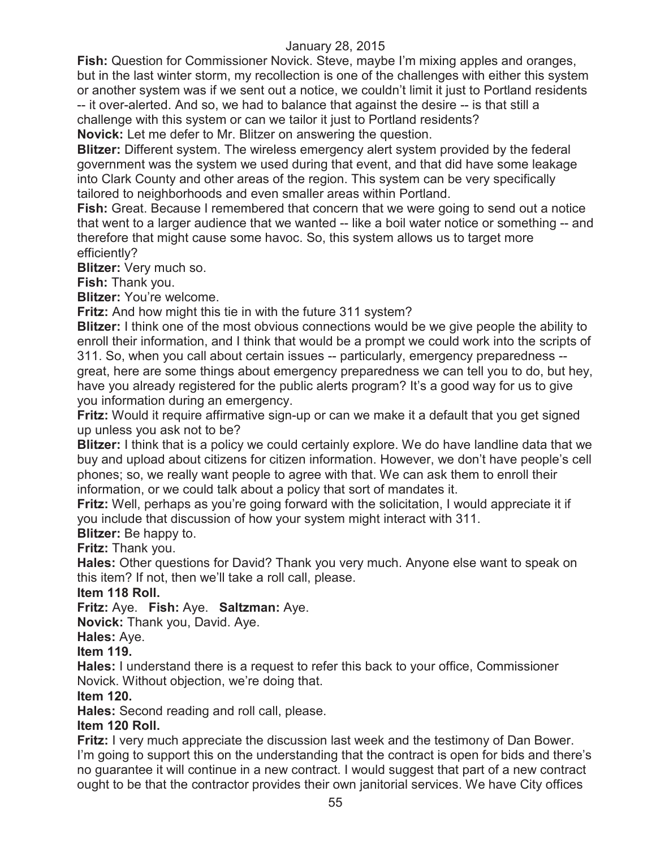**Fish:** Question for Commissioner Novick. Steve, maybe I'm mixing apples and oranges, but in the last winter storm, my recollection is one of the challenges with either this system or another system was if we sent out a notice, we couldn't limit it just to Portland residents -- it over-alerted. And so, we had to balance that against the desire -- is that still a challenge with this system or can we tailor it just to Portland residents? **Novick:** Let me defer to Mr. Blitzer on answering the question.

**Blitzer:** Different system. The wireless emergency alert system provided by the federal government was the system we used during that event, and that did have some leakage into Clark County and other areas of the region. This system can be very specifically tailored to neighborhoods and even smaller areas within Portland.

**Fish:** Great. Because I remembered that concern that we were going to send out a notice that went to a larger audience that we wanted -- like a boil water notice or something -- and therefore that might cause some havoc. So, this system allows us to target more efficiently?

**Blitzer:** Very much so.

**Fish:** Thank you.

**Blitzer:** You're welcome.

**Fritz:** And how might this tie in with the future 311 system?

**Blitzer:** I think one of the most obvious connections would be we give people the ability to enroll their information, and I think that would be a prompt we could work into the scripts of 311. So, when you call about certain issues -- particularly, emergency preparedness - great, here are some things about emergency preparedness we can tell you to do, but hey, have you already registered for the public alerts program? It's a good way for us to give you information during an emergency.

**Fritz:** Would it require affirmative sign-up or can we make it a default that you get signed up unless you ask not to be?

**Blitzer:** I think that is a policy we could certainly explore. We do have landline data that we buy and upload about citizens for citizen information. However, we don't have people's cell phones; so, we really want people to agree with that. We can ask them to enroll their information, or we could talk about a policy that sort of mandates it.

**Fritz:** Well, perhaps as you're going forward with the solicitation, I would appreciate it if you include that discussion of how your system might interact with 311.

**Blitzer:** Be happy to.

**Fritz:** Thank you.

**Hales:** Other questions for David? Thank you very much. Anyone else want to speak on this item? If not, then we'll take a roll call, please.

#### **Item 118 Roll.**

**Fritz:** Aye. **Fish:** Aye. **Saltzman:** Aye.

**Novick:** Thank you, David. Aye.

**Hales:** Aye.

#### **Item 119.**

**Hales:** I understand there is a request to refer this back to your office, Commissioner Novick. Without objection, we're doing that.

#### **Item 120.**

**Hales:** Second reading and roll call, please.

## **Item 120 Roll.**

**Fritz:** I very much appreciate the discussion last week and the testimony of Dan Bower. I'm going to support this on the understanding that the contract is open for bids and there's no guarantee it will continue in a new contract. I would suggest that part of a new contract ought to be that the contractor provides their own janitorial services. We have City offices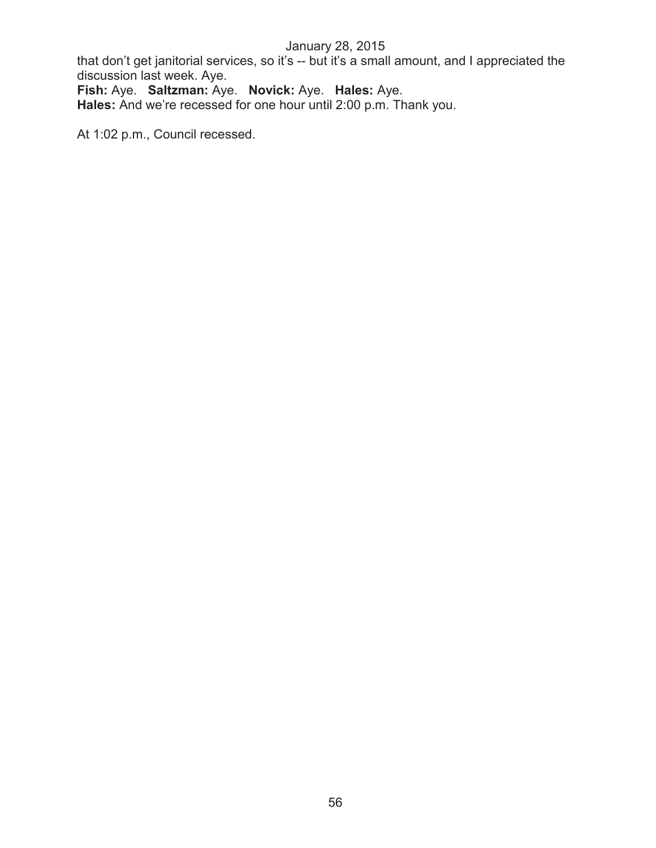that don't get janitorial services, so it's -- but it's a small amount, and I appreciated the discussion last week. Aye.

**Fish:** Aye. **Saltzman:** Aye. **Novick:** Aye. **Hales:** Aye. **Hales:** And we're recessed for one hour until 2:00 p.m. Thank you.

At 1:02 p.m., Council recessed.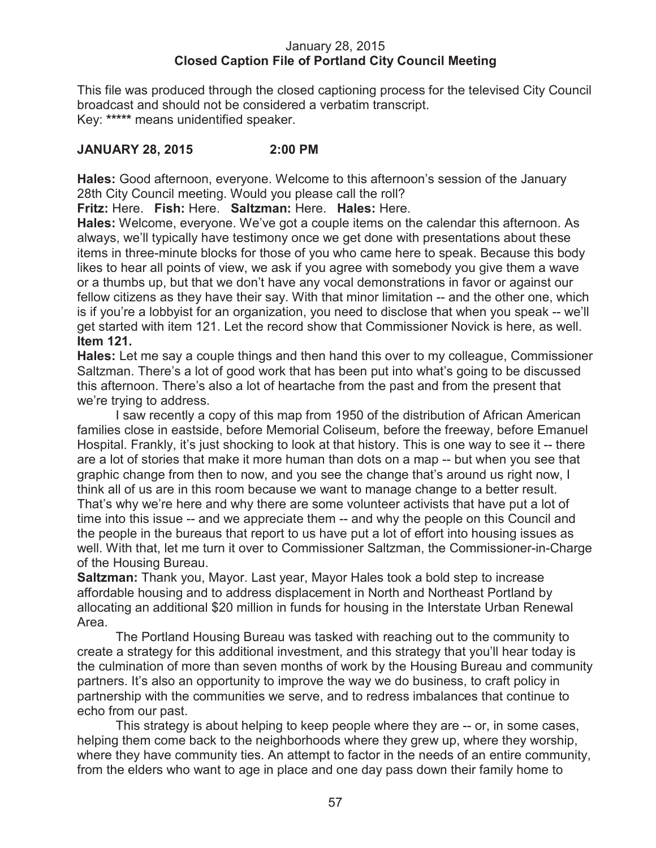## January 28, 2015 **Closed Caption File of Portland City Council Meeting**

This file was produced through the closed captioning process for the televised City Council broadcast and should not be considered a verbatim transcript. Key: **\*\*\*\*\*** means unidentified speaker.

# **JANUARY 28, 2015 2:00 PM**

**Hales:** Good afternoon, everyone. Welcome to this afternoon's session of the January 28th City Council meeting. Would you please call the roll?

**Fritz:** Here. **Fish:** Here. **Saltzman:** Here. **Hales:** Here.

**Hales:** Welcome, everyone. We've got a couple items on the calendar this afternoon. As always, we'll typically have testimony once we get done with presentations about these items in three-minute blocks for those of you who came here to speak. Because this body likes to hear all points of view, we ask if you agree with somebody you give them a wave or a thumbs up, but that we don't have any vocal demonstrations in favor or against our fellow citizens as they have their say. With that minor limitation -- and the other one, which is if you're a lobbyist for an organization, you need to disclose that when you speak -- we'll get started with item 121. Let the record show that Commissioner Novick is here, as well. **Item 121.**

**Hales:** Let me say a couple things and then hand this over to my colleague, Commissioner Saltzman. There's a lot of good work that has been put into what's going to be discussed this afternoon. There's also a lot of heartache from the past and from the present that we're trying to address.

I saw recently a copy of this map from 1950 of the distribution of African American families close in eastside, before Memorial Coliseum, before the freeway, before Emanuel Hospital. Frankly, it's just shocking to look at that history. This is one way to see it -- there are a lot of stories that make it more human than dots on a map -- but when you see that graphic change from then to now, and you see the change that's around us right now, I think all of us are in this room because we want to manage change to a better result. That's why we're here and why there are some volunteer activists that have put a lot of time into this issue -- and we appreciate them -- and why the people on this Council and the people in the bureaus that report to us have put a lot of effort into housing issues as well. With that, let me turn it over to Commissioner Saltzman, the Commissioner-in-Charge of the Housing Bureau.

**Saltzman:** Thank you, Mayor. Last year, Mayor Hales took a bold step to increase affordable housing and to address displacement in North and Northeast Portland by allocating an additional \$20 million in funds for housing in the Interstate Urban Renewal Area.

The Portland Housing Bureau was tasked with reaching out to the community to create a strategy for this additional investment, and this strategy that you'll hear today is the culmination of more than seven months of work by the Housing Bureau and community partners. It's also an opportunity to improve the way we do business, to craft policy in partnership with the communities we serve, and to redress imbalances that continue to echo from our past.

This strategy is about helping to keep people where they are -- or, in some cases, helping them come back to the neighborhoods where they grew up, where they worship, where they have community ties. An attempt to factor in the needs of an entire community, from the elders who want to age in place and one day pass down their family home to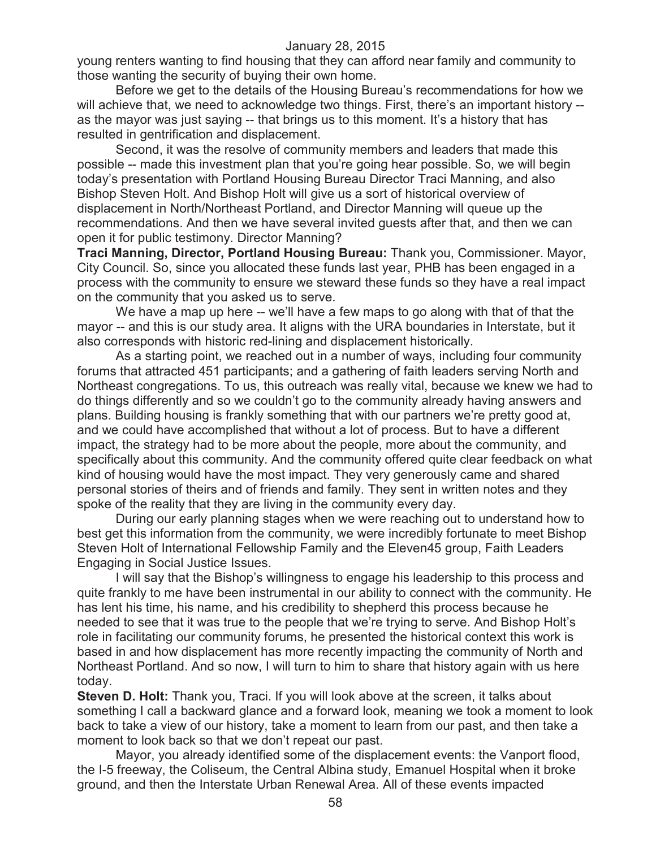young renters wanting to find housing that they can afford near family and community to those wanting the security of buying their own home.

Before we get to the details of the Housing Bureau's recommendations for how we will achieve that, we need to acknowledge two things. First, there's an important history -as the mayor was just saying -- that brings us to this moment. It's a history that has resulted in gentrification and displacement.

Second, it was the resolve of community members and leaders that made this possible -- made this investment plan that you're going hear possible. So, we will begin today's presentation with Portland Housing Bureau Director Traci Manning, and also Bishop Steven Holt. And Bishop Holt will give us a sort of historical overview of displacement in North/Northeast Portland, and Director Manning will queue up the recommendations. And then we have several invited guests after that, and then we can open it for public testimony. Director Manning?

**Traci Manning, Director, Portland Housing Bureau:** Thank you, Commissioner. Mayor, City Council. So, since you allocated these funds last year, PHB has been engaged in a process with the community to ensure we steward these funds so they have a real impact on the community that you asked us to serve.

We have a map up here -- we'll have a few maps to go along with that of that the mayor -- and this is our study area. It aligns with the URA boundaries in Interstate, but it also corresponds with historic red-lining and displacement historically.

As a starting point, we reached out in a number of ways, including four community forums that attracted 451 participants; and a gathering of faith leaders serving North and Northeast congregations. To us, this outreach was really vital, because we knew we had to do things differently and so we couldn't go to the community already having answers and plans. Building housing is frankly something that with our partners we're pretty good at, and we could have accomplished that without a lot of process. But to have a different impact, the strategy had to be more about the people, more about the community, and specifically about this community. And the community offered quite clear feedback on what kind of housing would have the most impact. They very generously came and shared personal stories of theirs and of friends and family. They sent in written notes and they spoke of the reality that they are living in the community every day.

During our early planning stages when we were reaching out to understand how to best get this information from the community, we were incredibly fortunate to meet Bishop Steven Holt of International Fellowship Family and the Eleven45 group, Faith Leaders Engaging in Social Justice Issues.

I will say that the Bishop's willingness to engage his leadership to this process and quite frankly to me have been instrumental in our ability to connect with the community. He has lent his time, his name, and his credibility to shepherd this process because he needed to see that it was true to the people that we're trying to serve. And Bishop Holt's role in facilitating our community forums, he presented the historical context this work is based in and how displacement has more recently impacting the community of North and Northeast Portland. And so now, I will turn to him to share that history again with us here today.

**Steven D. Holt:** Thank you, Traci. If you will look above at the screen, it talks about something I call a backward glance and a forward look, meaning we took a moment to look back to take a view of our history, take a moment to learn from our past, and then take a moment to look back so that we don't repeat our past.

Mayor, you already identified some of the displacement events: the Vanport flood, the I-5 freeway, the Coliseum, the Central Albina study, Emanuel Hospital when it broke ground, and then the Interstate Urban Renewal Area. All of these events impacted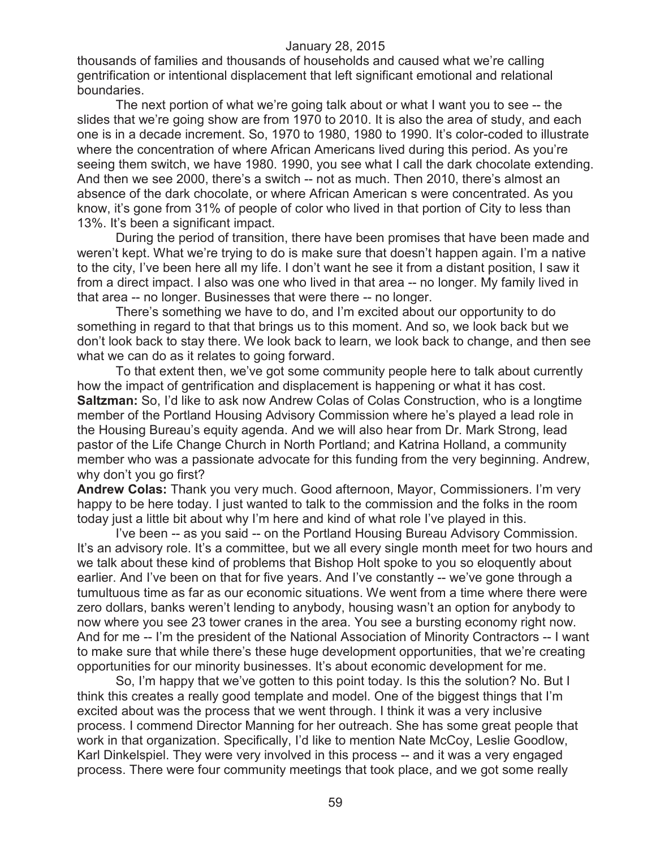thousands of families and thousands of households and caused what we're calling gentrification or intentional displacement that left significant emotional and relational boundaries.

The next portion of what we're going talk about or what I want you to see -- the slides that we're going show are from 1970 to 2010. It is also the area of study, and each one is in a decade increment. So, 1970 to 1980, 1980 to 1990. It's color-coded to illustrate where the concentration of where African Americans lived during this period. As you're seeing them switch, we have 1980. 1990, you see what I call the dark chocolate extending. And then we see 2000, there's a switch -- not as much. Then 2010, there's almost an absence of the dark chocolate, or where African American s were concentrated. As you know, it's gone from 31% of people of color who lived in that portion of City to less than 13%. It's been a significant impact.

During the period of transition, there have been promises that have been made and weren't kept. What we're trying to do is make sure that doesn't happen again. I'm a native to the city, I've been here all my life. I don't want he see it from a distant position, I saw it from a direct impact. I also was one who lived in that area -- no longer. My family lived in that area -- no longer. Businesses that were there -- no longer.

There's something we have to do, and I'm excited about our opportunity to do something in regard to that that brings us to this moment. And so, we look back but we don't look back to stay there. We look back to learn, we look back to change, and then see what we can do as it relates to going forward.

To that extent then, we've got some community people here to talk about currently how the impact of gentrification and displacement is happening or what it has cost. **Saltzman:** So, I'd like to ask now Andrew Colas of Colas Construction, who is a longtime member of the Portland Housing Advisory Commission where he's played a lead role in the Housing Bureau's equity agenda. And we will also hear from Dr. Mark Strong, lead pastor of the Life Change Church in North Portland; and Katrina Holland, a community member who was a passionate advocate for this funding from the very beginning. Andrew, why don't you go first?

**Andrew Colas:** Thank you very much. Good afternoon, Mayor, Commissioners. I'm very happy to be here today. I just wanted to talk to the commission and the folks in the room today just a little bit about why I'm here and kind of what role I've played in this.

I've been -- as you said -- on the Portland Housing Bureau Advisory Commission. It's an advisory role. It's a committee, but we all every single month meet for two hours and we talk about these kind of problems that Bishop Holt spoke to you so eloquently about earlier. And I've been on that for five years. And I've constantly -- we've gone through a tumultuous time as far as our economic situations. We went from a time where there were zero dollars, banks weren't lending to anybody, housing wasn't an option for anybody to now where you see 23 tower cranes in the area. You see a bursting economy right now. And for me -- I'm the president of the National Association of Minority Contractors -- I want to make sure that while there's these huge development opportunities, that we're creating opportunities for our minority businesses. It's about economic development for me.

So, I'm happy that we've gotten to this point today. Is this the solution? No. But I think this creates a really good template and model. One of the biggest things that I'm excited about was the process that we went through. I think it was a very inclusive process. I commend Director Manning for her outreach. She has some great people that work in that organization. Specifically, I'd like to mention Nate McCoy, Leslie Goodlow, Karl Dinkelspiel. They were very involved in this process -- and it was a very engaged process. There were four community meetings that took place, and we got some really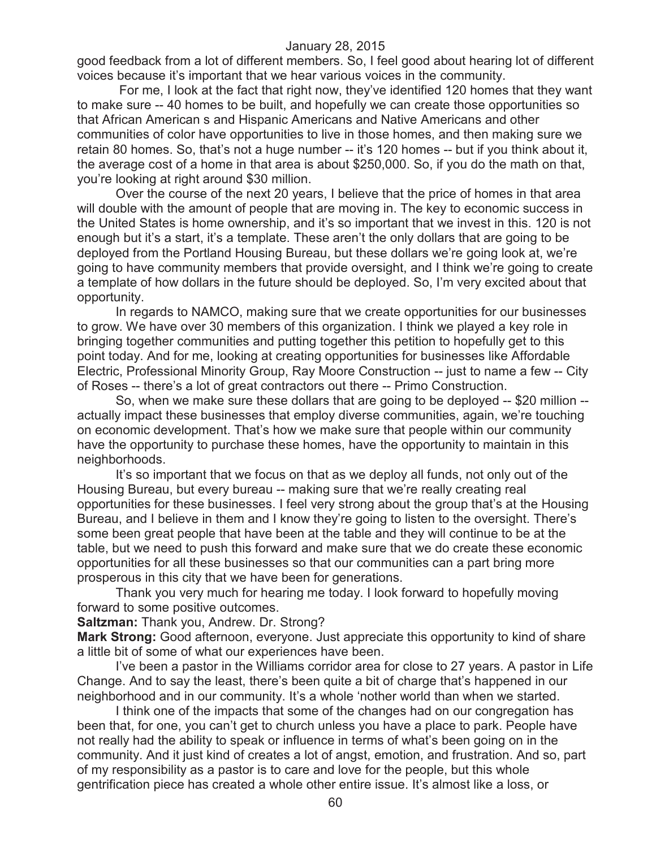good feedback from a lot of different members. So, I feel good about hearing lot of different voices because it's important that we hear various voices in the community.

For me, I look at the fact that right now, they've identified 120 homes that they want to make sure -- 40 homes to be built, and hopefully we can create those opportunities so that African American s and Hispanic Americans and Native Americans and other communities of color have opportunities to live in those homes, and then making sure we retain 80 homes. So, that's not a huge number -- it's 120 homes -- but if you think about it, the average cost of a home in that area is about \$250,000. So, if you do the math on that, you're looking at right around \$30 million.

Over the course of the next 20 years, I believe that the price of homes in that area will double with the amount of people that are moving in. The key to economic success in the United States is home ownership, and it's so important that we invest in this. 120 is not enough but it's a start, it's a template. These aren't the only dollars that are going to be deployed from the Portland Housing Bureau, but these dollars we're going look at, we're going to have community members that provide oversight, and I think we're going to create a template of how dollars in the future should be deployed. So, I'm very excited about that opportunity.

In regards to NAMCO, making sure that we create opportunities for our businesses to grow. We have over 30 members of this organization. I think we played a key role in bringing together communities and putting together this petition to hopefully get to this point today. And for me, looking at creating opportunities for businesses like Affordable Electric, Professional Minority Group, Ray Moore Construction -- just to name a few -- City of Roses -- there's a lot of great contractors out there -- Primo Construction.

So, when we make sure these dollars that are going to be deployed -- \$20 million - actually impact these businesses that employ diverse communities, again, we're touching on economic development. That's how we make sure that people within our community have the opportunity to purchase these homes, have the opportunity to maintain in this neighborhoods.

It's so important that we focus on that as we deploy all funds, not only out of the Housing Bureau, but every bureau -- making sure that we're really creating real opportunities for these businesses. I feel very strong about the group that's at the Housing Bureau, and I believe in them and I know they're going to listen to the oversight. There's some been great people that have been at the table and they will continue to be at the table, but we need to push this forward and make sure that we do create these economic opportunities for all these businesses so that our communities can a part bring more prosperous in this city that we have been for generations.

Thank you very much for hearing me today. I look forward to hopefully moving forward to some positive outcomes.

**Saltzman:** Thank you, Andrew. Dr. Strong?

**Mark Strong:** Good afternoon, everyone. Just appreciate this opportunity to kind of share a little bit of some of what our experiences have been.

I've been a pastor in the Williams corridor area for close to 27 years. A pastor in Life Change. And to say the least, there's been quite a bit of charge that's happened in our neighborhood and in our community. It's a whole 'nother world than when we started.

I think one of the impacts that some of the changes had on our congregation has been that, for one, you can't get to church unless you have a place to park. People have not really had the ability to speak or influence in terms of what's been going on in the community. And it just kind of creates a lot of angst, emotion, and frustration. And so, part of my responsibility as a pastor is to care and love for the people, but this whole gentrification piece has created a whole other entire issue. It's almost like a loss, or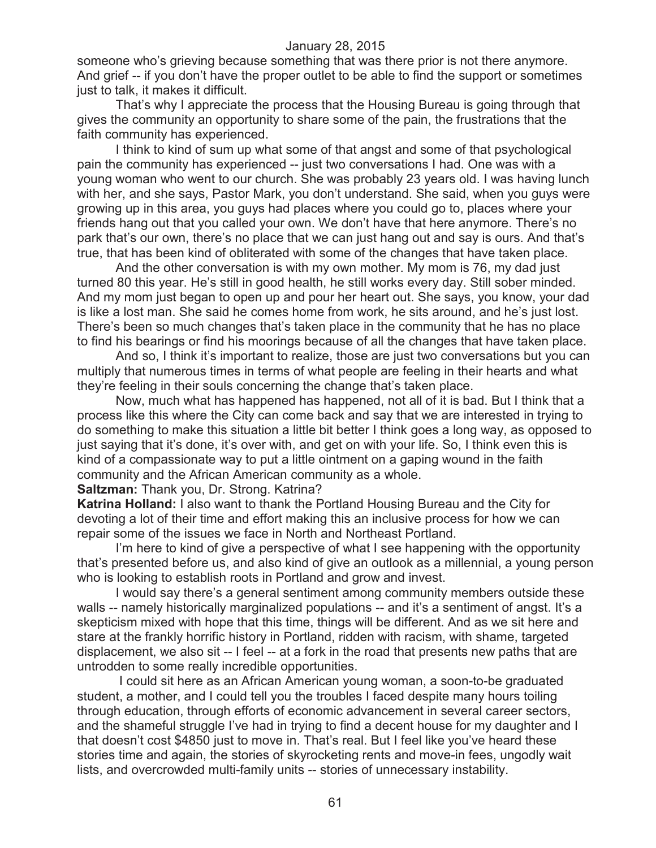someone who's grieving because something that was there prior is not there anymore. And grief -- if you don't have the proper outlet to be able to find the support or sometimes just to talk, it makes it difficult.

That's why I appreciate the process that the Housing Bureau is going through that gives the community an opportunity to share some of the pain, the frustrations that the faith community has experienced.

I think to kind of sum up what some of that angst and some of that psychological pain the community has experienced -- just two conversations I had. One was with a young woman who went to our church. She was probably 23 years old. I was having lunch with her, and she says, Pastor Mark, you don't understand. She said, when you guys were growing up in this area, you guys had places where you could go to, places where your friends hang out that you called your own. We don't have that here anymore. There's no park that's our own, there's no place that we can just hang out and say is ours. And that's true, that has been kind of obliterated with some of the changes that have taken place.

And the other conversation is with my own mother. My mom is 76, my dad just turned 80 this year. He's still in good health, he still works every day. Still sober minded. And my mom just began to open up and pour her heart out. She says, you know, your dad is like a lost man. She said he comes home from work, he sits around, and he's just lost. There's been so much changes that's taken place in the community that he has no place to find his bearings or find his moorings because of all the changes that have taken place.

And so, I think it's important to realize, those are just two conversations but you can multiply that numerous times in terms of what people are feeling in their hearts and what they're feeling in their souls concerning the change that's taken place.

Now, much what has happened has happened, not all of it is bad. But I think that a process like this where the City can come back and say that we are interested in trying to do something to make this situation a little bit better I think goes a long way, as opposed to just saying that it's done, it's over with, and get on with your life. So, I think even this is kind of a compassionate way to put a little ointment on a gaping wound in the faith community and the African American community as a whole.

#### **Saltzman:** Thank you, Dr. Strong. Katrina?

**Katrina Holland:** I also want to thank the Portland Housing Bureau and the City for devoting a lot of their time and effort making this an inclusive process for how we can repair some of the issues we face in North and Northeast Portland.

I'm here to kind of give a perspective of what I see happening with the opportunity that's presented before us, and also kind of give an outlook as a millennial, a young person who is looking to establish roots in Portland and grow and invest.

I would say there's a general sentiment among community members outside these walls -- namely historically marginalized populations -- and it's a sentiment of angst. It's a skepticism mixed with hope that this time, things will be different. And as we sit here and stare at the frankly horrific history in Portland, ridden with racism, with shame, targeted displacement, we also sit -- I feel -- at a fork in the road that presents new paths that are untrodden to some really incredible opportunities.

I could sit here as an African American young woman, a soon-to-be graduated student, a mother, and I could tell you the troubles I faced despite many hours toiling through education, through efforts of economic advancement in several career sectors, and the shameful struggle I've had in trying to find a decent house for my daughter and I that doesn't cost \$4850 just to move in. That's real. But I feel like you've heard these stories time and again, the stories of skyrocketing rents and move-in fees, ungodly wait lists, and overcrowded multi-family units -- stories of unnecessary instability.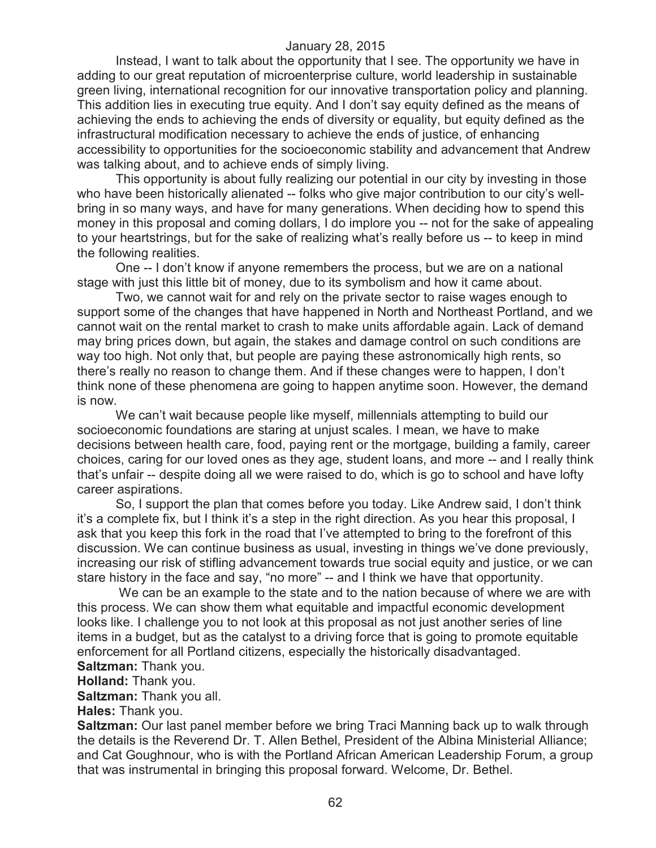Instead, I want to talk about the opportunity that I see. The opportunity we have in adding to our great reputation of microenterprise culture, world leadership in sustainable green living, international recognition for our innovative transportation policy and planning. This addition lies in executing true equity. And I don't say equity defined as the means of achieving the ends to achieving the ends of diversity or equality, but equity defined as the infrastructural modification necessary to achieve the ends of justice, of enhancing accessibility to opportunities for the socioeconomic stability and advancement that Andrew was talking about, and to achieve ends of simply living.

This opportunity is about fully realizing our potential in our city by investing in those who have been historically alienated -- folks who give major contribution to our city's wellbring in so many ways, and have for many generations. When deciding how to spend this money in this proposal and coming dollars, I do implore you -- not for the sake of appealing to your heartstrings, but for the sake of realizing what's really before us -- to keep in mind the following realities.

One -- I don't know if anyone remembers the process, but we are on a national stage with just this little bit of money, due to its symbolism and how it came about.

Two, we cannot wait for and rely on the private sector to raise wages enough to support some of the changes that have happened in North and Northeast Portland, and we cannot wait on the rental market to crash to make units affordable again. Lack of demand may bring prices down, but again, the stakes and damage control on such conditions are way too high. Not only that, but people are paying these astronomically high rents, so there's really no reason to change them. And if these changes were to happen, I don't think none of these phenomena are going to happen anytime soon. However, the demand is now.

We can't wait because people like myself, millennials attempting to build our socioeconomic foundations are staring at unjust scales. I mean, we have to make decisions between health care, food, paying rent or the mortgage, building a family, career choices, caring for our loved ones as they age, student loans, and more -- and I really think that's unfair -- despite doing all we were raised to do, which is go to school and have lofty career aspirations.

So, I support the plan that comes before you today. Like Andrew said, I don't think it's a complete fix, but I think it's a step in the right direction. As you hear this proposal, I ask that you keep this fork in the road that I've attempted to bring to the forefront of this discussion. We can continue business as usual, investing in things we've done previously, increasing our risk of stifling advancement towards true social equity and justice, or we can stare history in the face and say, "no more" -- and I think we have that opportunity.

We can be an example to the state and to the nation because of where we are with this process. We can show them what equitable and impactful economic development looks like. I challenge you to not look at this proposal as not just another series of line items in a budget, but as the catalyst to a driving force that is going to promote equitable enforcement for all Portland citizens, especially the historically disadvantaged. **Saltzman:** Thank you.

**Holland:** Thank you.

**Saltzman:** Thank you all.

**Hales:** Thank you.

**Saltzman:** Our last panel member before we bring Traci Manning back up to walk through the details is the Reverend Dr. T. Allen Bethel, President of the Albina Ministerial Alliance; and Cat Goughnour, who is with the Portland African American Leadership Forum, a group that was instrumental in bringing this proposal forward. Welcome, Dr. Bethel.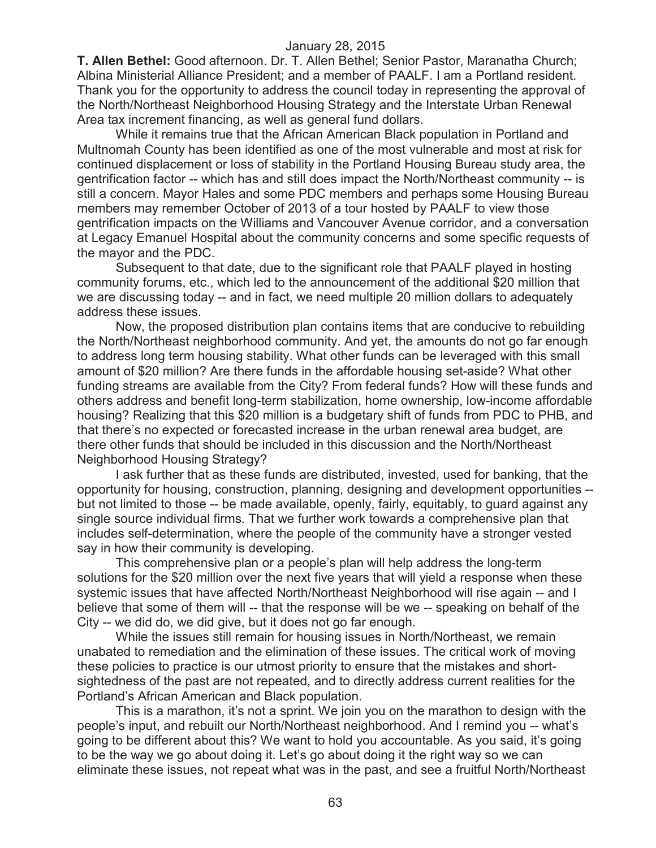**T. Allen Bethel:** Good afternoon. Dr. T. Allen Bethel; Senior Pastor, Maranatha Church; Albina Ministerial Alliance President; and a member of PAALF. I am a Portland resident. Thank you for the opportunity to address the council today in representing the approval of the North/Northeast Neighborhood Housing Strategy and the Interstate Urban Renewal Area tax increment financing, as well as general fund dollars.

While it remains true that the African American Black population in Portland and Multnomah County has been identified as one of the most vulnerable and most at risk for continued displacement or loss of stability in the Portland Housing Bureau study area, the gentrification factor -- which has and still does impact the North/Northeast community -- is still a concern. Mayor Hales and some PDC members and perhaps some Housing Bureau members may remember October of 2013 of a tour hosted by PAALF to view those gentrification impacts on the Williams and Vancouver Avenue corridor, and a conversation at Legacy Emanuel Hospital about the community concerns and some specific requests of the mayor and the PDC.

Subsequent to that date, due to the significant role that PAALF played in hosting community forums, etc., which led to the announcement of the additional \$20 million that we are discussing today -- and in fact, we need multiple 20 million dollars to adequately address these issues.

Now, the proposed distribution plan contains items that are conducive to rebuilding the North/Northeast neighborhood community. And yet, the amounts do not go far enough to address long term housing stability. What other funds can be leveraged with this small amount of \$20 million? Are there funds in the affordable housing set-aside? What other funding streams are available from the City? From federal funds? How will these funds and others address and benefit long-term stabilization, home ownership, low-income affordable housing? Realizing that this \$20 million is a budgetary shift of funds from PDC to PHB, and that there's no expected or forecasted increase in the urban renewal area budget, are there other funds that should be included in this discussion and the North/Northeast Neighborhood Housing Strategy?

I ask further that as these funds are distributed, invested, used for banking, that the opportunity for housing, construction, planning, designing and development opportunities - but not limited to those -- be made available, openly, fairly, equitably, to guard against any single source individual firms. That we further work towards a comprehensive plan that includes self-determination, where the people of the community have a stronger vested say in how their community is developing.

This comprehensive plan or a people's plan will help address the long-term solutions for the \$20 million over the next five years that will yield a response when these systemic issues that have affected North/Northeast Neighborhood will rise again -- and I believe that some of them will -- that the response will be we -- speaking on behalf of the City -- we did do, we did give, but it does not go far enough.

While the issues still remain for housing issues in North/Northeast, we remain unabated to remediation and the elimination of these issues. The critical work of moving these policies to practice is our utmost priority to ensure that the mistakes and shortsightedness of the past are not repeated, and to directly address current realities for the Portland's African American and Black population.

This is a marathon, it's not a sprint. We join you on the marathon to design with the people's input, and rebuilt our North/Northeast neighborhood. And I remind you -- what's going to be different about this? We want to hold you accountable. As you said, it's going to be the way we go about doing it. Let's go about doing it the right way so we can eliminate these issues, not repeat what was in the past, and see a fruitful North/Northeast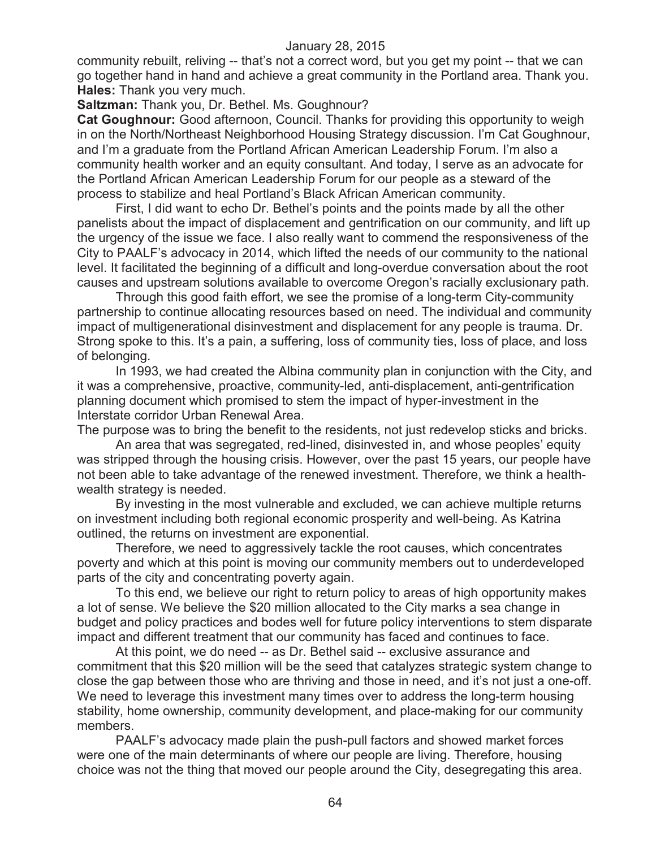community rebuilt, reliving -- that's not a correct word, but you get my point -- that we can go together hand in hand and achieve a great community in the Portland area. Thank you. **Hales:** Thank you very much.

**Saltzman:** Thank you, Dr. Bethel. Ms. Goughnour?

**Cat Goughnour:** Good afternoon, Council. Thanks for providing this opportunity to weigh in on the North/Northeast Neighborhood Housing Strategy discussion. I'm Cat Goughnour, and I'm a graduate from the Portland African American Leadership Forum. I'm also a community health worker and an equity consultant. And today, I serve as an advocate for the Portland African American Leadership Forum for our people as a steward of the process to stabilize and heal Portland's Black African American community.

First, I did want to echo Dr. Bethel's points and the points made by all the other panelists about the impact of displacement and gentrification on our community, and lift up the urgency of the issue we face. I also really want to commend the responsiveness of the City to PAALF's advocacy in 2014, which lifted the needs of our community to the national level. It facilitated the beginning of a difficult and long-overdue conversation about the root causes and upstream solutions available to overcome Oregon's racially exclusionary path.

Through this good faith effort, we see the promise of a long-term City-community partnership to continue allocating resources based on need. The individual and community impact of multigenerational disinvestment and displacement for any people is trauma. Dr. Strong spoke to this. It's a pain, a suffering, loss of community ties, loss of place, and loss of belonging.

In 1993, we had created the Albina community plan in conjunction with the City, and it was a comprehensive, proactive, community-led, anti-displacement, anti-gentrification planning document which promised to stem the impact of hyper-investment in the Interstate corridor Urban Renewal Area.

The purpose was to bring the benefit to the residents, not just redevelop sticks and bricks.

An area that was segregated, red-lined, disinvested in, and whose peoples' equity was stripped through the housing crisis. However, over the past 15 years, our people have not been able to take advantage of the renewed investment. Therefore, we think a healthwealth strategy is needed.

By investing in the most vulnerable and excluded, we can achieve multiple returns on investment including both regional economic prosperity and well-being. As Katrina outlined, the returns on investment are exponential.

Therefore, we need to aggressively tackle the root causes, which concentrates poverty and which at this point is moving our community members out to underdeveloped parts of the city and concentrating poverty again.

To this end, we believe our right to return policy to areas of high opportunity makes a lot of sense. We believe the \$20 million allocated to the City marks a sea change in budget and policy practices and bodes well for future policy interventions to stem disparate impact and different treatment that our community has faced and continues to face.

At this point, we do need -- as Dr. Bethel said -- exclusive assurance and commitment that this \$20 million will be the seed that catalyzes strategic system change to close the gap between those who are thriving and those in need, and it's not just a one-off. We need to leverage this investment many times over to address the long-term housing stability, home ownership, community development, and place-making for our community members.

PAALF's advocacy made plain the push-pull factors and showed market forces were one of the main determinants of where our people are living. Therefore, housing choice was not the thing that moved our people around the City, desegregating this area.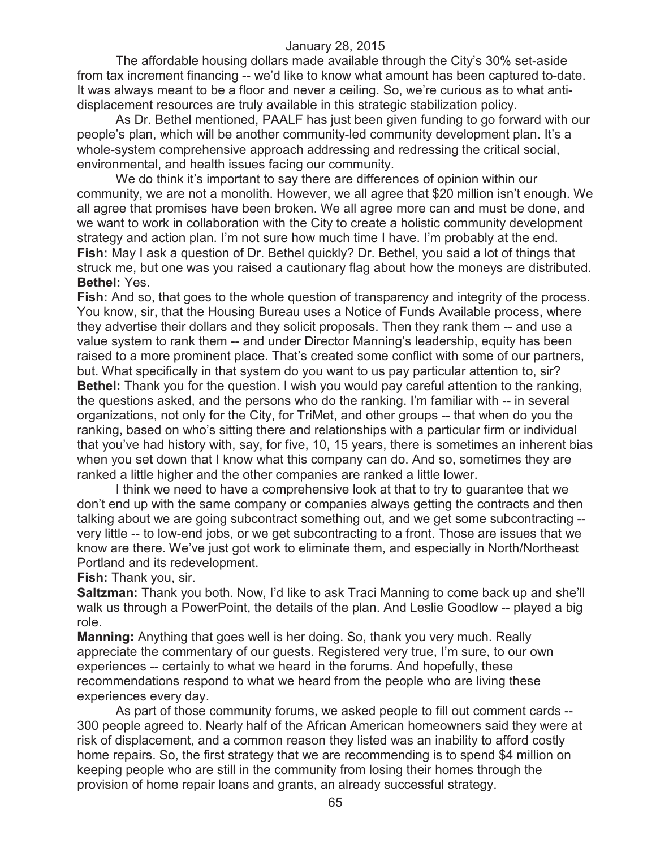The affordable housing dollars made available through the City's 30% set-aside from tax increment financing -- we'd like to know what amount has been captured to-date. It was always meant to be a floor and never a ceiling. So, we're curious as to what antidisplacement resources are truly available in this strategic stabilization policy.

As Dr. Bethel mentioned, PAALF has just been given funding to go forward with our people's plan, which will be another community-led community development plan. It's a whole-system comprehensive approach addressing and redressing the critical social, environmental, and health issues facing our community.

We do think it's important to say there are differences of opinion within our community, we are not a monolith. However, we all agree that \$20 million isn't enough. We all agree that promises have been broken. We all agree more can and must be done, and we want to work in collaboration with the City to create a holistic community development strategy and action plan. I'm not sure how much time I have. I'm probably at the end. **Fish:** May I ask a question of Dr. Bethel quickly? Dr. Bethel, you said a lot of things that struck me, but one was you raised a cautionary flag about how the moneys are distributed. **Bethel:** Yes.

**Fish:** And so, that goes to the whole question of transparency and integrity of the process. You know, sir, that the Housing Bureau uses a Notice of Funds Available process, where they advertise their dollars and they solicit proposals. Then they rank them -- and use a value system to rank them -- and under Director Manning's leadership, equity has been raised to a more prominent place. That's created some conflict with some of our partners, but. What specifically in that system do you want to us pay particular attention to, sir? **Bethel:** Thank you for the question. I wish you would pay careful attention to the ranking, the questions asked, and the persons who do the ranking. I'm familiar with -- in several organizations, not only for the City, for TriMet, and other groups -- that when do you the ranking, based on who's sitting there and relationships with a particular firm or individual that you've had history with, say, for five, 10, 15 years, there is sometimes an inherent bias when you set down that I know what this company can do. And so, sometimes they are ranked a little higher and the other companies are ranked a little lower.

I think we need to have a comprehensive look at that to try to guarantee that we don't end up with the same company or companies always getting the contracts and then talking about we are going subcontract something out, and we get some subcontracting - very little -- to low-end jobs, or we get subcontracting to a front. Those are issues that we know are there. We've just got work to eliminate them, and especially in North/Northeast Portland and its redevelopment.

**Fish:** Thank you, sir.

**Saltzman:** Thank you both. Now, I'd like to ask Traci Manning to come back up and she'll walk us through a PowerPoint, the details of the plan. And Leslie Goodlow -- played a big role.

**Manning:** Anything that goes well is her doing. So, thank you very much. Really appreciate the commentary of our guests. Registered very true, I'm sure, to our own experiences -- certainly to what we heard in the forums. And hopefully, these recommendations respond to what we heard from the people who are living these experiences every day.

As part of those community forums, we asked people to fill out comment cards -- 300 people agreed to. Nearly half of the African American homeowners said they were at risk of displacement, and a common reason they listed was an inability to afford costly home repairs. So, the first strategy that we are recommending is to spend \$4 million on keeping people who are still in the community from losing their homes through the provision of home repair loans and grants, an already successful strategy.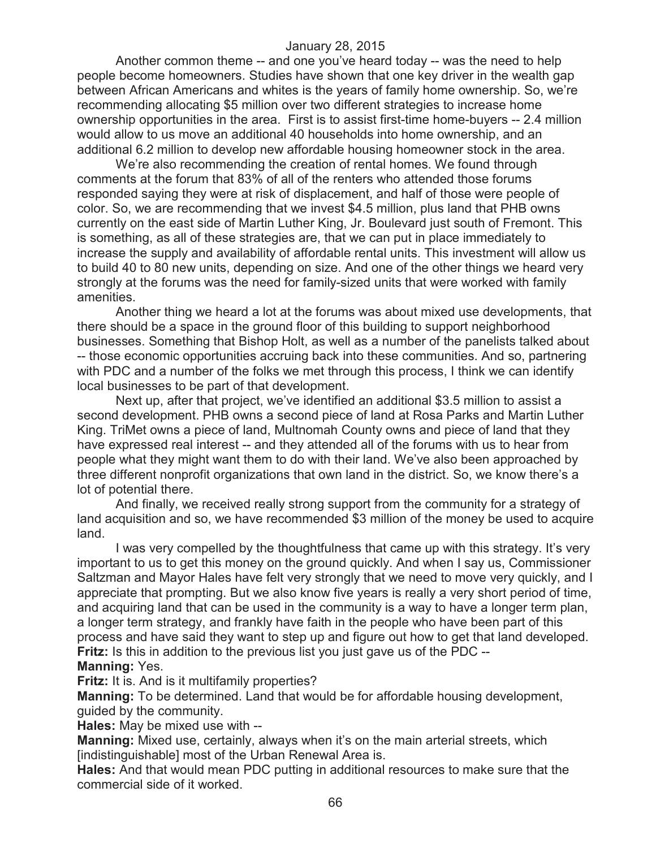Another common theme -- and one you've heard today -- was the need to help people become homeowners. Studies have shown that one key driver in the wealth gap between African Americans and whites is the years of family home ownership. So, we're recommending allocating \$5 million over two different strategies to increase home ownership opportunities in the area. First is to assist first-time home-buyers -- 2.4 million would allow to us move an additional 40 households into home ownership, and an additional 6.2 million to develop new affordable housing homeowner stock in the area.

We're also recommending the creation of rental homes. We found through comments at the forum that 83% of all of the renters who attended those forums responded saying they were at risk of displacement, and half of those were people of color. So, we are recommending that we invest \$4.5 million, plus land that PHB owns currently on the east side of Martin Luther King, Jr. Boulevard just south of Fremont. This is something, as all of these strategies are, that we can put in place immediately to increase the supply and availability of affordable rental units. This investment will allow us to build 40 to 80 new units, depending on size. And one of the other things we heard very strongly at the forums was the need for family-sized units that were worked with family amenities.

Another thing we heard a lot at the forums was about mixed use developments, that there should be a space in the ground floor of this building to support neighborhood businesses. Something that Bishop Holt, as well as a number of the panelists talked about -- those economic opportunities accruing back into these communities. And so, partnering with PDC and a number of the folks we met through this process, I think we can identify local businesses to be part of that development.

Next up, after that project, we've identified an additional \$3.5 million to assist a second development. PHB owns a second piece of land at Rosa Parks and Martin Luther King. TriMet owns a piece of land, Multnomah County owns and piece of land that they have expressed real interest -- and they attended all of the forums with us to hear from people what they might want them to do with their land. We've also been approached by three different nonprofit organizations that own land in the district. So, we know there's a lot of potential there.

And finally, we received really strong support from the community for a strategy of land acquisition and so, we have recommended \$3 million of the money be used to acquire land.

I was very compelled by the thoughtfulness that came up with this strategy. It's very important to us to get this money on the ground quickly. And when I say us, Commissioner Saltzman and Mayor Hales have felt very strongly that we need to move very quickly, and I appreciate that prompting. But we also know five years is really a very short period of time, and acquiring land that can be used in the community is a way to have a longer term plan, a longer term strategy, and frankly have faith in the people who have been part of this process and have said they want to step up and figure out how to get that land developed. **Fritz:** Is this in addition to the previous list you just gave us of the PDC --

#### **Manning:** Yes.

**Fritz:** It is. And is it multifamily properties?

**Manning:** To be determined. Land that would be for affordable housing development, guided by the community.

**Hales:** May be mixed use with --

**Manning:** Mixed use, certainly, always when it's on the main arterial streets, which [indistinguishable] most of the Urban Renewal Area is.

**Hales:** And that would mean PDC putting in additional resources to make sure that the commercial side of it worked.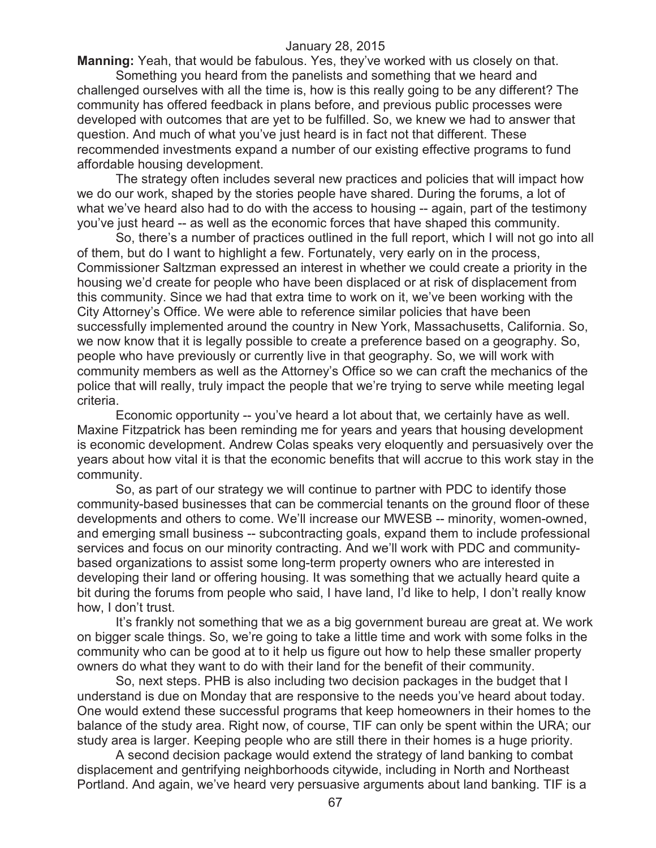**Manning:** Yeah, that would be fabulous. Yes, they've worked with us closely on that. Something you heard from the panelists and something that we heard and challenged ourselves with all the time is, how is this really going to be any different? The community has offered feedback in plans before, and previous public processes were developed with outcomes that are yet to be fulfilled. So, we knew we had to answer that question. And much of what you've just heard is in fact not that different. These recommended investments expand a number of our existing effective programs to fund affordable housing development.

The strategy often includes several new practices and policies that will impact how we do our work, shaped by the stories people have shared. During the forums, a lot of what we've heard also had to do with the access to housing -- again, part of the testimony you've just heard -- as well as the economic forces that have shaped this community.

So, there's a number of practices outlined in the full report, which I will not go into all of them, but do I want to highlight a few. Fortunately, very early on in the process, Commissioner Saltzman expressed an interest in whether we could create a priority in the housing we'd create for people who have been displaced or at risk of displacement from this community. Since we had that extra time to work on it, we've been working with the City Attorney's Office. We were able to reference similar policies that have been successfully implemented around the country in New York, Massachusetts, California. So, we now know that it is legally possible to create a preference based on a geography. So, people who have previously or currently live in that geography. So, we will work with community members as well as the Attorney's Office so we can craft the mechanics of the police that will really, truly impact the people that we're trying to serve while meeting legal criteria.

Economic opportunity -- you've heard a lot about that, we certainly have as well. Maxine Fitzpatrick has been reminding me for years and years that housing development is economic development. Andrew Colas speaks very eloquently and persuasively over the years about how vital it is that the economic benefits that will accrue to this work stay in the community.

So, as part of our strategy we will continue to partner with PDC to identify those community-based businesses that can be commercial tenants on the ground floor of these developments and others to come. We'll increase our MWESB -- minority, women-owned, and emerging small business -- subcontracting goals, expand them to include professional services and focus on our minority contracting. And we'll work with PDC and communitybased organizations to assist some long-term property owners who are interested in developing their land or offering housing. It was something that we actually heard quite a bit during the forums from people who said, I have land, I'd like to help, I don't really know how, I don't trust.

It's frankly not something that we as a big government bureau are great at. We work on bigger scale things. So, we're going to take a little time and work with some folks in the community who can be good at to it help us figure out how to help these smaller property owners do what they want to do with their land for the benefit of their community.

So, next steps. PHB is also including two decision packages in the budget that I understand is due on Monday that are responsive to the needs you've heard about today. One would extend these successful programs that keep homeowners in their homes to the balance of the study area. Right now, of course, TIF can only be spent within the URA; our study area is larger. Keeping people who are still there in their homes is a huge priority.

A second decision package would extend the strategy of land banking to combat displacement and gentrifying neighborhoods citywide, including in North and Northeast Portland. And again, we've heard very persuasive arguments about land banking. TIF is a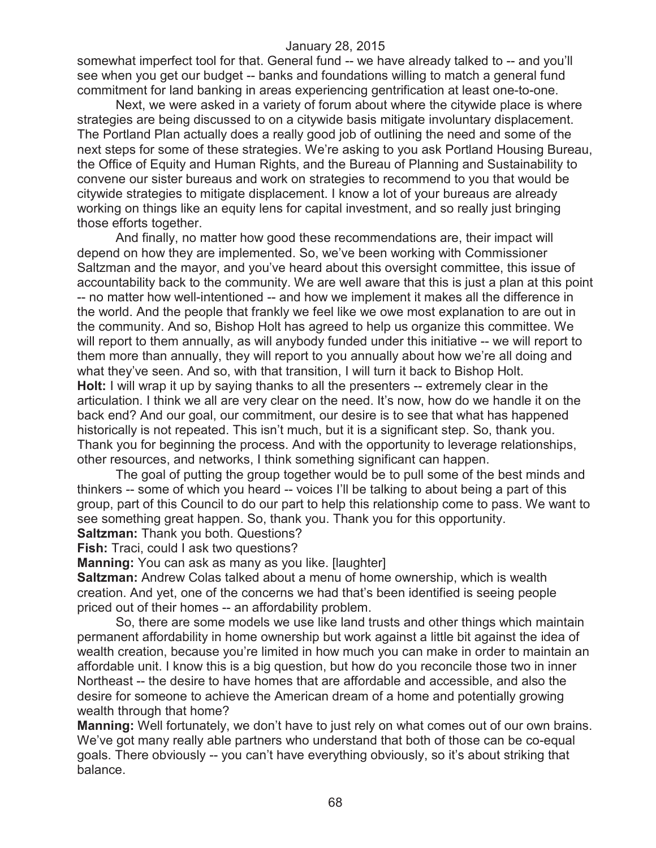somewhat imperfect tool for that. General fund -- we have already talked to -- and you'll see when you get our budget -- banks and foundations willing to match a general fund commitment for land banking in areas experiencing gentrification at least one-to-one.

Next, we were asked in a variety of forum about where the citywide place is where strategies are being discussed to on a citywide basis mitigate involuntary displacement. The Portland Plan actually does a really good job of outlining the need and some of the next steps for some of these strategies. We're asking to you ask Portland Housing Bureau, the Office of Equity and Human Rights, and the Bureau of Planning and Sustainability to convene our sister bureaus and work on strategies to recommend to you that would be citywide strategies to mitigate displacement. I know a lot of your bureaus are already working on things like an equity lens for capital investment, and so really just bringing those efforts together.

And finally, no matter how good these recommendations are, their impact will depend on how they are implemented. So, we've been working with Commissioner Saltzman and the mayor, and you've heard about this oversight committee, this issue of accountability back to the community. We are well aware that this is just a plan at this point -- no matter how well-intentioned -- and how we implement it makes all the difference in the world. And the people that frankly we feel like we owe most explanation to are out in the community. And so, Bishop Holt has agreed to help us organize this committee. We will report to them annually, as will anybody funded under this initiative -- we will report to them more than annually, they will report to you annually about how we're all doing and what they've seen. And so, with that transition, I will turn it back to Bishop Holt. **Holt:** I will wrap it up by saying thanks to all the presenters -- extremely clear in the articulation. I think we all are very clear on the need. It's now, how do we handle it on the back end? And our goal, our commitment, our desire is to see that what has happened historically is not repeated. This isn't much, but it is a significant step. So, thank you. Thank you for beginning the process. And with the opportunity to leverage relationships, other resources, and networks, I think something significant can happen.

The goal of putting the group together would be to pull some of the best minds and thinkers -- some of which you heard -- voices I'll be talking to about being a part of this group, part of this Council to do our part to help this relationship come to pass. We want to see something great happen. So, thank you. Thank you for this opportunity.

**Saltzman:** Thank you both. Questions?

**Fish:** Traci, could I ask two questions?

**Manning:** You can ask as many as you like. [laughter]

**Saltzman:** Andrew Colas talked about a menu of home ownership, which is wealth creation. And yet, one of the concerns we had that's been identified is seeing people priced out of their homes -- an affordability problem.

So, there are some models we use like land trusts and other things which maintain permanent affordability in home ownership but work against a little bit against the idea of wealth creation, because you're limited in how much you can make in order to maintain an affordable unit. I know this is a big question, but how do you reconcile those two in inner Northeast -- the desire to have homes that are affordable and accessible, and also the desire for someone to achieve the American dream of a home and potentially growing wealth through that home?

**Manning:** Well fortunately, we don't have to just rely on what comes out of our own brains. We've got many really able partners who understand that both of those can be co-equal goals. There obviously -- you can't have everything obviously, so it's about striking that balance.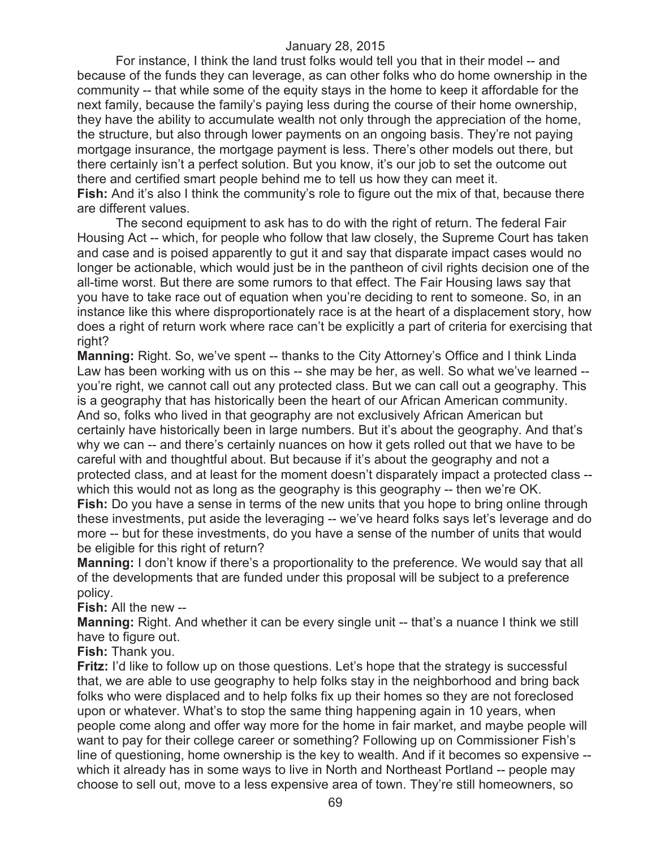For instance, I think the land trust folks would tell you that in their model -- and because of the funds they can leverage, as can other folks who do home ownership in the community -- that while some of the equity stays in the home to keep it affordable for the next family, because the family's paying less during the course of their home ownership, they have the ability to accumulate wealth not only through the appreciation of the home, the structure, but also through lower payments on an ongoing basis. They're not paying mortgage insurance, the mortgage payment is less. There's other models out there, but there certainly isn't a perfect solution. But you know, it's our job to set the outcome out there and certified smart people behind me to tell us how they can meet it. **Fish:** And it's also I think the community's role to figure out the mix of that, because there are different values.

The second equipment to ask has to do with the right of return. The federal Fair Housing Act -- which, for people who follow that law closely, the Supreme Court has taken and case and is poised apparently to gut it and say that disparate impact cases would no longer be actionable, which would just be in the pantheon of civil rights decision one of the all-time worst. But there are some rumors to that effect. The Fair Housing laws say that you have to take race out of equation when you're deciding to rent to someone. So, in an instance like this where disproportionately race is at the heart of a displacement story, how does a right of return work where race can't be explicitly a part of criteria for exercising that right?

**Manning:** Right. So, we've spent -- thanks to the City Attorney's Office and I think Linda Law has been working with us on this -- she may be her, as well. So what we've learned - you're right, we cannot call out any protected class. But we can call out a geography. This is a geography that has historically been the heart of our African American community. And so, folks who lived in that geography are not exclusively African American but certainly have historically been in large numbers. But it's about the geography. And that's why we can -- and there's certainly nuances on how it gets rolled out that we have to be careful with and thoughtful about. But because if it's about the geography and not a protected class, and at least for the moment doesn't disparately impact a protected class - which this would not as long as the geography is this geography -- then we're OK.

**Fish:** Do you have a sense in terms of the new units that you hope to bring online through these investments, put aside the leveraging -- we've heard folks says let's leverage and do more -- but for these investments, do you have a sense of the number of units that would be eligible for this right of return?

**Manning:** I don't know if there's a proportionality to the preference. We would say that all of the developments that are funded under this proposal will be subject to a preference policy.

**Fish:** All the new --

**Manning:** Right. And whether it can be every single unit -- that's a nuance I think we still have to figure out.

**Fish:** Thank you.

**Fritz:** I'd like to follow up on those questions. Let's hope that the strategy is successful that, we are able to use geography to help folks stay in the neighborhood and bring back folks who were displaced and to help folks fix up their homes so they are not foreclosed upon or whatever. What's to stop the same thing happening again in 10 years, when people come along and offer way more for the home in fair market, and maybe people will want to pay for their college career or something? Following up on Commissioner Fish's line of questioning, home ownership is the key to wealth. And if it becomes so expensive - which it already has in some ways to live in North and Northeast Portland -- people may choose to sell out, move to a less expensive area of town. They're still homeowners, so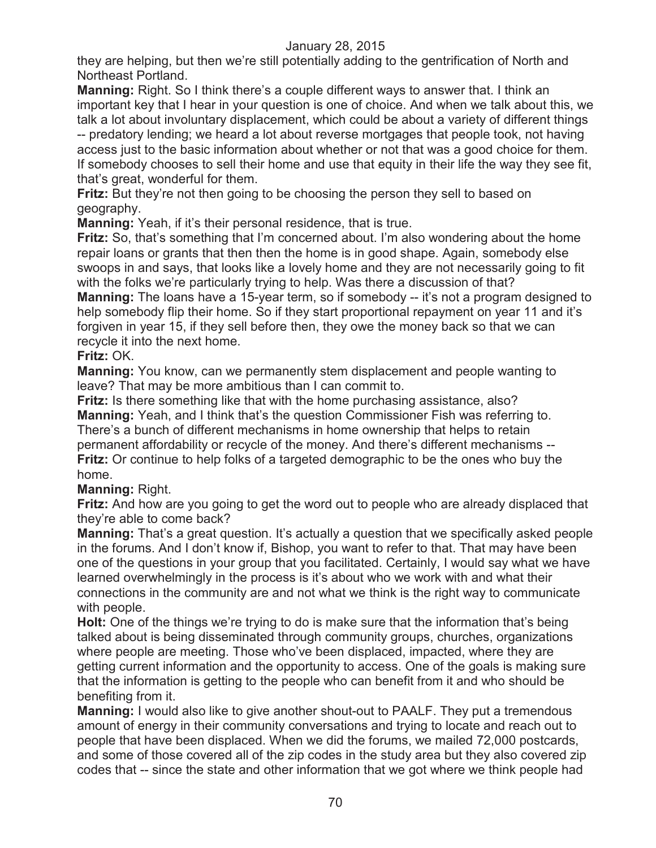they are helping, but then we're still potentially adding to the gentrification of North and Northeast Portland.

**Manning:** Right. So I think there's a couple different ways to answer that. I think an important key that I hear in your question is one of choice. And when we talk about this, we talk a lot about involuntary displacement, which could be about a variety of different things -- predatory lending; we heard a lot about reverse mortgages that people took, not having access just to the basic information about whether or not that was a good choice for them. If somebody chooses to sell their home and use that equity in their life the way they see fit, that's great, wonderful for them.

**Fritz:** But they're not then going to be choosing the person they sell to based on geography.

**Manning:** Yeah, if it's their personal residence, that is true.

**Fritz:** So, that's something that I'm concerned about. I'm also wondering about the home repair loans or grants that then then the home is in good shape. Again, somebody else swoops in and says, that looks like a lovely home and they are not necessarily going to fit with the folks we're particularly trying to help. Was there a discussion of that?

**Manning:** The loans have a 15-year term, so if somebody -- it's not a program designed to help somebody flip their home. So if they start proportional repayment on year 11 and it's forgiven in year 15, if they sell before then, they owe the money back so that we can recycle it into the next home.

## **Fritz:** OK.

**Manning:** You know, can we permanently stem displacement and people wanting to leave? That may be more ambitious than I can commit to.

**Fritz:** Is there something like that with the home purchasing assistance, also? **Manning:** Yeah, and I think that's the question Commissioner Fish was referring to. There's a bunch of different mechanisms in home ownership that helps to retain permanent affordability or recycle of the money. And there's different mechanisms -- **Fritz:** Or continue to help folks of a targeted demographic to be the ones who buy the home.

# **Manning:** Right.

**Fritz:** And how are you going to get the word out to people who are already displaced that they're able to come back?

**Manning:** That's a great question. It's actually a question that we specifically asked people in the forums. And I don't know if, Bishop, you want to refer to that. That may have been one of the questions in your group that you facilitated. Certainly, I would say what we have learned overwhelmingly in the process is it's about who we work with and what their connections in the community are and not what we think is the right way to communicate with people.

**Holt:** One of the things we're trying to do is make sure that the information that's being talked about is being disseminated through community groups, churches, organizations where people are meeting. Those who've been displaced, impacted, where they are getting current information and the opportunity to access. One of the goals is making sure that the information is getting to the people who can benefit from it and who should be benefiting from it.

**Manning:** I would also like to give another shout-out to PAALF. They put a tremendous amount of energy in their community conversations and trying to locate and reach out to people that have been displaced. When we did the forums, we mailed 72,000 postcards, and some of those covered all of the zip codes in the study area but they also covered zip codes that -- since the state and other information that we got where we think people had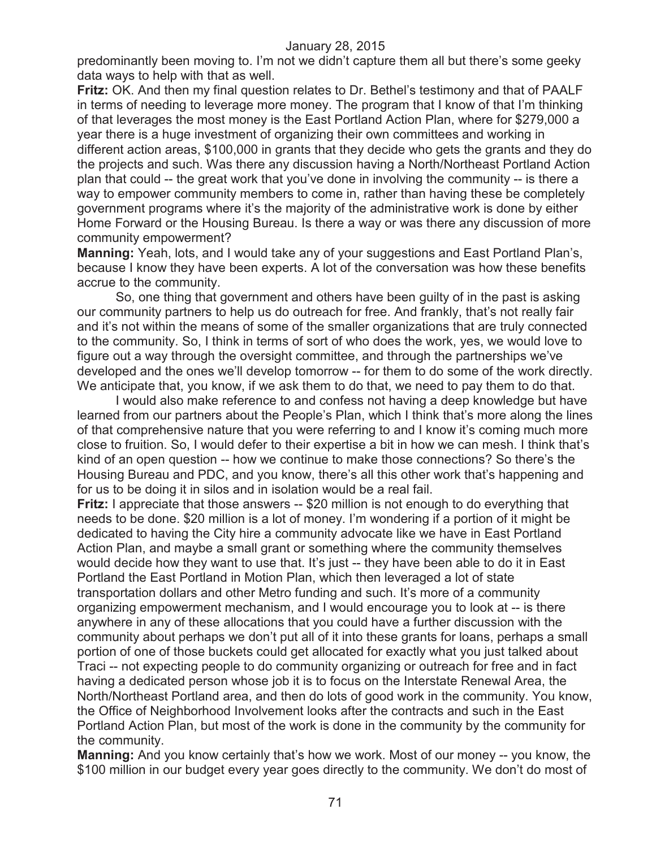predominantly been moving to. I'm not we didn't capture them all but there's some geeky data ways to help with that as well.

**Fritz:** OK. And then my final question relates to Dr. Bethel's testimony and that of PAALF in terms of needing to leverage more money. The program that I know of that I'm thinking of that leverages the most money is the East Portland Action Plan, where for \$279,000 a year there is a huge investment of organizing their own committees and working in different action areas, \$100,000 in grants that they decide who gets the grants and they do the projects and such. Was there any discussion having a North/Northeast Portland Action plan that could -- the great work that you've done in involving the community -- is there a way to empower community members to come in, rather than having these be completely government programs where it's the majority of the administrative work is done by either Home Forward or the Housing Bureau. Is there a way or was there any discussion of more community empowerment?

**Manning:** Yeah, lots, and I would take any of your suggestions and East Portland Plan's, because I know they have been experts. A lot of the conversation was how these benefits accrue to the community.

So, one thing that government and others have been guilty of in the past is asking our community partners to help us do outreach for free. And frankly, that's not really fair and it's not within the means of some of the smaller organizations that are truly connected to the community. So, I think in terms of sort of who does the work, yes, we would love to figure out a way through the oversight committee, and through the partnerships we've developed and the ones we'll develop tomorrow -- for them to do some of the work directly. We anticipate that, you know, if we ask them to do that, we need to pay them to do that.

I would also make reference to and confess not having a deep knowledge but have learned from our partners about the People's Plan, which I think that's more along the lines of that comprehensive nature that you were referring to and I know it's coming much more close to fruition. So, I would defer to their expertise a bit in how we can mesh. I think that's kind of an open question -- how we continue to make those connections? So there's the Housing Bureau and PDC, and you know, there's all this other work that's happening and for us to be doing it in silos and in isolation would be a real fail.

**Fritz:** I appreciate that those answers -- \$20 million is not enough to do everything that needs to be done. \$20 million is a lot of money. I'm wondering if a portion of it might be dedicated to having the City hire a community advocate like we have in East Portland Action Plan, and maybe a small grant or something where the community themselves would decide how they want to use that. It's just -- they have been able to do it in East Portland the East Portland in Motion Plan, which then leveraged a lot of state transportation dollars and other Metro funding and such. It's more of a community organizing empowerment mechanism, and I would encourage you to look at -- is there anywhere in any of these allocations that you could have a further discussion with the community about perhaps we don't put all of it into these grants for loans, perhaps a small portion of one of those buckets could get allocated for exactly what you just talked about Traci -- not expecting people to do community organizing or outreach for free and in fact having a dedicated person whose job it is to focus on the Interstate Renewal Area, the North/Northeast Portland area, and then do lots of good work in the community. You know, the Office of Neighborhood Involvement looks after the contracts and such in the East Portland Action Plan, but most of the work is done in the community by the community for the community.

**Manning:** And you know certainly that's how we work. Most of our money -- you know, the \$100 million in our budget every year goes directly to the community. We don't do most of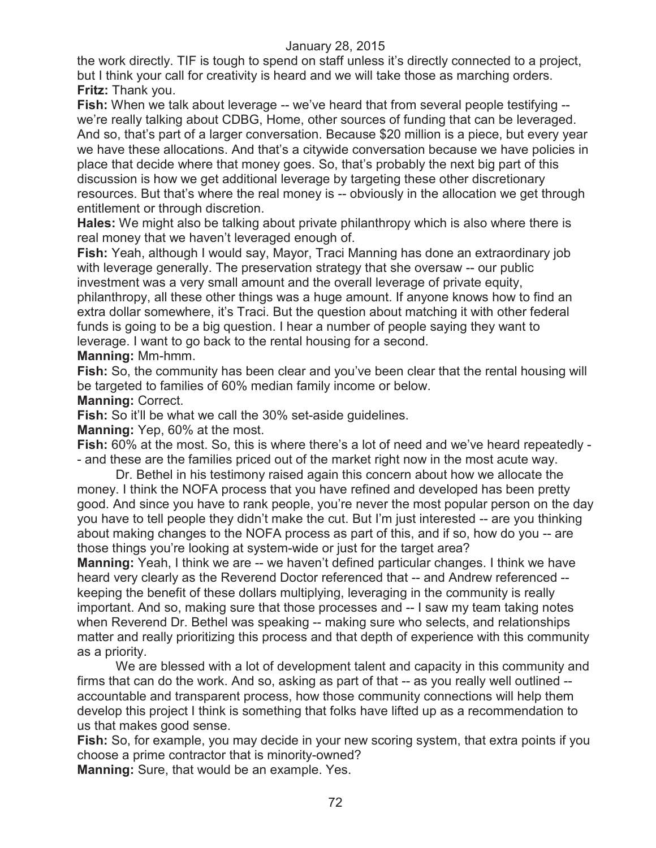the work directly. TIF is tough to spend on staff unless it's directly connected to a project, but I think your call for creativity is heard and we will take those as marching orders. **Fritz:** Thank you.

**Fish:** When we talk about leverage -- we've heard that from several people testifying -we're really talking about CDBG, Home, other sources of funding that can be leveraged. And so, that's part of a larger conversation. Because \$20 million is a piece, but every year we have these allocations. And that's a citywide conversation because we have policies in place that decide where that money goes. So, that's probably the next big part of this discussion is how we get additional leverage by targeting these other discretionary resources. But that's where the real money is -- obviously in the allocation we get through entitlement or through discretion.

**Hales:** We might also be talking about private philanthropy which is also where there is real money that we haven't leveraged enough of.

**Fish:** Yeah, although I would say, Mayor, Traci Manning has done an extraordinary job with leverage generally. The preservation strategy that she oversaw -- our public investment was a very small amount and the overall leverage of private equity, philanthropy, all these other things was a huge amount. If anyone knows how to find an extra dollar somewhere, it's Traci. But the question about matching it with other federal funds is going to be a big question. I hear a number of people saying they want to leverage. I want to go back to the rental housing for a second.

**Manning:** Mm-hmm.

**Fish:** So, the community has been clear and you've been clear that the rental housing will be targeted to families of 60% median family income or below.

**Manning:** Correct.

**Fish:** So it'll be what we call the 30% set-aside guidelines.

**Manning:** Yep, 60% at the most.

**Fish:** 60% at the most. So, this is where there's a lot of need and we've heard repeatedly - - and these are the families priced out of the market right now in the most acute way.

Dr. Bethel in his testimony raised again this concern about how we allocate the money. I think the NOFA process that you have refined and developed has been pretty good. And since you have to rank people, you're never the most popular person on the day you have to tell people they didn't make the cut. But I'm just interested -- are you thinking about making changes to the NOFA process as part of this, and if so, how do you -- are those things you're looking at system-wide or just for the target area?

**Manning:** Yeah, I think we are -- we haven't defined particular changes. I think we have heard very clearly as the Reverend Doctor referenced that -- and Andrew referenced - keeping the benefit of these dollars multiplying, leveraging in the community is really important. And so, making sure that those processes and -- I saw my team taking notes when Reverend Dr. Bethel was speaking -- making sure who selects, and relationships matter and really prioritizing this process and that depth of experience with this community as a priority.

We are blessed with a lot of development talent and capacity in this community and firms that can do the work. And so, asking as part of that -- as you really well outlined - accountable and transparent process, how those community connections will help them develop this project I think is something that folks have lifted up as a recommendation to us that makes good sense.

**Fish:** So, for example, you may decide in your new scoring system, that extra points if you choose a prime contractor that is minority-owned?

**Manning:** Sure, that would be an example. Yes.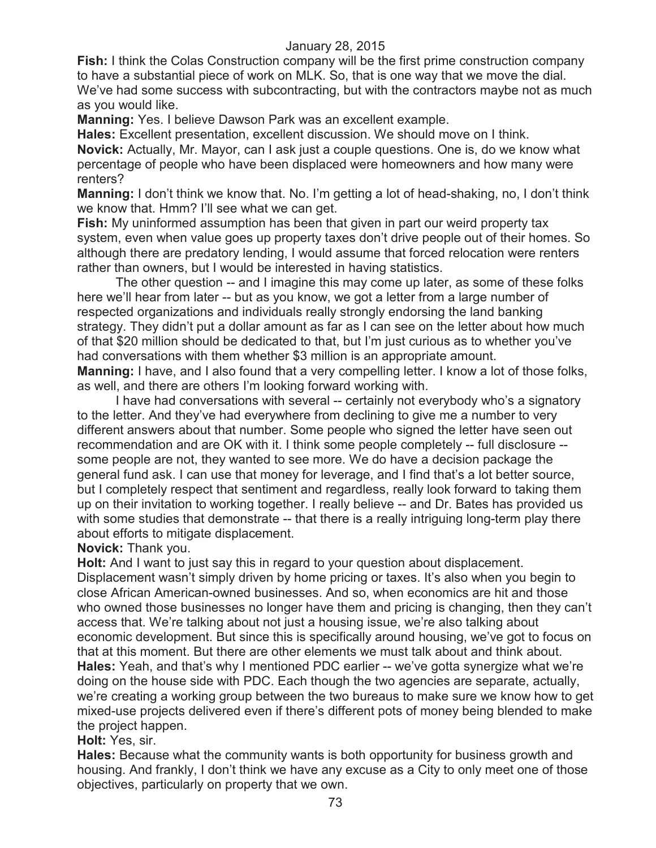**Fish:** I think the Colas Construction company will be the first prime construction company to have a substantial piece of work on MLK. So, that is one way that we move the dial. We've had some success with subcontracting, but with the contractors maybe not as much as you would like.

**Manning:** Yes. I believe Dawson Park was an excellent example.

**Hales:** Excellent presentation, excellent discussion. We should move on I think. **Novick:** Actually, Mr. Mayor, can I ask just a couple questions. One is, do we know what percentage of people who have been displaced were homeowners and how many were renters?

**Manning:** I don't think we know that. No. I'm getting a lot of head-shaking, no, I don't think we know that. Hmm? I'll see what we can get.

**Fish:** My uninformed assumption has been that given in part our weird property tax system, even when value goes up property taxes don't drive people out of their homes. So although there are predatory lending, I would assume that forced relocation were renters rather than owners, but I would be interested in having statistics.

The other question -- and I imagine this may come up later, as some of these folks here we'll hear from later -- but as you know, we got a letter from a large number of respected organizations and individuals really strongly endorsing the land banking strategy. They didn't put a dollar amount as far as I can see on the letter about how much of that \$20 million should be dedicated to that, but I'm just curious as to whether you've had conversations with them whether \$3 million is an appropriate amount. **Manning:** I have, and I also found that a very compelling letter. I know a lot of those folks,

as well, and there are others I'm looking forward working with.

I have had conversations with several -- certainly not everybody who's a signatory to the letter. And they've had everywhere from declining to give me a number to very different answers about that number. Some people who signed the letter have seen out recommendation and are OK with it. I think some people completely -- full disclosure - some people are not, they wanted to see more. We do have a decision package the general fund ask. I can use that money for leverage, and I find that's a lot better source, but I completely respect that sentiment and regardless, really look forward to taking them up on their invitation to working together. I really believe -- and Dr. Bates has provided us with some studies that demonstrate -- that there is a really intriguing long-term play there about efforts to mitigate displacement.

**Novick:** Thank you.

**Holt:** And I want to just say this in regard to your question about displacement. Displacement wasn't simply driven by home pricing or taxes. It's also when you begin to close African American-owned businesses. And so, when economics are hit and those who owned those businesses no longer have them and pricing is changing, then they can't access that. We're talking about not just a housing issue, we're also talking about economic development. But since this is specifically around housing, we've got to focus on that at this moment. But there are other elements we must talk about and think about. **Hales:** Yeah, and that's why I mentioned PDC earlier -- we've gotta synergize what we're doing on the house side with PDC. Each though the two agencies are separate, actually, we're creating a working group between the two bureaus to make sure we know how to get mixed-use projects delivered even if there's different pots of money being blended to make the project happen.

# **Holt:** Yes, sir.

**Hales:** Because what the community wants is both opportunity for business growth and housing. And frankly, I don't think we have any excuse as a City to only meet one of those objectives, particularly on property that we own.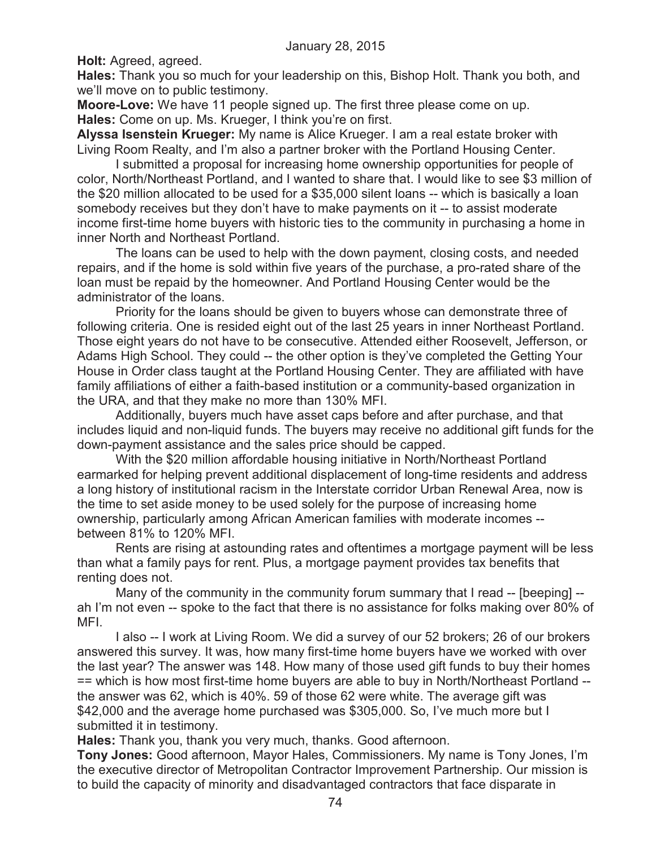**Holt:** Agreed, agreed.

**Hales:** Thank you so much for your leadership on this, Bishop Holt. Thank you both, and we'll move on to public testimony.

**Moore-Love:** We have 11 people signed up. The first three please come on up. **Hales:** Come on up. Ms. Krueger, I think you're on first.

**Alyssa Isenstein Krueger:** My name is Alice Krueger. I am a real estate broker with Living Room Realty, and I'm also a partner broker with the Portland Housing Center.

I submitted a proposal for increasing home ownership opportunities for people of color, North/Northeast Portland, and I wanted to share that. I would like to see \$3 million of the \$20 million allocated to be used for a \$35,000 silent loans -- which is basically a loan somebody receives but they don't have to make payments on it -- to assist moderate income first-time home buyers with historic ties to the community in purchasing a home in inner North and Northeast Portland.

The loans can be used to help with the down payment, closing costs, and needed repairs, and if the home is sold within five years of the purchase, a pro-rated share of the loan must be repaid by the homeowner. And Portland Housing Center would be the administrator of the loans.

Priority for the loans should be given to buyers whose can demonstrate three of following criteria. One is resided eight out of the last 25 years in inner Northeast Portland. Those eight years do not have to be consecutive. Attended either Roosevelt, Jefferson, or Adams High School. They could -- the other option is they've completed the Getting Your House in Order class taught at the Portland Housing Center. They are affiliated with have family affiliations of either a faith-based institution or a community-based organization in the URA, and that they make no more than 130% MFI.

Additionally, buyers much have asset caps before and after purchase, and that includes liquid and non-liquid funds. The buyers may receive no additional gift funds for the down-payment assistance and the sales price should be capped.

With the \$20 million affordable housing initiative in North/Northeast Portland earmarked for helping prevent additional displacement of long-time residents and address a long history of institutional racism in the Interstate corridor Urban Renewal Area, now is the time to set aside money to be used solely for the purpose of increasing home ownership, particularly among African American families with moderate incomes - between 81% to 120% MFI.

Rents are rising at astounding rates and oftentimes a mortgage payment will be less than what a family pays for rent. Plus, a mortgage payment provides tax benefits that renting does not.

Many of the community in the community forum summary that I read -- [beeping] - ah I'm not even -- spoke to the fact that there is no assistance for folks making over 80% of MFI.

I also -- I work at Living Room. We did a survey of our 52 brokers; 26 of our brokers answered this survey. It was, how many first-time home buyers have we worked with over the last year? The answer was 148. How many of those used gift funds to buy their homes == which is how most first-time home buyers are able to buy in North/Northeast Portland - the answer was 62, which is 40%. 59 of those 62 were white. The average gift was \$42,000 and the average home purchased was \$305,000. So, I've much more but I submitted it in testimony.

**Hales:** Thank you, thank you very much, thanks. Good afternoon.

**Tony Jones:** Good afternoon, Mayor Hales, Commissioners. My name is Tony Jones, I'm the executive director of Metropolitan Contractor Improvement Partnership. Our mission is to build the capacity of minority and disadvantaged contractors that face disparate in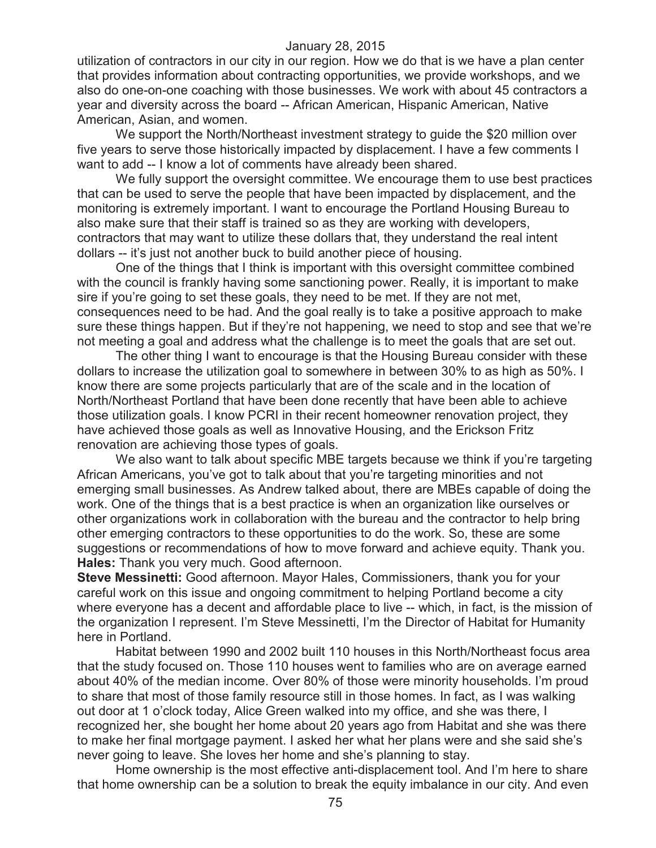utilization of contractors in our city in our region. How we do that is we have a plan center that provides information about contracting opportunities, we provide workshops, and we also do one-on-one coaching with those businesses. We work with about 45 contractors a year and diversity across the board -- African American, Hispanic American, Native American, Asian, and women.

We support the North/Northeast investment strategy to guide the \$20 million over five years to serve those historically impacted by displacement. I have a few comments I want to add -- I know a lot of comments have already been shared.

We fully support the oversight committee. We encourage them to use best practices that can be used to serve the people that have been impacted by displacement, and the monitoring is extremely important. I want to encourage the Portland Housing Bureau to also make sure that their staff is trained so as they are working with developers, contractors that may want to utilize these dollars that, they understand the real intent dollars -- it's just not another buck to build another piece of housing.

One of the things that I think is important with this oversight committee combined with the council is frankly having some sanctioning power. Really, it is important to make sire if you're going to set these goals, they need to be met. If they are not met, consequences need to be had. And the goal really is to take a positive approach to make sure these things happen. But if they're not happening, we need to stop and see that we're not meeting a goal and address what the challenge is to meet the goals that are set out.

The other thing I want to encourage is that the Housing Bureau consider with these dollars to increase the utilization goal to somewhere in between 30% to as high as 50%. I know there are some projects particularly that are of the scale and in the location of North/Northeast Portland that have been done recently that have been able to achieve those utilization goals. I know PCRI in their recent homeowner renovation project, they have achieved those goals as well as Innovative Housing, and the Erickson Fritz renovation are achieving those types of goals.

We also want to talk about specific MBE targets because we think if you're targeting African Americans, you've got to talk about that you're targeting minorities and not emerging small businesses. As Andrew talked about, there are MBEs capable of doing the work. One of the things that is a best practice is when an organization like ourselves or other organizations work in collaboration with the bureau and the contractor to help bring other emerging contractors to these opportunities to do the work. So, these are some suggestions or recommendations of how to move forward and achieve equity. Thank you. **Hales:** Thank you very much. Good afternoon.

**Steve Messinetti:** Good afternoon. Mayor Hales, Commissioners, thank you for your careful work on this issue and ongoing commitment to helping Portland become a city where everyone has a decent and affordable place to live -- which, in fact, is the mission of the organization I represent. I'm Steve Messinetti, I'm the Director of Habitat for Humanity here in Portland.

Habitat between 1990 and 2002 built 110 houses in this North/Northeast focus area that the study focused on. Those 110 houses went to families who are on average earned about 40% of the median income. Over 80% of those were minority households. I'm proud to share that most of those family resource still in those homes. In fact, as I was walking out door at 1 o'clock today, Alice Green walked into my office, and she was there, I recognized her, she bought her home about 20 years ago from Habitat and she was there to make her final mortgage payment. I asked her what her plans were and she said she's never going to leave. She loves her home and she's planning to stay.

Home ownership is the most effective anti-displacement tool. And I'm here to share that home ownership can be a solution to break the equity imbalance in our city. And even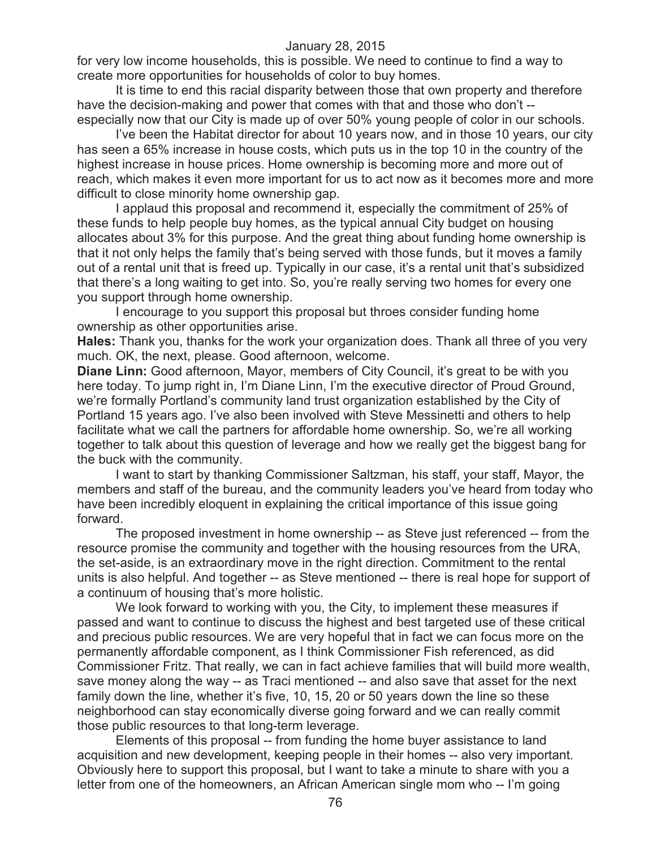for very low income households, this is possible. We need to continue to find a way to create more opportunities for households of color to buy homes.

It is time to end this racial disparity between those that own property and therefore have the decision-making and power that comes with that and those who don't - especially now that our City is made up of over 50% young people of color in our schools.

I've been the Habitat director for about 10 years now, and in those 10 years, our city has seen a 65% increase in house costs, which puts us in the top 10 in the country of the highest increase in house prices. Home ownership is becoming more and more out of reach, which makes it even more important for us to act now as it becomes more and more difficult to close minority home ownership gap.

I applaud this proposal and recommend it, especially the commitment of 25% of these funds to help people buy homes, as the typical annual City budget on housing allocates about 3% for this purpose. And the great thing about funding home ownership is that it not only helps the family that's being served with those funds, but it moves a family out of a rental unit that is freed up. Typically in our case, it's a rental unit that's subsidized that there's a long waiting to get into. So, you're really serving two homes for every one you support through home ownership.

I encourage to you support this proposal but throes consider funding home ownership as other opportunities arise.

**Hales:** Thank you, thanks for the work your organization does. Thank all three of you very much. OK, the next, please. Good afternoon, welcome.

**Diane Linn:** Good afternoon, Mayor, members of City Council, it's great to be with you here today. To jump right in, I'm Diane Linn, I'm the executive director of Proud Ground, we're formally Portland's community land trust organization established by the City of Portland 15 years ago. I've also been involved with Steve Messinetti and others to help facilitate what we call the partners for affordable home ownership. So, we're all working together to talk about this question of leverage and how we really get the biggest bang for the buck with the community.

I want to start by thanking Commissioner Saltzman, his staff, your staff, Mayor, the members and staff of the bureau, and the community leaders you've heard from today who have been incredibly eloquent in explaining the critical importance of this issue going forward.

The proposed investment in home ownership -- as Steve just referenced -- from the resource promise the community and together with the housing resources from the URA, the set-aside, is an extraordinary move in the right direction. Commitment to the rental units is also helpful. And together -- as Steve mentioned -- there is real hope for support of a continuum of housing that's more holistic.

We look forward to working with you, the City, to implement these measures if passed and want to continue to discuss the highest and best targeted use of these critical and precious public resources. We are very hopeful that in fact we can focus more on the permanently affordable component, as I think Commissioner Fish referenced, as did Commissioner Fritz. That really, we can in fact achieve families that will build more wealth, save money along the way -- as Traci mentioned -- and also save that asset for the next family down the line, whether it's five, 10, 15, 20 or 50 years down the line so these neighborhood can stay economically diverse going forward and we can really commit those public resources to that long-term leverage.

Elements of this proposal -- from funding the home buyer assistance to land acquisition and new development, keeping people in their homes -- also very important. Obviously here to support this proposal, but I want to take a minute to share with you a letter from one of the homeowners, an African American single mom who -- I'm going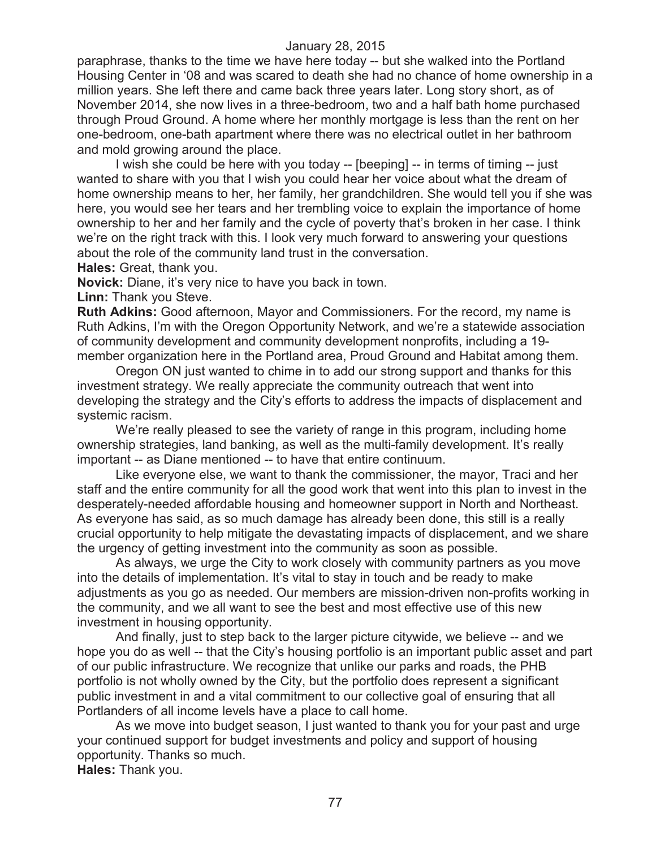paraphrase, thanks to the time we have here today -- but she walked into the Portland Housing Center in '08 and was scared to death she had no chance of home ownership in a million years. She left there and came back three years later. Long story short, as of November 2014, she now lives in a three-bedroom, two and a half bath home purchased through Proud Ground. A home where her monthly mortgage is less than the rent on her one-bedroom, one-bath apartment where there was no electrical outlet in her bathroom and mold growing around the place.

I wish she could be here with you today -- [beeping] -- in terms of timing -- just wanted to share with you that I wish you could hear her voice about what the dream of home ownership means to her, her family, her grandchildren. She would tell you if she was here, you would see her tears and her trembling voice to explain the importance of home ownership to her and her family and the cycle of poverty that's broken in her case. I think we're on the right track with this. I look very much forward to answering your questions about the role of the community land trust in the conversation.

**Hales:** Great, thank you.

**Novick:** Diane, it's very nice to have you back in town.

**Linn:** Thank you Steve.

**Ruth Adkins:** Good afternoon, Mayor and Commissioners. For the record, my name is Ruth Adkins, I'm with the Oregon Opportunity Network, and we're a statewide association of community development and community development nonprofits, including a 19 member organization here in the Portland area, Proud Ground and Habitat among them.

Oregon ON just wanted to chime in to add our strong support and thanks for this investment strategy. We really appreciate the community outreach that went into developing the strategy and the City's efforts to address the impacts of displacement and systemic racism.

We're really pleased to see the variety of range in this program, including home ownership strategies, land banking, as well as the multi-family development. It's really important -- as Diane mentioned -- to have that entire continuum.

Like everyone else, we want to thank the commissioner, the mayor, Traci and her staff and the entire community for all the good work that went into this plan to invest in the desperately-needed affordable housing and homeowner support in North and Northeast. As everyone has said, as so much damage has already been done, this still is a really crucial opportunity to help mitigate the devastating impacts of displacement, and we share the urgency of getting investment into the community as soon as possible.

As always, we urge the City to work closely with community partners as you move into the details of implementation. It's vital to stay in touch and be ready to make adjustments as you go as needed. Our members are mission-driven non-profits working in the community, and we all want to see the best and most effective use of this new investment in housing opportunity.

And finally, just to step back to the larger picture citywide, we believe -- and we hope you do as well -- that the City's housing portfolio is an important public asset and part of our public infrastructure. We recognize that unlike our parks and roads, the PHB portfolio is not wholly owned by the City, but the portfolio does represent a significant public investment in and a vital commitment to our collective goal of ensuring that all Portlanders of all income levels have a place to call home.

As we move into budget season, I just wanted to thank you for your past and urge your continued support for budget investments and policy and support of housing opportunity. Thanks so much.

**Hales:** Thank you.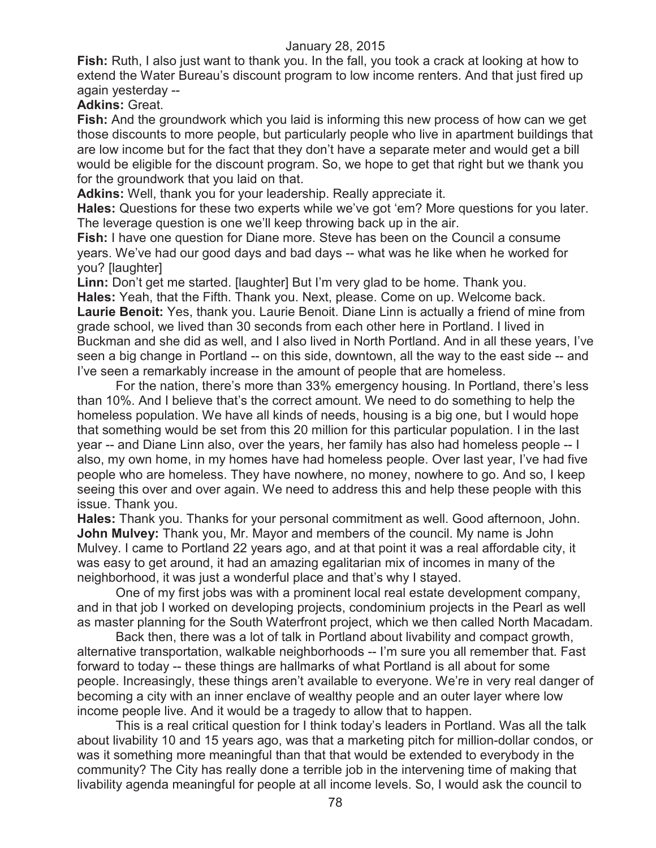**Fish:** Ruth, I also just want to thank you. In the fall, you took a crack at looking at how to extend the Water Bureau's discount program to low income renters. And that just fired up again yesterday --

**Adkins:** Great.

**Fish:** And the groundwork which you laid is informing this new process of how can we get those discounts to more people, but particularly people who live in apartment buildings that are low income but for the fact that they don't have a separate meter and would get a bill would be eligible for the discount program. So, we hope to get that right but we thank you for the groundwork that you laid on that.

**Adkins:** Well, thank you for your leadership. Really appreciate it.

**Hales:** Questions for these two experts while we've got 'em? More questions for you later. The leverage question is one we'll keep throwing back up in the air.

**Fish:** I have one question for Diane more. Steve has been on the Council a consume years. We've had our good days and bad days -- what was he like when he worked for you? [laughter]

**Linn:** Don't get me started. [laughter] But I'm very glad to be home. Thank you. **Hales:** Yeah, that the Fifth. Thank you. Next, please. Come on up. Welcome back. **Laurie Benoit:** Yes, thank you. Laurie Benoit. Diane Linn is actually a friend of mine from grade school, we lived than 30 seconds from each other here in Portland. I lived in Buckman and she did as well, and I also lived in North Portland. And in all these years, I've seen a big change in Portland -- on this side, downtown, all the way to the east side -- and I've seen a remarkably increase in the amount of people that are homeless.

For the nation, there's more than 33% emergency housing. In Portland, there's less than 10%. And I believe that's the correct amount. We need to do something to help the homeless population. We have all kinds of needs, housing is a big one, but I would hope that something would be set from this 20 million for this particular population. I in the last year -- and Diane Linn also, over the years, her family has also had homeless people -- I also, my own home, in my homes have had homeless people. Over last year, I've had five people who are homeless. They have nowhere, no money, nowhere to go. And so, I keep seeing this over and over again. We need to address this and help these people with this issue. Thank you.

**Hales:** Thank you. Thanks for your personal commitment as well. Good afternoon, John. **John Mulvey:** Thank you, Mr. Mayor and members of the council. My name is John Mulvey. I came to Portland 22 years ago, and at that point it was a real affordable city, it was easy to get around, it had an amazing egalitarian mix of incomes in many of the neighborhood, it was just a wonderful place and that's why I stayed.

One of my first jobs was with a prominent local real estate development company, and in that job I worked on developing projects, condominium projects in the Pearl as well as master planning for the South Waterfront project, which we then called North Macadam.

Back then, there was a lot of talk in Portland about livability and compact growth, alternative transportation, walkable neighborhoods -- I'm sure you all remember that. Fast forward to today -- these things are hallmarks of what Portland is all about for some people. Increasingly, these things aren't available to everyone. We're in very real danger of becoming a city with an inner enclave of wealthy people and an outer layer where low income people live. And it would be a tragedy to allow that to happen.

This is a real critical question for I think today's leaders in Portland. Was all the talk about livability 10 and 15 years ago, was that a marketing pitch for million-dollar condos, or was it something more meaningful than that that would be extended to everybody in the community? The City has really done a terrible job in the intervening time of making that livability agenda meaningful for people at all income levels. So, I would ask the council to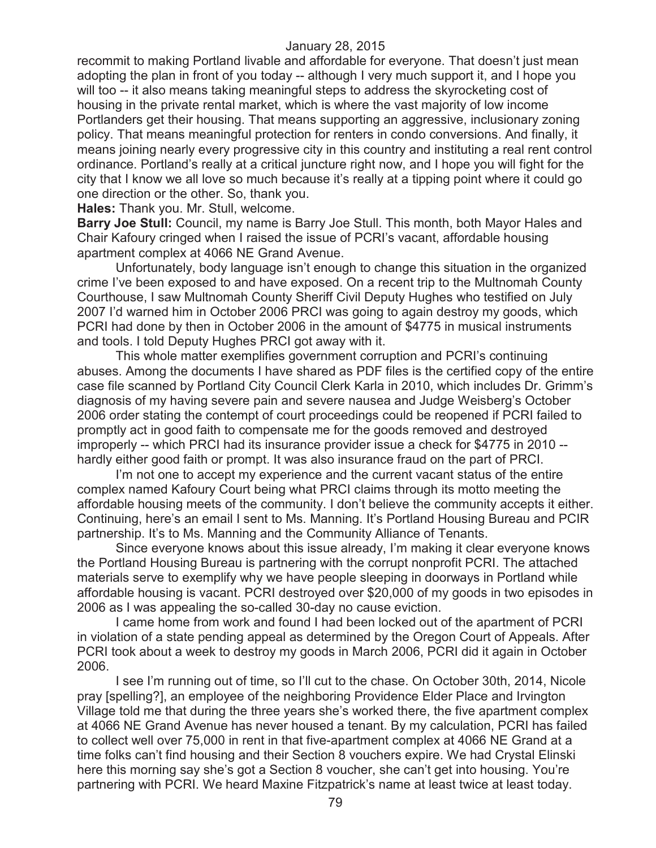recommit to making Portland livable and affordable for everyone. That doesn't just mean adopting the plan in front of you today -- although I very much support it, and I hope you will too -- it also means taking meaningful steps to address the skyrocketing cost of housing in the private rental market, which is where the vast majority of low income Portlanders get their housing. That means supporting an aggressive, inclusionary zoning policy. That means meaningful protection for renters in condo conversions. And finally, it means joining nearly every progressive city in this country and instituting a real rent control ordinance. Portland's really at a critical juncture right now, and I hope you will fight for the city that I know we all love so much because it's really at a tipping point where it could go one direction or the other. So, thank you.

**Hales:** Thank you. Mr. Stull, welcome.

**Barry Joe Stull:** Council, my name is Barry Joe Stull. This month, both Mayor Hales and Chair Kafoury cringed when I raised the issue of PCRI's vacant, affordable housing apartment complex at 4066 NE Grand Avenue.

Unfortunately, body language isn't enough to change this situation in the organized crime I've been exposed to and have exposed. On a recent trip to the Multnomah County Courthouse, I saw Multnomah County Sheriff Civil Deputy Hughes who testified on July 2007 I'd warned him in October 2006 PRCI was going to again destroy my goods, which PCRI had done by then in October 2006 in the amount of \$4775 in musical instruments and tools. I told Deputy Hughes PRCI got away with it.

This whole matter exemplifies government corruption and PCRI's continuing abuses. Among the documents I have shared as PDF files is the certified copy of the entire case file scanned by Portland City Council Clerk Karla in 2010, which includes Dr. Grimm's diagnosis of my having severe pain and severe nausea and Judge Weisberg's October 2006 order stating the contempt of court proceedings could be reopened if PCRI failed to promptly act in good faith to compensate me for the goods removed and destroyed improperly -- which PRCI had its insurance provider issue a check for \$4775 in 2010 - hardly either good faith or prompt. It was also insurance fraud on the part of PRCI.

I'm not one to accept my experience and the current vacant status of the entire complex named Kafoury Court being what PRCI claims through its motto meeting the affordable housing meets of the community. I don't believe the community accepts it either. Continuing, here's an email I sent to Ms. Manning. It's Portland Housing Bureau and PCIR partnership. It's to Ms. Manning and the Community Alliance of Tenants.

Since everyone knows about this issue already, I'm making it clear everyone knows the Portland Housing Bureau is partnering with the corrupt nonprofit PCRI. The attached materials serve to exemplify why we have people sleeping in doorways in Portland while affordable housing is vacant. PCRI destroyed over \$20,000 of my goods in two episodes in 2006 as I was appealing the so-called 30-day no cause eviction.

I came home from work and found I had been locked out of the apartment of PCRI in violation of a state pending appeal as determined by the Oregon Court of Appeals. After PCRI took about a week to destroy my goods in March 2006, PCRI did it again in October 2006.

I see I'm running out of time, so I'll cut to the chase. On October 30th, 2014, Nicole pray [spelling?], an employee of the neighboring Providence Elder Place and Irvington Village told me that during the three years she's worked there, the five apartment complex at 4066 NE Grand Avenue has never housed a tenant. By my calculation, PCRI has failed to collect well over 75,000 in rent in that five-apartment complex at 4066 NE Grand at a time folks can't find housing and their Section 8 vouchers expire. We had Crystal Elinski here this morning say she's got a Section 8 voucher, she can't get into housing. You're partnering with PCRI. We heard Maxine Fitzpatrick's name at least twice at least today.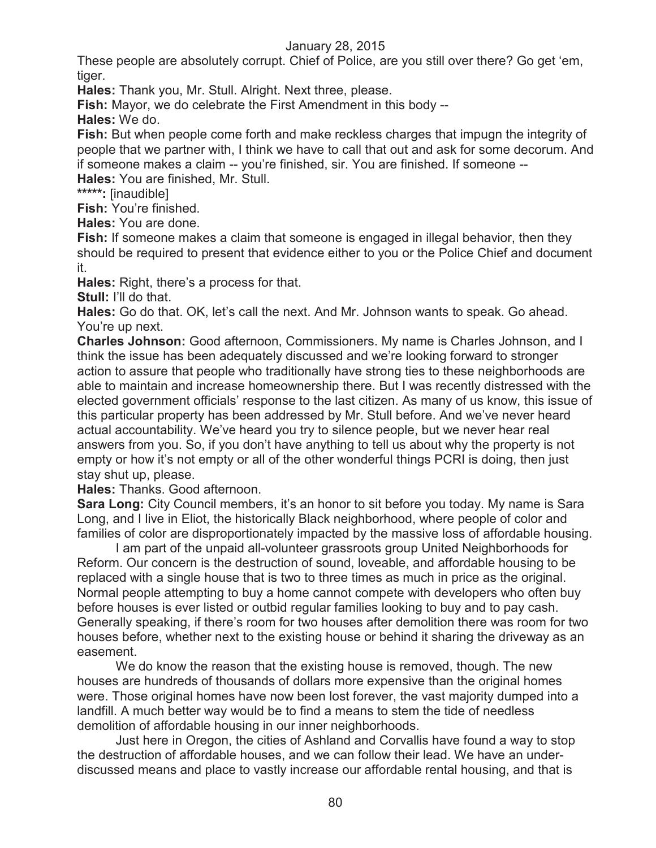These people are absolutely corrupt. Chief of Police, are you still over there? Go get 'em, tiger.

**Hales:** Thank you, Mr. Stull. Alright. Next three, please.

**Fish:** Mayor, we do celebrate the First Amendment in this body --

**Hales:** We do.

**Fish:** But when people come forth and make reckless charges that impugn the integrity of people that we partner with, I think we have to call that out and ask for some decorum. And if someone makes a claim -- you're finished, sir. You are finished. If someone -- **Hales:** You are finished, Mr. Stull.

**\*\*\*\*\*:** [inaudible]

**Fish:** You're finished.

**Hales:** You are done.

**Fish:** If someone makes a claim that someone is engaged in illegal behavior, then they should be required to present that evidence either to you or the Police Chief and document it.

**Hales:** Right, there's a process for that.

**Stull:** I'll do that.

**Hales:** Go do that. OK, let's call the next. And Mr. Johnson wants to speak. Go ahead. You're up next.

**Charles Johnson:** Good afternoon, Commissioners. My name is Charles Johnson, and I think the issue has been adequately discussed and we're looking forward to stronger action to assure that people who traditionally have strong ties to these neighborhoods are able to maintain and increase homeownership there. But I was recently distressed with the elected government officials' response to the last citizen. As many of us know, this issue of this particular property has been addressed by Mr. Stull before. And we've never heard actual accountability. We've heard you try to silence people, but we never hear real answers from you. So, if you don't have anything to tell us about why the property is not empty or how it's not empty or all of the other wonderful things PCRI is doing, then just stay shut up, please.

**Hales:** Thanks. Good afternoon.

**Sara Long:** City Council members, it's an honor to sit before you today. My name is Sara Long, and I live in Eliot, the historically Black neighborhood, where people of color and families of color are disproportionately impacted by the massive loss of affordable housing.

I am part of the unpaid all-volunteer grassroots group United Neighborhoods for Reform. Our concern is the destruction of sound, loveable, and affordable housing to be replaced with a single house that is two to three times as much in price as the original. Normal people attempting to buy a home cannot compete with developers who often buy before houses is ever listed or outbid regular families looking to buy and to pay cash. Generally speaking, if there's room for two houses after demolition there was room for two houses before, whether next to the existing house or behind it sharing the driveway as an easement.

We do know the reason that the existing house is removed, though. The new houses are hundreds of thousands of dollars more expensive than the original homes were. Those original homes have now been lost forever, the vast majority dumped into a landfill. A much better way would be to find a means to stem the tide of needless demolition of affordable housing in our inner neighborhoods.

Just here in Oregon, the cities of Ashland and Corvallis have found a way to stop the destruction of affordable houses, and we can follow their lead. We have an underdiscussed means and place to vastly increase our affordable rental housing, and that is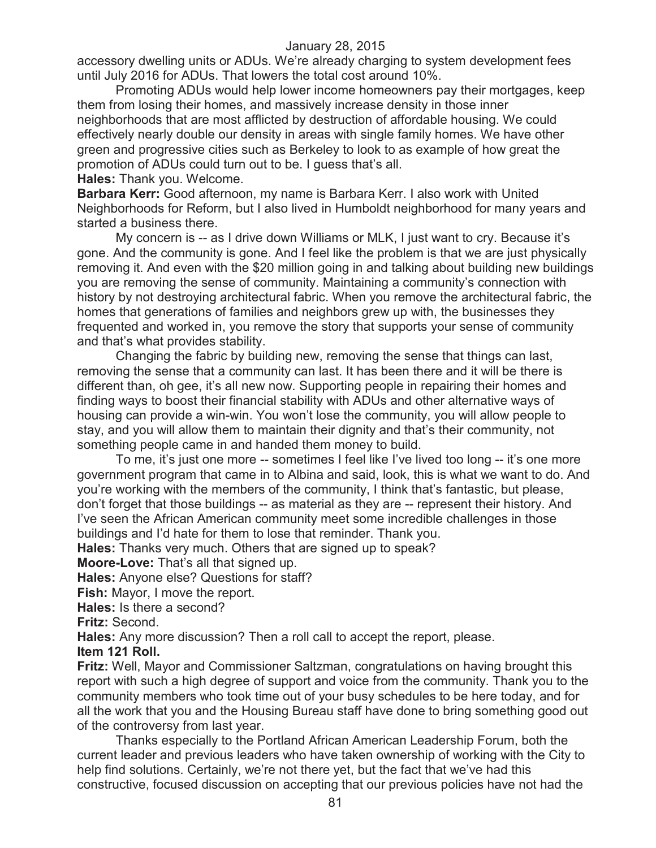accessory dwelling units or ADUs. We're already charging to system development fees until July 2016 for ADUs. That lowers the total cost around 10%.

Promoting ADUs would help lower income homeowners pay their mortgages, keep them from losing their homes, and massively increase density in those inner neighborhoods that are most afflicted by destruction of affordable housing. We could effectively nearly double our density in areas with single family homes. We have other green and progressive cities such as Berkeley to look to as example of how great the promotion of ADUs could turn out to be. I guess that's all.

**Hales:** Thank you. Welcome.

**Barbara Kerr:** Good afternoon, my name is Barbara Kerr. I also work with United Neighborhoods for Reform, but I also lived in Humboldt neighborhood for many years and started a business there.

My concern is -- as I drive down Williams or MLK, I just want to cry. Because it's gone. And the community is gone. And I feel like the problem is that we are just physically removing it. And even with the \$20 million going in and talking about building new buildings you are removing the sense of community. Maintaining a community's connection with history by not destroying architectural fabric. When you remove the architectural fabric, the homes that generations of families and neighbors grew up with, the businesses they frequented and worked in, you remove the story that supports your sense of community and that's what provides stability.

Changing the fabric by building new, removing the sense that things can last, removing the sense that a community can last. It has been there and it will be there is different than, oh gee, it's all new now. Supporting people in repairing their homes and finding ways to boost their financial stability with ADUs and other alternative ways of housing can provide a win-win. You won't lose the community, you will allow people to stay, and you will allow them to maintain their dignity and that's their community, not something people came in and handed them money to build.

To me, it's just one more -- sometimes I feel like I've lived too long -- it's one more government program that came in to Albina and said, look, this is what we want to do. And you're working with the members of the community, I think that's fantastic, but please, don't forget that those buildings -- as material as they are -- represent their history. And I've seen the African American community meet some incredible challenges in those buildings and I'd hate for them to lose that reminder. Thank you.

**Hales:** Thanks very much. Others that are signed up to speak?

**Moore-Love:** That's all that signed up.

**Hales:** Anyone else? Questions for staff?

**Fish:** Mayor, I move the report.

**Hales:** Is there a second?

**Fritz:** Second.

**Hales:** Any more discussion? Then a roll call to accept the report, please.

# **Item 121 Roll.**

**Fritz:** Well, Mayor and Commissioner Saltzman, congratulations on having brought this report with such a high degree of support and voice from the community. Thank you to the community members who took time out of your busy schedules to be here today, and for all the work that you and the Housing Bureau staff have done to bring something good out of the controversy from last year.

Thanks especially to the Portland African American Leadership Forum, both the current leader and previous leaders who have taken ownership of working with the City to help find solutions. Certainly, we're not there yet, but the fact that we've had this constructive, focused discussion on accepting that our previous policies have not had the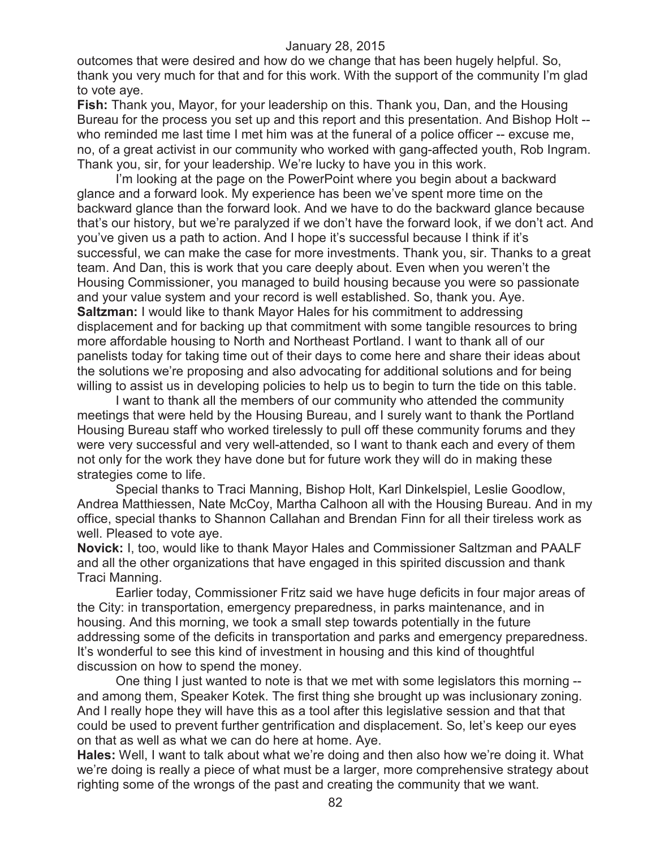outcomes that were desired and how do we change that has been hugely helpful. So, thank you very much for that and for this work. With the support of the community I'm glad to vote aye.

**Fish:** Thank you, Mayor, for your leadership on this. Thank you, Dan, and the Housing Bureau for the process you set up and this report and this presentation. And Bishop Holt - who reminded me last time I met him was at the funeral of a police officer -- excuse me, no, of a great activist in our community who worked with gang-affected youth, Rob Ingram. Thank you, sir, for your leadership. We're lucky to have you in this work.

I'm looking at the page on the PowerPoint where you begin about a backward glance and a forward look. My experience has been we've spent more time on the backward glance than the forward look. And we have to do the backward glance because that's our history, but we're paralyzed if we don't have the forward look, if we don't act. And you've given us a path to action. And I hope it's successful because I think if it's successful, we can make the case for more investments. Thank you, sir. Thanks to a great team. And Dan, this is work that you care deeply about. Even when you weren't the Housing Commissioner, you managed to build housing because you were so passionate and your value system and your record is well established. So, thank you. Aye. **Saltzman:** I would like to thank Mayor Hales for his commitment to addressing displacement and for backing up that commitment with some tangible resources to bring more affordable housing to North and Northeast Portland. I want to thank all of our panelists today for taking time out of their days to come here and share their ideas about the solutions we're proposing and also advocating for additional solutions and for being willing to assist us in developing policies to help us to begin to turn the tide on this table.

I want to thank all the members of our community who attended the community meetings that were held by the Housing Bureau, and I surely want to thank the Portland Housing Bureau staff who worked tirelessly to pull off these community forums and they were very successful and very well-attended, so I want to thank each and every of them not only for the work they have done but for future work they will do in making these strategies come to life.

Special thanks to Traci Manning, Bishop Holt, Karl Dinkelspiel, Leslie Goodlow, Andrea Matthiessen, Nate McCoy, Martha Calhoon all with the Housing Bureau. And in my office, special thanks to Shannon Callahan and Brendan Finn for all their tireless work as well. Pleased to vote aye.

**Novick:** I, too, would like to thank Mayor Hales and Commissioner Saltzman and PAALF and all the other organizations that have engaged in this spirited discussion and thank Traci Manning.

Earlier today, Commissioner Fritz said we have huge deficits in four major areas of the City: in transportation, emergency preparedness, in parks maintenance, and in housing. And this morning, we took a small step towards potentially in the future addressing some of the deficits in transportation and parks and emergency preparedness. It's wonderful to see this kind of investment in housing and this kind of thoughtful discussion on how to spend the money.

One thing I just wanted to note is that we met with some legislators this morning - and among them, Speaker Kotek. The first thing she brought up was inclusionary zoning. And I really hope they will have this as a tool after this legislative session and that that could be used to prevent further gentrification and displacement. So, let's keep our eyes on that as well as what we can do here at home. Aye.

**Hales:** Well, I want to talk about what we're doing and then also how we're doing it. What we're doing is really a piece of what must be a larger, more comprehensive strategy about righting some of the wrongs of the past and creating the community that we want.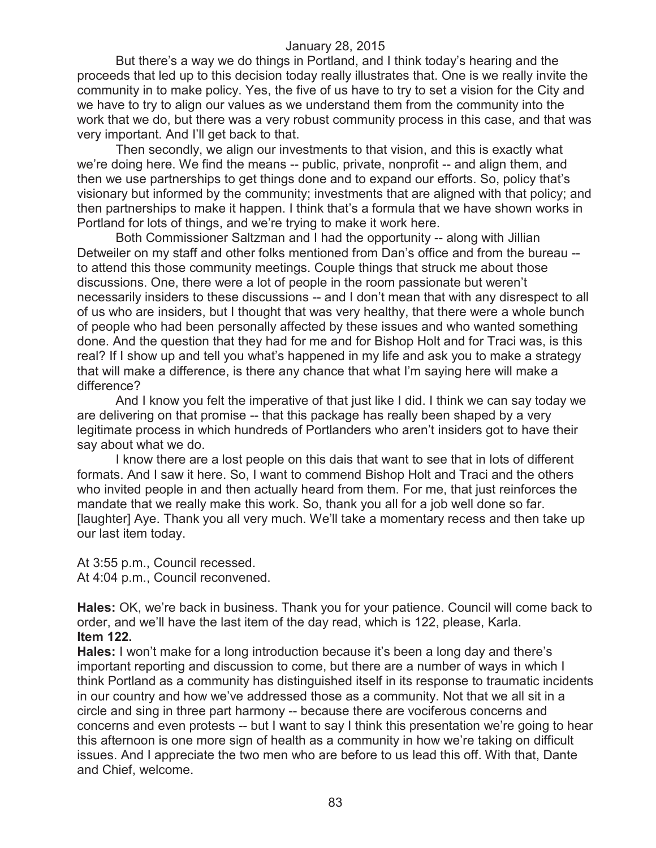But there's a way we do things in Portland, and I think today's hearing and the proceeds that led up to this decision today really illustrates that. One is we really invite the community in to make policy. Yes, the five of us have to try to set a vision for the City and we have to try to align our values as we understand them from the community into the work that we do, but there was a very robust community process in this case, and that was very important. And I'll get back to that.

Then secondly, we align our investments to that vision, and this is exactly what we're doing here. We find the means -- public, private, nonprofit -- and align them, and then we use partnerships to get things done and to expand our efforts. So, policy that's visionary but informed by the community; investments that are aligned with that policy; and then partnerships to make it happen. I think that's a formula that we have shown works in Portland for lots of things, and we're trying to make it work here.

Both Commissioner Saltzman and I had the opportunity -- along with Jillian Detweiler on my staff and other folks mentioned from Dan's office and from the bureau - to attend this those community meetings. Couple things that struck me about those discussions. One, there were a lot of people in the room passionate but weren't necessarily insiders to these discussions -- and I don't mean that with any disrespect to all of us who are insiders, but I thought that was very healthy, that there were a whole bunch of people who had been personally affected by these issues and who wanted something done. And the question that they had for me and for Bishop Holt and for Traci was, is this real? If I show up and tell you what's happened in my life and ask you to make a strategy that will make a difference, is there any chance that what I'm saying here will make a difference?

And I know you felt the imperative of that just like I did. I think we can say today we are delivering on that promise -- that this package has really been shaped by a very legitimate process in which hundreds of Portlanders who aren't insiders got to have their say about what we do.

I know there are a lost people on this dais that want to see that in lots of different formats. And I saw it here. So, I want to commend Bishop Holt and Traci and the others who invited people in and then actually heard from them. For me, that just reinforces the mandate that we really make this work. So, thank you all for a job well done so far. [laughter] Aye. Thank you all very much. We'll take a momentary recess and then take up our last item today.

At 3:55 p.m., Council recessed. At 4:04 p.m., Council reconvened.

**Hales:** OK, we're back in business. Thank you for your patience. Council will come back to order, and we'll have the last item of the day read, which is 122, please, Karla. **Item 122.**

**Hales:** I won't make for a long introduction because it's been a long day and there's important reporting and discussion to come, but there are a number of ways in which I think Portland as a community has distinguished itself in its response to traumatic incidents in our country and how we've addressed those as a community. Not that we all sit in a circle and sing in three part harmony -- because there are vociferous concerns and concerns and even protests -- but I want to say I think this presentation we're going to hear this afternoon is one more sign of health as a community in how we're taking on difficult issues. And I appreciate the two men who are before to us lead this off. With that, Dante and Chief, welcome.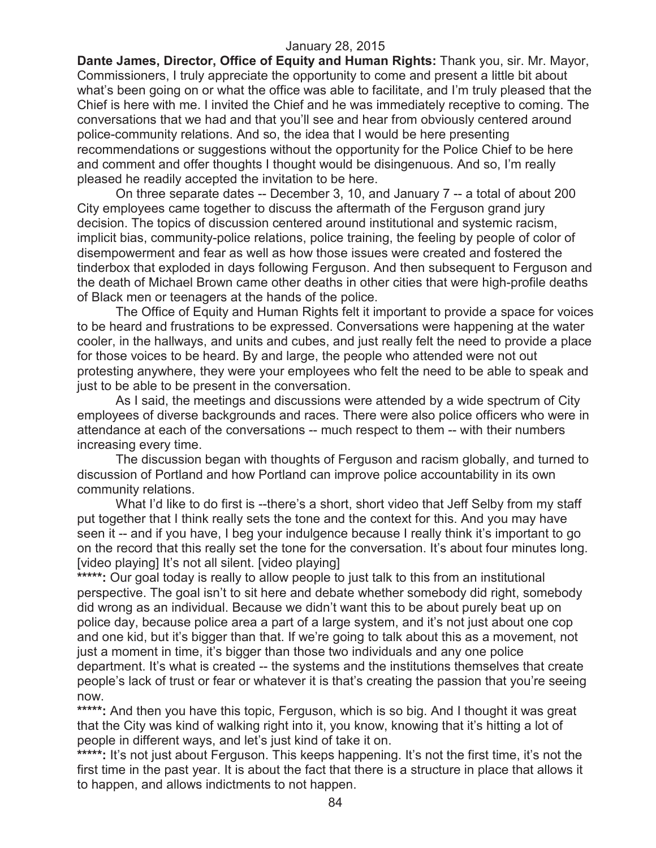**Dante James, Director, Office of Equity and Human Rights:** Thank you, sir. Mr. Mayor, Commissioners, I truly appreciate the opportunity to come and present a little bit about what's been going on or what the office was able to facilitate, and I'm truly pleased that the Chief is here with me. I invited the Chief and he was immediately receptive to coming. The conversations that we had and that you'll see and hear from obviously centered around police-community relations. And so, the idea that I would be here presenting recommendations or suggestions without the opportunity for the Police Chief to be here and comment and offer thoughts I thought would be disingenuous. And so, I'm really pleased he readily accepted the invitation to be here.

On three separate dates -- December 3, 10, and January 7 -- a total of about 200 City employees came together to discuss the aftermath of the Ferguson grand jury decision. The topics of discussion centered around institutional and systemic racism, implicit bias, community-police relations, police training, the feeling by people of color of disempowerment and fear as well as how those issues were created and fostered the tinderbox that exploded in days following Ferguson. And then subsequent to Ferguson and the death of Michael Brown came other deaths in other cities that were high-profile deaths of Black men or teenagers at the hands of the police.

The Office of Equity and Human Rights felt it important to provide a space for voices to be heard and frustrations to be expressed. Conversations were happening at the water cooler, in the hallways, and units and cubes, and just really felt the need to provide a place for those voices to be heard. By and large, the people who attended were not out protesting anywhere, they were your employees who felt the need to be able to speak and just to be able to be present in the conversation.

As I said, the meetings and discussions were attended by a wide spectrum of City employees of diverse backgrounds and races. There were also police officers who were in attendance at each of the conversations -- much respect to them -- with their numbers increasing every time.

The discussion began with thoughts of Ferguson and racism globally, and turned to discussion of Portland and how Portland can improve police accountability in its own community relations.

What I'd like to do first is --there's a short, short video that Jeff Selby from my staff put together that I think really sets the tone and the context for this. And you may have seen it -- and if you have, I beg your indulgence because I really think it's important to go on the record that this really set the tone for the conversation. It's about four minutes long. [video playing] It's not all silent. [video playing]

\*\*\*\*\*: Our goal today is really to allow people to just talk to this from an institutional perspective. The goal isn't to sit here and debate whether somebody did right, somebody did wrong as an individual. Because we didn't want this to be about purely beat up on police day, because police area a part of a large system, and it's not just about one cop and one kid, but it's bigger than that. If we're going to talk about this as a movement, not just a moment in time, it's bigger than those two individuals and any one police department. It's what is created -- the systems and the institutions themselves that create people's lack of trust or fear or whatever it is that's creating the passion that you're seeing now.

\*\*\*\*\*: And then you have this topic, Ferguson, which is so big. And I thought it was great that the City was kind of walking right into it, you know, knowing that it's hitting a lot of people in different ways, and let's just kind of take it on.

\*\*\*\*\*: It's not just about Ferguson. This keeps happening. It's not the first time, it's not the first time in the past year. It is about the fact that there is a structure in place that allows it to happen, and allows indictments to not happen.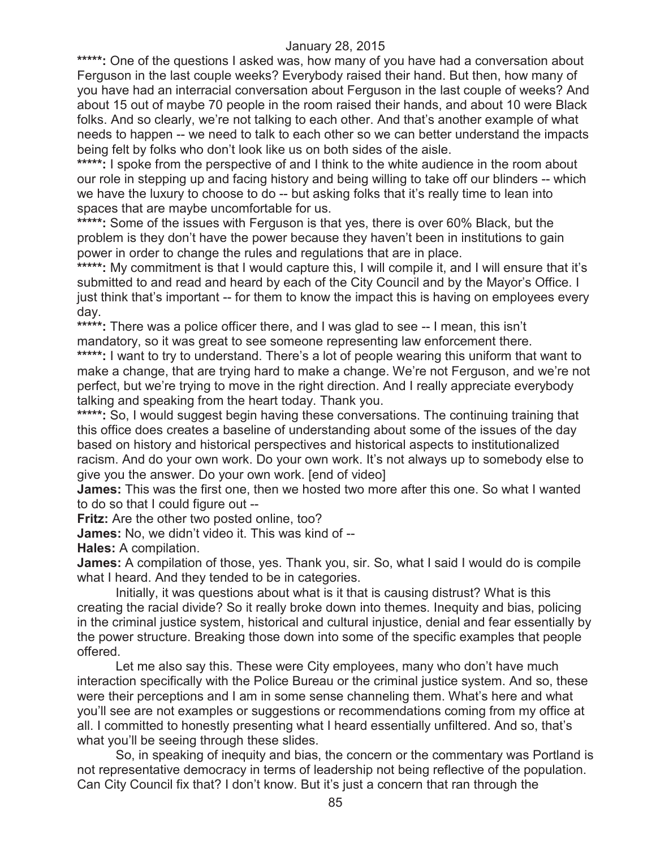\*\*\*\*\*: One of the questions I asked was, how many of you have had a conversation about Ferguson in the last couple weeks? Everybody raised their hand. But then, how many of you have had an interracial conversation about Ferguson in the last couple of weeks? And about 15 out of maybe 70 people in the room raised their hands, and about 10 were Black folks. And so clearly, we're not talking to each other. And that's another example of what needs to happen -- we need to talk to each other so we can better understand the impacts being felt by folks who don't look like us on both sides of the aisle.

**\*\*\*\*\*:** I spoke from the perspective of and I think to the white audience in the room about our role in stepping up and facing history and being willing to take off our blinders -- which we have the luxury to choose to do -- but asking folks that it's really time to lean into spaces that are maybe uncomfortable for us.

**\*\*\*\*\*:** Some of the issues with Ferguson is that yes, there is over 60% Black, but the problem is they don't have the power because they haven't been in institutions to gain power in order to change the rules and regulations that are in place.

\*\*\*\*\*: My commitment is that I would capture this, I will compile it, and I will ensure that it's submitted to and read and heard by each of the City Council and by the Mayor's Office. I just think that's important -- for them to know the impact this is having on employees every day.

\*\*\*\*\*: There was a police officer there, and I was glad to see -- I mean, this isn't mandatory, so it was great to see someone representing law enforcement there.

\*\*\*\*\*: I want to try to understand. There's a lot of people wearing this uniform that want to make a change, that are trying hard to make a change. We're not Ferguson, and we're not perfect, but we're trying to move in the right direction. And I really appreciate everybody talking and speaking from the heart today. Thank you.

**\*\*\*\*\*:** So, I would suggest begin having these conversations. The continuing training that this office does creates a baseline of understanding about some of the issues of the day based on history and historical perspectives and historical aspects to institutionalized racism. And do your own work. Do your own work. It's not always up to somebody else to give you the answer. Do your own work. [end of video]

**James:** This was the first one, then we hosted two more after this one. So what I wanted to do so that I could figure out --

**Fritz:** Are the other two posted online, too?

**James:** No, we didn't video it. This was kind of --

**Hales:** A compilation.

**James:** A compilation of those, yes. Thank you, sir. So, what I said I would do is compile what I heard. And they tended to be in categories.

Initially, it was questions about what is it that is causing distrust? What is this creating the racial divide? So it really broke down into themes. Inequity and bias, policing in the criminal justice system, historical and cultural injustice, denial and fear essentially by the power structure. Breaking those down into some of the specific examples that people offered.

Let me also say this. These were City employees, many who don't have much interaction specifically with the Police Bureau or the criminal justice system. And so, these were their perceptions and I am in some sense channeling them. What's here and what you'll see are not examples or suggestions or recommendations coming from my office at all. I committed to honestly presenting what I heard essentially unfiltered. And so, that's what you'll be seeing through these slides.

So, in speaking of inequity and bias, the concern or the commentary was Portland is not representative democracy in terms of leadership not being reflective of the population. Can City Council fix that? I don't know. But it's just a concern that ran through the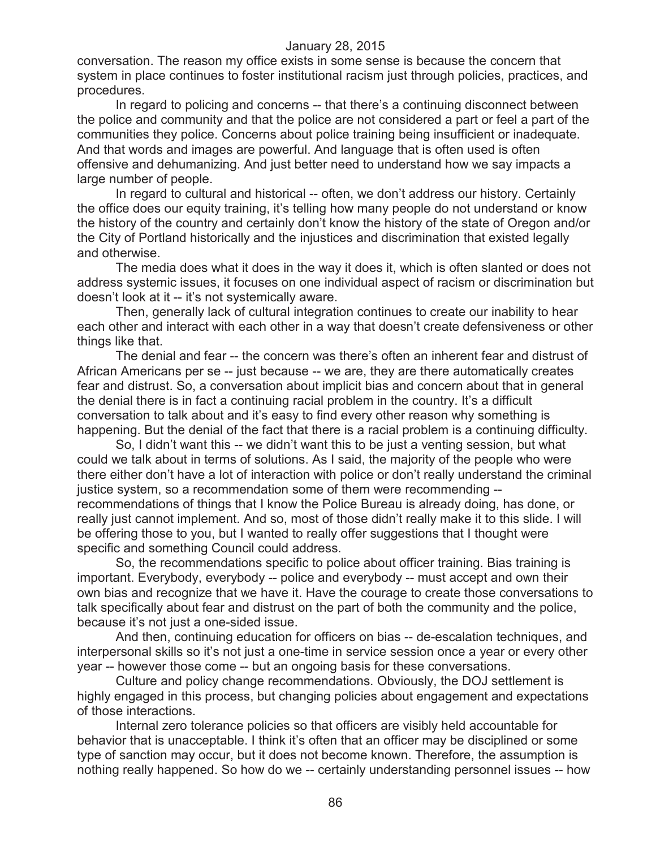conversation. The reason my office exists in some sense is because the concern that system in place continues to foster institutional racism just through policies, practices, and procedures.

In regard to policing and concerns -- that there's a continuing disconnect between the police and community and that the police are not considered a part or feel a part of the communities they police. Concerns about police training being insufficient or inadequate. And that words and images are powerful. And language that is often used is often offensive and dehumanizing. And just better need to understand how we say impacts a large number of people.

In regard to cultural and historical -- often, we don't address our history. Certainly the office does our equity training, it's telling how many people do not understand or know the history of the country and certainly don't know the history of the state of Oregon and/or the City of Portland historically and the injustices and discrimination that existed legally and otherwise.

The media does what it does in the way it does it, which is often slanted or does not address systemic issues, it focuses on one individual aspect of racism or discrimination but doesn't look at it -- it's not systemically aware.

Then, generally lack of cultural integration continues to create our inability to hear each other and interact with each other in a way that doesn't create defensiveness or other things like that.

The denial and fear -- the concern was there's often an inherent fear and distrust of African Americans per se -- just because -- we are, they are there automatically creates fear and distrust. So, a conversation about implicit bias and concern about that in general the denial there is in fact a continuing racial problem in the country. It's a difficult conversation to talk about and it's easy to find every other reason why something is happening. But the denial of the fact that there is a racial problem is a continuing difficulty.

So, I didn't want this -- we didn't want this to be just a venting session, but what could we talk about in terms of solutions. As I said, the majority of the people who were there either don't have a lot of interaction with police or don't really understand the criminal justice system, so a recommendation some of them were recommending - recommendations of things that I know the Police Bureau is already doing, has done, or really just cannot implement. And so, most of those didn't really make it to this slide. I will be offering those to you, but I wanted to really offer suggestions that I thought were specific and something Council could address.

So, the recommendations specific to police about officer training. Bias training is important. Everybody, everybody -- police and everybody -- must accept and own their own bias and recognize that we have it. Have the courage to create those conversations to talk specifically about fear and distrust on the part of both the community and the police, because it's not just a one-sided issue.

And then, continuing education for officers on bias -- de-escalation techniques, and interpersonal skills so it's not just a one-time in service session once a year or every other year -- however those come -- but an ongoing basis for these conversations.

Culture and policy change recommendations. Obviously, the DOJ settlement is highly engaged in this process, but changing policies about engagement and expectations of those interactions.

Internal zero tolerance policies so that officers are visibly held accountable for behavior that is unacceptable. I think it's often that an officer may be disciplined or some type of sanction may occur, but it does not become known. Therefore, the assumption is nothing really happened. So how do we -- certainly understanding personnel issues -- how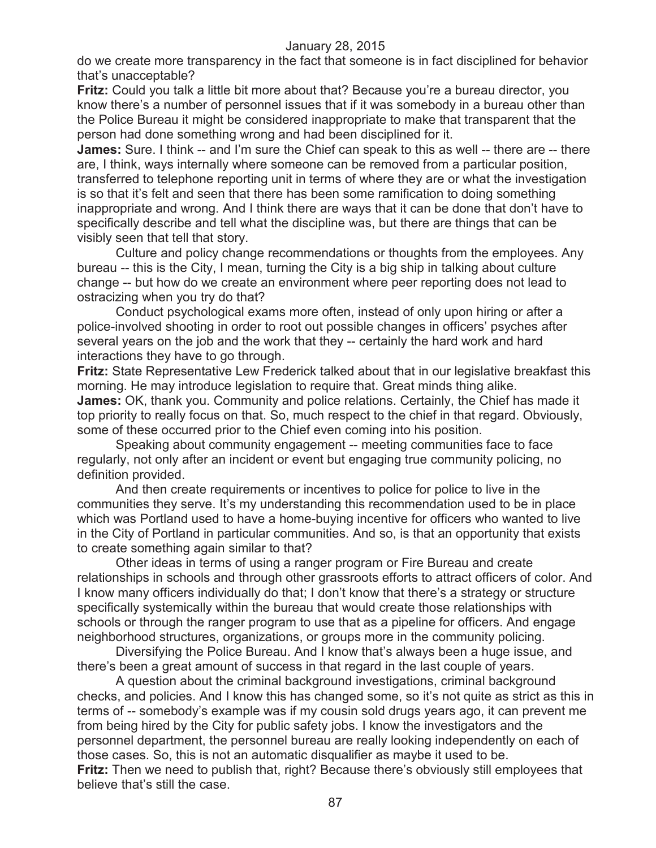do we create more transparency in the fact that someone is in fact disciplined for behavior that's unacceptable?

**Fritz:** Could you talk a little bit more about that? Because you're a bureau director, you know there's a number of personnel issues that if it was somebody in a bureau other than the Police Bureau it might be considered inappropriate to make that transparent that the person had done something wrong and had been disciplined for it.

**James:** Sure. I think -- and I'm sure the Chief can speak to this as well -- there are -- there are, I think, ways internally where someone can be removed from a particular position, transferred to telephone reporting unit in terms of where they are or what the investigation is so that it's felt and seen that there has been some ramification to doing something inappropriate and wrong. And I think there are ways that it can be done that don't have to specifically describe and tell what the discipline was, but there are things that can be visibly seen that tell that story.

Culture and policy change recommendations or thoughts from the employees. Any bureau -- this is the City, I mean, turning the City is a big ship in talking about culture change -- but how do we create an environment where peer reporting does not lead to ostracizing when you try do that?

Conduct psychological exams more often, instead of only upon hiring or after a police-involved shooting in order to root out possible changes in officers' psyches after several years on the job and the work that they -- certainly the hard work and hard interactions they have to go through.

**Fritz:** State Representative Lew Frederick talked about that in our legislative breakfast this morning. He may introduce legislation to require that. Great minds thing alike. **James:** OK, thank you. Community and police relations. Certainly, the Chief has made it top priority to really focus on that. So, much respect to the chief in that regard. Obviously, some of these occurred prior to the Chief even coming into his position.

Speaking about community engagement -- meeting communities face to face regularly, not only after an incident or event but engaging true community policing, no definition provided.

And then create requirements or incentives to police for police to live in the communities they serve. It's my understanding this recommendation used to be in place which was Portland used to have a home-buying incentive for officers who wanted to live in the City of Portland in particular communities. And so, is that an opportunity that exists to create something again similar to that?

Other ideas in terms of using a ranger program or Fire Bureau and create relationships in schools and through other grassroots efforts to attract officers of color. And I know many officers individually do that; I don't know that there's a strategy or structure specifically systemically within the bureau that would create those relationships with schools or through the ranger program to use that as a pipeline for officers. And engage neighborhood structures, organizations, or groups more in the community policing.

Diversifying the Police Bureau. And I know that's always been a huge issue, and there's been a great amount of success in that regard in the last couple of years.

A question about the criminal background investigations, criminal background checks, and policies. And I know this has changed some, so it's not quite as strict as this in terms of -- somebody's example was if my cousin sold drugs years ago, it can prevent me from being hired by the City for public safety jobs. I know the investigators and the personnel department, the personnel bureau are really looking independently on each of those cases. So, this is not an automatic disqualifier as maybe it used to be. **Fritz:** Then we need to publish that, right? Because there's obviously still employees that believe that's still the case.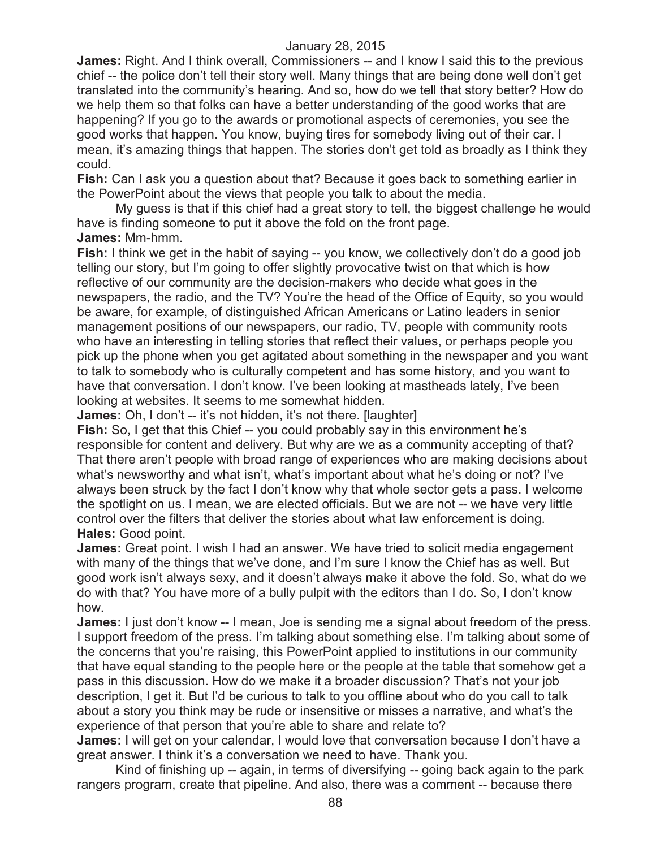**James:** Right. And I think overall, Commissioners -- and I know I said this to the previous chief -- the police don't tell their story well. Many things that are being done well don't get translated into the community's hearing. And so, how do we tell that story better? How do we help them so that folks can have a better understanding of the good works that are happening? If you go to the awards or promotional aspects of ceremonies, you see the good works that happen. You know, buying tires for somebody living out of their car. I mean, it's amazing things that happen. The stories don't get told as broadly as I think they could.

**Fish:** Can I ask you a question about that? Because it goes back to something earlier in the PowerPoint about the views that people you talk to about the media.

My guess is that if this chief had a great story to tell, the biggest challenge he would have is finding someone to put it above the fold on the front page. **James:** Mm-hmm.

**Fish:** I think we get in the habit of saying -- you know, we collectively don't do a good job telling our story, but I'm going to offer slightly provocative twist on that which is how reflective of our community are the decision-makers who decide what goes in the newspapers, the radio, and the TV? You're the head of the Office of Equity, so you would be aware, for example, of distinguished African Americans or Latino leaders in senior management positions of our newspapers, our radio, TV, people with community roots who have an interesting in telling stories that reflect their values, or perhaps people you pick up the phone when you get agitated about something in the newspaper and you want to talk to somebody who is culturally competent and has some history, and you want to have that conversation. I don't know. I've been looking at mastheads lately, I've been looking at websites. It seems to me somewhat hidden.

**James:** Oh, I don't -- it's not hidden, it's not there. [laughter]

**Fish:** So, I get that this Chief -- you could probably say in this environment he's responsible for content and delivery. But why are we as a community accepting of that? That there aren't people with broad range of experiences who are making decisions about what's newsworthy and what isn't, what's important about what he's doing or not? I've always been struck by the fact I don't know why that whole sector gets a pass. I welcome the spotlight on us. I mean, we are elected officials. But we are not -- we have very little control over the filters that deliver the stories about what law enforcement is doing. **Hales:** Good point.

**James:** Great point. I wish I had an answer. We have tried to solicit media engagement with many of the things that we've done, and I'm sure I know the Chief has as well. But good work isn't always sexy, and it doesn't always make it above the fold. So, what do we do with that? You have more of a bully pulpit with the editors than I do. So, I don't know how.

**James:** I just don't know -- I mean, Joe is sending me a signal about freedom of the press. I support freedom of the press. I'm talking about something else. I'm talking about some of the concerns that you're raising, this PowerPoint applied to institutions in our community that have equal standing to the people here or the people at the table that somehow get a pass in this discussion. How do we make it a broader discussion? That's not your job description, I get it. But I'd be curious to talk to you offline about who do you call to talk about a story you think may be rude or insensitive or misses a narrative, and what's the experience of that person that you're able to share and relate to?

**James:** I will get on your calendar, I would love that conversation because I don't have a great answer. I think it's a conversation we need to have. Thank you.

Kind of finishing up -- again, in terms of diversifying -- going back again to the park rangers program, create that pipeline. And also, there was a comment -- because there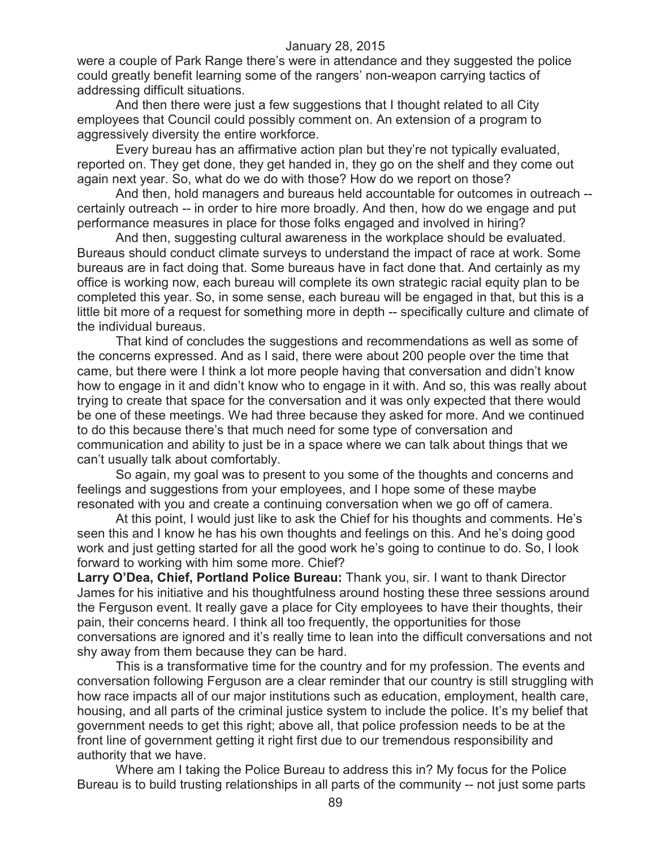were a couple of Park Range there's were in attendance and they suggested the police could greatly benefit learning some of the rangers' non-weapon carrying tactics of addressing difficult situations.

And then there were just a few suggestions that I thought related to all City employees that Council could possibly comment on. An extension of a program to aggressively diversity the entire workforce.

Every bureau has an affirmative action plan but they're not typically evaluated, reported on. They get done, they get handed in, they go on the shelf and they come out again next year. So, what do we do with those? How do we report on those?

And then, hold managers and bureaus held accountable for outcomes in outreach - certainly outreach -- in order to hire more broadly. And then, how do we engage and put performance measures in place for those folks engaged and involved in hiring?

And then, suggesting cultural awareness in the workplace should be evaluated. Bureaus should conduct climate surveys to understand the impact of race at work. Some bureaus are in fact doing that. Some bureaus have in fact done that. And certainly as my office is working now, each bureau will complete its own strategic racial equity plan to be completed this year. So, in some sense, each bureau will be engaged in that, but this is a little bit more of a request for something more in depth -- specifically culture and climate of the individual bureaus.

That kind of concludes the suggestions and recommendations as well as some of the concerns expressed. And as I said, there were about 200 people over the time that came, but there were I think a lot more people having that conversation and didn't know how to engage in it and didn't know who to engage in it with. And so, this was really about trying to create that space for the conversation and it was only expected that there would be one of these meetings. We had three because they asked for more. And we continued to do this because there's that much need for some type of conversation and communication and ability to just be in a space where we can talk about things that we can't usually talk about comfortably.

So again, my goal was to present to you some of the thoughts and concerns and feelings and suggestions from your employees, and I hope some of these maybe resonated with you and create a continuing conversation when we go off of camera.

At this point, I would just like to ask the Chief for his thoughts and comments. He's seen this and I know he has his own thoughts and feelings on this. And he's doing good work and just getting started for all the good work he's going to continue to do. So, I look forward to working with him some more. Chief?

**Larry O'Dea, Chief, Portland Police Bureau:** Thank you, sir. I want to thank Director James for his initiative and his thoughtfulness around hosting these three sessions around the Ferguson event. It really gave a place for City employees to have their thoughts, their pain, their concerns heard. I think all too frequently, the opportunities for those conversations are ignored and it's really time to lean into the difficult conversations and not shy away from them because they can be hard.

This is a transformative time for the country and for my profession. The events and conversation following Ferguson are a clear reminder that our country is still struggling with how race impacts all of our major institutions such as education, employment, health care, housing, and all parts of the criminal justice system to include the police. It's my belief that government needs to get this right; above all, that police profession needs to be at the front line of government getting it right first due to our tremendous responsibility and authority that we have.

Where am I taking the Police Bureau to address this in? My focus for the Police Bureau is to build trusting relationships in all parts of the community -- not just some parts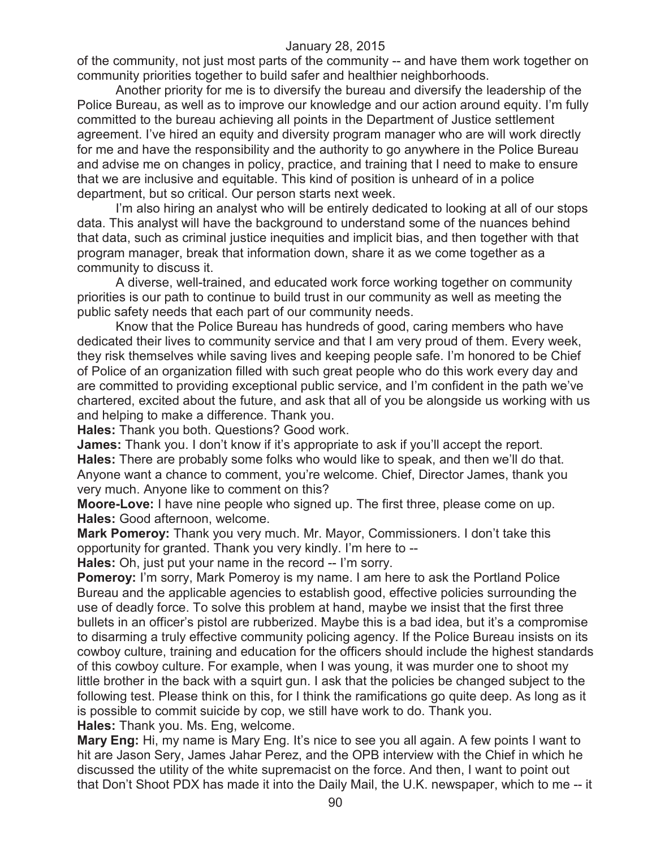of the community, not just most parts of the community -- and have them work together on community priorities together to build safer and healthier neighborhoods.

Another priority for me is to diversify the bureau and diversify the leadership of the Police Bureau, as well as to improve our knowledge and our action around equity. I'm fully committed to the bureau achieving all points in the Department of Justice settlement agreement. I've hired an equity and diversity program manager who are will work directly for me and have the responsibility and the authority to go anywhere in the Police Bureau and advise me on changes in policy, practice, and training that I need to make to ensure that we are inclusive and equitable. This kind of position is unheard of in a police department, but so critical. Our person starts next week.

I'm also hiring an analyst who will be entirely dedicated to looking at all of our stops data. This analyst will have the background to understand some of the nuances behind that data, such as criminal justice inequities and implicit bias, and then together with that program manager, break that information down, share it as we come together as a community to discuss it.

A diverse, well-trained, and educated work force working together on community priorities is our path to continue to build trust in our community as well as meeting the public safety needs that each part of our community needs.

Know that the Police Bureau has hundreds of good, caring members who have dedicated their lives to community service and that I am very proud of them. Every week, they risk themselves while saving lives and keeping people safe. I'm honored to be Chief of Police of an organization filled with such great people who do this work every day and are committed to providing exceptional public service, and I'm confident in the path we've chartered, excited about the future, and ask that all of you be alongside us working with us and helping to make a difference. Thank you.

**Hales:** Thank you both. Questions? Good work.

**James:** Thank you. I don't know if it's appropriate to ask if you'll accept the report. **Hales:** There are probably some folks who would like to speak, and then we'll do that. Anyone want a chance to comment, you're welcome. Chief, Director James, thank you very much. Anyone like to comment on this?

**Moore-Love:** I have nine people who signed up. The first three, please come on up. **Hales:** Good afternoon, welcome.

**Mark Pomeroy:** Thank you very much. Mr. Mayor, Commissioners. I don't take this opportunity for granted. Thank you very kindly. I'm here to --

**Hales:** Oh, just put your name in the record -- I'm sorry.

**Pomeroy:** I'm sorry, Mark Pomeroy is my name. I am here to ask the Portland Police Bureau and the applicable agencies to establish good, effective policies surrounding the use of deadly force. To solve this problem at hand, maybe we insist that the first three bullets in an officer's pistol are rubberized. Maybe this is a bad idea, but it's a compromise to disarming a truly effective community policing agency. If the Police Bureau insists on its cowboy culture, training and education for the officers should include the highest standards of this cowboy culture. For example, when I was young, it was murder one to shoot my little brother in the back with a squirt gun. I ask that the policies be changed subject to the following test. Please think on this, for I think the ramifications go quite deep. As long as it is possible to commit suicide by cop, we still have work to do. Thank you.

**Hales:** Thank you. Ms. Eng, welcome.

**Mary Eng:** Hi, my name is Mary Eng. It's nice to see you all again. A few points I want to hit are Jason Sery, James Jahar Perez, and the OPB interview with the Chief in which he discussed the utility of the white supremacist on the force. And then, I want to point out that Don't Shoot PDX has made it into the Daily Mail, the U.K. newspaper, which to me -- it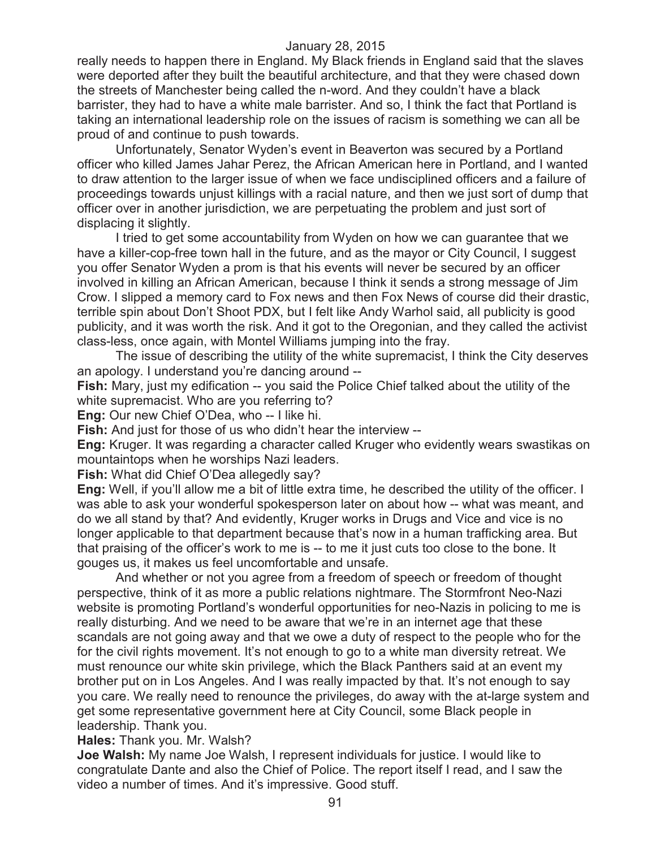really needs to happen there in England. My Black friends in England said that the slaves were deported after they built the beautiful architecture, and that they were chased down the streets of Manchester being called the n-word. And they couldn't have a black barrister, they had to have a white male barrister. And so, I think the fact that Portland is taking an international leadership role on the issues of racism is something we can all be proud of and continue to push towards.

Unfortunately, Senator Wyden's event in Beaverton was secured by a Portland officer who killed James Jahar Perez, the African American here in Portland, and I wanted to draw attention to the larger issue of when we face undisciplined officers and a failure of proceedings towards unjust killings with a racial nature, and then we just sort of dump that officer over in another jurisdiction, we are perpetuating the problem and just sort of displacing it slightly.

I tried to get some accountability from Wyden on how we can guarantee that we have a killer-cop-free town hall in the future, and as the mayor or City Council, I suggest you offer Senator Wyden a prom is that his events will never be secured by an officer involved in killing an African American, because I think it sends a strong message of Jim Crow. I slipped a memory card to Fox news and then Fox News of course did their drastic, terrible spin about Don't Shoot PDX, but I felt like Andy Warhol said, all publicity is good publicity, and it was worth the risk. And it got to the Oregonian, and they called the activist class-less, once again, with Montel Williams jumping into the fray.

The issue of describing the utility of the white supremacist, I think the City deserves an apology. I understand you're dancing around --

**Fish:** Mary, just my edification -- you said the Police Chief talked about the utility of the white supremacist. Who are you referring to?

**Eng:** Our new Chief O'Dea, who -- I like hi.

**Fish:** And just for those of us who didn't hear the interview --

**Eng:** Kruger. It was regarding a character called Kruger who evidently wears swastikas on mountaintops when he worships Nazi leaders.

**Fish:** What did Chief O'Dea allegedly say?

**Eng:** Well, if you'll allow me a bit of little extra time, he described the utility of the officer. I was able to ask your wonderful spokesperson later on about how -- what was meant, and do we all stand by that? And evidently, Kruger works in Drugs and Vice and vice is no longer applicable to that department because that's now in a human trafficking area. But that praising of the officer's work to me is -- to me it just cuts too close to the bone. It gouges us, it makes us feel uncomfortable and unsafe.

And whether or not you agree from a freedom of speech or freedom of thought perspective, think of it as more a public relations nightmare. The Stormfront Neo-Nazi website is promoting Portland's wonderful opportunities for neo-Nazis in policing to me is really disturbing. And we need to be aware that we're in an internet age that these scandals are not going away and that we owe a duty of respect to the people who for the for the civil rights movement. It's not enough to go to a white man diversity retreat. We must renounce our white skin privilege, which the Black Panthers said at an event my brother put on in Los Angeles. And I was really impacted by that. It's not enough to say you care. We really need to renounce the privileges, do away with the at-large system and get some representative government here at City Council, some Black people in leadership. Thank you.

# **Hales:** Thank you. Mr. Walsh?

**Joe Walsh:** My name Joe Walsh, I represent individuals for justice. I would like to congratulate Dante and also the Chief of Police. The report itself I read, and I saw the video a number of times. And it's impressive. Good stuff.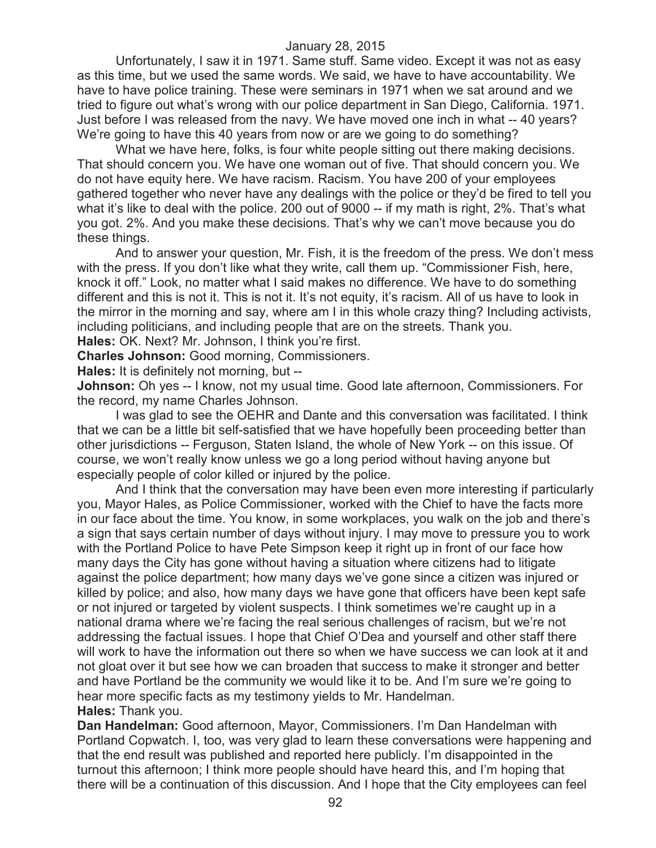Unfortunately, I saw it in 1971. Same stuff. Same video. Except it was not as easy as this time, but we used the same words. We said, we have to have accountability. We have to have police training. These were seminars in 1971 when we sat around and we tried to figure out what's wrong with our police department in San Diego, California. 1971. Just before I was released from the navy. We have moved one inch in what -- 40 years? We're going to have this 40 years from now or are we going to do something?

What we have here, folks, is four white people sitting out there making decisions. That should concern you. We have one woman out of five. That should concern you. We do not have equity here. We have racism. Racism. You have 200 of your employees gathered together who never have any dealings with the police or they'd be fired to tell you what it's like to deal with the police. 200 out of 9000 -- if my math is right, 2%. That's what you got. 2%. And you make these decisions. That's why we can't move because you do these things.

And to answer your question, Mr. Fish, it is the freedom of the press. We don't mess with the press. If you don't like what they write, call them up. "Commissioner Fish, here, knock it off." Look, no matter what I said makes no difference. We have to do something different and this is not it. This is not it. It's not equity, it's racism. All of us have to look in the mirror in the morning and say, where am I in this whole crazy thing? Including activists, including politicians, and including people that are on the streets. Thank you.

**Hales:** OK. Next? Mr. Johnson, I think you're first.

**Charles Johnson:** Good morning, Commissioners.

**Hales:** It is definitely not morning, but --

**Johnson:** Oh yes -- I know, not my usual time. Good late afternoon, Commissioners. For the record, my name Charles Johnson.

I was glad to see the OEHR and Dante and this conversation was facilitated. I think that we can be a little bit self-satisfied that we have hopefully been proceeding better than other jurisdictions -- Ferguson, Staten Island, the whole of New York -- on this issue. Of course, we won't really know unless we go a long period without having anyone but especially people of color killed or injured by the police.

And I think that the conversation may have been even more interesting if particularly you, Mayor Hales, as Police Commissioner, worked with the Chief to have the facts more in our face about the time. You know, in some workplaces, you walk on the job and there's a sign that says certain number of days without injury. I may move to pressure you to work with the Portland Police to have Pete Simpson keep it right up in front of our face how many days the City has gone without having a situation where citizens had to litigate against the police department; how many days we've gone since a citizen was injured or killed by police; and also, how many days we have gone that officers have been kept safe or not injured or targeted by violent suspects. I think sometimes we're caught up in a national drama where we're facing the real serious challenges of racism, but we're not addressing the factual issues. I hope that Chief O'Dea and yourself and other staff there will work to have the information out there so when we have success we can look at it and not gloat over it but see how we can broaden that success to make it stronger and better and have Portland be the community we would like it to be. And I'm sure we're going to hear more specific facts as my testimony yields to Mr. Handelman. **Hales:** Thank you.

**Dan Handelman:** Good afternoon, Mayor, Commissioners. I'm Dan Handelman with Portland Copwatch. I, too, was very glad to learn these conversations were happening and that the end result was published and reported here publicly. I'm disappointed in the turnout this afternoon; I think more people should have heard this, and I'm hoping that there will be a continuation of this discussion. And I hope that the City employees can feel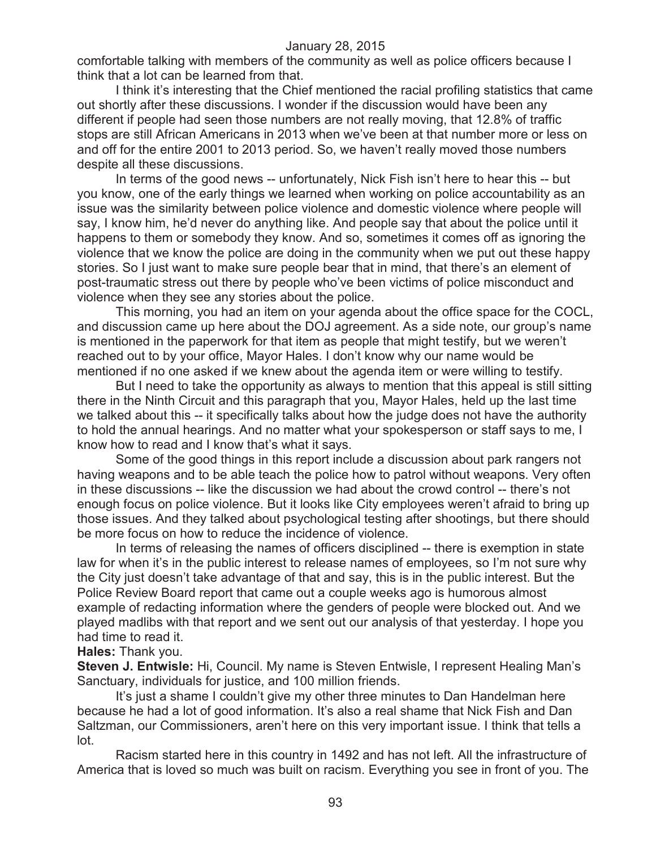comfortable talking with members of the community as well as police officers because I think that a lot can be learned from that.

I think it's interesting that the Chief mentioned the racial profiling statistics that came out shortly after these discussions. I wonder if the discussion would have been any different if people had seen those numbers are not really moving, that 12.8% of traffic stops are still African Americans in 2013 when we've been at that number more or less on and off for the entire 2001 to 2013 period. So, we haven't really moved those numbers despite all these discussions.

In terms of the good news -- unfortunately, Nick Fish isn't here to hear this -- but you know, one of the early things we learned when working on police accountability as an issue was the similarity between police violence and domestic violence where people will say, I know him, he'd never do anything like. And people say that about the police until it happens to them or somebody they know. And so, sometimes it comes off as ignoring the violence that we know the police are doing in the community when we put out these happy stories. So I just want to make sure people bear that in mind, that there's an element of post-traumatic stress out there by people who've been victims of police misconduct and violence when they see any stories about the police.

This morning, you had an item on your agenda about the office space for the COCL, and discussion came up here about the DOJ agreement. As a side note, our group's name is mentioned in the paperwork for that item as people that might testify, but we weren't reached out to by your office, Mayor Hales. I don't know why our name would be mentioned if no one asked if we knew about the agenda item or were willing to testify.

But I need to take the opportunity as always to mention that this appeal is still sitting there in the Ninth Circuit and this paragraph that you, Mayor Hales, held up the last time we talked about this -- it specifically talks about how the judge does not have the authority to hold the annual hearings. And no matter what your spokesperson or staff says to me, I know how to read and I know that's what it says.

Some of the good things in this report include a discussion about park rangers not having weapons and to be able teach the police how to patrol without weapons. Very often in these discussions -- like the discussion we had about the crowd control -- there's not enough focus on police violence. But it looks like City employees weren't afraid to bring up those issues. And they talked about psychological testing after shootings, but there should be more focus on how to reduce the incidence of violence.

In terms of releasing the names of officers disciplined -- there is exemption in state law for when it's in the public interest to release names of employees, so I'm not sure why the City just doesn't take advantage of that and say, this is in the public interest. But the Police Review Board report that came out a couple weeks ago is humorous almost example of redacting information where the genders of people were blocked out. And we played madlibs with that report and we sent out our analysis of that yesterday. I hope you had time to read it.

#### **Hales:** Thank you.

**Steven J. Entwisle:** Hi, Council. My name is Steven Entwisle, I represent Healing Man's Sanctuary, individuals for justice, and 100 million friends.

It's just a shame I couldn't give my other three minutes to Dan Handelman here because he had a lot of good information. It's also a real shame that Nick Fish and Dan Saltzman, our Commissioners, aren't here on this very important issue. I think that tells a lot.

Racism started here in this country in 1492 and has not left. All the infrastructure of America that is loved so much was built on racism. Everything you see in front of you. The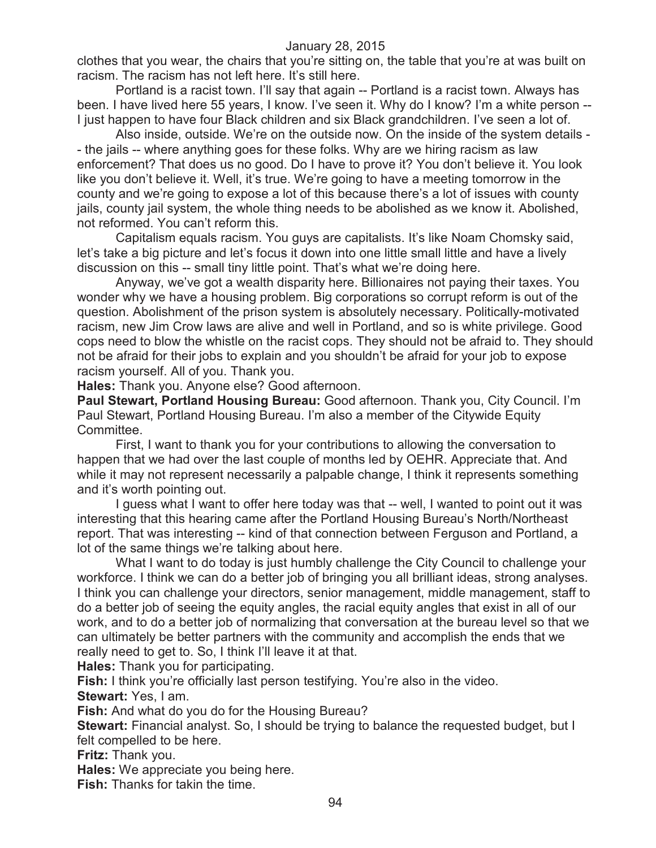clothes that you wear, the chairs that you're sitting on, the table that you're at was built on racism. The racism has not left here. It's still here.

Portland is a racist town. I'll say that again -- Portland is a racist town. Always has been. I have lived here 55 years, I know. I've seen it. Why do I know? I'm a white person -- I just happen to have four Black children and six Black grandchildren. I've seen a lot of.

Also inside, outside. We're on the outside now. On the inside of the system details - - the jails -- where anything goes for these folks. Why are we hiring racism as law enforcement? That does us no good. Do I have to prove it? You don't believe it. You look like you don't believe it. Well, it's true. We're going to have a meeting tomorrow in the county and we're going to expose a lot of this because there's a lot of issues with county jails, county jail system, the whole thing needs to be abolished as we know it. Abolished, not reformed. You can't reform this.

Capitalism equals racism. You guys are capitalists. It's like Noam Chomsky said, let's take a big picture and let's focus it down into one little small little and have a lively discussion on this -- small tiny little point. That's what we're doing here.

Anyway, we've got a wealth disparity here. Billionaires not paying their taxes. You wonder why we have a housing problem. Big corporations so corrupt reform is out of the question. Abolishment of the prison system is absolutely necessary. Politically-motivated racism, new Jim Crow laws are alive and well in Portland, and so is white privilege. Good cops need to blow the whistle on the racist cops. They should not be afraid to. They should not be afraid for their jobs to explain and you shouldn't be afraid for your job to expose racism yourself. All of you. Thank you.

**Hales:** Thank you. Anyone else? Good afternoon.

**Paul Stewart, Portland Housing Bureau:** Good afternoon. Thank you, City Council. I'm Paul Stewart, Portland Housing Bureau. I'm also a member of the Citywide Equity Committee.

First, I want to thank you for your contributions to allowing the conversation to happen that we had over the last couple of months led by OEHR. Appreciate that. And while it may not represent necessarily a palpable change, I think it represents something and it's worth pointing out.

I guess what I want to offer here today was that -- well, I wanted to point out it was interesting that this hearing came after the Portland Housing Bureau's North/Northeast report. That was interesting -- kind of that connection between Ferguson and Portland, a lot of the same things we're talking about here.

What I want to do today is just humbly challenge the City Council to challenge your workforce. I think we can do a better job of bringing you all brilliant ideas, strong analyses. I think you can challenge your directors, senior management, middle management, staff to do a better job of seeing the equity angles, the racial equity angles that exist in all of our work, and to do a better job of normalizing that conversation at the bureau level so that we can ultimately be better partners with the community and accomplish the ends that we really need to get to. So, I think I'll leave it at that.

**Hales:** Thank you for participating.

**Fish:** I think you're officially last person testifying. You're also in the video. **Stewart:** Yes, I am.

**Fish:** And what do you do for the Housing Bureau?

**Stewart:** Financial analyst. So, I should be trying to balance the requested budget, but I felt compelled to be here.

**Fritz:** Thank you.

**Hales:** We appreciate you being here.

**Fish:** Thanks for takin the time.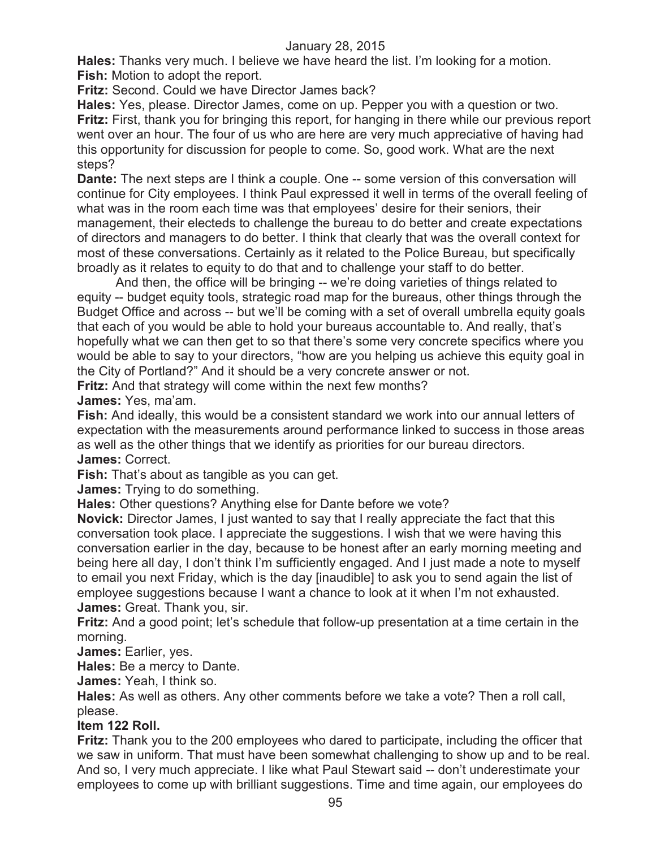**Hales:** Thanks very much. I believe we have heard the list. I'm looking for a motion. **Fish:** Motion to adopt the report.

**Fritz:** Second. Could we have Director James back?

**Hales:** Yes, please. Director James, come on up. Pepper you with a question or two. **Fritz:** First, thank you for bringing this report, for hanging in there while our previous report went over an hour. The four of us who are here are very much appreciative of having had this opportunity for discussion for people to come. So, good work. What are the next steps?

**Dante:** The next steps are I think a couple. One -- some version of this conversation will continue for City employees. I think Paul expressed it well in terms of the overall feeling of what was in the room each time was that employees' desire for their seniors, their management, their electeds to challenge the bureau to do better and create expectations of directors and managers to do better. I think that clearly that was the overall context for most of these conversations. Certainly as it related to the Police Bureau, but specifically broadly as it relates to equity to do that and to challenge your staff to do better.

And then, the office will be bringing -- we're doing varieties of things related to equity -- budget equity tools, strategic road map for the bureaus, other things through the Budget Office and across -- but we'll be coming with a set of overall umbrella equity goals that each of you would be able to hold your bureaus accountable to. And really, that's hopefully what we can then get to so that there's some very concrete specifics where you would be able to say to your directors, "how are you helping us achieve this equity goal in the City of Portland?" And it should be a very concrete answer or not.

**Fritz:** And that strategy will come within the next few months?

**James:** Yes, ma'am.

**Fish:** And ideally, this would be a consistent standard we work into our annual letters of expectation with the measurements around performance linked to success in those areas as well as the other things that we identify as priorities for our bureau directors. **James:** Correct.

**Fish:** That's about as tangible as you can get.

**James:** Trying to do something.

**Hales:** Other questions? Anything else for Dante before we vote?

**Novick:** Director James, I just wanted to say that I really appreciate the fact that this conversation took place. I appreciate the suggestions. I wish that we were having this conversation earlier in the day, because to be honest after an early morning meeting and being here all day, I don't think I'm sufficiently engaged. And I just made a note to myself to email you next Friday, which is the day [inaudible] to ask you to send again the list of employee suggestions because I want a chance to look at it when I'm not exhausted. **James:** Great. Thank you, sir.

**Fritz:** And a good point; let's schedule that follow-up presentation at a time certain in the morning.

**James:** Earlier, yes.

**Hales:** Be a mercy to Dante.

**James:** Yeah, I think so.

**Hales:** As well as others. Any other comments before we take a vote? Then a roll call, please.

# **Item 122 Roll.**

**Fritz:** Thank you to the 200 employees who dared to participate, including the officer that we saw in uniform. That must have been somewhat challenging to show up and to be real. And so, I very much appreciate. I like what Paul Stewart said -- don't underestimate your employees to come up with brilliant suggestions. Time and time again, our employees do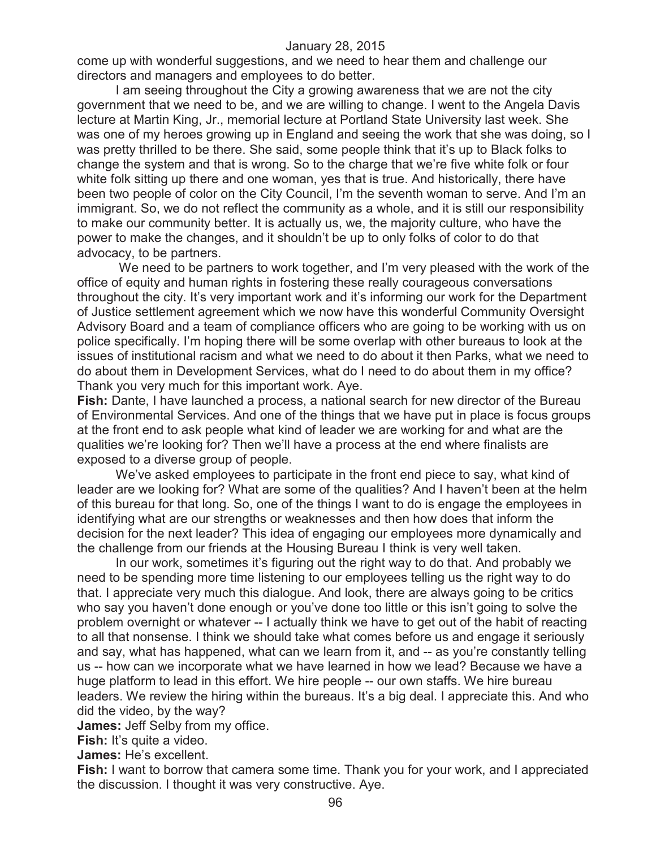come up with wonderful suggestions, and we need to hear them and challenge our directors and managers and employees to do better.

I am seeing throughout the City a growing awareness that we are not the city government that we need to be, and we are willing to change. I went to the Angela Davis lecture at Martin King, Jr., memorial lecture at Portland State University last week. She was one of my heroes growing up in England and seeing the work that she was doing, so I was pretty thrilled to be there. She said, some people think that it's up to Black folks to change the system and that is wrong. So to the charge that we're five white folk or four white folk sitting up there and one woman, yes that is true. And historically, there have been two people of color on the City Council, I'm the seventh woman to serve. And I'm an immigrant. So, we do not reflect the community as a whole, and it is still our responsibility to make our community better. It is actually us, we, the majority culture, who have the power to make the changes, and it shouldn't be up to only folks of color to do that advocacy, to be partners.

We need to be partners to work together, and I'm very pleased with the work of the office of equity and human rights in fostering these really courageous conversations throughout the city. It's very important work and it's informing our work for the Department of Justice settlement agreement which we now have this wonderful Community Oversight Advisory Board and a team of compliance officers who are going to be working with us on police specifically. I'm hoping there will be some overlap with other bureaus to look at the issues of institutional racism and what we need to do about it then Parks, what we need to do about them in Development Services, what do I need to do about them in my office? Thank you very much for this important work. Aye.

**Fish:** Dante, I have launched a process, a national search for new director of the Bureau of Environmental Services. And one of the things that we have put in place is focus groups at the front end to ask people what kind of leader we are working for and what are the qualities we're looking for? Then we'll have a process at the end where finalists are exposed to a diverse group of people.

We've asked employees to participate in the front end piece to say, what kind of leader are we looking for? What are some of the qualities? And I haven't been at the helm of this bureau for that long. So, one of the things I want to do is engage the employees in identifying what are our strengths or weaknesses and then how does that inform the decision for the next leader? This idea of engaging our employees more dynamically and the challenge from our friends at the Housing Bureau I think is very well taken.

In our work, sometimes it's figuring out the right way to do that. And probably we need to be spending more time listening to our employees telling us the right way to do that. I appreciate very much this dialogue. And look, there are always going to be critics who say you haven't done enough or you've done too little or this isn't going to solve the problem overnight or whatever -- I actually think we have to get out of the habit of reacting to all that nonsense. I think we should take what comes before us and engage it seriously and say, what has happened, what can we learn from it, and -- as you're constantly telling us -- how can we incorporate what we have learned in how we lead? Because we have a huge platform to lead in this effort. We hire people -- our own staffs. We hire bureau leaders. We review the hiring within the bureaus. It's a big deal. I appreciate this. And who did the video, by the way?

**James:** Jeff Selby from my office.

**Fish:** It's quite a video.

**James:** He's excellent.

**Fish:** I want to borrow that camera some time. Thank you for your work, and I appreciated the discussion. I thought it was very constructive. Aye.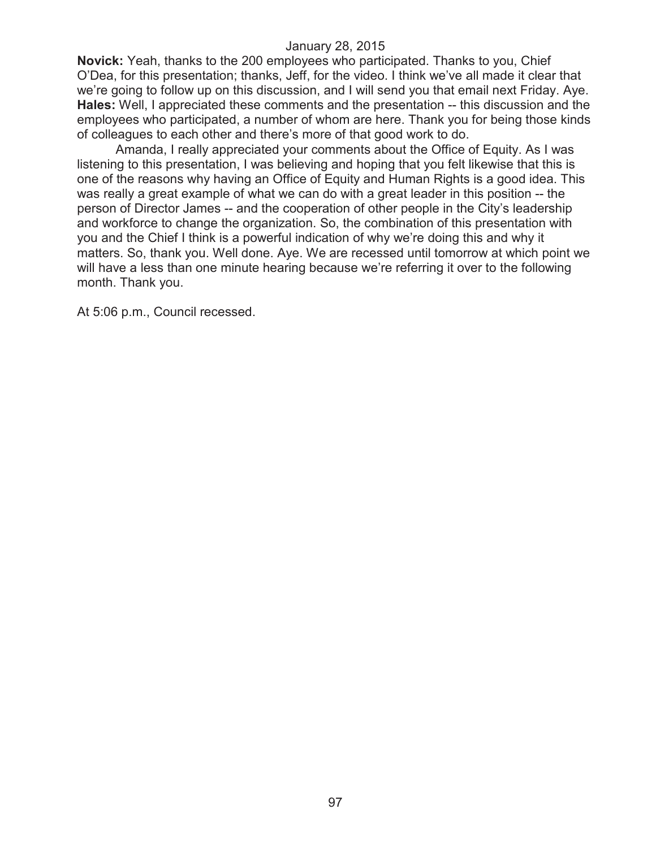**Novick:** Yeah, thanks to the 200 employees who participated. Thanks to you, Chief O'Dea, for this presentation; thanks, Jeff, for the video. I think we've all made it clear that we're going to follow up on this discussion, and I will send you that email next Friday. Aye. **Hales:** Well, I appreciated these comments and the presentation -- this discussion and the employees who participated, a number of whom are here. Thank you for being those kinds of colleagues to each other and there's more of that good work to do.

Amanda, I really appreciated your comments about the Office of Equity. As I was listening to this presentation, I was believing and hoping that you felt likewise that this is one of the reasons why having an Office of Equity and Human Rights is a good idea. This was really a great example of what we can do with a great leader in this position -- the person of Director James -- and the cooperation of other people in the City's leadership and workforce to change the organization. So, the combination of this presentation with you and the Chief I think is a powerful indication of why we're doing this and why it matters. So, thank you. Well done. Aye. We are recessed until tomorrow at which point we will have a less than one minute hearing because we're referring it over to the following month. Thank you.

At 5:06 p.m., Council recessed.